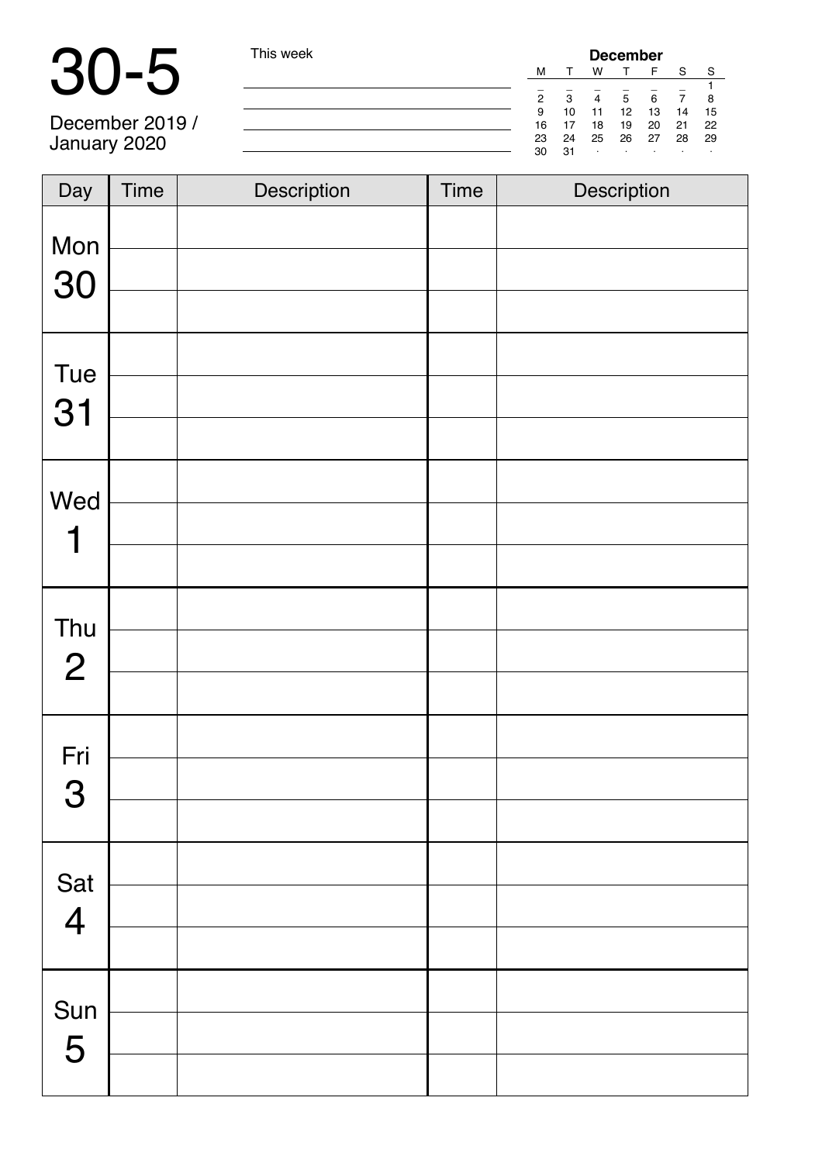| <b>September</b> | This week | <b>December</b> |    |                       |    |    |    |    |  |
|------------------|-----------|-----------------|----|-----------------------|----|----|----|----|--|
|                  |           | M               |    | w                     |    |    | S  | S. |  |
|                  |           |                 |    |                       |    |    |    |    |  |
|                  |           | 2               | з  | $\boldsymbol{\Delta}$ | 5  |    |    |    |  |
|                  |           | 9               | 10 |                       | 12 | 13 | 14 | 15 |  |
| December 2019 /  |           | 16              |    | 18                    | 19 | 20 | 21 | 22 |  |
| January 2020     |           | 23              | 24 | 25                    | 26 | 27 | 28 | 29 |  |
|                  |           | 30              | 31 |                       |    |    |    |    |  |

| Day                   | <b>Time</b> | Description | <b>Time</b> | Description |
|-----------------------|-------------|-------------|-------------|-------------|
| Mon<br>30             |             |             |             |             |
| Tue<br>31             |             |             |             |             |
| Wed<br>1              |             |             |             |             |
| Thu<br>$\overline{2}$ |             |             |             |             |
| Fri<br>3              |             |             |             |             |
| Sat<br>$\overline{4}$ |             |             |             |             |
| Sun<br>5              |             |             |             |             |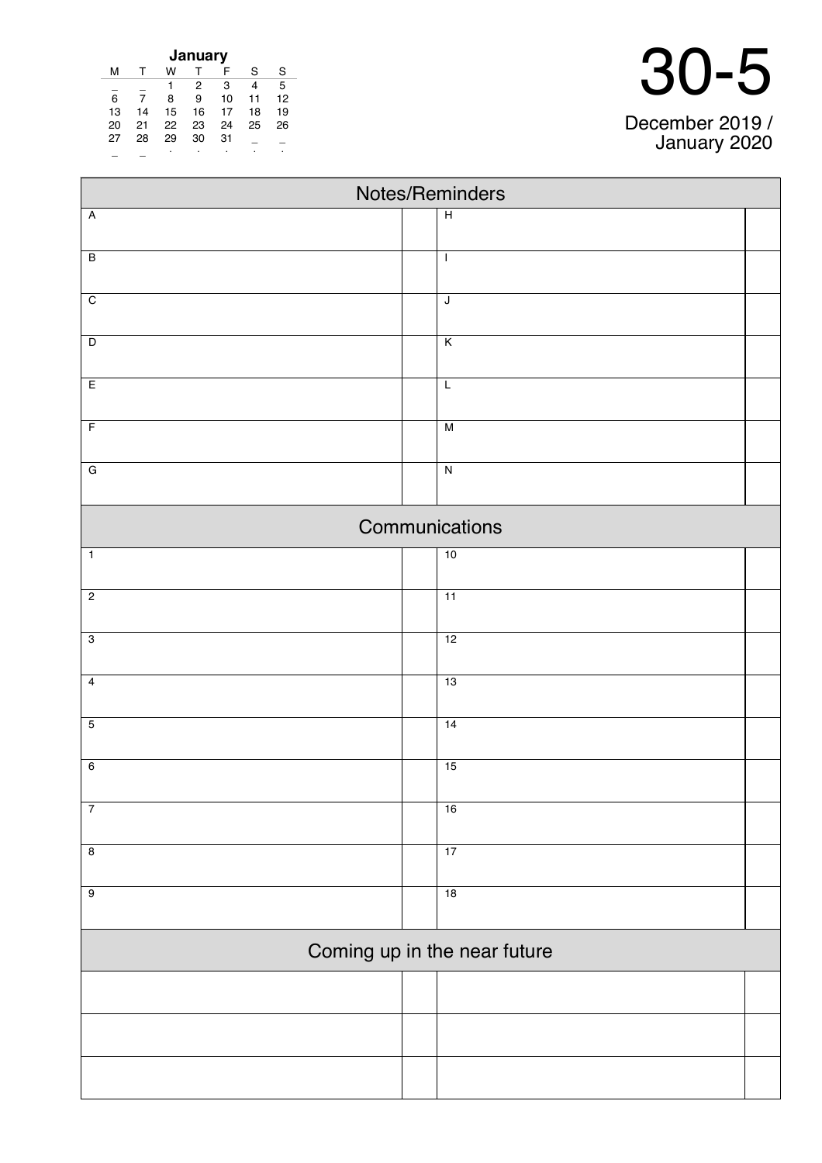| January |    |    |    |    |    |    |  |  |  |
|---------|----|----|----|----|----|----|--|--|--|
| м       |    | w  |    | F  | S  | S  |  |  |  |
|         |    |    | 2  | 3  | 4  | 5  |  |  |  |
| 6       |    | 8  | 9  | 10 | 11 | 12 |  |  |  |
| 13      | 14 | 15 | 16 | 17 | 18 | 19 |  |  |  |
| 20      | 21 | 22 | 23 | 24 | 25 | 26 |  |  |  |
| 27      | 28 | 29 | 30 | 31 |    |    |  |  |  |
|         |    | ٠  | ٠  |    |    |    |  |  |  |

 $\blacksquare$ 

| Notes/Reminders |  |                              |  |  |  |  |  |
|-----------------|--|------------------------------|--|--|--|--|--|
| $\overline{A}$  |  | $\overline{H}$               |  |  |  |  |  |
| $\overline{B}$  |  | $\mathbf{I}$                 |  |  |  |  |  |
| $\overline{C}$  |  | J                            |  |  |  |  |  |
| $\overline{D}$  |  | $\overline{\mathsf{K}}$      |  |  |  |  |  |
| E               |  | $\overline{L}$               |  |  |  |  |  |
| $\overline{F}$  |  | M                            |  |  |  |  |  |
| $\overline{G}$  |  | $\overline{N}$               |  |  |  |  |  |
|                 |  | Communications               |  |  |  |  |  |
| $\overline{1}$  |  | 10                           |  |  |  |  |  |
| $\overline{2}$  |  | $\overline{11}$              |  |  |  |  |  |
| $\overline{3}$  |  | 12                           |  |  |  |  |  |
| $\overline{4}$  |  | 13                           |  |  |  |  |  |
| $\overline{5}$  |  | 14                           |  |  |  |  |  |
| $6\overline{6}$ |  | 15                           |  |  |  |  |  |
| $\overline{7}$  |  | 16                           |  |  |  |  |  |
| $\overline{8}$  |  | 17                           |  |  |  |  |  |
| $\overline{9}$  |  | 18                           |  |  |  |  |  |
|                 |  | Coming up in the near future |  |  |  |  |  |
|                 |  |                              |  |  |  |  |  |
|                 |  |                              |  |  |  |  |  |
|                 |  |                              |  |  |  |  |  |

### 30-5

December 2019 / January 2020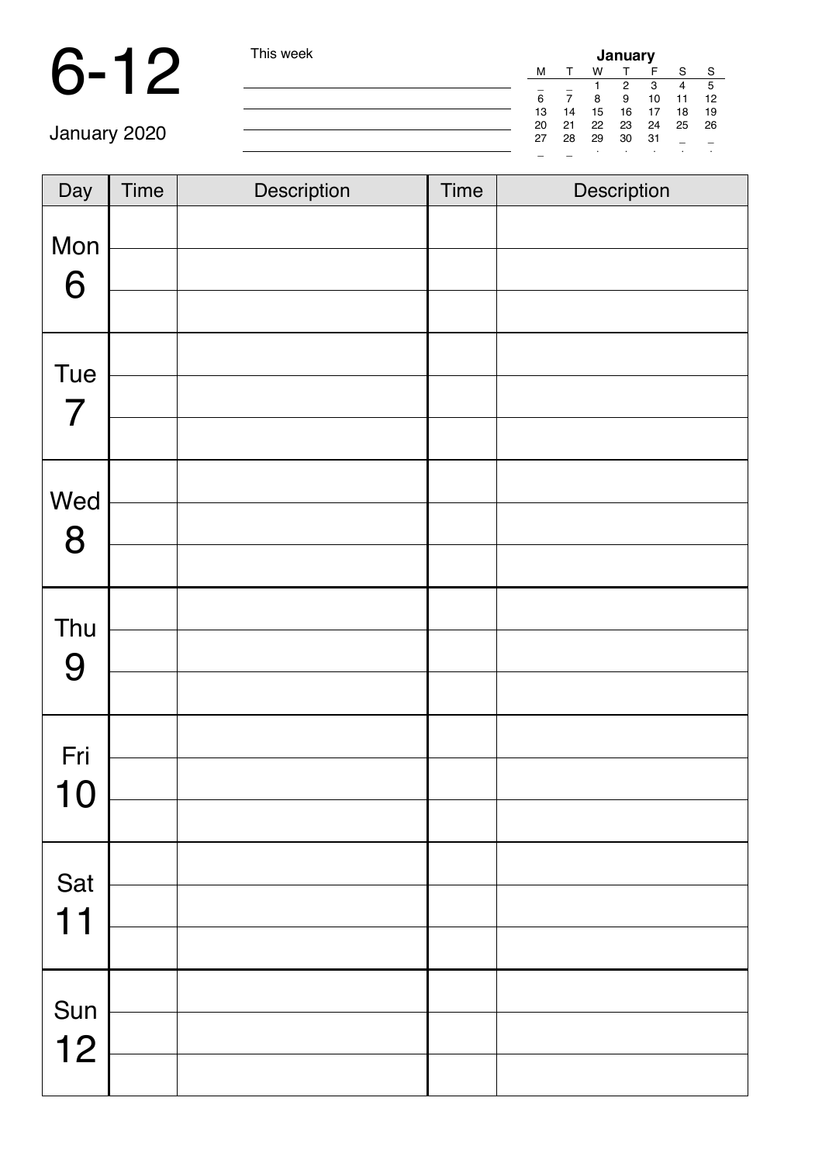| I his week | January |    |         |    |    |    |    |  |
|------------|---------|----|---------|----|----|----|----|--|
|            | м       |    | w       |    | F  | S  | S  |  |
|            |         |    |         | 2  | 3  | 4  | 5  |  |
|            | 6       | 7  | 8       | 9  | 10 | 11 | 12 |  |
|            | 13      | 14 | 15      | 16 | 17 | 18 | 19 |  |
|            | 20      | 21 | 22      | 23 | 24 | 25 | 26 |  |
|            | 27      | 28 | 29      | 30 | 31 |    |    |  |
|            |         |    | $\cdot$ | ٠  | ٠  |    |    |  |

| Day                      | Time | Description | Time | Description |
|--------------------------|------|-------------|------|-------------|
| Mon<br>6                 |      |             |      |             |
| Tue                      |      |             |      |             |
| $\overline{\mathcal{I}}$ |      |             |      |             |
| Wed<br>8                 |      |             |      |             |
| Thu                      |      |             |      |             |
| 9                        |      |             |      |             |
| Fri<br>10                |      |             |      |             |
|                          |      |             |      |             |
| Sat                      |      |             |      |             |
| 11                       |      |             |      |             |
| Sun                      |      |             |      |             |
| 12                       |      |             |      |             |
|                          |      |             |      |             |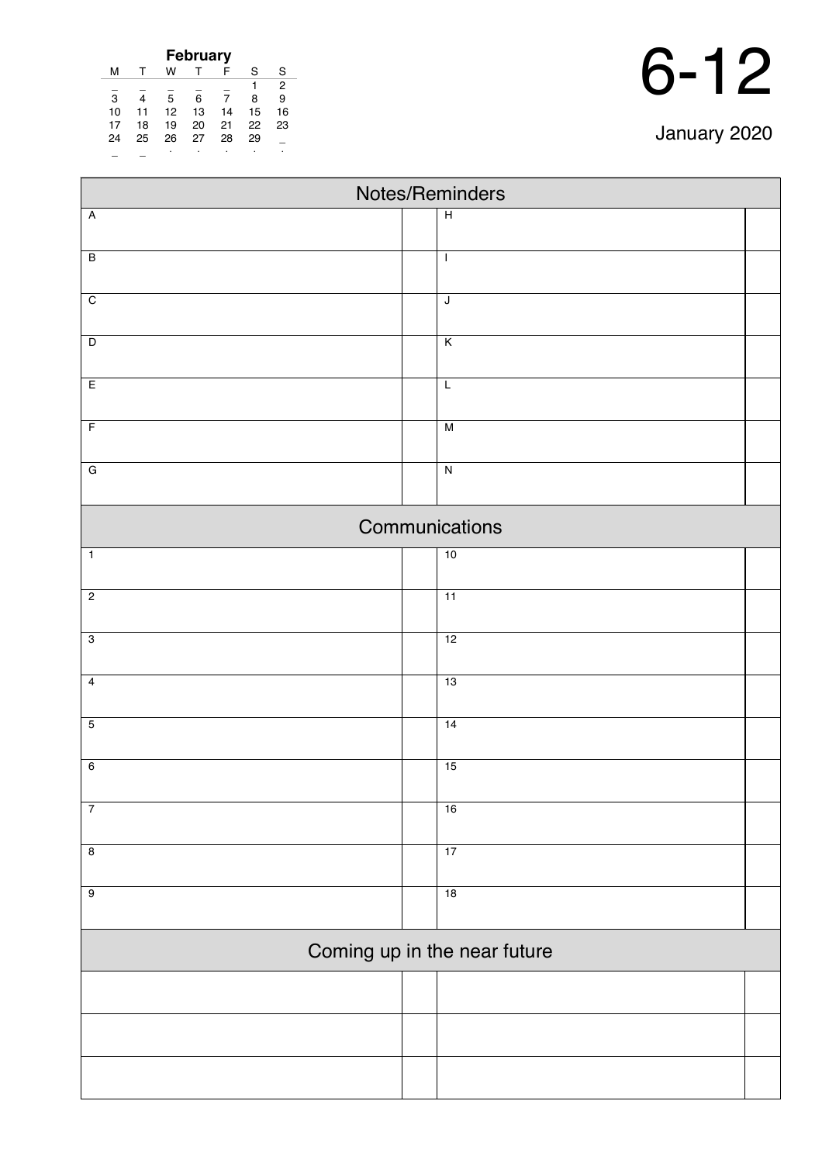| <b>February</b> |    |    |    |    |    |    |  |  |  |
|-----------------|----|----|----|----|----|----|--|--|--|
| м               |    | w  |    | F  | S  | S  |  |  |  |
|                 |    |    |    |    |    | 2  |  |  |  |
| 3               | 4  | 5  | 6  |    | 8  | 9  |  |  |  |
| 10              | 11 | 12 | 13 | 14 | 15 | 16 |  |  |  |
| 17              | 18 | 19 | 20 | 21 | 22 | 23 |  |  |  |
| 24              | 25 | 26 | 27 | 28 | 29 |    |  |  |  |
|                 |    |    |    |    |    |    |  |  |  |

| Notes/Reminders         |  |                              |  |  |  |  |  |  |
|-------------------------|--|------------------------------|--|--|--|--|--|--|
| $\overline{A}$          |  | $\overline{H}$               |  |  |  |  |  |  |
| $\overline{B}$          |  | $\mathbf{I}$                 |  |  |  |  |  |  |
|                         |  |                              |  |  |  |  |  |  |
| $\overline{C}$          |  | $\overline{\mathsf{J}}$      |  |  |  |  |  |  |
| $\overline{D}$          |  | $\overline{\mathsf{K}}$      |  |  |  |  |  |  |
|                         |  |                              |  |  |  |  |  |  |
| E                       |  | $\overline{L}$               |  |  |  |  |  |  |
| $\overline{F}$          |  | $\overline{M}$               |  |  |  |  |  |  |
| $\overline{G}$          |  | $\overline{N}$               |  |  |  |  |  |  |
|                         |  |                              |  |  |  |  |  |  |
|                         |  | Communications               |  |  |  |  |  |  |
| $\overline{1}$          |  | 10                           |  |  |  |  |  |  |
| $\overline{2}$          |  | $\overline{11}$              |  |  |  |  |  |  |
|                         |  |                              |  |  |  |  |  |  |
| $\overline{3}$          |  | 12                           |  |  |  |  |  |  |
| $\overline{4}$          |  | 13                           |  |  |  |  |  |  |
| $\overline{5}$          |  | 14                           |  |  |  |  |  |  |
|                         |  |                              |  |  |  |  |  |  |
| $\overline{6}$          |  | 15                           |  |  |  |  |  |  |
| $\overline{7}$          |  | 16                           |  |  |  |  |  |  |
|                         |  |                              |  |  |  |  |  |  |
| $\overline{\mathbf{8}}$ |  | 17                           |  |  |  |  |  |  |
| $\overline{9}$          |  | 18                           |  |  |  |  |  |  |
|                         |  |                              |  |  |  |  |  |  |
|                         |  | Coming up in the near future |  |  |  |  |  |  |
|                         |  |                              |  |  |  |  |  |  |
|                         |  |                              |  |  |  |  |  |  |
|                         |  |                              |  |  |  |  |  |  |
|                         |  |                              |  |  |  |  |  |  |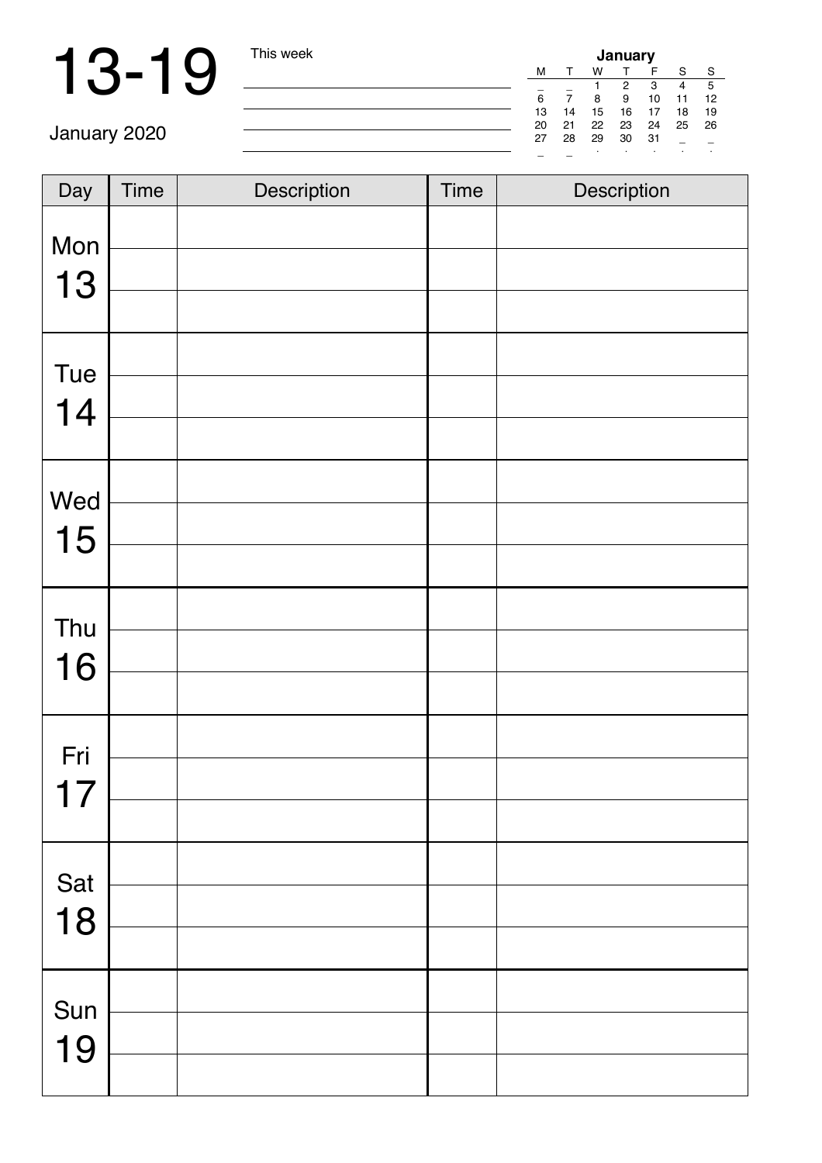| January |    |    |    |    |    |    |  |  |
|---------|----|----|----|----|----|----|--|--|
| м       |    | w  |    | F  | S  | S  |  |  |
|         |    |    | 2  | 3  | 4  | 5  |  |  |
| 6       |    | 8  | 9  | 10 | 11 | 12 |  |  |
| 13      | 14 | 15 | 16 | 17 | 18 | 19 |  |  |
| 20      | 21 | 22 | 23 | 24 | 25 | 26 |  |  |
| 27      | 28 | 29 | 30 | 31 |    |    |  |  |
|         |    |    |    |    |    | ٠  |  |  |

| Day       | <b>Time</b> | Description | <b>Time</b> | Description |
|-----------|-------------|-------------|-------------|-------------|
| Mon<br>13 |             |             |             |             |
| Tue<br>14 |             |             |             |             |
| Wed<br>15 |             |             |             |             |
| Thu<br>16 |             |             |             |             |
| Fri<br>17 |             |             |             |             |
| Sat<br>18 |             |             |             |             |
| Sun<br>19 |             |             |             |             |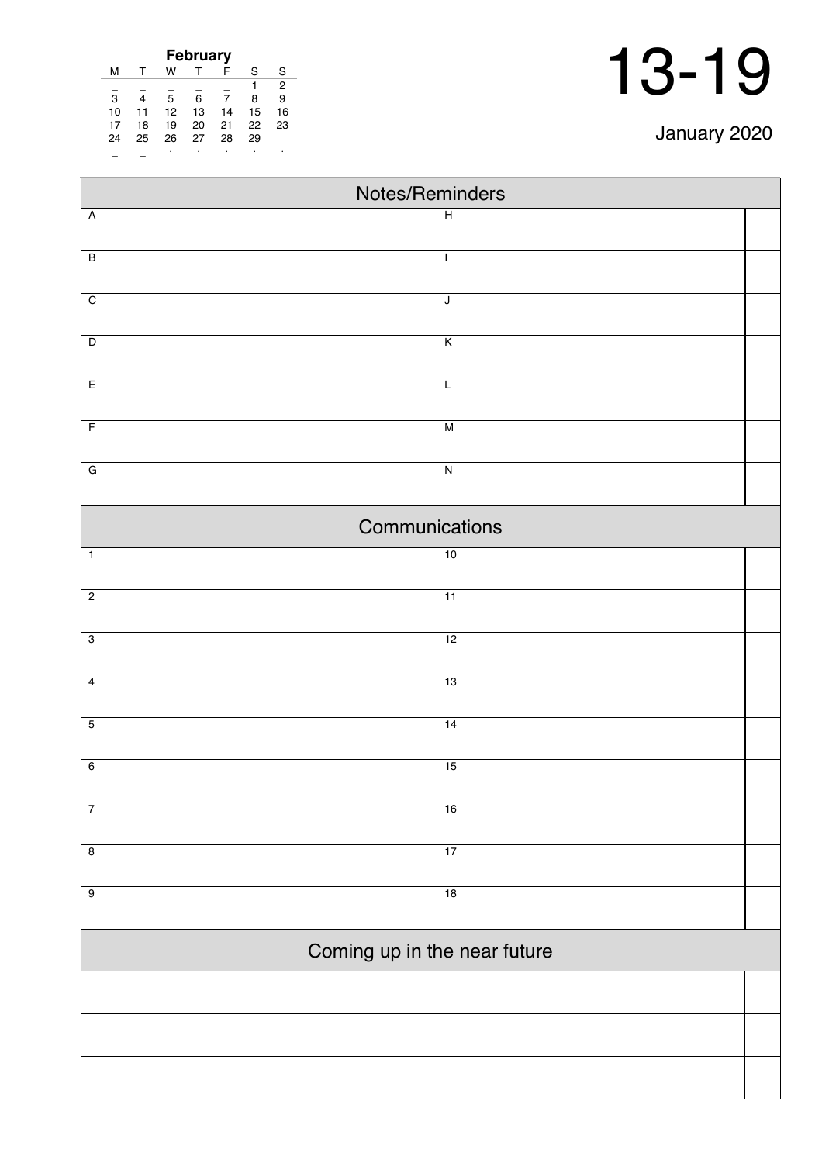| January 2020 |  |
|--------------|--|
|--------------|--|

| <b>February</b> |    |    |    |    |    |    |  |  |  |  |
|-----------------|----|----|----|----|----|----|--|--|--|--|
| м               | т  | w  |    | F  | S  | S  |  |  |  |  |
|                 |    |    |    |    |    | 2  |  |  |  |  |
| 3               | 4  | 5  | 6  | 7  | 8  | 9  |  |  |  |  |
| 10              | 11 | 12 | 13 | 14 | 15 | 16 |  |  |  |  |
| 17              | 18 | 19 | 20 | 21 | 22 | 23 |  |  |  |  |
| 24              | 25 | 26 | 27 | 28 | 29 |    |  |  |  |  |
|                 |    |    |    |    |    |    |  |  |  |  |

| Notes/Reminders         |  |                              |  |  |  |  |
|-------------------------|--|------------------------------|--|--|--|--|
| $\overline{A}$          |  | $\overline{H}$               |  |  |  |  |
|                         |  |                              |  |  |  |  |
| $\overline{B}$          |  | $\mathbf{I}$                 |  |  |  |  |
| $\overline{C}$          |  | $\sf J$                      |  |  |  |  |
|                         |  |                              |  |  |  |  |
| $\overline{D}$          |  | $\overline{\mathsf{K}}$      |  |  |  |  |
| E                       |  | $\overline{L}$               |  |  |  |  |
| $\overline{F}$          |  | M                            |  |  |  |  |
|                         |  |                              |  |  |  |  |
| $\overline{G}$          |  | $\overline{\mathbf{z}}$      |  |  |  |  |
|                         |  | Communications               |  |  |  |  |
| $\overline{1}$          |  | 10                           |  |  |  |  |
| $\overline{2}$          |  | 11                           |  |  |  |  |
|                         |  |                              |  |  |  |  |
| $\overline{3}$          |  | 12                           |  |  |  |  |
| $\overline{\mathbf{4}}$ |  | 13                           |  |  |  |  |
| $\overline{5}$          |  | 14                           |  |  |  |  |
|                         |  |                              |  |  |  |  |
| $6\overline{6}$         |  | 15                           |  |  |  |  |
| $\overline{7}$          |  | 16                           |  |  |  |  |
|                         |  |                              |  |  |  |  |
| $\overline{\mathbf{8}}$ |  | 17                           |  |  |  |  |
| $\overline{9}$          |  | 18                           |  |  |  |  |
|                         |  |                              |  |  |  |  |
|                         |  | Coming up in the near future |  |  |  |  |
|                         |  |                              |  |  |  |  |
|                         |  |                              |  |  |  |  |
|                         |  |                              |  |  |  |  |
|                         |  |                              |  |  |  |  |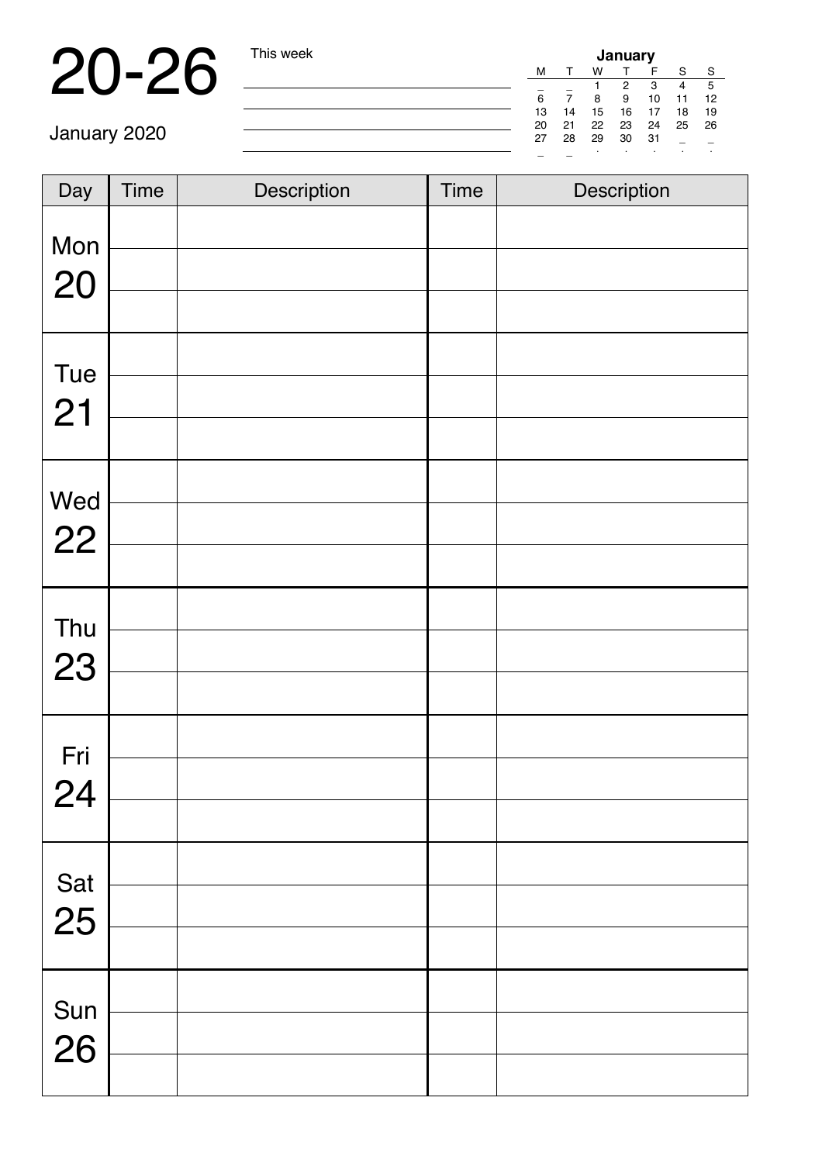## 20-26 This week

| January |    |    |    |    |    |    |  |  |
|---------|----|----|----|----|----|----|--|--|
| м       |    | w  |    | F  | S  | S  |  |  |
|         |    |    | 2  | 3  |    | 5  |  |  |
| 6       |    | 8  | 9  | 10 | 11 | 12 |  |  |
| 13      | 14 | 15 | 16 | 17 | 18 | 19 |  |  |
| 20      | 21 | 22 | 23 | 24 | 25 | 26 |  |  |
| 27      | 28 | 29 | 30 | 31 |    |    |  |  |
|         |    |    |    |    |    | ٠  |  |  |

| Day       | <b>Time</b> | Description | <b>Time</b> | Description |
|-----------|-------------|-------------|-------------|-------------|
| Mon<br>20 |             |             |             |             |
| Tue<br>21 |             |             |             |             |
| Wed<br>22 |             |             |             |             |
| Thu<br>23 |             |             |             |             |
| Fri<br>24 |             |             |             |             |
| Sat<br>25 |             |             |             |             |
| Sun<br>26 |             |             |             |             |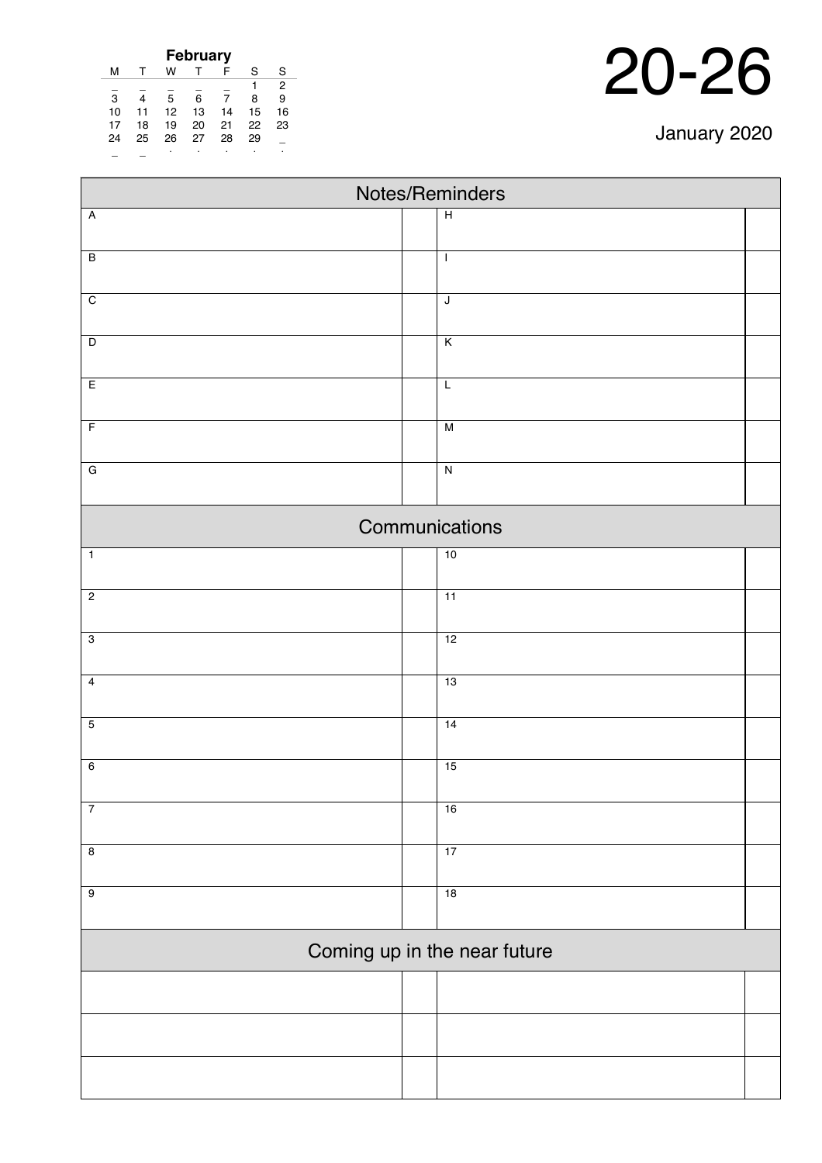| <b>February</b> |    |    |    |    |    |    |
|-----------------|----|----|----|----|----|----|
| м               |    | w  |    | F  | S  | S  |
|                 |    |    |    |    |    | 2  |
| 3               |    | 5  | 6  | 7  | 8  | 9  |
| 10              | 11 | 12 | 13 | 14 | 15 | 16 |
| 17              | 18 | 19 | 20 | 21 | 22 | 23 |
| 24              | 25 | 26 | 27 | 28 | 29 |    |
|                 |    | ٠  | ٠  |    |    |    |

| Notes/Reminders              |                         |  |  |  |  |  |
|------------------------------|-------------------------|--|--|--|--|--|
| $\overline{A}$               | $\overline{H}$          |  |  |  |  |  |
| $\overline{B}$               | $\mathbf{I}$            |  |  |  |  |  |
| $\overline{C}$               | $\overline{\mathsf{J}}$ |  |  |  |  |  |
|                              |                         |  |  |  |  |  |
| $\overline{D}$               | $\overline{\mathsf{K}}$ |  |  |  |  |  |
| E                            | $\mathsf L$             |  |  |  |  |  |
| $\overline{F}$               | M                       |  |  |  |  |  |
| $\overline{G}$               | $\overline{\mathbf{z}}$ |  |  |  |  |  |
|                              | Communications          |  |  |  |  |  |
| $\overline{1}$               | 10                      |  |  |  |  |  |
| $\overline{2}$               | $\overline{11}$         |  |  |  |  |  |
| $\overline{3}$               | 12                      |  |  |  |  |  |
| $\overline{4}$               | 13                      |  |  |  |  |  |
| $\overline{5}$               | 14                      |  |  |  |  |  |
| $6\overline{6}$              | 15                      |  |  |  |  |  |
| $\boldsymbol{7}$             | 16                      |  |  |  |  |  |
| $\overline{8}$               | 17                      |  |  |  |  |  |
| $\overline{9}$               | 18                      |  |  |  |  |  |
| Coming up in the near future |                         |  |  |  |  |  |
|                              |                         |  |  |  |  |  |
|                              |                         |  |  |  |  |  |
|                              |                         |  |  |  |  |  |
|                              |                         |  |  |  |  |  |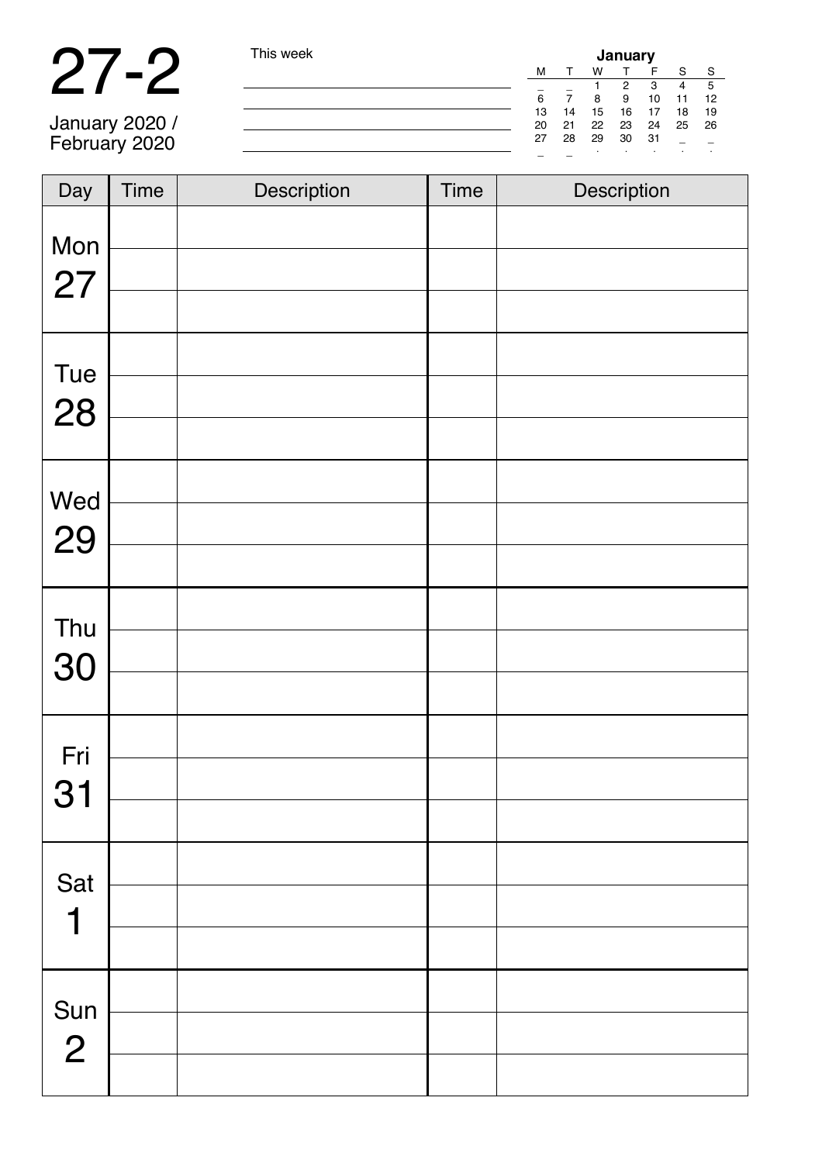|                | This week |    | January |    |    |    |    |     |  |  |
|----------------|-----------|----|---------|----|----|----|----|-----|--|--|
|                |           | м  |         | w  |    |    | S  | S   |  |  |
|                |           |    |         |    | 2  | з  |    |     |  |  |
|                |           | 6  |         | 8  | 9  | 10 | 11 | 12  |  |  |
|                |           | 13 | 14      | 15 | 16 |    | 18 | 19  |  |  |
| January 2020 / |           | 20 | 21      | 22 | 23 | 24 | 25 | -26 |  |  |
| February 2020  |           | 27 | 28      | 29 | 30 | 31 |    |     |  |  |
|                |           |    |         |    |    |    |    |     |  |  |

| Day                | <b>Time</b> | Description | <b>Time</b> | Description |
|--------------------|-------------|-------------|-------------|-------------|
| Mon                |             |             |             |             |
| 27                 |             |             |             |             |
| Tue                |             |             |             |             |
| 28                 |             |             |             |             |
|                    |             |             |             |             |
| Wed                |             |             |             |             |
| 29                 |             |             |             |             |
|                    |             |             |             |             |
| Thu                |             |             |             |             |
| 30                 |             |             |             |             |
|                    |             |             |             |             |
| Fri                |             |             |             |             |
| 31                 |             |             |             |             |
|                    |             |             |             |             |
| Sat                |             |             |             |             |
| 1                  |             |             |             |             |
|                    |             |             |             |             |
|                    |             |             |             |             |
| Sun $\overline{2}$ |             |             |             |             |
|                    |             |             |             |             |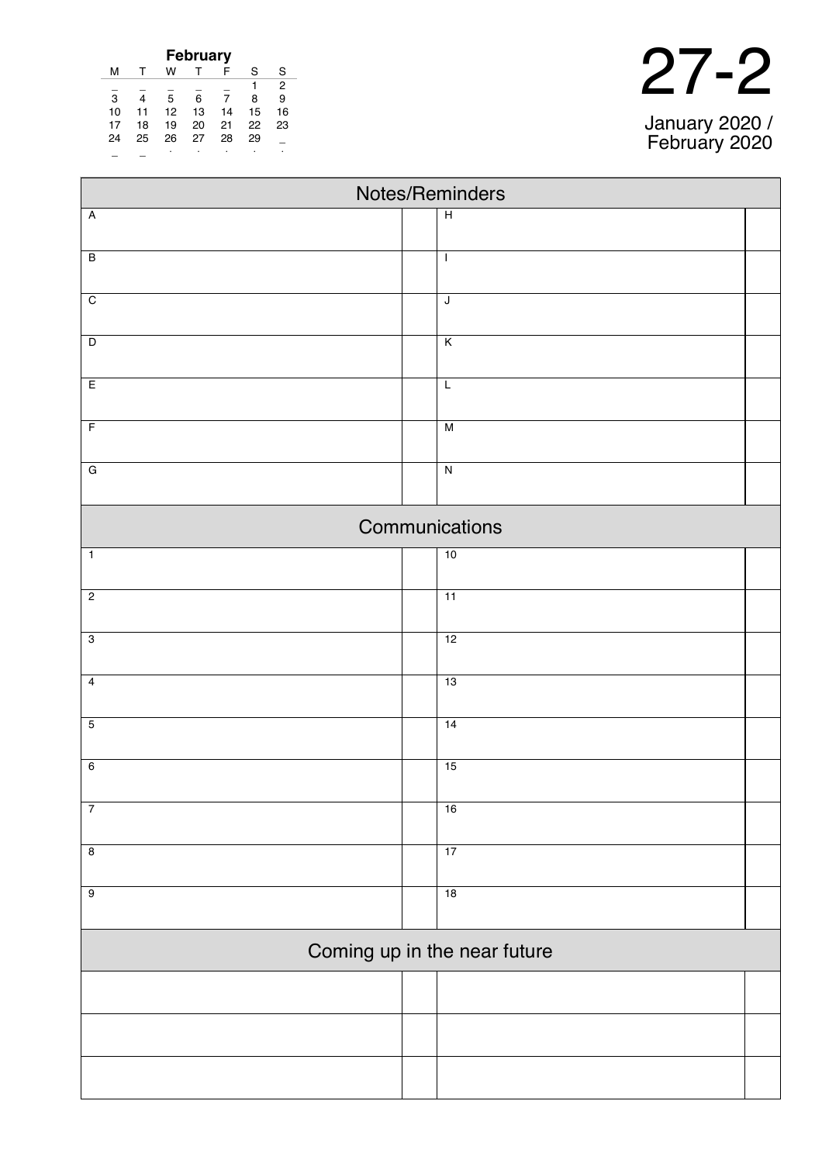| <b>February</b> |    |    |    |    |    |    |  |
|-----------------|----|----|----|----|----|----|--|
| м               |    | w  |    | F  | S  | S  |  |
|                 |    |    |    |    |    | 2  |  |
| 3               | 4  | 5  | 6  |    | 8  | 9  |  |
| 10              | 11 | 12 | 13 | 14 | 15 | 16 |  |
| 17              | 18 | 19 | 20 | 21 | 22 | 23 |  |
| 24              | 25 | 26 | 27 | 28 | 29 |    |  |
|                 |    |    | ٠  |    |    |    |  |

|  | January 2020 / |
|--|----------------|

| Notes/Reminders              |                         |  |  |  |  |
|------------------------------|-------------------------|--|--|--|--|
| $\overline{A}$               | $\overline{H}$          |  |  |  |  |
|                              |                         |  |  |  |  |
| $\overline{B}$               | $\mathsf I$             |  |  |  |  |
| $\overline{C}$               | $\sf J$                 |  |  |  |  |
| $\overline{D}$               | $\overline{\mathsf{K}}$ |  |  |  |  |
|                              |                         |  |  |  |  |
| $\overline{E}$               | L                       |  |  |  |  |
| $\overline{F}$               | $\overline{M}$          |  |  |  |  |
| $\overline{G}$               | $\overline{\mathbf{z}}$ |  |  |  |  |
|                              |                         |  |  |  |  |
|                              | Communications          |  |  |  |  |
| $\mathbf{1}$                 | 10                      |  |  |  |  |
| $\overline{2}$               | 11                      |  |  |  |  |
| $\overline{3}$               | 12                      |  |  |  |  |
|                              |                         |  |  |  |  |
| $\overline{4}$               | 13                      |  |  |  |  |
| $\overline{5}$               | 14                      |  |  |  |  |
| $\overline{6}$               | 15                      |  |  |  |  |
|                              |                         |  |  |  |  |
| $\overline{7}$               | 16                      |  |  |  |  |
| $\overline{\mathbf{8}}$      | 17                      |  |  |  |  |
| $\overline{9}$               | 18                      |  |  |  |  |
|                              |                         |  |  |  |  |
| Coming up in the near future |                         |  |  |  |  |
|                              |                         |  |  |  |  |
|                              |                         |  |  |  |  |
|                              |                         |  |  |  |  |
|                              |                         |  |  |  |  |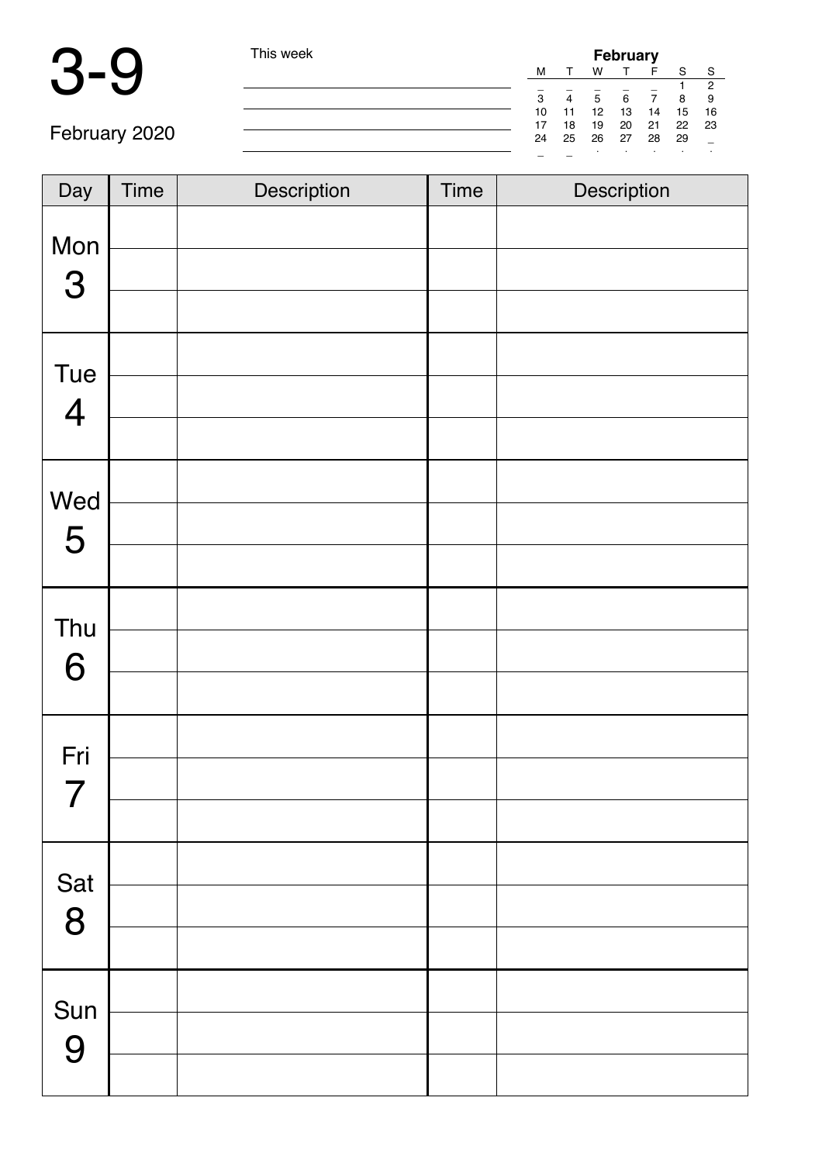| This week |    |    | <b>February</b>  |    |             |    |     |  |  |  |
|-----------|----|----|------------------|----|-------------|----|-----|--|--|--|
|           | м  |    | w                |    |             | S  | -S  |  |  |  |
|           |    |    |                  |    |             |    |     |  |  |  |
|           | 3  | 4  | 5                | 6  |             | 8  | 9   |  |  |  |
|           | 10 | 11 | 12 <sup>12</sup> | 13 | 14          | 15 | -16 |  |  |  |
|           | 17 | 18 |                  |    | 19 20 21 22 |    | 23  |  |  |  |
|           | 24 | 25 | 26 27 28         |    |             | 29 |     |  |  |  |
|           | -  |    |                  |    |             |    |     |  |  |  |

| Day                   | Time | Description | <b>Time</b> | Description |
|-----------------------|------|-------------|-------------|-------------|
| Mon<br>3              |      |             |             |             |
|                       |      |             |             |             |
| Tue<br>$\overline{4}$ |      |             |             |             |
|                       |      |             |             |             |
| Wed                   |      |             |             |             |
| 5                     |      |             |             |             |
|                       |      |             |             |             |
| Thu                   |      |             |             |             |
| 6                     |      |             |             |             |
|                       |      |             |             |             |
| Fri                   |      |             |             |             |
| 7                     |      |             |             |             |
|                       |      |             |             |             |
| Sat                   |      |             |             |             |
| 8                     |      |             |             |             |
|                       |      |             |             |             |
| Sun                   |      |             |             |             |
| 9                     |      |             |             |             |
|                       |      |             |             |             |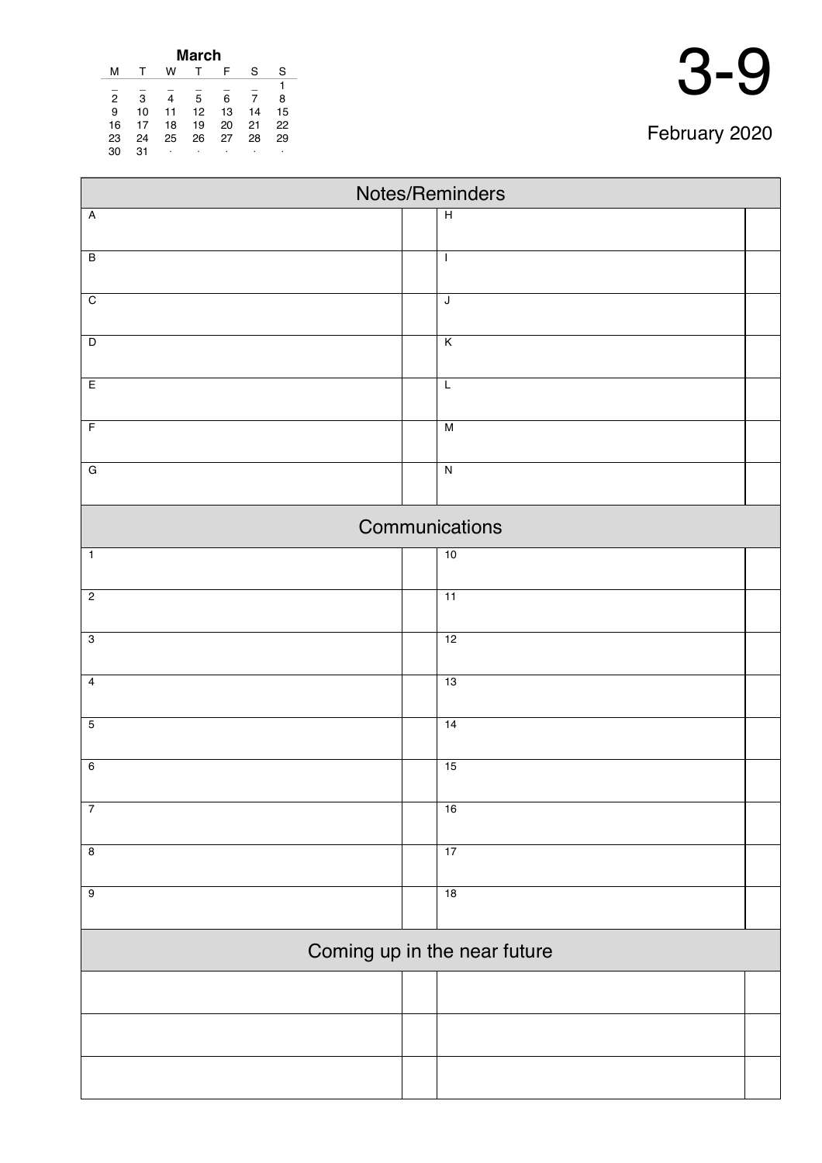| March          |    |    |    |    |    |    |  |
|----------------|----|----|----|----|----|----|--|
| м              |    | w  |    | F  | S  | S  |  |
|                |    |    |    |    |    | 1  |  |
| $\overline{2}$ | 3  | 4  | 5  | 6  |    | 8  |  |
| 9              | 10 | 11 | 12 | 13 | 14 | 15 |  |
| 16             | 17 | 18 | 19 | 20 | 21 | 22 |  |
| 23             | 24 | 25 | 26 | 27 | 28 | 29 |  |
| 30             | 31 | ٠  | ٠  | ٠  |    | ٠  |  |

| Notes/Reminders              |  |                          |  |  |  |  |
|------------------------------|--|--------------------------|--|--|--|--|
| $\overline{A}$               |  | $\overline{H}$           |  |  |  |  |
| $\overline{B}$               |  | $\overline{\phantom{a}}$ |  |  |  |  |
|                              |  |                          |  |  |  |  |
| $\overline{C}$               |  | J                        |  |  |  |  |
|                              |  |                          |  |  |  |  |
| $\overline{D}$               |  | K                        |  |  |  |  |
| $\overline{E}$               |  | $\overline{L}$           |  |  |  |  |
| $\overline{F}$               |  | M                        |  |  |  |  |
| $\overline{G}$               |  | $\overline{N}$           |  |  |  |  |
|                              |  |                          |  |  |  |  |
|                              |  | Communications           |  |  |  |  |
| $\mathbf{1}$                 |  | 10                       |  |  |  |  |
| $\overline{2}$               |  | 11                       |  |  |  |  |
| $\overline{3}$               |  | 12                       |  |  |  |  |
| $\overline{4}$               |  | 13                       |  |  |  |  |
|                              |  |                          |  |  |  |  |
| $\overline{5}$               |  | 14                       |  |  |  |  |
| $\overline{6}$               |  | 15                       |  |  |  |  |
| $\overline{7}$               |  | 16                       |  |  |  |  |
| $\overline{\mathbf{8}}$      |  | 17                       |  |  |  |  |
| $\overline{9}$               |  | 18                       |  |  |  |  |
|                              |  |                          |  |  |  |  |
| Coming up in the near future |  |                          |  |  |  |  |
|                              |  |                          |  |  |  |  |
|                              |  |                          |  |  |  |  |
|                              |  |                          |  |  |  |  |
|                              |  |                          |  |  |  |  |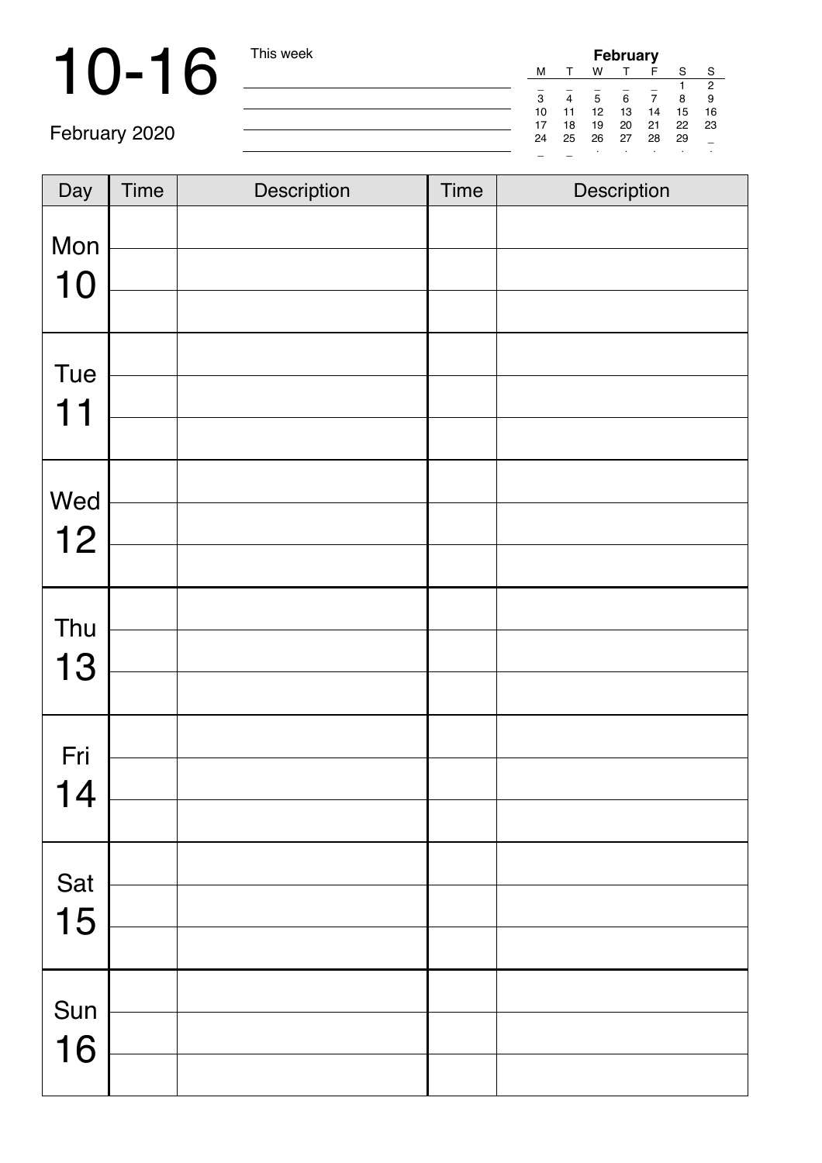# 10-16 This week

| <b>February</b> |    |    |    |    |    |                |
|-----------------|----|----|----|----|----|----------------|
| м               |    | w  |    | F  | S  | S              |
|                 |    |    |    |    |    | $\overline{2}$ |
| 3               |    | 5  | 6  |    | 8  | 9              |
| 10              | 11 | 12 | 13 | 14 | 15 | 16             |
| 17              | 18 | 19 | 20 | 21 | 22 | 23             |
| 24              | 25 | 26 | 27 | 28 | 29 |                |
|                 |    | ٠  |    |    |    | ٠              |

| Day       | Time | Description | <b>Time</b> | Description |
|-----------|------|-------------|-------------|-------------|
| Mon<br>10 |      |             |             |             |
| Tue<br>11 |      |             |             |             |
| Wed<br>12 |      |             |             |             |
| Thu<br>13 |      |             |             |             |
| Fri<br>14 |      |             |             |             |
| Sat<br>15 |      |             |             |             |
| Sun<br>16 |      |             |             |             |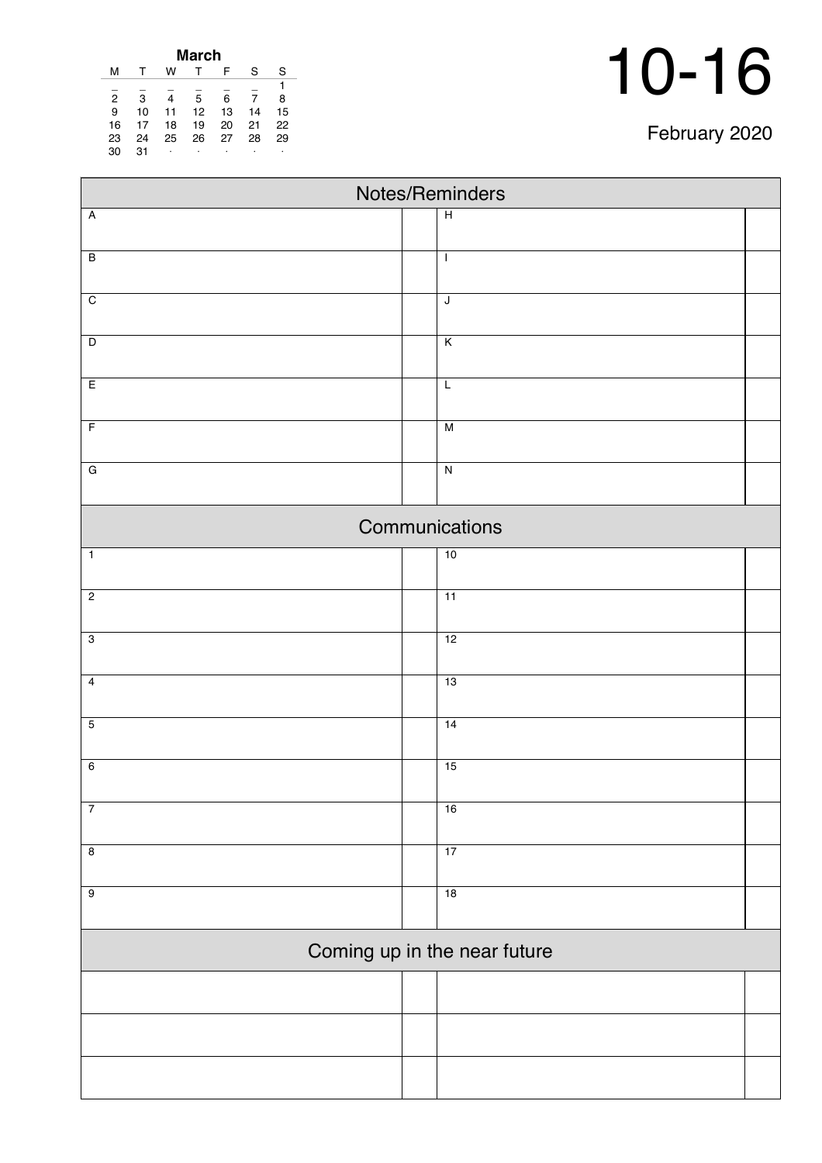| February 2020 |  |
|---------------|--|
|---------------|--|

| March          |    |    |    |    |    |    |
|----------------|----|----|----|----|----|----|
| м              |    | w  |    | F  | S  | S  |
|                |    |    |    |    |    |    |
| $\overline{2}$ | 3  | 4  | 5  | 6  | 7  | 8  |
| 9              | 10 | 11 | 12 | 13 | 14 | 15 |
| 16             | 17 | 18 | 19 | 20 | 21 | 22 |
| 23             | 24 | 25 | 26 | 27 | 28 | 29 |
| 30             | 31 | ۰  | ٠  | ٠  |    | ٠  |

| Notes/Reminders              |                         |  |  |  |  |  |
|------------------------------|-------------------------|--|--|--|--|--|
| $\overline{A}$               | $\overline{H}$          |  |  |  |  |  |
| $\overline{B}$               | $\mathbf{I}$            |  |  |  |  |  |
| $\overline{C}$               | $\overline{\mathsf{J}}$ |  |  |  |  |  |
|                              |                         |  |  |  |  |  |
| $\overline{D}$               | $\overline{\mathsf{K}}$ |  |  |  |  |  |
| E                            | $\mathsf L$             |  |  |  |  |  |
| $\overline{F}$               | M                       |  |  |  |  |  |
| $\overline{G}$               | $\overline{\mathbf{z}}$ |  |  |  |  |  |
|                              | Communications          |  |  |  |  |  |
| $\overline{1}$               | 10                      |  |  |  |  |  |
| $\overline{2}$               | $\overline{11}$         |  |  |  |  |  |
| $\overline{3}$               | 12                      |  |  |  |  |  |
| $\overline{4}$               | 13                      |  |  |  |  |  |
| $\overline{5}$               | 14                      |  |  |  |  |  |
| $6\overline{6}$              | 15                      |  |  |  |  |  |
| $\boldsymbol{7}$             | 16                      |  |  |  |  |  |
| $\overline{8}$               | 17                      |  |  |  |  |  |
| $\overline{9}$               | 18                      |  |  |  |  |  |
| Coming up in the near future |                         |  |  |  |  |  |
|                              |                         |  |  |  |  |  |
|                              |                         |  |  |  |  |  |
|                              |                         |  |  |  |  |  |
|                              |                         |  |  |  |  |  |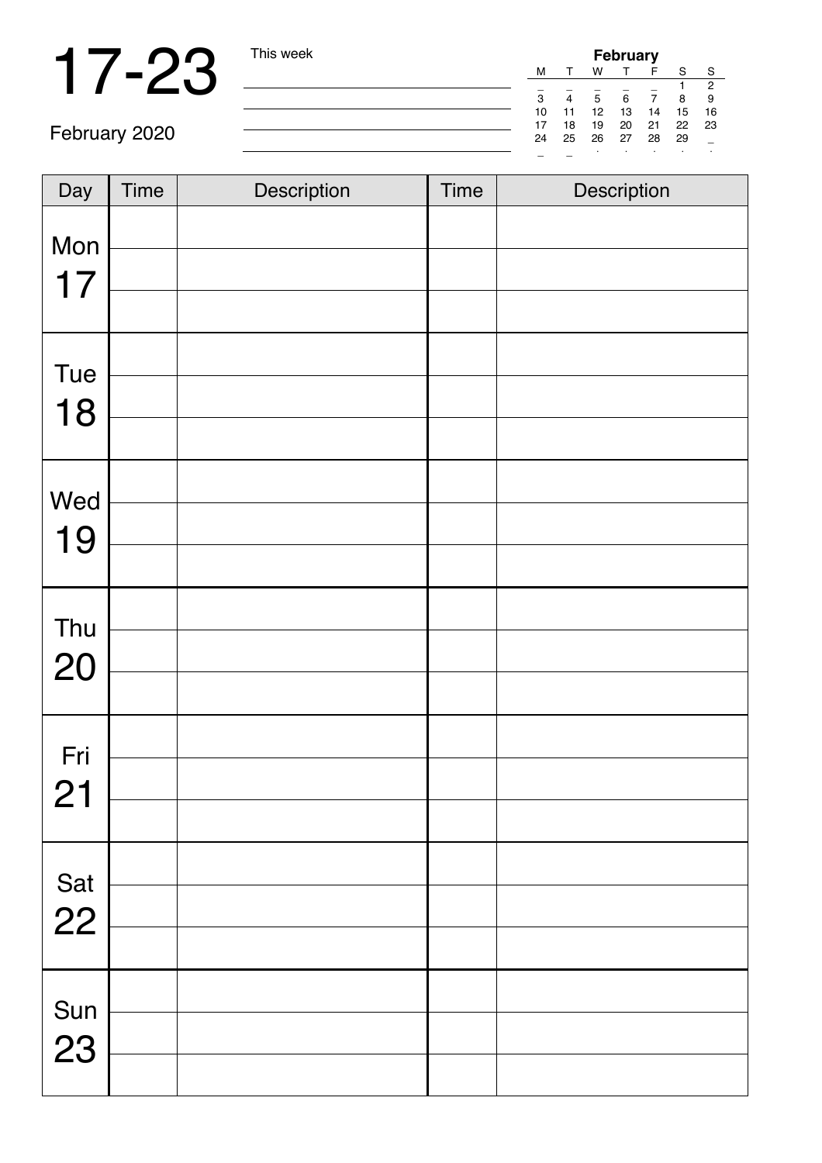| <b>February</b> |    |    |    |    |    |    |  |
|-----------------|----|----|----|----|----|----|--|
| м               |    | w  |    |    | S  | S  |  |
|                 |    |    |    |    |    | 2  |  |
| 3               | 4  | 5  | 6  |    | 8  | 9  |  |
| 10              | 11 | 12 | 13 | 14 | 15 | 16 |  |
| 17              | 18 | 19 | 20 | 21 | 22 | 23 |  |
| 24              | 25 | 26 | 27 | 28 | 29 |    |  |
|                 |    |    |    |    |    |    |  |

| Day       | <b>Time</b> | Description | Time | Description |
|-----------|-------------|-------------|------|-------------|
| Mon<br>17 |             |             |      |             |
| Tue<br>18 |             |             |      |             |
| Wed<br>19 |             |             |      |             |
| Thu<br>20 |             |             |      |             |
| Fri<br>21 |             |             |      |             |
| Sat<br>22 |             |             |      |             |
| Sun<br>23 |             |             |      |             |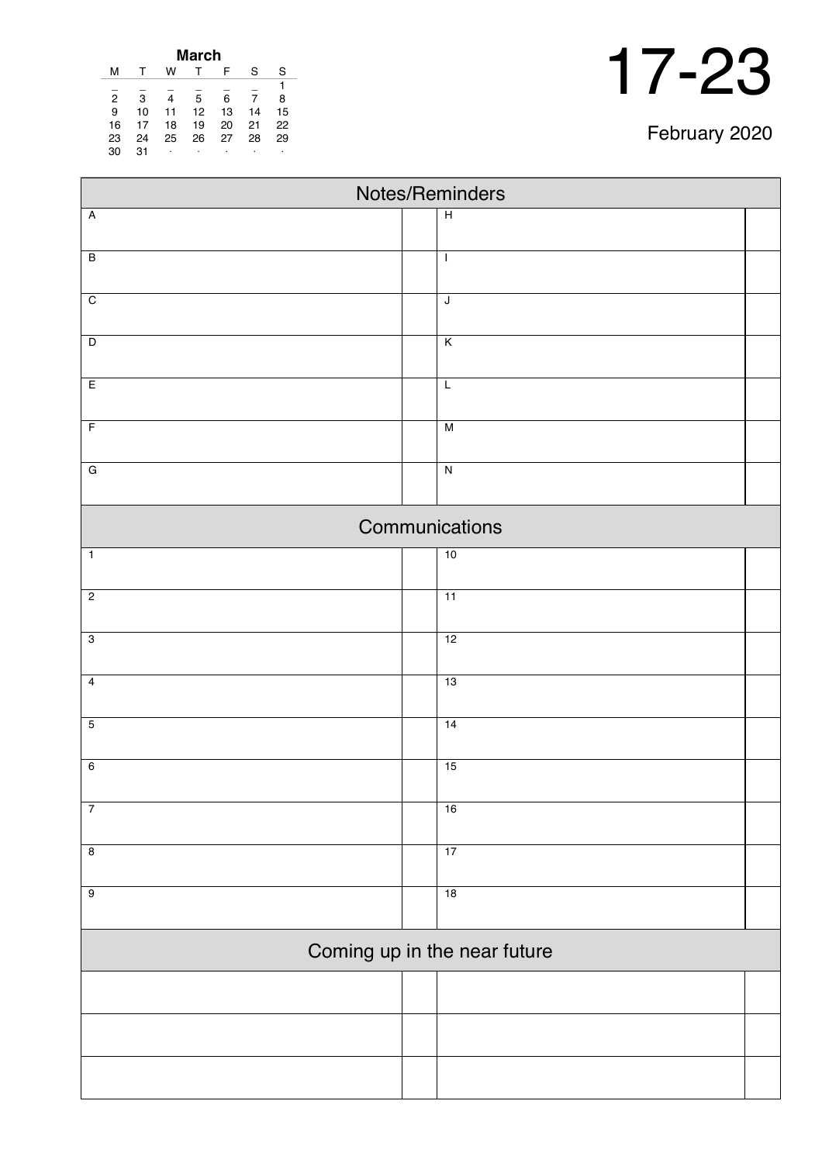|    | w  |    | F  | S     | S  |
|----|----|----|----|-------|----|
|    |    |    |    |       |    |
| 3  |    | 5  | 6  | 7     | 8  |
| 10 | 11 | 12 | 13 | 14    | 15 |
| 17 | 18 | 19 | 20 | 21    | 22 |
| 24 | 25 | 26 | 27 | 28    | 29 |
| 31 | ٠  | ٠  | ٠  | ٠     | ٠  |
|    |    |    |    | March |    |

| Notes/Reminders         |  |                              |  |  |  |  |
|-------------------------|--|------------------------------|--|--|--|--|
| $\overline{A}$          |  | $\overline{H}$               |  |  |  |  |
|                         |  |                              |  |  |  |  |
| $\overline{B}$          |  | $\mathbf{I}$                 |  |  |  |  |
| $\overline{C}$          |  | $\mathsf J$                  |  |  |  |  |
|                         |  |                              |  |  |  |  |
| $\overline{\mathsf{D}}$ |  | $\overline{\mathsf{K}}$      |  |  |  |  |
| $\overline{E}$          |  | $\overline{L}$               |  |  |  |  |
| $\overline{F}$          |  | M                            |  |  |  |  |
|                         |  |                              |  |  |  |  |
| $\overline{G}$          |  | $\overline{\mathsf{N}}$      |  |  |  |  |
|                         |  | Communications               |  |  |  |  |
| $\mathbf{1}$            |  | 10                           |  |  |  |  |
|                         |  |                              |  |  |  |  |
| $\overline{2}$          |  | 11                           |  |  |  |  |
| $\overline{3}$          |  | 12                           |  |  |  |  |
|                         |  |                              |  |  |  |  |
| $\overline{4}$          |  | 13                           |  |  |  |  |
| $\overline{5}$          |  | 14                           |  |  |  |  |
|                         |  |                              |  |  |  |  |
| $\overline{6}$          |  | 15                           |  |  |  |  |
| $\overline{7}$          |  | 16                           |  |  |  |  |
| $\overline{8}$          |  | 17                           |  |  |  |  |
|                         |  |                              |  |  |  |  |
| $\overline{9}$          |  | 18                           |  |  |  |  |
|                         |  | Coming up in the near future |  |  |  |  |
|                         |  |                              |  |  |  |  |
|                         |  |                              |  |  |  |  |
|                         |  |                              |  |  |  |  |
|                         |  |                              |  |  |  |  |
|                         |  |                              |  |  |  |  |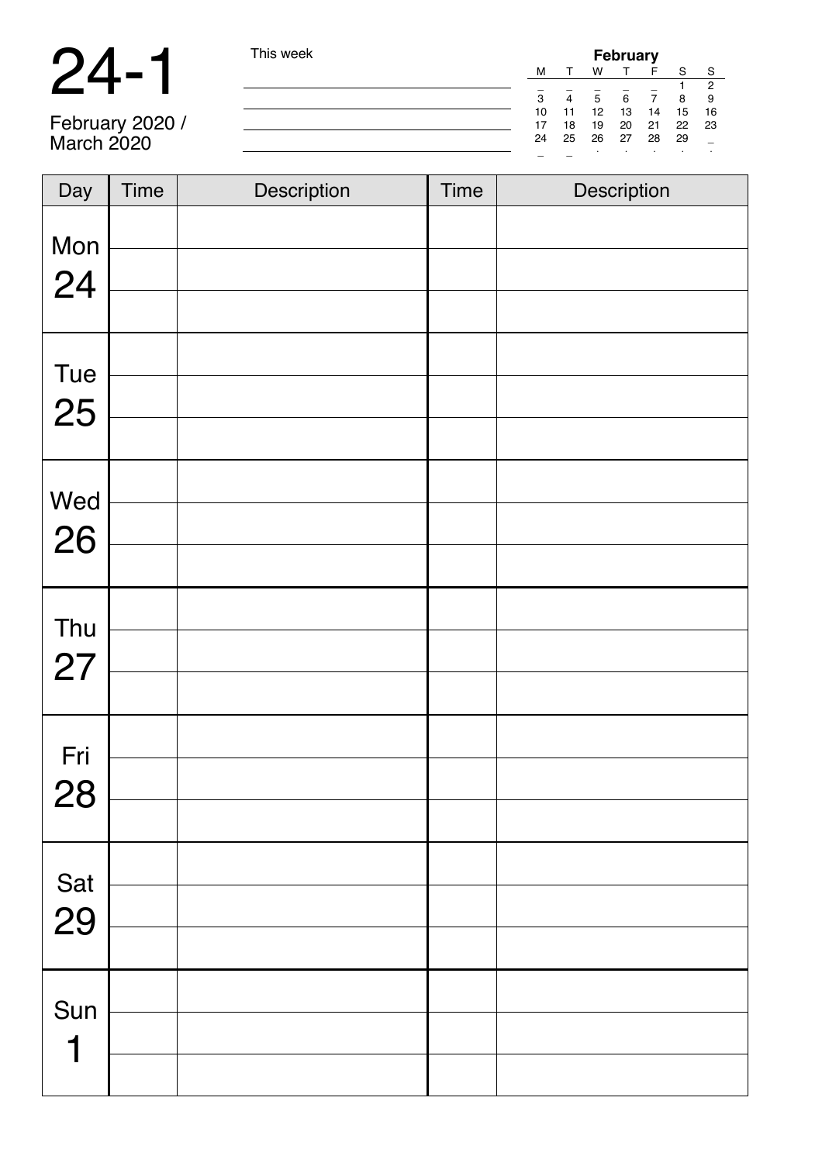| $\boldsymbol{\mathcal{A}}$<br>$\blacktriangleright$ | ٠ |
|-----------------------------------------------------|---|
|-----------------------------------------------------|---|

| $\blacksquare$    | This week | <b>February</b><br>w<br>М<br>c<br>S<br>6<br>5<br>з<br>10<br>12<br>13<br>15<br>-16<br>14<br>20<br>22<br>21<br>-23<br>19<br>17<br>18<br>25<br>26<br>27<br>28<br>29<br>24 |  |  |  |
|-------------------|-----------|------------------------------------------------------------------------------------------------------------------------------------------------------------------------|--|--|--|
|                   |           |                                                                                                                                                                        |  |  |  |
| $\mathbf Z$       |           |                                                                                                                                                                        |  |  |  |
|                   |           |                                                                                                                                                                        |  |  |  |
|                   |           |                                                                                                                                                                        |  |  |  |
| February 2020 /   |           |                                                                                                                                                                        |  |  |  |
| <b>March 2020</b> |           |                                                                                                                                                                        |  |  |  |
|                   |           |                                                                                                                                                                        |  |  |  |

| Day       | <b>Time</b> | Description | <b>Time</b> | Description |
|-----------|-------------|-------------|-------------|-------------|
| Mon<br>24 |             |             |             |             |
| Tue<br>25 |             |             |             |             |
| Wed<br>26 |             |             |             |             |
| Thu<br>27 |             |             |             |             |
| Fri<br>28 |             |             |             |             |
| Sat<br>29 |             |             |             |             |
| Sun<br>1  |             |             |             |             |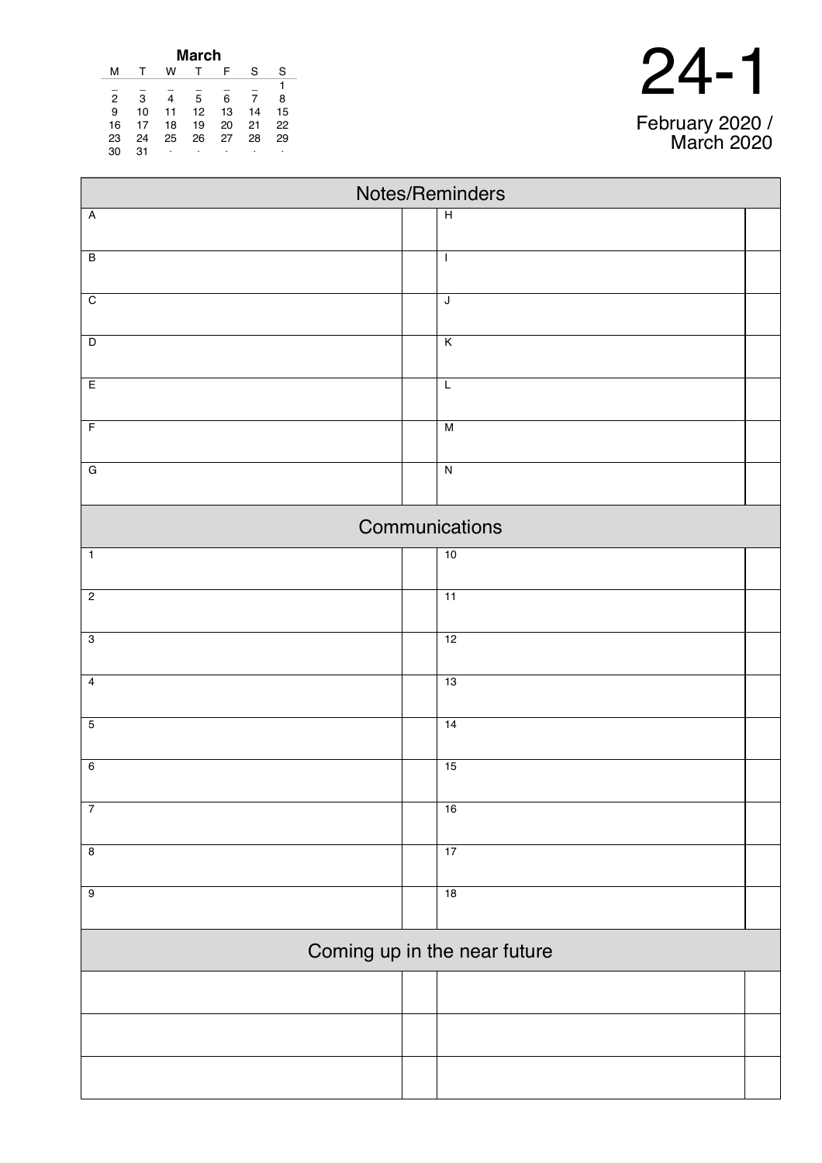| <b>March</b>   |    |    |    |    |    |    |  |
|----------------|----|----|----|----|----|----|--|
| м              |    | w  |    | F  | S  | S  |  |
|                |    |    |    |    |    |    |  |
| $\overline{2}$ | 3  | 4  | 5  | 6  | 7  | 8  |  |
| 9              | 10 | 11 | 12 | 13 | 14 | 15 |  |
| 16             | 17 | 18 | 19 | 20 | 21 | 22 |  |
| 23             | 24 | 25 | 26 | 27 | 28 | 29 |  |
| 30             | 31 | ۰  | ٠  | ٠  |    | ٠  |  |

24-1

February 2020 / March 2020

| Notes/Reminders              |                         |  |  |  |  |  |
|------------------------------|-------------------------|--|--|--|--|--|
| $\overline{A}$               | $\overline{H}$          |  |  |  |  |  |
|                              |                         |  |  |  |  |  |
| $\overline{B}$               | $\mathbf{I}$            |  |  |  |  |  |
| $\overline{C}$               | $\overline{\mathsf{I}}$ |  |  |  |  |  |
|                              |                         |  |  |  |  |  |
| $\overline{D}$               | $\overline{\mathsf{K}}$ |  |  |  |  |  |
| E                            | $\overline{L}$          |  |  |  |  |  |
| $\overline{F}$               | $\overline{M}$          |  |  |  |  |  |
| $\overline{G}$               | $\overline{N}$          |  |  |  |  |  |
|                              |                         |  |  |  |  |  |
|                              | Communications          |  |  |  |  |  |
| $\overline{1}$               | 10                      |  |  |  |  |  |
| $\overline{2}$               | $\overline{11}$         |  |  |  |  |  |
| $\overline{3}$               | 12                      |  |  |  |  |  |
| $\overline{4}$               | 13                      |  |  |  |  |  |
|                              |                         |  |  |  |  |  |
| $\overline{5}$               | 14                      |  |  |  |  |  |
| $6\overline{6}$              | 15                      |  |  |  |  |  |
| $\overline{7}$               | 16                      |  |  |  |  |  |
|                              |                         |  |  |  |  |  |
| $\overline{\mathbf{8}}$      | 17                      |  |  |  |  |  |
| $\overline{9}$               | 18                      |  |  |  |  |  |
| Coming up in the near future |                         |  |  |  |  |  |
|                              |                         |  |  |  |  |  |
|                              |                         |  |  |  |  |  |
|                              |                         |  |  |  |  |  |
|                              |                         |  |  |  |  |  |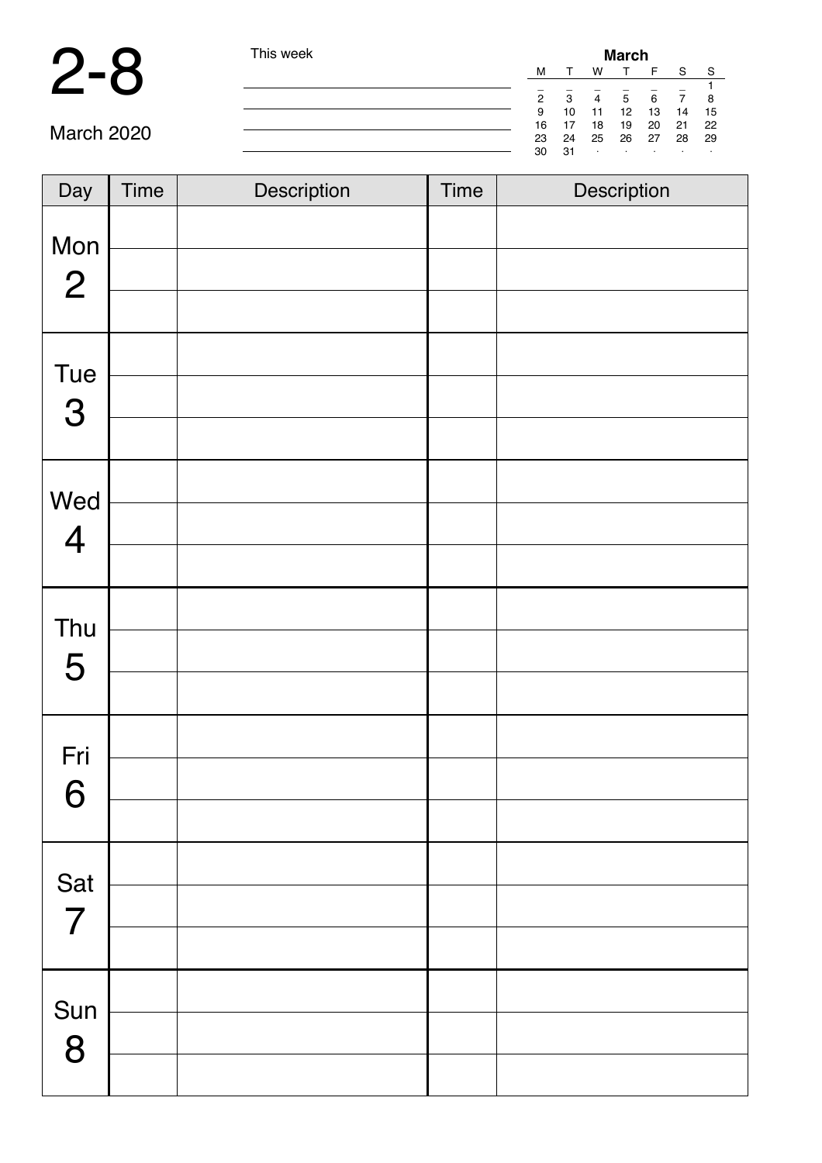#### 2-8 This week **March**

| l his week | March |    |          |           |         |         |      |  |
|------------|-------|----|----------|-----------|---------|---------|------|--|
|            | м     |    | w        |           | F       | S       | -S   |  |
|            |       |    |          |           |         |         |      |  |
|            | 2     | -3 | 4        | 5         | 6       |         | - 8  |  |
|            | 9     | 10 | 11       | 12        | 13      | 14      | - 15 |  |
|            | 16    | 17 | 18       | 19        | 20 21   |         | 22   |  |
|            | 23    | 24 | 25 26 27 |           |         | 28      | 29   |  |
|            | 30    | 31 | $\cdot$  | $\bullet$ | $\cdot$ | $\cdot$ |      |  |

| Day                      | Time | Description | <b>Time</b> | Description |
|--------------------------|------|-------------|-------------|-------------|
| Mon<br>$\overline{2}$    |      |             |             |             |
| Tue<br>3                 |      |             |             |             |
| Wed<br>$\overline{4}$    |      |             |             |             |
| Thu<br>5                 |      |             |             |             |
| Fri<br>$\mathbf{C}$<br>Ő |      |             |             |             |
| Sat<br>$\overline{7}$    |      |             |             |             |
| Sun<br>8                 |      |             |             |             |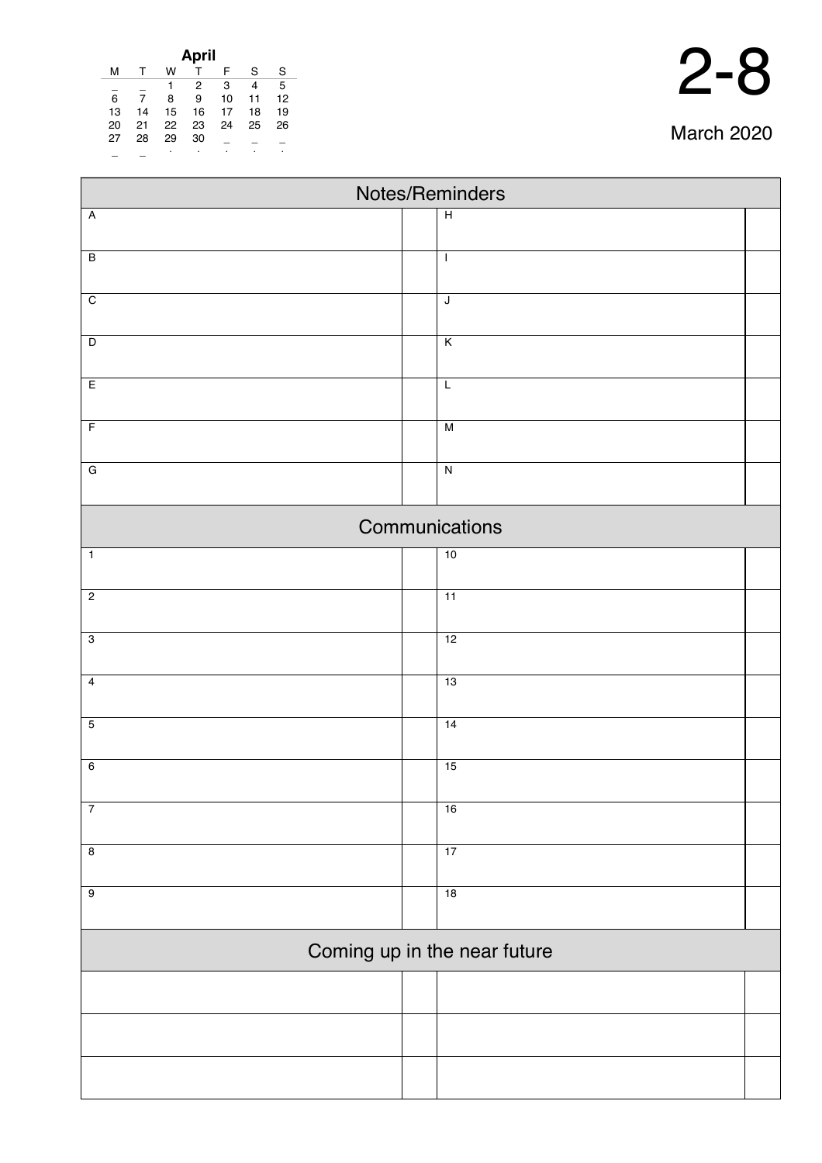| April |    |    |    |    |    |    |  |
|-------|----|----|----|----|----|----|--|
| м     |    | w  |    | F  | S  | S  |  |
|       |    |    | 2  | 3  | 4  | 5  |  |
| 6     |    | 8  | 9  | 10 | 11 | 12 |  |
| 13    | 14 | 15 | 16 | 17 | 18 | 19 |  |
| 20    | 21 | 22 | 23 | 24 | 25 | 26 |  |
| 27    | 28 | 29 | 30 |    |    |    |  |
|       |    | ٠  | ٠  |    | ٠  | ٠  |  |

| Notes/Reminders         |                |                              |  |  |  |  |  |  |
|-------------------------|----------------|------------------------------|--|--|--|--|--|--|
| $\overline{A}$          |                | $\overline{H}$               |  |  |  |  |  |  |
| $\overline{B}$          |                | $\mathbf{I}$                 |  |  |  |  |  |  |
|                         |                |                              |  |  |  |  |  |  |
| $\overline{C}$          |                | J                            |  |  |  |  |  |  |
| $\overline{D}$          |                | K                            |  |  |  |  |  |  |
|                         |                |                              |  |  |  |  |  |  |
| E                       |                | L                            |  |  |  |  |  |  |
| $\overline{F}$          |                | $\overline{M}$               |  |  |  |  |  |  |
| $\overline{G}$          |                | $\overline{\mathsf{N}}$      |  |  |  |  |  |  |
|                         | Communications |                              |  |  |  |  |  |  |
| $\mathbf 1$             |                | 10                           |  |  |  |  |  |  |
|                         |                |                              |  |  |  |  |  |  |
| $\overline{c}$          |                | 11                           |  |  |  |  |  |  |
| $\overline{3}$          |                | 12                           |  |  |  |  |  |  |
| $\overline{\mathbf{4}}$ |                | 13                           |  |  |  |  |  |  |
| $\overline{5}$          |                | 14                           |  |  |  |  |  |  |
|                         |                |                              |  |  |  |  |  |  |
| $\overline{6}$          |                | 15                           |  |  |  |  |  |  |
| $\overline{7}$          |                | 16                           |  |  |  |  |  |  |
| $\overline{\mathbf{8}}$ |                | 17                           |  |  |  |  |  |  |
| $\overline{9}$          |                | 18                           |  |  |  |  |  |  |
|                         |                |                              |  |  |  |  |  |  |
|                         |                | Coming up in the near future |  |  |  |  |  |  |
|                         |                |                              |  |  |  |  |  |  |
|                         |                |                              |  |  |  |  |  |  |
|                         |                |                              |  |  |  |  |  |  |
|                         |                |                              |  |  |  |  |  |  |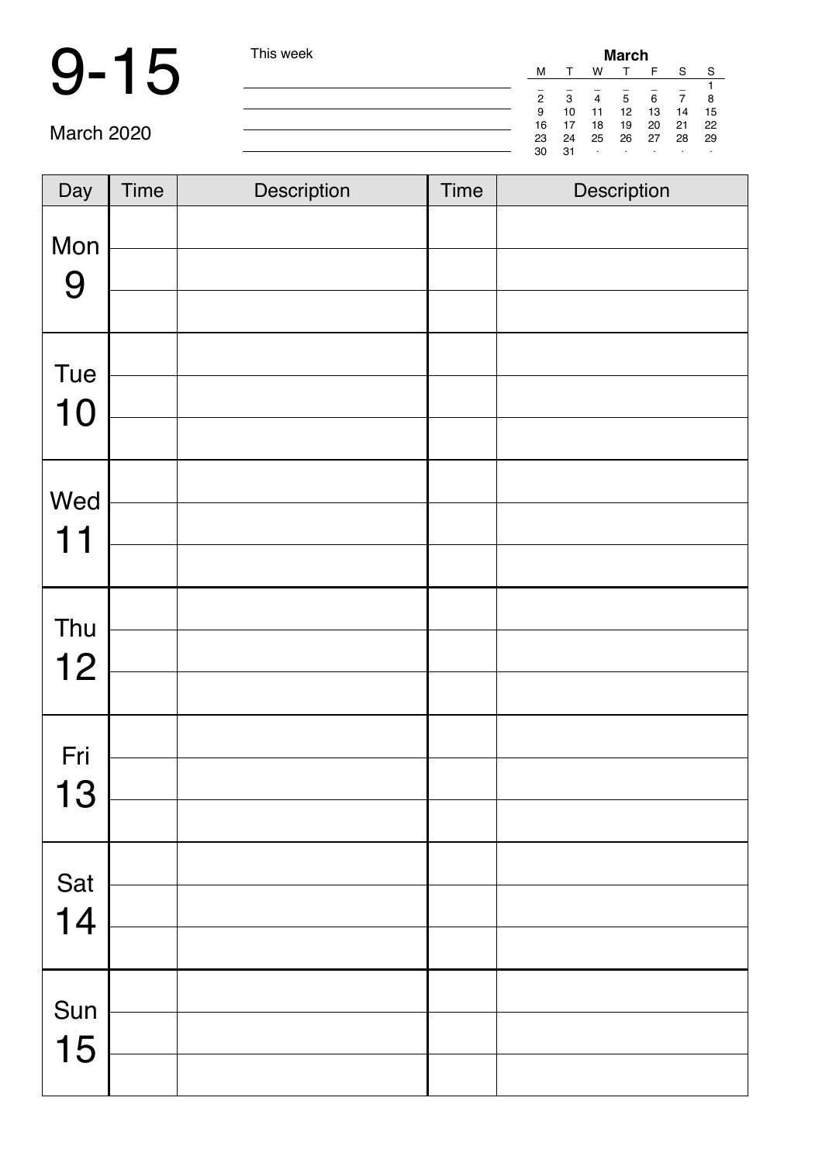### 9-15 This week

| i nis week | March         |             |         |         |     |            |      |
|------------|---------------|-------------|---------|---------|-----|------------|------|
|            | М             |             | w       | T.      | F   | S.         | -S   |
|            |               |             |         |         |     |            |      |
|            | $\mathcal{P}$ | -3          | 4       | 5       | 6   |            | 8    |
|            | 9             | 10          | 11      | 12      | -13 | -14        | - 15 |
|            | 16            | 17          | 18      | 19 20   |     | $\cdot$ 21 | -22  |
|            | 23            | 24 25 26 27 |         |         |     | 28         | - 29 |
|            | 30            | 31          | $\cdot$ | $\cdot$ |     | $\cdot$    |      |

| Day       | <b>Time</b> | Description | <b>Time</b> | Description |
|-----------|-------------|-------------|-------------|-------------|
| Mon<br>9  |             |             |             |             |
| Tue<br>10 |             |             |             |             |
| Wed<br>11 |             |             |             |             |
| Thu<br>12 |             |             |             |             |
| Fri<br>13 |             |             |             |             |
| Sat<br>14 |             |             |             |             |
| Sun<br>15 |             |             |             |             |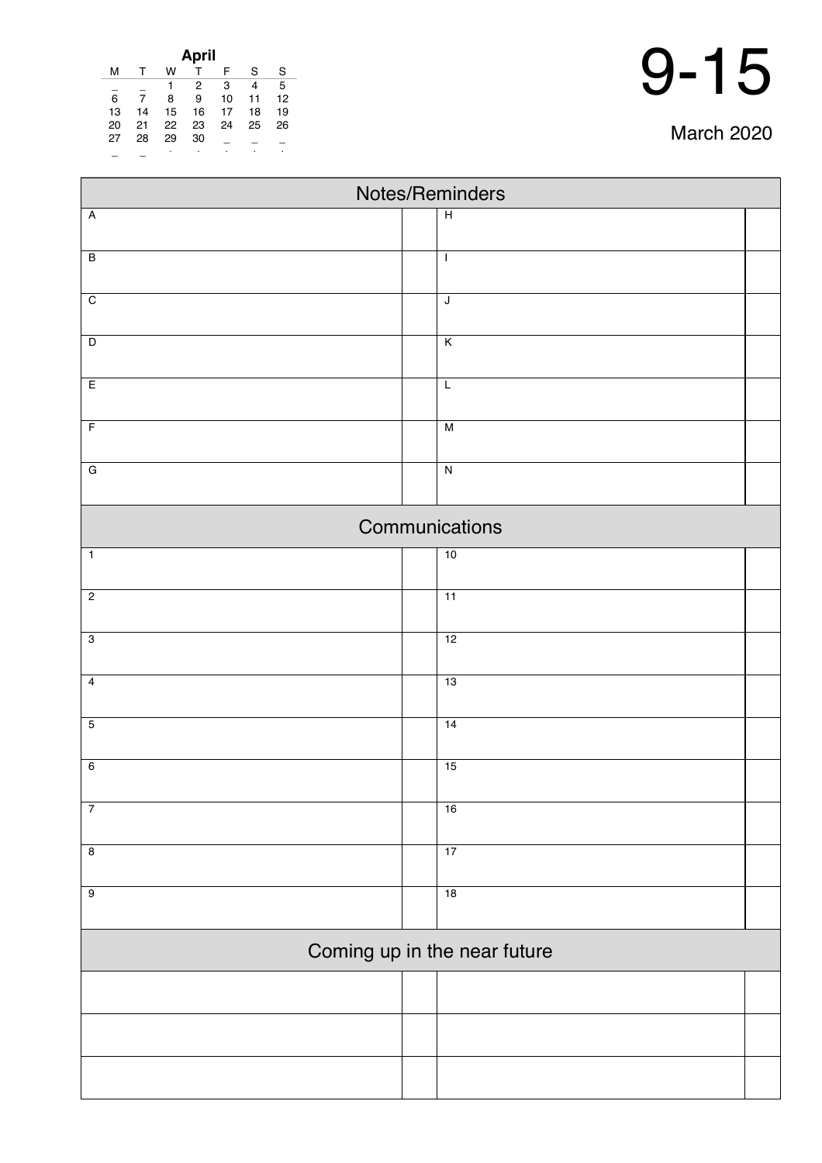| April |    |    |    |    |    |    |  |
|-------|----|----|----|----|----|----|--|
| м     |    | w  |    | F  | S  | S  |  |
|       |    | 1  | 2  | 3  | 4  | 5  |  |
| 6     |    | 8  | 9  | 10 | 11 | 12 |  |
| 13    | 14 | 15 | 16 | 17 | 18 | 19 |  |
| 20    | 21 | 22 | 23 | 24 | 25 | 26 |  |
| 27    | 28 | 29 | 30 |    |    |    |  |
|       |    | ٠  | ٠  |    |    | ٠  |  |

| Notes/Reminders              |  |                         |  |  |  |  |
|------------------------------|--|-------------------------|--|--|--|--|
| $\overline{A}$               |  | $\overline{H}$          |  |  |  |  |
| $\overline{B}$               |  | $\mathbf{I}$            |  |  |  |  |
|                              |  |                         |  |  |  |  |
| $\overline{C}$               |  | $\overline{\mathsf{J}}$ |  |  |  |  |
| $\overline{D}$               |  | $\overline{\mathsf{K}}$ |  |  |  |  |
|                              |  |                         |  |  |  |  |
| E                            |  | $\overline{L}$          |  |  |  |  |
| $\overline{F}$               |  | $\overline{M}$          |  |  |  |  |
| $\overline{G}$               |  | $\overline{\mathbf{z}}$ |  |  |  |  |
|                              |  |                         |  |  |  |  |
| Communications               |  |                         |  |  |  |  |
| $\overline{1}$               |  | 10                      |  |  |  |  |
| $\overline{2}$               |  | $\overline{11}$         |  |  |  |  |
|                              |  |                         |  |  |  |  |
| $\overline{3}$               |  | 12                      |  |  |  |  |
| $\overline{\mathbf{4}}$      |  | 13                      |  |  |  |  |
| $\overline{5}$               |  | 14                      |  |  |  |  |
|                              |  |                         |  |  |  |  |
| $\overline{6}$               |  | 15                      |  |  |  |  |
| $\overline{7}$               |  | 16                      |  |  |  |  |
|                              |  |                         |  |  |  |  |
| $\overline{\mathbf{8}}$      |  | 17                      |  |  |  |  |
| $\overline{9}$               |  | 18                      |  |  |  |  |
|                              |  |                         |  |  |  |  |
| Coming up in the near future |  |                         |  |  |  |  |
|                              |  |                         |  |  |  |  |
|                              |  |                         |  |  |  |  |
|                              |  |                         |  |  |  |  |
|                              |  |                         |  |  |  |  |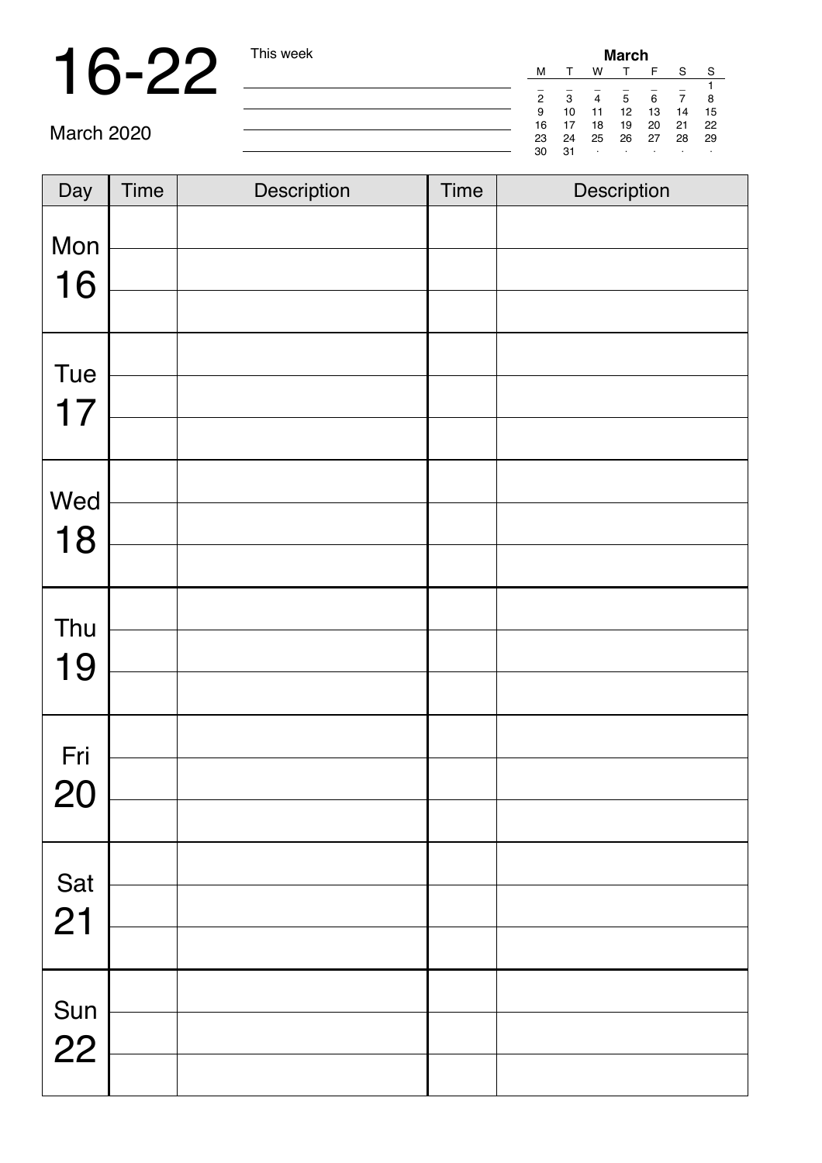### 16-22 This week

| <b>March</b> |    |    |    |    |    |    |  |  |
|--------------|----|----|----|----|----|----|--|--|
| м            |    | w  |    | F  | S  | S  |  |  |
|              |    |    |    |    |    |    |  |  |
| 2            | 3  | 4  | 5  | 6  |    | 8  |  |  |
| 9            | 10 | 11 | 12 | 13 | 14 | 15 |  |  |
| 16           | 17 | 18 | 19 | 20 | 21 | 22 |  |  |
| 23           | 24 | 25 | 26 | 27 | 28 | 29 |  |  |
| 30           | 31 |    |    |    |    | ٠  |  |  |

| Day | <b>Time</b> | Description | <b>Time</b> | Description |
|-----|-------------|-------------|-------------|-------------|
|     |             |             |             |             |
| Mon |             |             |             |             |
| 16  |             |             |             |             |
| Tue |             |             |             |             |
| 17  |             |             |             |             |
|     |             |             |             |             |
| Wed |             |             |             |             |
| 18  |             |             |             |             |
|     |             |             |             |             |
| Thu |             |             |             |             |
| 19  |             |             |             |             |
|     |             |             |             |             |
| Fri |             |             |             |             |
| 20  |             |             |             |             |
|     |             |             |             |             |
| Sat |             |             |             |             |
| 21  |             |             |             |             |
|     |             |             |             |             |
| Sun |             |             |             |             |
| 22  |             |             |             |             |
|     |             |             |             |             |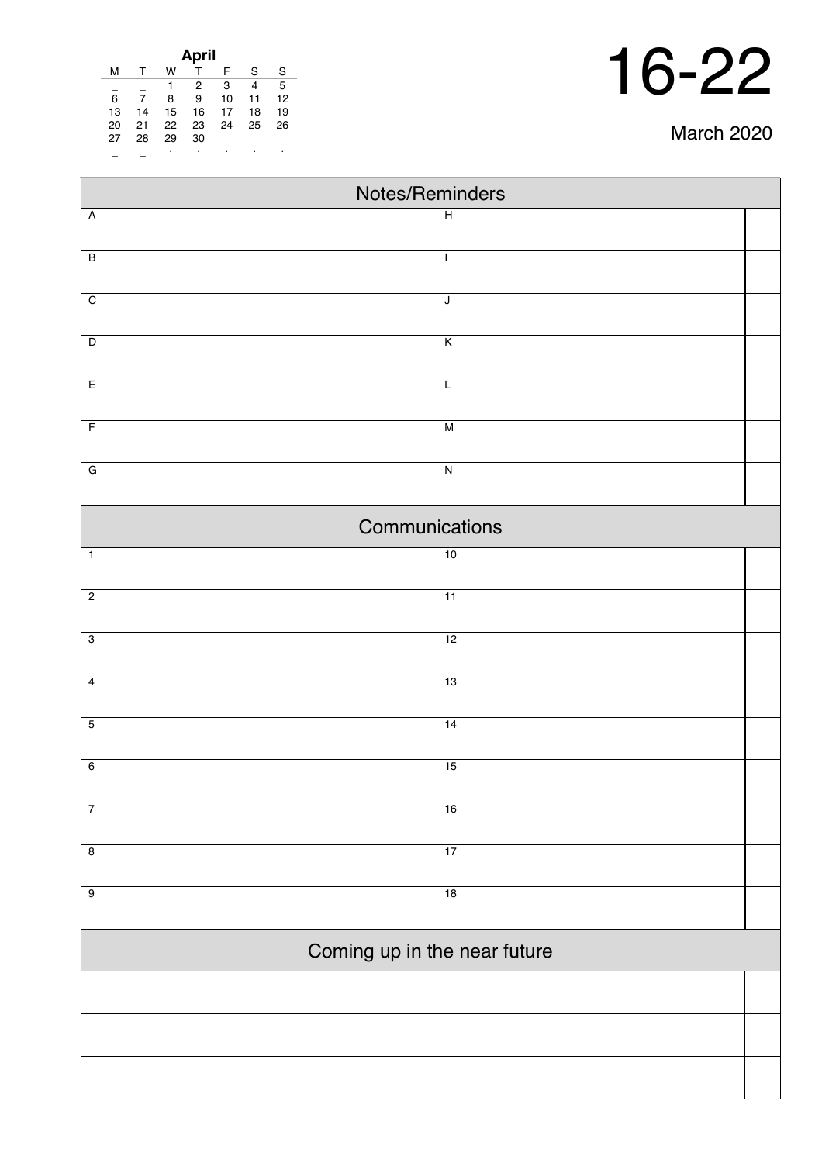| <b>March 2020</b> |  |
|-------------------|--|
|-------------------|--|

 $\overline{\phantom{0}}$ 

| April |    |    |    |    |    |    |  |
|-------|----|----|----|----|----|----|--|
| м     |    | w  |    | F  | S  | S  |  |
|       |    | 1  | 2  | 3  | 4  | 5  |  |
| 6     | 7  | 8  | 9  | 10 | 11 | 12 |  |
| 13    | 14 | 15 | 16 | 17 | 18 | 19 |  |
| 20    | 21 | 22 | 23 | 24 | 25 | 26 |  |
| 27    | 28 | 29 | 30 |    |    |    |  |
|       |    | ٠  |    |    |    |    |  |

Г

| Notes/Reminders              |                         |  |  |  |  |  |
|------------------------------|-------------------------|--|--|--|--|--|
| $\overline{A}$               | $\overline{H}$          |  |  |  |  |  |
| $\overline{B}$               | $\mathbf{I}$            |  |  |  |  |  |
| $\overline{C}$               | $\overline{\mathsf{J}}$ |  |  |  |  |  |
| $\overline{\mathsf{D}}$      | $\overline{\mathsf{K}}$ |  |  |  |  |  |
| E                            | $\overline{L}$          |  |  |  |  |  |
| $\overline{F}$               | M                       |  |  |  |  |  |
| $\overline{G}$               | $\overline{\mathbf{z}}$ |  |  |  |  |  |
| Communications               |                         |  |  |  |  |  |
| $\mathbf 1$                  | 10                      |  |  |  |  |  |
| $\overline{2}$               | 11                      |  |  |  |  |  |
| $\overline{3}$               | 12                      |  |  |  |  |  |
| $\overline{4}$               | 13                      |  |  |  |  |  |
| $\overline{5}$               | 14                      |  |  |  |  |  |
| $\overline{6}$               | 15                      |  |  |  |  |  |
| $\overline{7}$               | 16                      |  |  |  |  |  |
| $\overline{8}$               | 17                      |  |  |  |  |  |
| $\overline{9}$               | 18                      |  |  |  |  |  |
| Coming up in the near future |                         |  |  |  |  |  |
|                              |                         |  |  |  |  |  |
|                              |                         |  |  |  |  |  |
|                              |                         |  |  |  |  |  |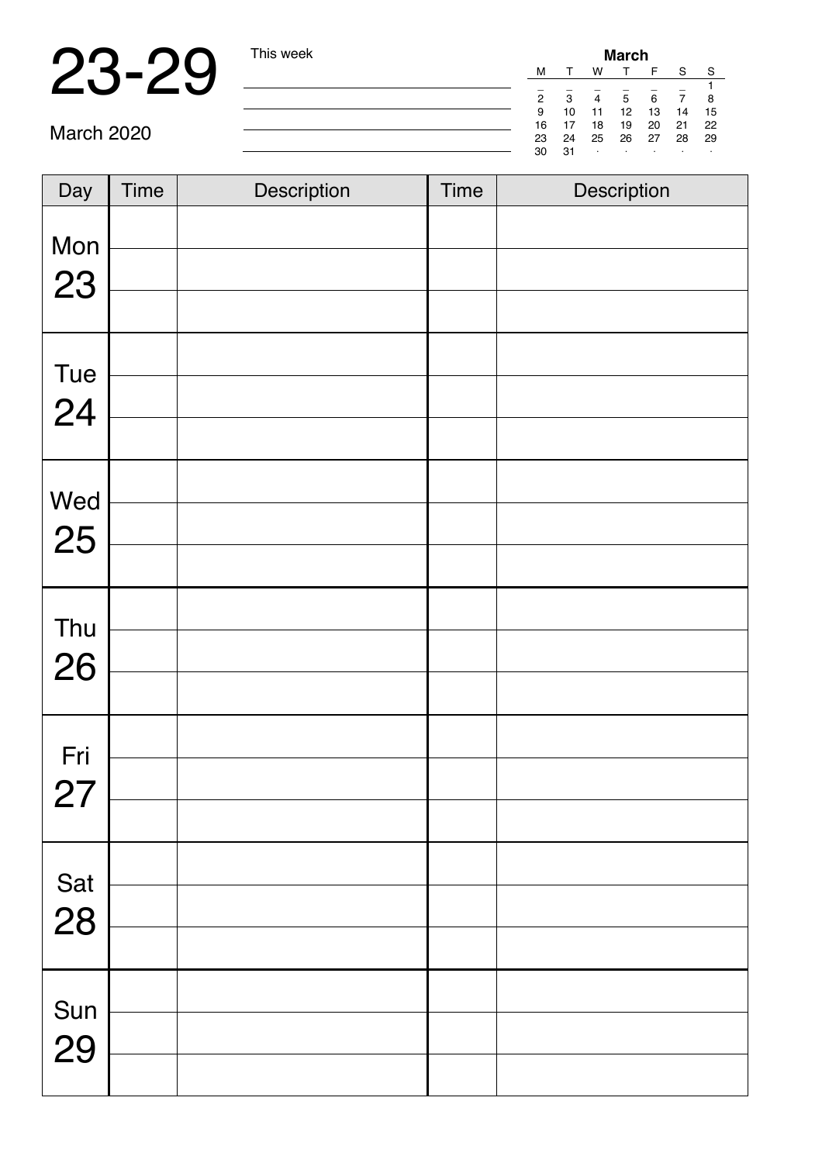|    | March |    |    |    |    |    |  |  |
|----|-------|----|----|----|----|----|--|--|
| м  |       | w  |    | F  | S  | S  |  |  |
|    |       |    |    |    |    |    |  |  |
| 2  | 3     |    | 5  | 6  |    | 8  |  |  |
| 9  | 10    | 11 | 12 | 13 | 14 | 15 |  |  |
| 16 | 17    | 18 | 19 | 20 | 21 | 22 |  |  |
| 23 | 24    | 25 | 26 | 27 | 28 | 29 |  |  |
| 30 | 31    | ٠  |    |    |    |    |  |  |
|    |       |    |    |    |    |    |  |  |

| Day       | <b>Time</b> | Description | <b>Time</b> | Description |
|-----------|-------------|-------------|-------------|-------------|
| Mon       |             |             |             |             |
| 23        |             |             |             |             |
| Tue       |             |             |             |             |
| 24        |             |             |             |             |
|           |             |             |             |             |
|           |             |             |             |             |
| Wed<br>25 |             |             |             |             |
|           |             |             |             |             |
| Thu       |             |             |             |             |
| 26        |             |             |             |             |
|           |             |             |             |             |
| Fri       |             |             |             |             |
| 27        |             |             |             |             |
|           |             |             |             |             |
| Sat       |             |             |             |             |
| 28        |             |             |             |             |
|           |             |             |             |             |
| Sun       |             |             |             |             |
| 29        |             |             |             |             |
|           |             |             |             |             |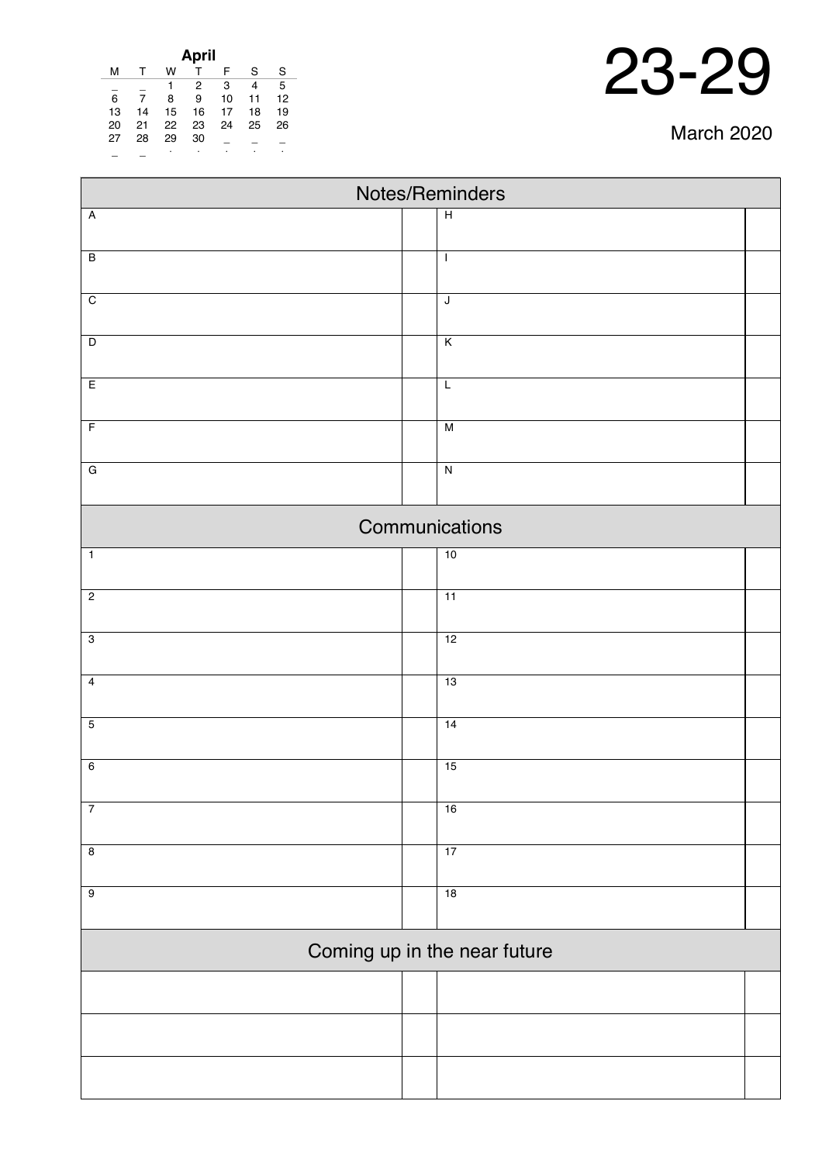| 23-29 |
|-------|
|       |

|    |    |    | April |    |    |    |
|----|----|----|-------|----|----|----|
| м  |    | w  |       | F  | S  | S  |
|    |    |    | 2     | 3  | 4  | 5  |
| 6  | 7  | 8  | 9     | 10 | 11 | 12 |
| 13 | 14 | 15 | 16    | 17 | 18 | 19 |
| 20 | 21 | 22 | 23    | 24 | 25 | 26 |
| 27 | 28 | 29 | 30    |    |    |    |
|    |    | ٠  |       |    |    |    |

| Notes/Reminders              |  |                         |  |  |  |
|------------------------------|--|-------------------------|--|--|--|
| $\overline{A}$               |  | $\overline{H}$          |  |  |  |
| $\overline{B}$               |  | $\mathbf{I}$            |  |  |  |
| $\overline{C}$               |  | $\sf J$                 |  |  |  |
| $\overline{D}$               |  | $\overline{\mathsf{K}}$ |  |  |  |
| $\overline{E}$               |  | $\overline{L}$          |  |  |  |
| $\overline{F}$               |  | $\overline{M}$          |  |  |  |
| $\overline{G}$               |  | $\overline{N}$          |  |  |  |
|                              |  | Communications          |  |  |  |
| $\overline{1}$               |  | 10                      |  |  |  |
| $\overline{c}$               |  | 11                      |  |  |  |
| $\overline{3}$               |  | 12                      |  |  |  |
| $\overline{4}$               |  | 13                      |  |  |  |
| $\overline{5}$               |  | 14                      |  |  |  |
| $\overline{6}$               |  | 15                      |  |  |  |
| $\overline{7}$               |  | 16                      |  |  |  |
| $\overline{8}$               |  | 17                      |  |  |  |
| $\overline{9}$               |  | 18                      |  |  |  |
| Coming up in the near future |  |                         |  |  |  |
|                              |  |                         |  |  |  |
|                              |  |                         |  |  |  |
|                              |  |                         |  |  |  |

#### March 2020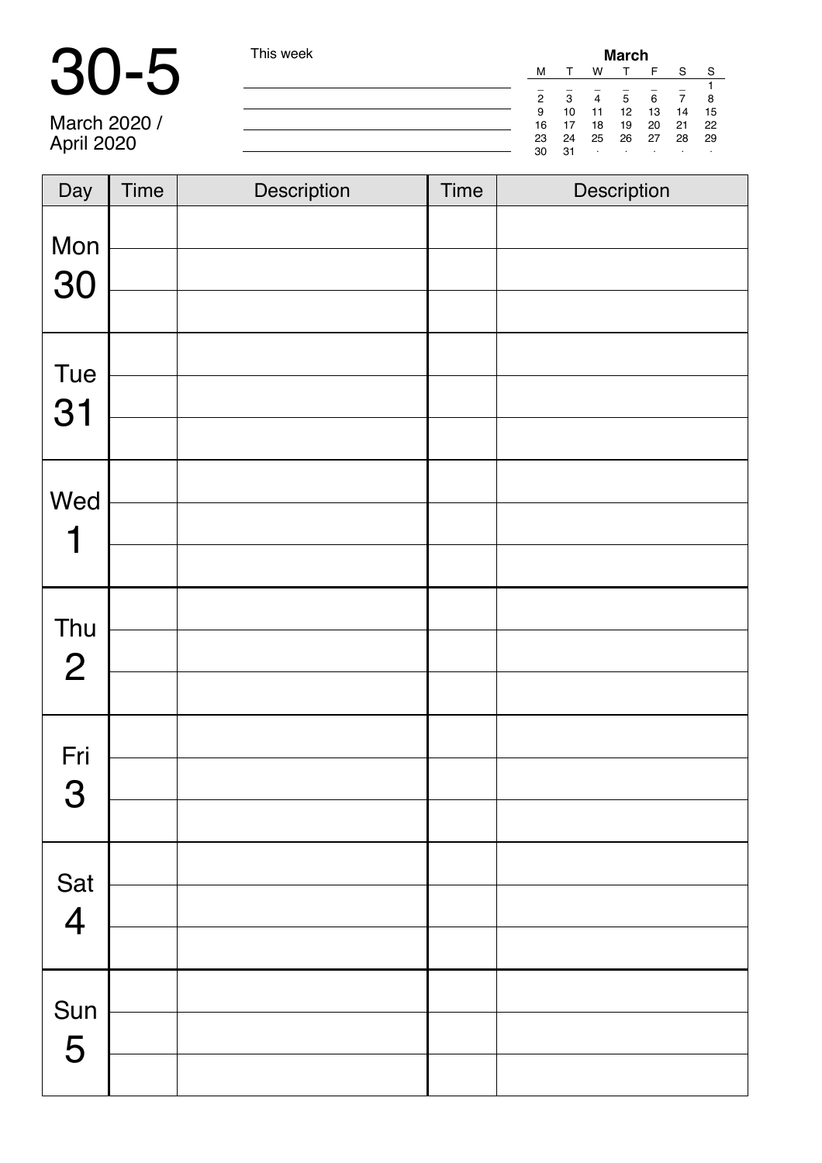| $\blacksquare$ | This week |    |              |                | <b>March</b> |    |    |     |
|----------------|-----------|----|--------------|----------------|--------------|----|----|-----|
|                |           | M  |              | W              |              |    | S  | - S |
|                |           | 2  | $\mathbf{B}$ | $\overline{a}$ | 5            | 6  |    |     |
|                |           | 9  | 10           |                | 12           | 13 | 14 | 15  |
| March 2020 /   |           | 16 |              | 18             | 19           | 20 | 21 | 22  |
| April 2020     |           | 23 | 24           | 25             | 26           | 27 | 28 | -29 |
|                |           | 30 | 31           |                |              |    |    |     |

| Day                   | Time | Description | <b>Time</b> | Description |
|-----------------------|------|-------------|-------------|-------------|
| Mon<br>30             |      |             |             |             |
| Tue<br>31             |      |             |             |             |
| Wed<br>1              |      |             |             |             |
| Thu<br>$\overline{2}$ |      |             |             |             |
| Fri<br>3              |      |             |             |             |
| Sat<br>4              |      |             |             |             |
| Sun<br>5              |      |             |             |             |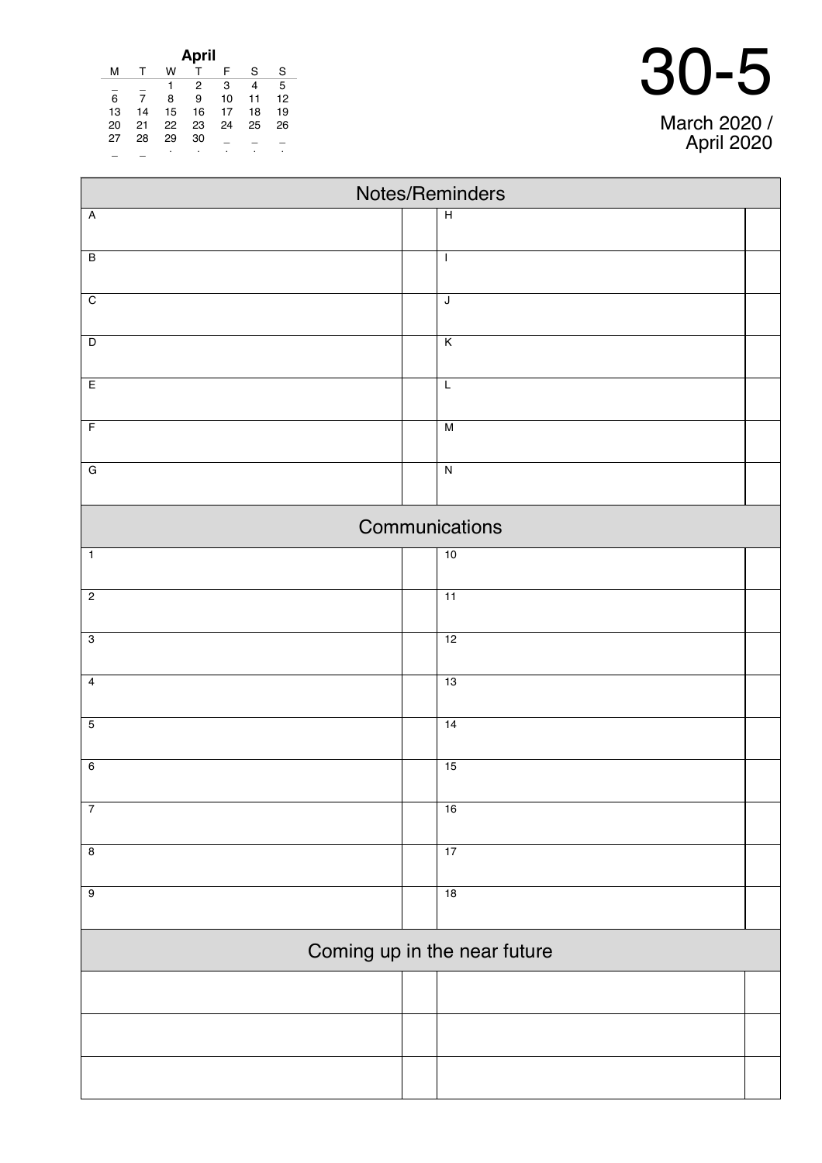| April |    |    |    |    |    |    |
|-------|----|----|----|----|----|----|
| м     |    | w  |    | F  | S  | S  |
|       |    | 1  | 2  | 3  | 4  | 5  |
| 6     |    | 8  | 9  | 10 | 11 | 12 |
| 13    | 14 | 15 | 16 | 17 | 18 | 19 |
| 20    | 21 | 22 | 23 | 24 | 25 | 26 |
| 27    | 28 | 29 | 30 |    |    |    |
|       |    | ٠  | ٠  |    |    | ٠  |

|                         | Notes/Reminders              |  |
|-------------------------|------------------------------|--|
| Ā                       | $\overline{H}$               |  |
| $\overline{\mathsf{B}}$ | $\mathbf{I}$                 |  |
| $\overline{\mathrm{c}}$ | J                            |  |
| D                       | $\overline{\mathsf{K}}$      |  |
| E                       | $\overline{L}$               |  |
| F                       | $\overline{M}$               |  |
| G                       | $\overline{\mathsf{N}}$      |  |
|                         | Communications               |  |
| $\overline{1}$          | 10                           |  |
| $\overline{2}$          | $\overline{11}$              |  |
| $\overline{3}$          | 12                           |  |
| 4                       | 13                           |  |
| 5                       | $\overline{14}$              |  |
| 6                       | 15                           |  |
| $\overline{7}$          | 16                           |  |
| 8                       | 17                           |  |
| 9                       | $\overline{18}$              |  |
|                         | Coming up in the near future |  |
|                         |                              |  |
|                         |                              |  |
|                         |                              |  |

March 2020 / April 2020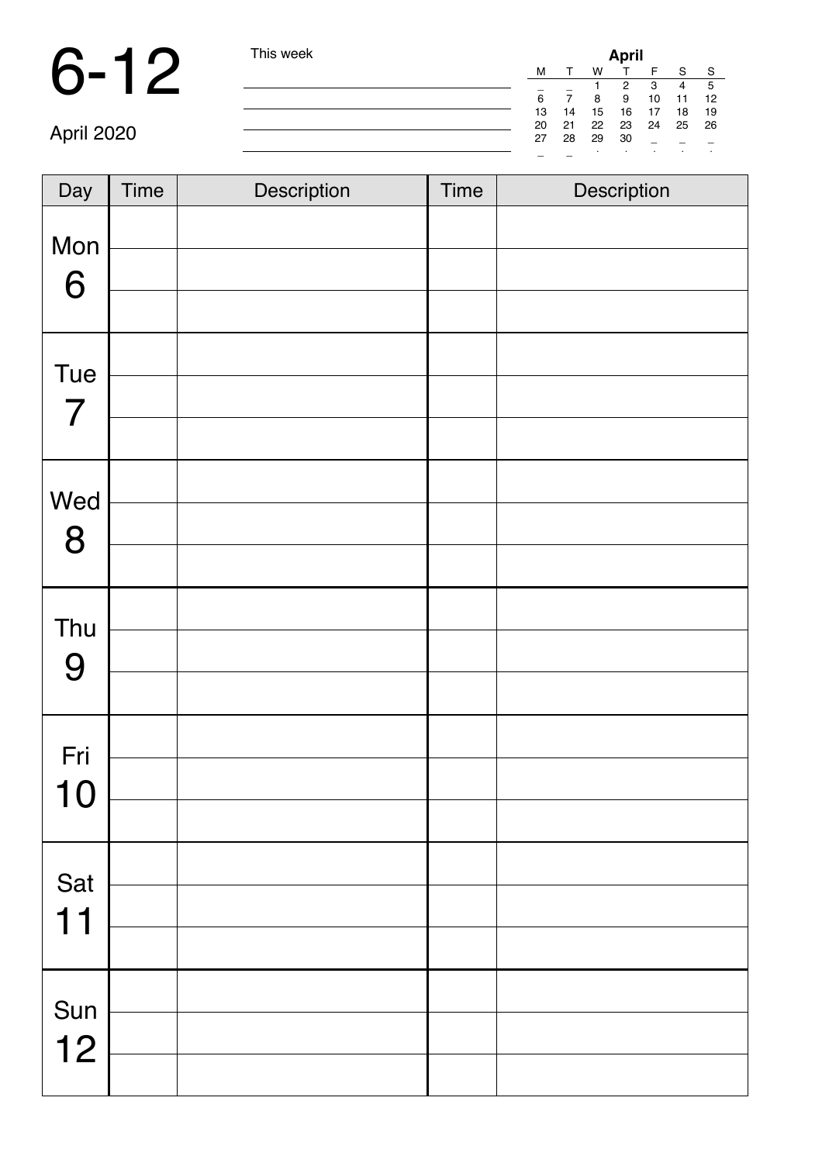### 6-12 This week **April**

| I his week |    |    |    | April |      |      |              |
|------------|----|----|----|-------|------|------|--------------|
|            | М  |    | w  | т     | F    | S    | <sub>S</sub> |
|            |    |    |    | 2     | 3    | 4    | 5            |
|            | 6  | 7  | 8  | 9     | 10   | 11   | 12           |
|            | 13 | 14 | 15 | 16    | 17   | 18   | -19          |
|            | 20 | 21 | 22 | 23    | - 24 | - 25 | 26           |
|            | 27 | 28 | 29 | 30    |      |      |              |
|            |    |    |    | ٠     |      | ٠    |              |

April 2020

| Day                   | <b>Time</b> | Description | <b>Time</b> | Description |
|-----------------------|-------------|-------------|-------------|-------------|
| Mon<br>6              |             |             |             |             |
| Tue<br>$\overline{7}$ |             |             |             |             |
| Wed<br>8              |             |             |             |             |
| Thu<br>9              |             |             |             |             |
| Fri<br>10             |             |             |             |             |
| Sat<br>11             |             |             |             |             |
| Sun<br>12             |             |             |             |             |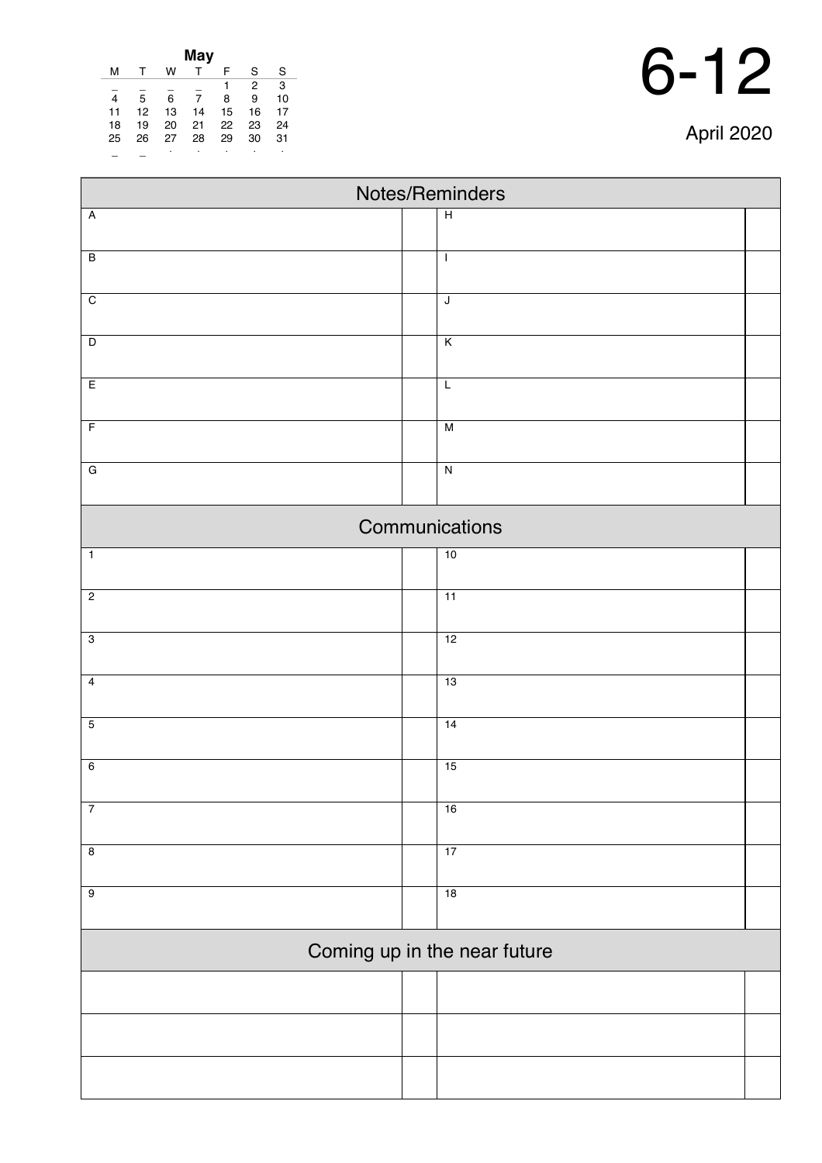| 6- | 12 |
|----|----|
|----|----|

| April 2020 |  |
|------------|--|
|------------|--|

| May |    |    |    |    |                |    |
|-----|----|----|----|----|----------------|----|
| м   |    | w  |    | F  | S              | S  |
|     |    |    |    | 1  | $\overline{2}$ | 3  |
| 4   | 5  | 6  | 7  | 8  | 9              | 10 |
| 11  | 12 | 13 | 14 | 15 | 16             | 17 |
| 18  | 19 | 20 | 21 | 22 | 23             | 24 |
| 25  | 26 | 27 | 28 | 29 | 30             | 31 |
|     |    |    |    | ٠  |                | ٠  |

| Notes/Reminders         |                              |  |  |  |  |  |
|-------------------------|------------------------------|--|--|--|--|--|
| $\overline{A}$          | $\overline{H}$               |  |  |  |  |  |
|                         |                              |  |  |  |  |  |
| $\overline{B}$          | $\mathbf{I}$                 |  |  |  |  |  |
| $\overline{C}$          | $\overline{\mathsf{J}}$      |  |  |  |  |  |
|                         |                              |  |  |  |  |  |
| $\overline{D}$          | $\overline{\mathsf{K}}$      |  |  |  |  |  |
| $\overline{E}$          | $\overline{L}$               |  |  |  |  |  |
| $\overline{F}$          | M                            |  |  |  |  |  |
| $\overline{G}$          | $\overline{N}$               |  |  |  |  |  |
|                         |                              |  |  |  |  |  |
|                         | Communications               |  |  |  |  |  |
| $\overline{1}$          | 10                           |  |  |  |  |  |
| $\overline{2}$          | $\overline{11}$              |  |  |  |  |  |
| $\overline{3}$          |                              |  |  |  |  |  |
|                         | 12                           |  |  |  |  |  |
| $\overline{4}$          | 13                           |  |  |  |  |  |
| $\overline{5}$          | 14                           |  |  |  |  |  |
| $6\overline{6}$         | 15                           |  |  |  |  |  |
|                         |                              |  |  |  |  |  |
| $\overline{7}$          | 16                           |  |  |  |  |  |
| $\overline{\mathbf{8}}$ | 17                           |  |  |  |  |  |
| $\overline{9}$          | 18                           |  |  |  |  |  |
|                         |                              |  |  |  |  |  |
|                         | Coming up in the near future |  |  |  |  |  |
|                         |                              |  |  |  |  |  |
|                         |                              |  |  |  |  |  |
|                         |                              |  |  |  |  |  |
|                         |                              |  |  |  |  |  |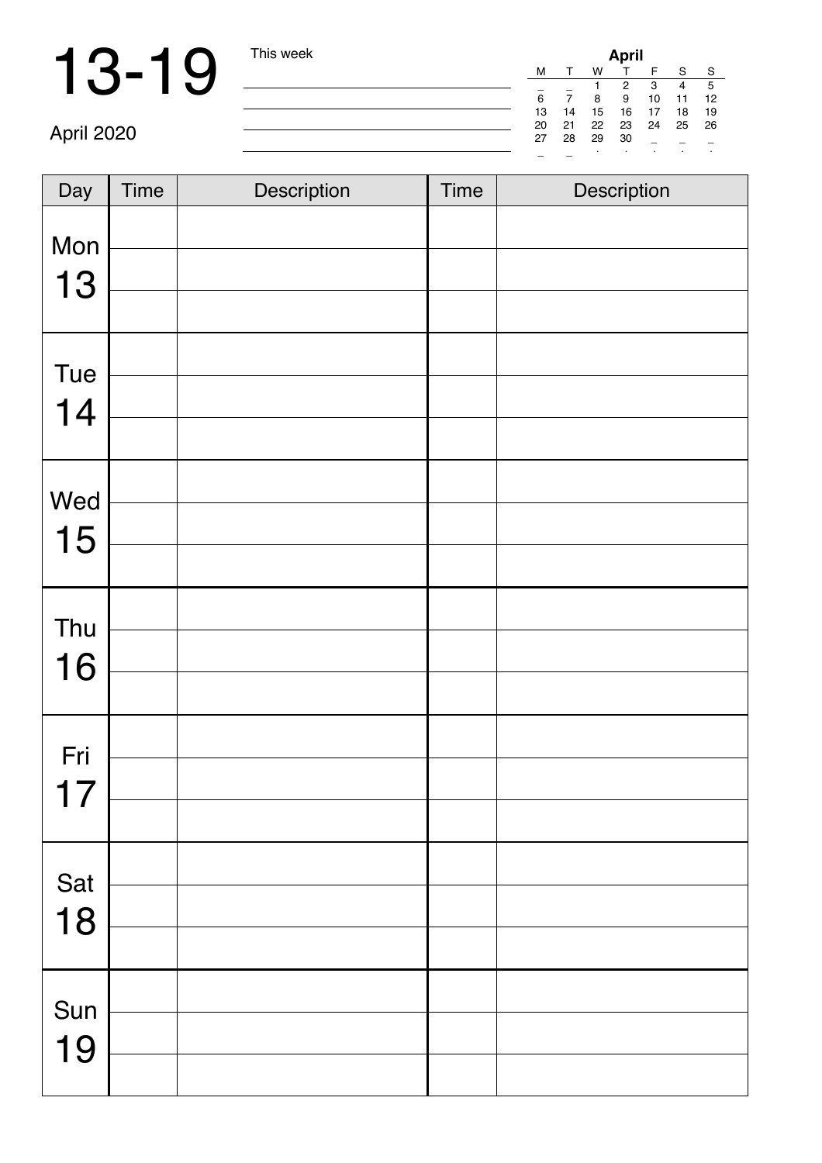| April |    |    |    |    |    |    |
|-------|----|----|----|----|----|----|
| м     |    | w  |    | F  | S  | S  |
|       |    |    | 2  | 3  | 4  | 5  |
| 6     |    | 8  | 9  | 10 | 11 | 12 |
| 13    | 14 | 15 | 16 | 17 | 18 | 19 |
| 20    | 21 | 22 | 23 | 24 | 25 | 26 |
| 27    | 28 | 29 | 30 |    |    |    |
|       |    | ٠  | ٠  | ٠  | ٠  |    |

April 2020

| Day | <b>Time</b> | Description | <b>Time</b> | Description |
|-----|-------------|-------------|-------------|-------------|
| Mon |             |             |             |             |
| 13  |             |             |             |             |
| Tue |             |             |             |             |
| 14  |             |             |             |             |
|     |             |             |             |             |
| Wed |             |             |             |             |
| 15  |             |             |             |             |
|     |             |             |             |             |
| Thu |             |             |             |             |
| 16  |             |             |             |             |
|     |             |             |             |             |
| Fri |             |             |             |             |
| 17  |             |             |             |             |
|     |             |             |             |             |
| Sat |             |             |             |             |
| 18  |             |             |             |             |
|     |             |             |             |             |
| Sun |             |             |             |             |
| 19  |             |             |             |             |
|     |             |             |             |             |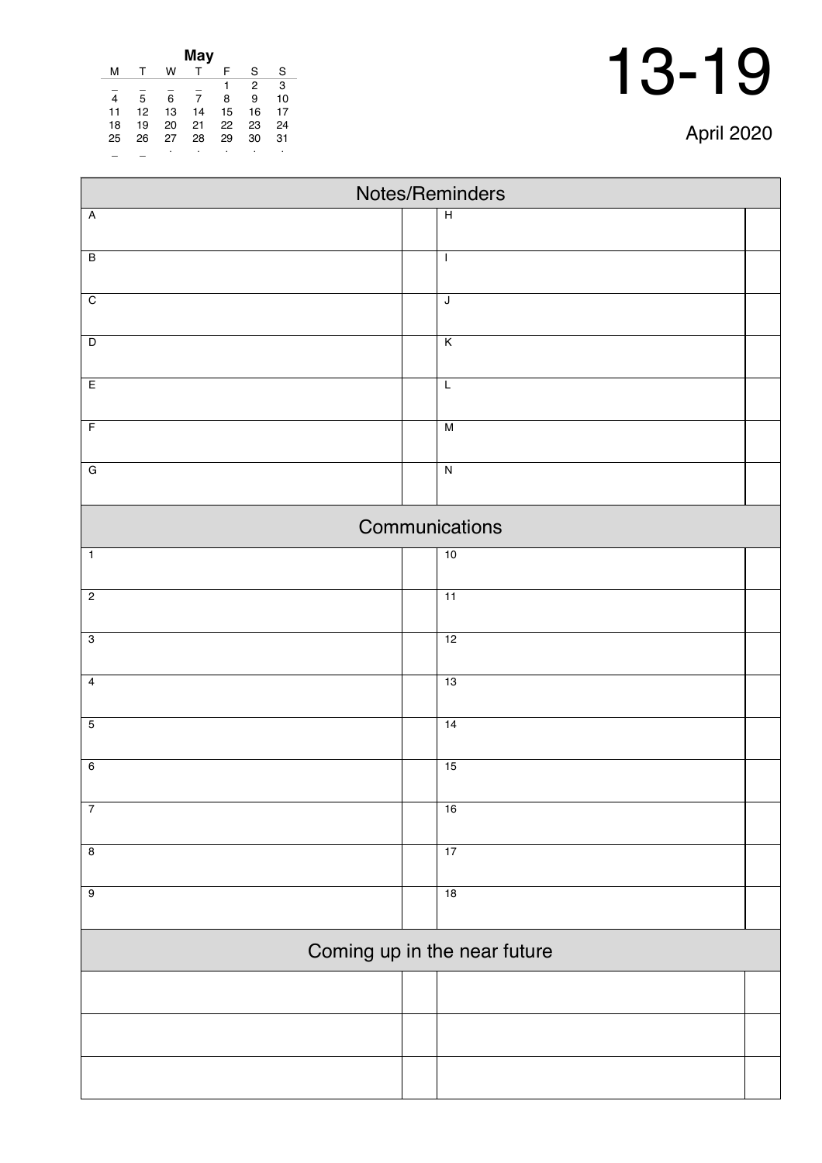| April 2020 |  |
|------------|--|
|------------|--|

| May                     |    |    |    |    |    |    |  |
|-------------------------|----|----|----|----|----|----|--|
| м                       | т  | w  |    | F  | S  | S  |  |
|                         |    |    |    | 1  | 2  | 3  |  |
| $\overline{\mathbf{4}}$ | 5  | 6  | 7  | 8  | 9  | 10 |  |
| 11                      | 12 | 13 | 14 | 15 | 16 | 17 |  |
| 18                      | 19 | 20 | 21 | 22 | 23 | 24 |  |
| 25                      | 26 | 27 | 28 | 29 | 30 | 31 |  |
|                         |    | ٠  |    |    |    | ٠  |  |

| Notes/Reminders              |                         |  |  |  |  |
|------------------------------|-------------------------|--|--|--|--|
| $\overline{A}$               | $\overline{H}$          |  |  |  |  |
|                              |                         |  |  |  |  |
| $\overline{B}$               | $\mathbf{I}$            |  |  |  |  |
| $\overline{C}$               | $\mathsf J$             |  |  |  |  |
|                              |                         |  |  |  |  |
| $\overline{D}$               | $\overline{\mathsf{K}}$ |  |  |  |  |
| E                            | L                       |  |  |  |  |
|                              |                         |  |  |  |  |
| $\overline{F}$               | M                       |  |  |  |  |
| $\overline{G}$               | $\overline{N}$          |  |  |  |  |
|                              | Communications          |  |  |  |  |
| $\overline{1}$               | 10                      |  |  |  |  |
|                              |                         |  |  |  |  |
| $\overline{2}$               | $\overline{11}$         |  |  |  |  |
|                              |                         |  |  |  |  |
| $\overline{3}$               | 12                      |  |  |  |  |
| $\overline{4}$               | 13                      |  |  |  |  |
|                              |                         |  |  |  |  |
| $\overline{5}$               | 14                      |  |  |  |  |
| $6\overline{6}$              | 15                      |  |  |  |  |
|                              |                         |  |  |  |  |
| $\overline{7}$               | 16                      |  |  |  |  |
|                              |                         |  |  |  |  |
| $\overline{8}$               | 17                      |  |  |  |  |
| $\overline{9}$               | 18                      |  |  |  |  |
|                              |                         |  |  |  |  |
| Coming up in the near future |                         |  |  |  |  |
|                              |                         |  |  |  |  |
|                              |                         |  |  |  |  |
|                              |                         |  |  |  |  |
|                              |                         |  |  |  |  |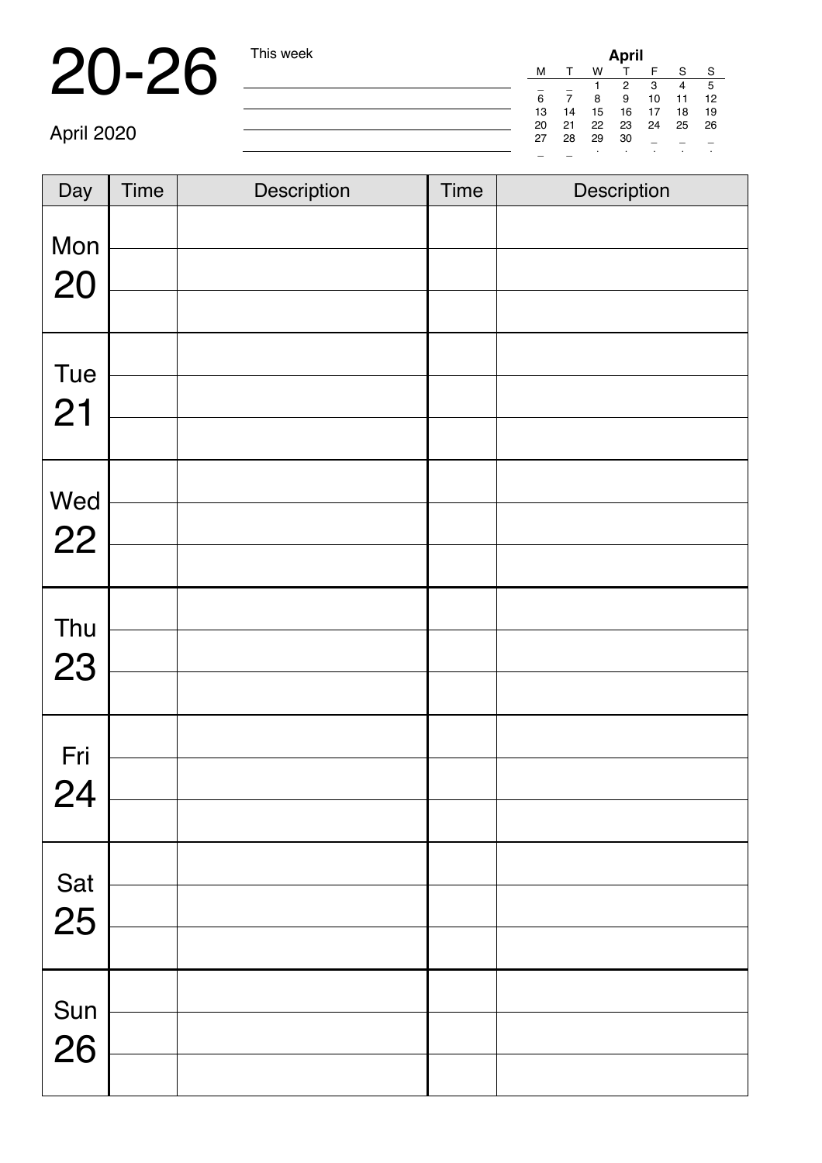## 20-26 This week

| April |    |    |    |    |    |    |
|-------|----|----|----|----|----|----|
| м     |    | w  |    | F  | S  | S  |
|       |    |    | 2  | 3  |    | 5  |
| 6     |    | 8  | 9  | 10 | 11 | 12 |
| 13    | 14 | 15 | 16 | 17 | 18 | 19 |
| 20    | 21 | 22 | 23 | 24 | 25 | 26 |
| 27    | 28 | 29 | 30 |    |    |    |
|       |    |    | ٠  | ٠  | ٠  | ٠  |

April 2020

| Day       | <b>Time</b> | Description | <b>Time</b> | Description |
|-----------|-------------|-------------|-------------|-------------|
| Mon<br>20 |             |             |             |             |
| Tue<br>21 |             |             |             |             |
| Wed<br>22 |             |             |             |             |
| Thu<br>23 |             |             |             |             |
| Fri<br>24 |             |             |             |             |
| Sat<br>25 |             |             |             |             |
| Sun<br>26 |             |             |             |             |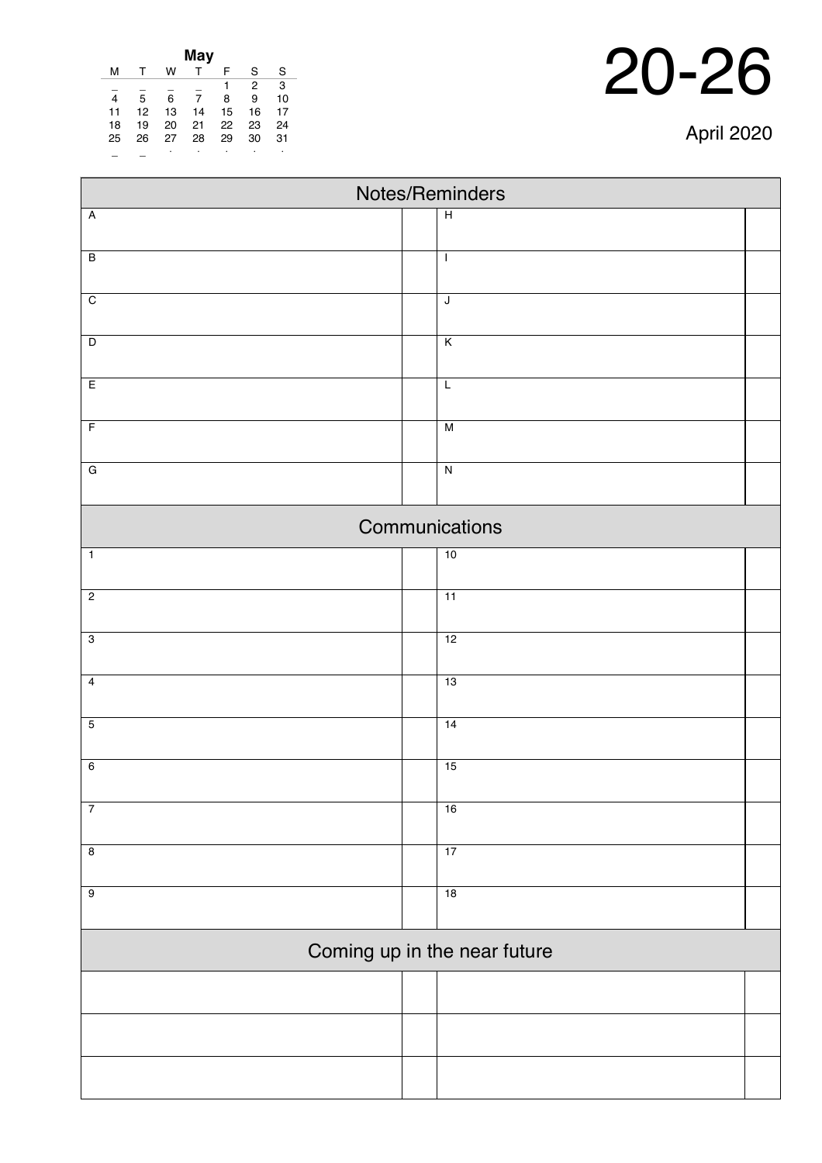| May            |    |    |    |    |                |    |  |  |
|----------------|----|----|----|----|----------------|----|--|--|
| м              |    | w  |    | F  | S              | S  |  |  |
|                |    |    |    | 1  | $\overline{2}$ | 3  |  |  |
| $\overline{4}$ | 5  | 6  | 7  | 8  | 9              | 10 |  |  |
| 11             | 12 | 13 | 14 | 15 | 16             | 17 |  |  |
| 18             | 19 | 20 | 21 | 22 | 23             | 24 |  |  |
| 25             | 26 | 27 | 28 | 29 | 30             | 31 |  |  |
|                |    |    | ٠  |    |                |    |  |  |
|                |    |    |    |    |                |    |  |  |

| Notes/Reminders              |  |                         |  |  |  |
|------------------------------|--|-------------------------|--|--|--|
| $\overline{A}$               |  | $\overline{H}$          |  |  |  |
| $\overline{B}$               |  | $\mathbf{I}$            |  |  |  |
| $\overline{C}$               |  | $\overline{\mathsf{J}}$ |  |  |  |
| $\overline{D}$               |  | $\overline{\mathsf{K}}$ |  |  |  |
| E                            |  | $\overline{L}$          |  |  |  |
| $\overline{F}$               |  | M                       |  |  |  |
| $\overline{G}$               |  | $\overline{\mathsf{N}}$ |  |  |  |
|                              |  | Communications          |  |  |  |
| $\overline{1}$               |  | 10                      |  |  |  |
| $\overline{c}$               |  | 11                      |  |  |  |
| $\overline{3}$               |  | 12                      |  |  |  |
| $\overline{4}$               |  | 13                      |  |  |  |
| $\overline{5}$               |  | 14                      |  |  |  |
| $\overline{6}$               |  | 15                      |  |  |  |
| $\overline{7}$               |  | 16                      |  |  |  |
| $\overline{\mathbf{8}}$      |  | 17                      |  |  |  |
| $\overline{9}$               |  | 18                      |  |  |  |
| Coming up in the near future |  |                         |  |  |  |
|                              |  |                         |  |  |  |
|                              |  |                         |  |  |  |
|                              |  |                         |  |  |  |

April 2020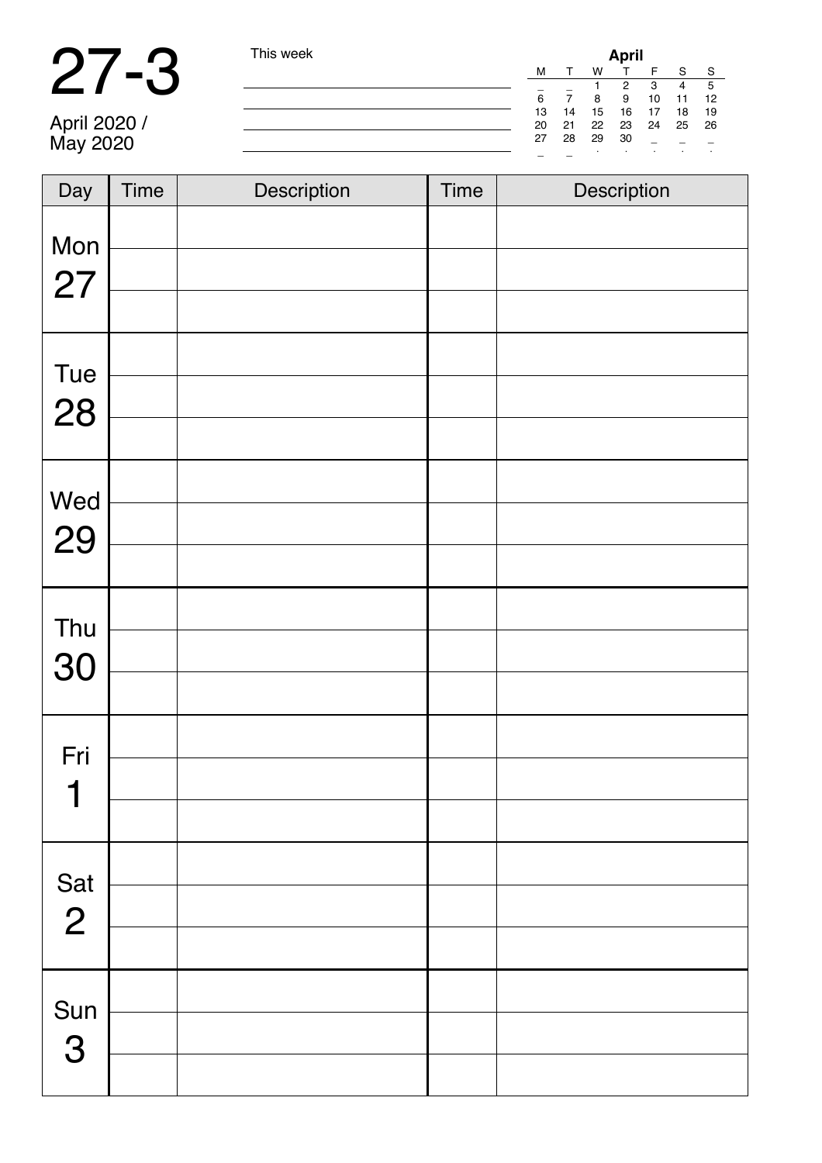#### 27-3 This week

| week | <b>April</b> |    |    |                      |    |    |    |  |
|------|--------------|----|----|----------------------|----|----|----|--|
|      | м            |    | w  | т                    |    | S  | -S |  |
|      |              |    |    | $\mathbf{2}^{\circ}$ | 3  | 4  | 5  |  |
|      | 6            | 7  | 8  | 9                    | 10 | 11 | 12 |  |
|      | 13           | 14 | 15 | 16                   | 17 | 18 | 19 |  |
|      | 20           | 21 | 22 | 23                   | 24 | 25 | 26 |  |
|      | 27           | 28 | 29 | 30                   |    |    |    |  |
|      |              |    |    |                      |    |    |    |  |

April 2020 / May 2020

| Day                         | <b>Time</b> | Description | <b>Time</b> | Description |
|-----------------------------|-------------|-------------|-------------|-------------|
| Mon<br>27                   |             |             |             |             |
| Tue<br>28                   |             |             |             |             |
| Wed<br>29                   |             |             |             |             |
| Thu<br>30                   |             |             |             |             |
| Fri<br>$\blacktriangleleft$ |             |             |             |             |
| Sat<br>2                    |             |             |             |             |
| Sun<br>3                    |             |             |             |             |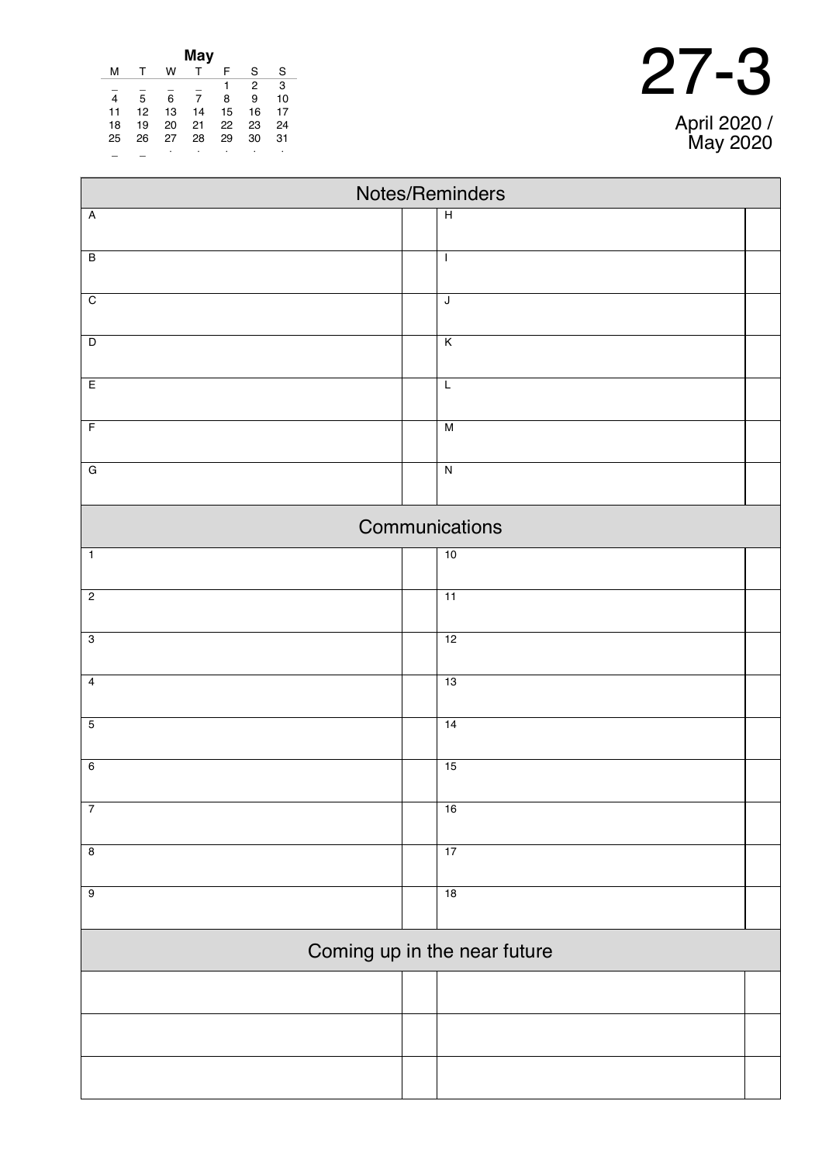| May |    |    |    |    |    |    |  |
|-----|----|----|----|----|----|----|--|
| м   |    | w  |    | F  | S  | S  |  |
|     |    |    |    |    | 2  | 3  |  |
| 4   | 5  | 6  | 7  | 8  | 9  | 10 |  |
| 11  | 12 | 13 | 14 | 15 | 16 | 17 |  |
| 18  | 19 | 20 | 21 | 22 | 23 | 24 |  |
| 25  | 26 | 27 | 28 | 29 | 30 | 31 |  |
|     |    | ٠  | ٠  | ٠  |    | ٠  |  |

 $\overline{\phantom{a}}$ 

| Notes/Reminders           |                              |  |  |  |  |  |  |  |
|---------------------------|------------------------------|--|--|--|--|--|--|--|
| $\boldsymbol{\mathsf{A}}$ | $\overline{H}$               |  |  |  |  |  |  |  |
| $\overline{B}$            | $\mathbf{I}$                 |  |  |  |  |  |  |  |
|                           |                              |  |  |  |  |  |  |  |
| $\overline{C}$            | $\overline{\mathsf{J}}$      |  |  |  |  |  |  |  |
| $\overline{D}$            | K                            |  |  |  |  |  |  |  |
|                           |                              |  |  |  |  |  |  |  |
| E                         | $\overline{L}$               |  |  |  |  |  |  |  |
| $\overline{F}$            | M                            |  |  |  |  |  |  |  |
| $\overline{G}$            | $\overline{N}$               |  |  |  |  |  |  |  |
|                           | Communications               |  |  |  |  |  |  |  |
| $\overline{1}$            | 10                           |  |  |  |  |  |  |  |
| $\overline{2}$            | 11                           |  |  |  |  |  |  |  |
| $\overline{3}$            | 12                           |  |  |  |  |  |  |  |
| $\overline{4}$            | 13                           |  |  |  |  |  |  |  |
| $\overline{5}$            | 14                           |  |  |  |  |  |  |  |
| $6\,$                     | 15                           |  |  |  |  |  |  |  |
| $\overline{7}$            | 16                           |  |  |  |  |  |  |  |
| $\overline{8}$            | 17                           |  |  |  |  |  |  |  |
| $\overline{9}$            | 18                           |  |  |  |  |  |  |  |
|                           | Coming up in the near future |  |  |  |  |  |  |  |
|                           |                              |  |  |  |  |  |  |  |
|                           |                              |  |  |  |  |  |  |  |
|                           |                              |  |  |  |  |  |  |  |

### 27-3 April 2020 /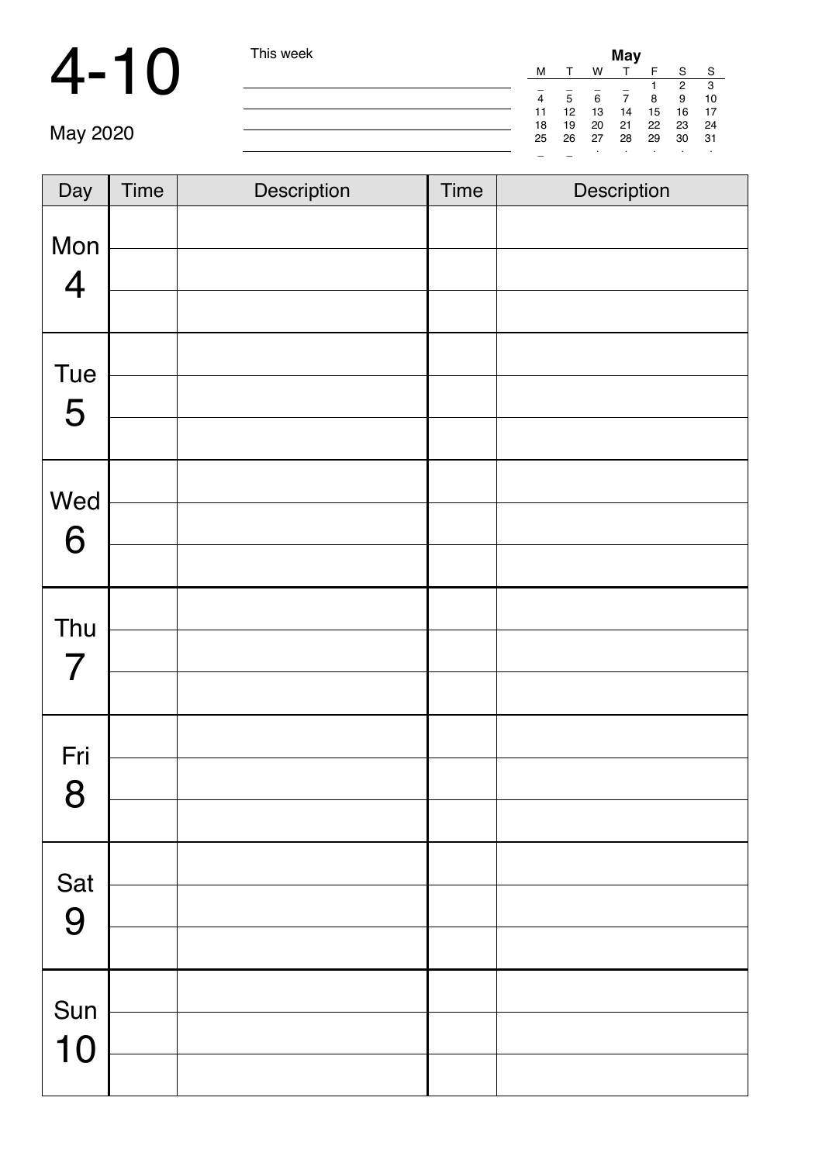### 4-10 This week **May**

| I his week | May                      |                 |       |          |    |     |      |
|------------|--------------------------|-----------------|-------|----------|----|-----|------|
|            | M                        |                 | W     | т        | F  | S   | -S   |
|            | -                        |                 |       |          |    | 2   | -3   |
|            | 4                        | 5               | 6     | 7        | -8 | 9   | -10  |
|            | 11                       | 12 <sup>2</sup> |       | 13 14 15 |    | 16  | - 17 |
|            | 18                       | 19              | 20    | 21 22 23 |    |     | 24   |
|            | 25                       |                 | 26 27 | 28 29    |    | -30 | -31  |
|            | $\overline{\phantom{a}}$ |                 | ٠     |          |    |     |      |

| Day                   | <b>Time</b> | Description | Time | Description |
|-----------------------|-------------|-------------|------|-------------|
| Mon<br>$\overline{4}$ |             |             |      |             |
| <b>Tue</b><br>5       |             |             |      |             |
| Wed<br>6              |             |             |      |             |
| Thu<br>$\overline{7}$ |             |             |      |             |
| Fri<br>8              |             |             |      |             |
| Sat<br>9              |             |             |      |             |
| Sun<br>10             |             |             |      |             |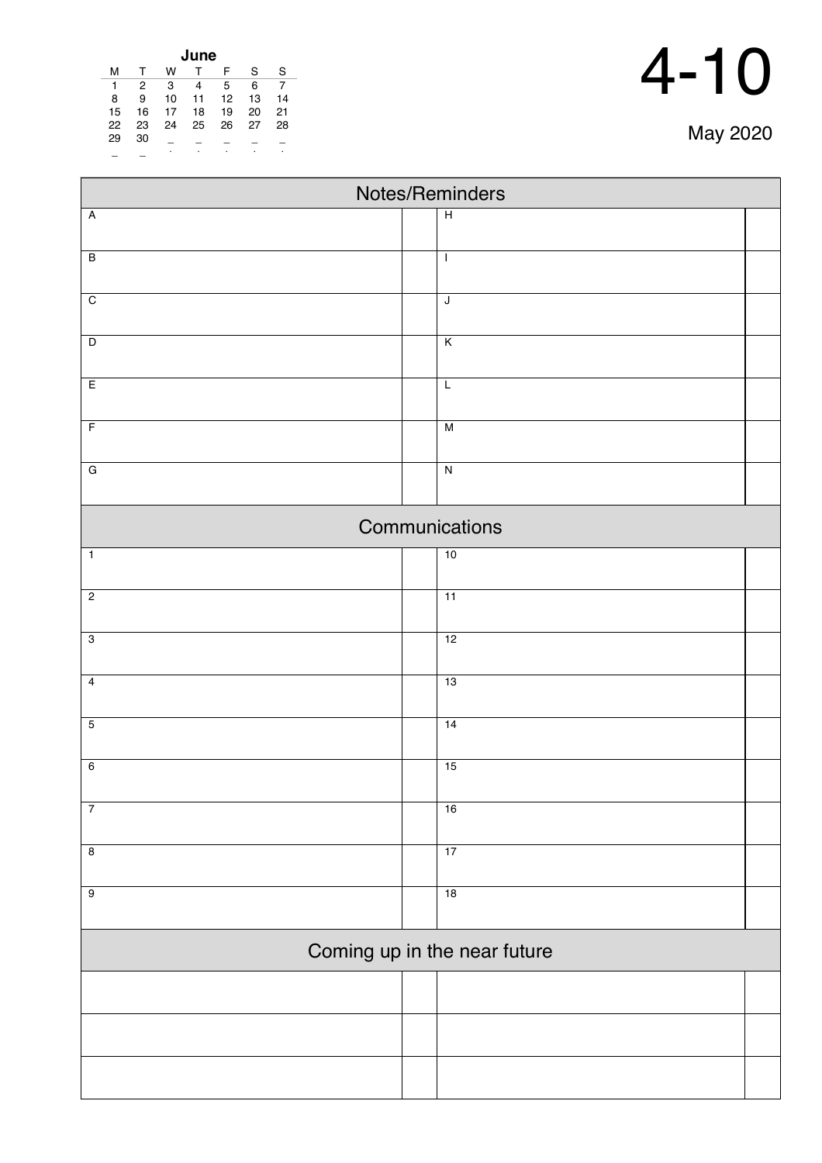| June |    |    |    |    |    |    |  |  |  |
|------|----|----|----|----|----|----|--|--|--|
| м    |    | w  |    | F  | S  | S  |  |  |  |
| 1    | 2  | 3  | 4  | 5  | 6  |    |  |  |  |
| 8    | 9  | 10 | 11 | 12 | 13 | 14 |  |  |  |
| 15   | 16 | 17 | 18 | 19 | 20 | 21 |  |  |  |
| 22   | 23 | 24 | 25 | 26 | 27 | 28 |  |  |  |
| 29   | 30 |    |    |    |    |    |  |  |  |
|      |    | ٠  | ٠  | ٠  |    | ٠  |  |  |  |

| Notes/Reminders         |  |                              |  |  |  |  |  |
|-------------------------|--|------------------------------|--|--|--|--|--|
| $\overline{A}$          |  | $\overline{H}$               |  |  |  |  |  |
| $\overline{\mathsf{B}}$ |  | $\mathbf{I}$                 |  |  |  |  |  |
|                         |  |                              |  |  |  |  |  |
| $\overline{C}$          |  | J                            |  |  |  |  |  |
| $\overline{D}$          |  | K                            |  |  |  |  |  |
|                         |  |                              |  |  |  |  |  |
| E                       |  | $\overline{L}$               |  |  |  |  |  |
| $\overline{F}$          |  | M                            |  |  |  |  |  |
| ${\bf G}$               |  | $\overline{\mathbf{z}}$      |  |  |  |  |  |
| Communications          |  |                              |  |  |  |  |  |
| $\overline{1}$          |  | 10                           |  |  |  |  |  |
| $\overline{2}$          |  | 11                           |  |  |  |  |  |
| $\overline{3}$          |  | 12                           |  |  |  |  |  |
| $\overline{4}$          |  | 13                           |  |  |  |  |  |
| $\overline{5}$          |  | 14                           |  |  |  |  |  |
| $\overline{6}$          |  | 15                           |  |  |  |  |  |
| $\overline{7}$          |  | 16                           |  |  |  |  |  |
| $\overline{8}$          |  | 17                           |  |  |  |  |  |
| $\overline{9}$          |  | 18                           |  |  |  |  |  |
|                         |  | Coming up in the near future |  |  |  |  |  |
|                         |  |                              |  |  |  |  |  |
|                         |  |                              |  |  |  |  |  |
|                         |  |                              |  |  |  |  |  |
|                         |  |                              |  |  |  |  |  |
|                         |  |                              |  |  |  |  |  |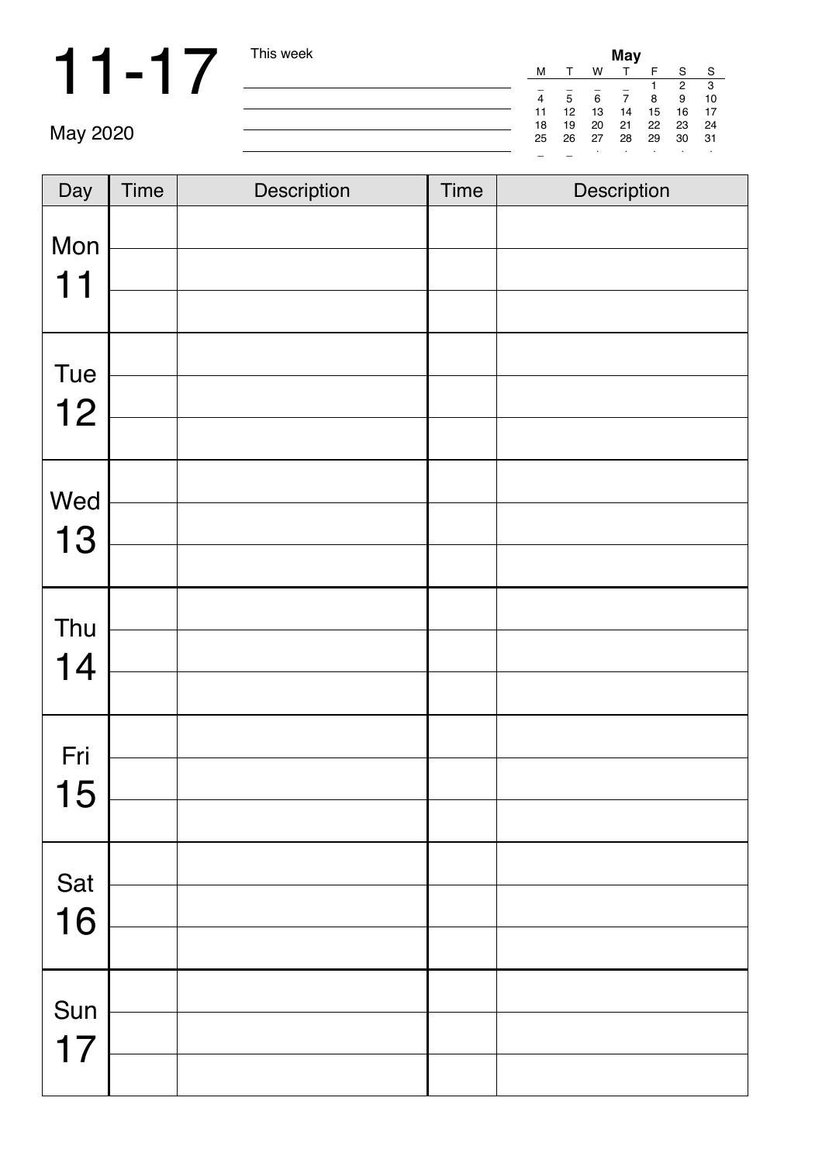|          | This week |    | May |    |    |    |    |     |  |  |  |
|----------|-----------|----|-----|----|----|----|----|-----|--|--|--|
|          |           | M  |     | W  |    |    |    | S.  |  |  |  |
|          |           |    |     |    |    |    | 2  | 3   |  |  |  |
|          |           | 4  | 5   | 6  |    | 8  | 9  | 10  |  |  |  |
|          |           | 11 | 12  | 13 | 14 | 15 | 16 | 17  |  |  |  |
|          |           | 18 | 19  | 20 | 21 | 22 | 23 | 24  |  |  |  |
| May 2020 |           | 25 | 26  | 27 | 28 | 29 | 30 | -31 |  |  |  |
|          |           | -  |     |    |    |    |    |     |  |  |  |

| Day       | <b>Time</b> | Description | <b>Time</b> | Description |
|-----------|-------------|-------------|-------------|-------------|
| Mon<br>11 |             |             |             |             |
|           |             |             |             |             |
| Tue       |             |             |             |             |
| 12        |             |             |             |             |
|           |             |             |             |             |
| Wed       |             |             |             |             |
| 13        |             |             |             |             |
|           |             |             |             |             |
| Thu       |             |             |             |             |
| 14        |             |             |             |             |
|           |             |             |             |             |
| Fri       |             |             |             |             |
| 15        |             |             |             |             |
|           |             |             |             |             |
| Sat       |             |             |             |             |
| 16        |             |             |             |             |
|           |             |             |             |             |
| Sun       |             |             |             |             |
| 17        |             |             |             |             |
|           |             |             |             |             |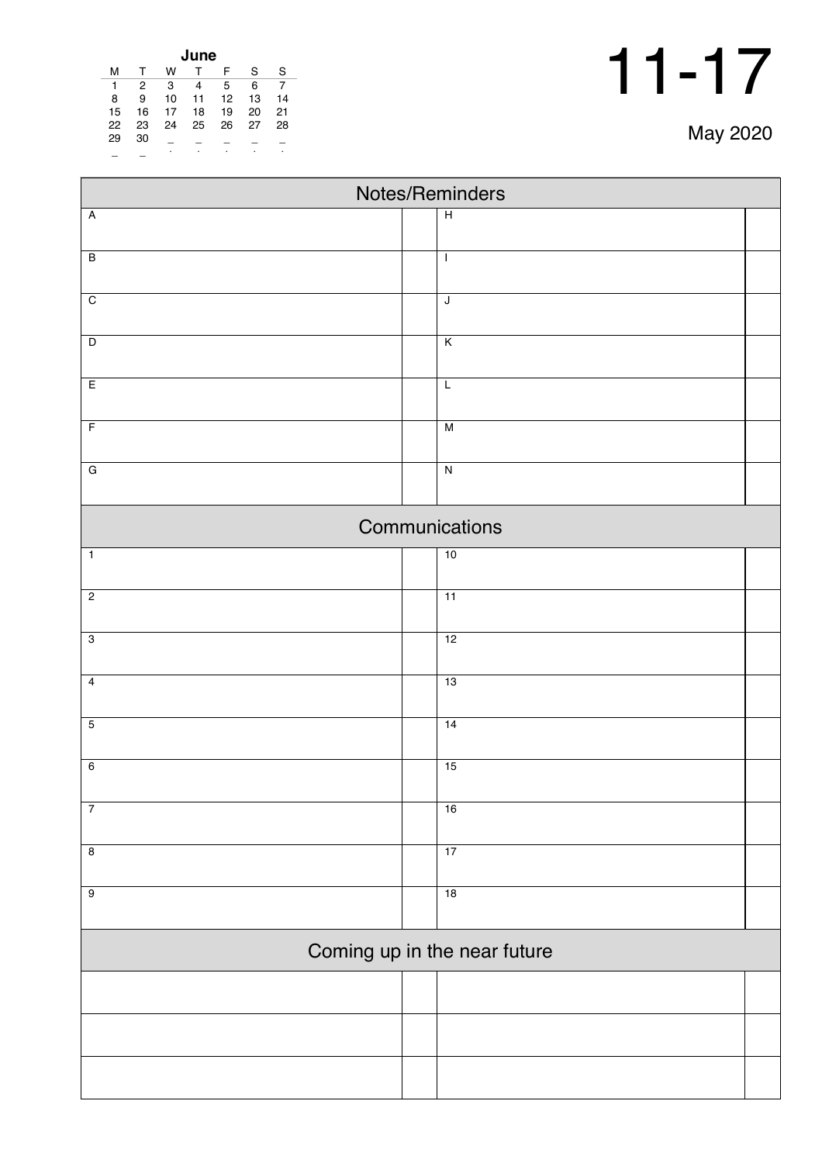|  | May 2020 |
|--|----------|
|--|----------|

| June |              |    |    |    |    |    |  |  |
|------|--------------|----|----|----|----|----|--|--|
| м    | $\mathsf{T}$ | w  | T  | F  | S  | S  |  |  |
| 1    | 2            | 3  | 4  | 5  | 6  | 7  |  |  |
| 8    | 9            | 10 | 11 | 12 | 13 | 14 |  |  |
| 15   | 16           | 17 | 18 | 19 | 20 | 21 |  |  |
| 22   | 23           | 24 | 25 | 26 | 27 | 28 |  |  |
| 29   | 30           |    |    |    |    |    |  |  |
|      |              | ٠  | ٠  | ٠  |    | ٠  |  |  |

| Notes/Reminders |                              |  |  |  |  |  |
|-----------------|------------------------------|--|--|--|--|--|
| $\overline{A}$  | $\overline{H}$               |  |  |  |  |  |
| $\overline{B}$  | $\mathbf{I}$                 |  |  |  |  |  |
|                 |                              |  |  |  |  |  |
| $\overline{C}$  | $\overline{\mathsf{I}}$      |  |  |  |  |  |
| $\overline{D}$  | $\overline{\mathsf{K}}$      |  |  |  |  |  |
| E               | L                            |  |  |  |  |  |
| $\overline{F}$  | $\overline{M}$               |  |  |  |  |  |
| $\overline{G}$  | $\overline{\mathsf{N}}$      |  |  |  |  |  |
|                 |                              |  |  |  |  |  |
| Communications  |                              |  |  |  |  |  |
| $\overline{1}$  | 10                           |  |  |  |  |  |
| $\overline{2}$  | 11                           |  |  |  |  |  |
| $\overline{3}$  | 12                           |  |  |  |  |  |
| $\overline{4}$  | 13                           |  |  |  |  |  |
| $\overline{5}$  | $\overline{14}$              |  |  |  |  |  |
| $6\overline{6}$ | 15                           |  |  |  |  |  |
| $\overline{7}$  | 16                           |  |  |  |  |  |
|                 |                              |  |  |  |  |  |
| $\overline{8}$  | 17                           |  |  |  |  |  |
| $\overline{9}$  | 18                           |  |  |  |  |  |
|                 | Coming up in the near future |  |  |  |  |  |
|                 |                              |  |  |  |  |  |
|                 |                              |  |  |  |  |  |
|                 |                              |  |  |  |  |  |
|                 |                              |  |  |  |  |  |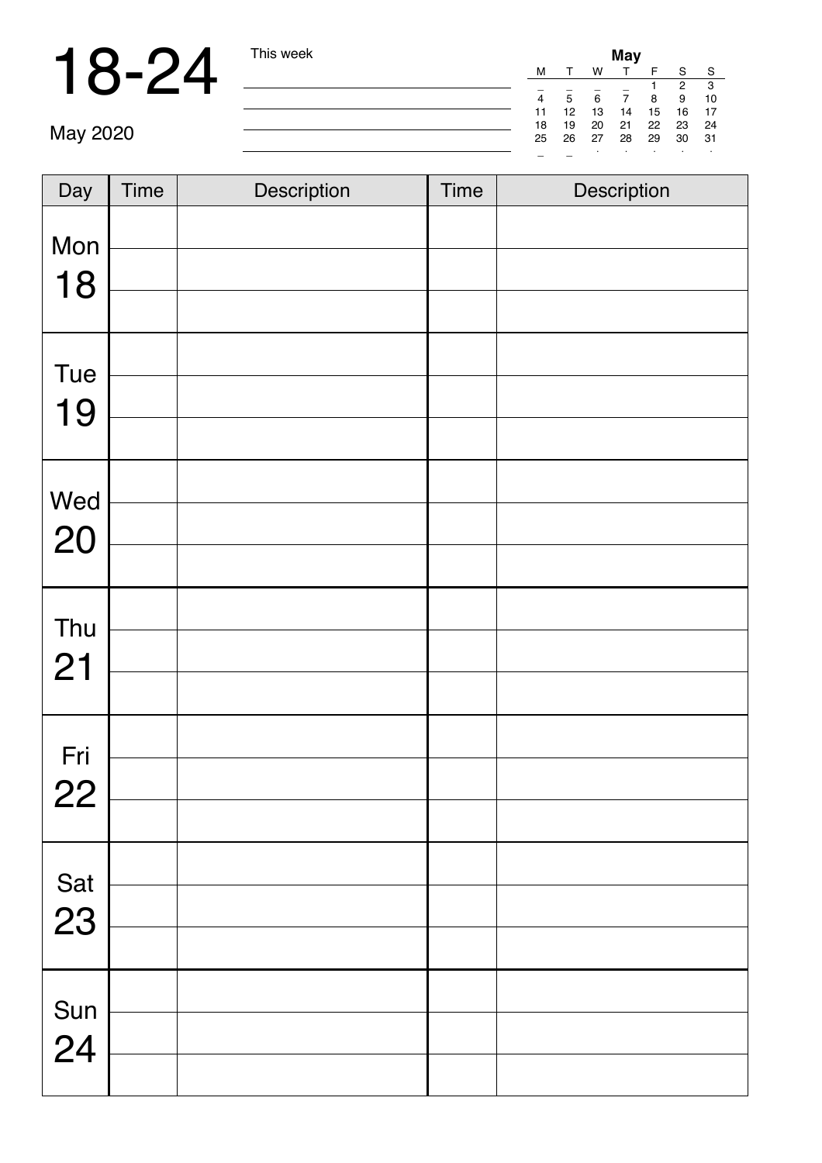|          | This week | May |    |    |    |    |    |     |  |  |
|----------|-----------|-----|----|----|----|----|----|-----|--|--|
|          |           | M   |    | W  |    |    | S  | `S  |  |  |
|          |           | -   |    |    |    |    | 2  | 3   |  |  |
|          |           | 4   | 5  | 6  |    | 8  | 9  | 10  |  |  |
|          |           | 11  | 12 | 13 | 14 | 15 | 16 | 17  |  |  |
|          |           | 18  | 19 | 20 | 21 | 22 | 23 | -24 |  |  |
| May 2020 |           | 25  | 26 | 27 | 28 | 29 | 30 | -31 |  |  |
|          |           | -   |    |    |    |    |    |     |  |  |

| Day         | <b>Time</b> | Description | <b>Time</b> | Description |
|-------------|-------------|-------------|-------------|-------------|
| Mon<br>18   |             |             |             |             |
|             |             |             |             |             |
| Tue         |             |             |             |             |
| 19          |             |             |             |             |
|             |             |             |             |             |
| Wed         |             |             |             |             |
| 20          |             |             |             |             |
|             |             |             |             |             |
| Thu         |             |             |             |             |
| 21          |             |             |             |             |
| Fri         |             |             |             |             |
| 22          |             |             |             |             |
|             |             |             |             |             |
| Sat         |             |             |             |             |
| 23          |             |             |             |             |
|             |             |             |             |             |
|             |             |             |             |             |
| Sun<br>$24$ |             |             |             |             |
|             |             |             |             |             |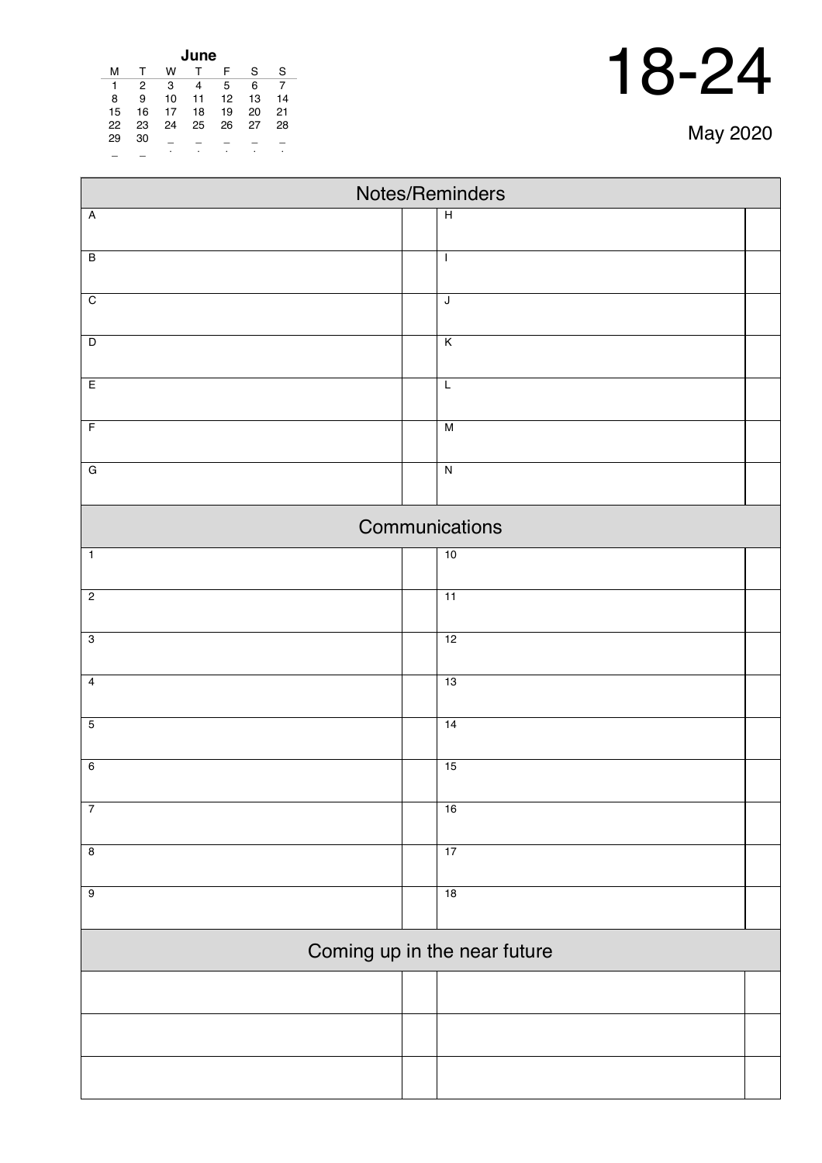| May 2020 |  |
|----------|--|
|----------|--|

Ť.

| June |    |    |    |    |    |    |  |  |
|------|----|----|----|----|----|----|--|--|
| м    | т  | w  |    | F  | S  | S  |  |  |
| 1    | 2  | 3  | 4  | 5  | 6  |    |  |  |
| 8    | 9  | 10 | 11 | 12 | 13 | 14 |  |  |
| 15   | 16 | 17 | 18 | 19 | 20 | 21 |  |  |
| 22   | 23 | 24 | 25 | 26 | 27 | 28 |  |  |
| 29   | 30 |    |    |    |    |    |  |  |
|      |    | ٠  | ٠  |    |    | ٠  |  |  |

Г

| Notes/Reminders              |                         |  |  |  |  |  |  |
|------------------------------|-------------------------|--|--|--|--|--|--|
| $\overline{A}$               | $\overline{H}$          |  |  |  |  |  |  |
| $\overline{B}$               | $\mathbf{I}$            |  |  |  |  |  |  |
| $\overline{C}$               | $\overline{\mathsf{I}}$ |  |  |  |  |  |  |
| $\overline{D}$               | $\overline{K}$          |  |  |  |  |  |  |
| E                            | $\overline{L}$          |  |  |  |  |  |  |
| $\overline{F}$               | $\overline{M}$          |  |  |  |  |  |  |
| $\overline{G}$               | $\overline{\mathsf{N}}$ |  |  |  |  |  |  |
|                              | Communications          |  |  |  |  |  |  |
| $\overline{1}$               | 10                      |  |  |  |  |  |  |
| $\overline{2}$               | 11                      |  |  |  |  |  |  |
| $\overline{3}$               | 12                      |  |  |  |  |  |  |
| $\overline{4}$               | 13                      |  |  |  |  |  |  |
| $\overline{5}$               | 14                      |  |  |  |  |  |  |
| $\overline{6}$               | 15                      |  |  |  |  |  |  |
| $\overline{7}$               | 16                      |  |  |  |  |  |  |
| $\overline{\mathbf{8}}$      | 17                      |  |  |  |  |  |  |
| $\overline{9}$               | 18                      |  |  |  |  |  |  |
| Coming up in the near future |                         |  |  |  |  |  |  |
|                              |                         |  |  |  |  |  |  |
|                              |                         |  |  |  |  |  |  |
|                              |                         |  |  |  |  |  |  |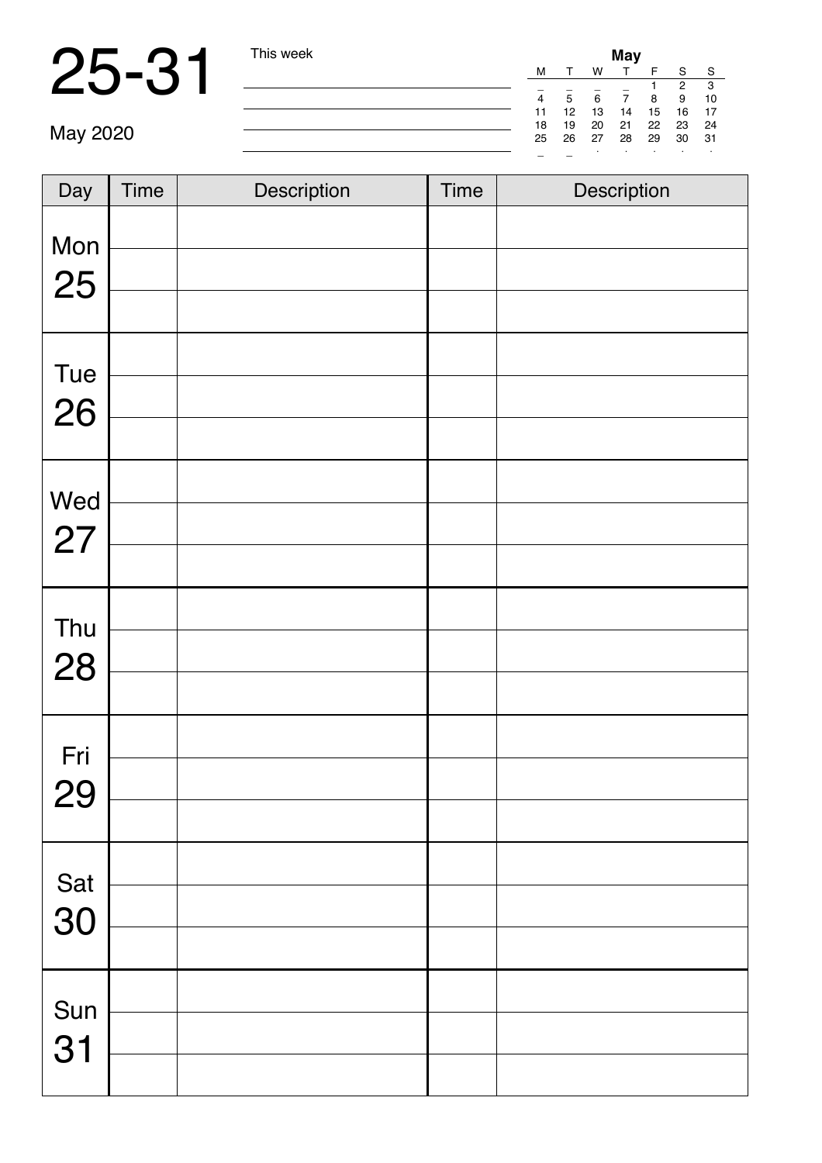### 25-31 This week **May**

| This week | May |                   |    |    |    |              |      |  |  |
|-----------|-----|-------------------|----|----|----|--------------|------|--|--|
|           | М   |                   | w  | T. | F  | <sub>S</sub> | -S   |  |  |
|           |     |                   |    |    |    | 2            | -3   |  |  |
|           | 4   | 5                 | 6  | 7  | 8  | 9            | 10   |  |  |
|           | 11  | $12 \overline{ }$ | 13 | 14 | 15 | 16           | 17   |  |  |
|           | 18  | 19                | 20 | 21 | 22 | - 23         | - 24 |  |  |
|           | 25  | 26                | 27 | 28 | 29 | 30           | -31  |  |  |
|           |     |                   | ٠  |    | ٠  | $\cdot$      |      |  |  |

| Day       | <b>Time</b> | Description | <b>Time</b> | Description |
|-----------|-------------|-------------|-------------|-------------|
| Mon<br>25 |             |             |             |             |
| Tue<br>26 |             |             |             |             |
| Wed<br>27 |             |             |             |             |
| Thu<br>28 |             |             |             |             |
| Fri<br>29 |             |             |             |             |
| Sat<br>30 |             |             |             |             |
| Sun<br>31 |             |             |             |             |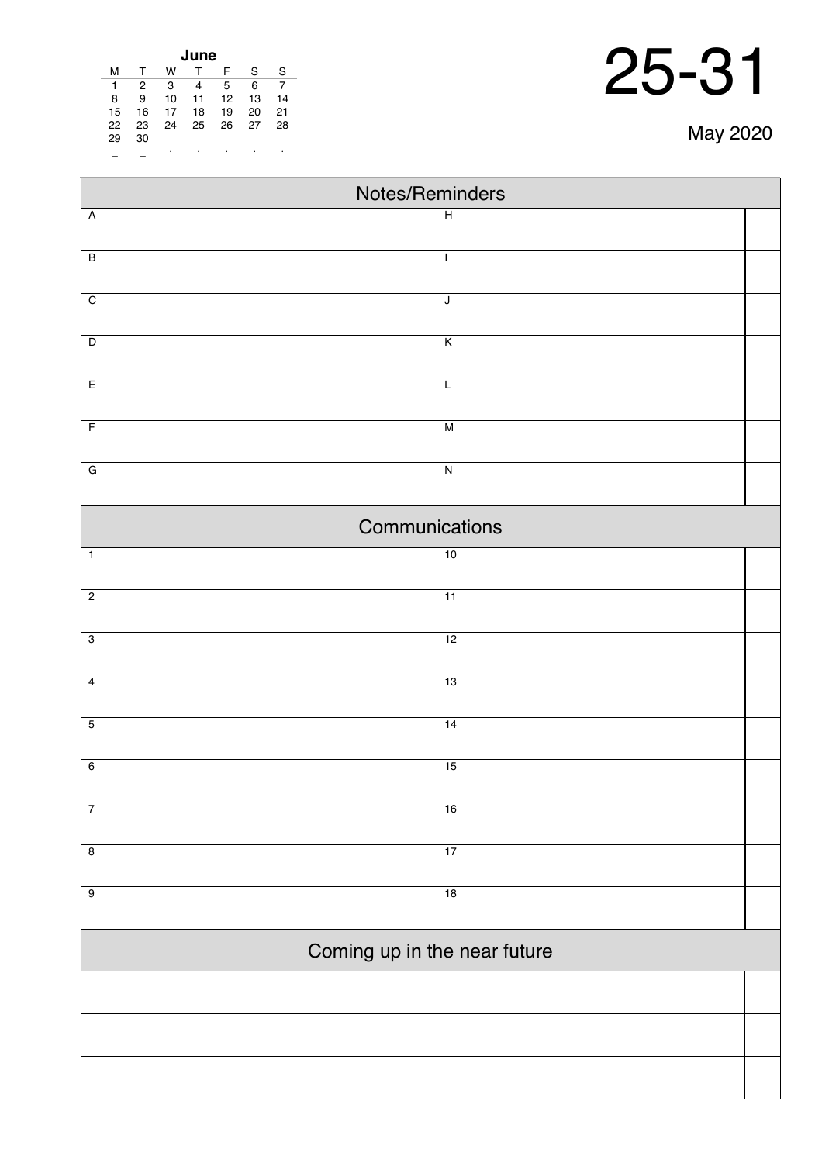| lune |    |    |    |    |    |    |  |  |  |
|------|----|----|----|----|----|----|--|--|--|
| м    |    | w  |    | F  | S  | S  |  |  |  |
| 1    | 2  | 3  | 4  | 5  | 6  |    |  |  |  |
| 8    | 9  | 10 | 11 | 12 | 13 | 14 |  |  |  |
| 15   | 16 | 17 | 18 | 19 | 20 | 21 |  |  |  |
| 22   | 23 | 24 | 25 | 26 | 27 | 28 |  |  |  |
| 29   | 30 |    |    |    |    |    |  |  |  |
|      |    | ٠  | ٠  | ٠  | ٠  |    |  |  |  |

| $\frac{22}{29}$         | 23<br>$30\,$ | $\bar{a}$<br>$\bullet$ | $\overline{\phantom{a}}$ | 24  25  26  27  28 | エーエーエ |  |  |                 | May 2020 |  |
|-------------------------|--------------|------------------------|--------------------------|--------------------|-------|--|--|-----------------|----------|--|
|                         |              |                        |                          |                    |       |  |  | Notes/Reminders |          |  |
| Ā                       |              |                        |                          |                    |       |  |  | H               |          |  |
| $\overline{\mathsf{B}}$ |              |                        |                          |                    |       |  |  | -1              |          |  |
| $\overline{\rm c}$      |              |                        |                          |                    |       |  |  | J               |          |  |
| D                       |              |                        |                          |                    |       |  |  | K               |          |  |
| E                       |              |                        |                          |                    |       |  |  | L               |          |  |
| F                       |              |                        |                          |                    |       |  |  | M               |          |  |
| G                       |              |                        |                          |                    |       |  |  | N               |          |  |
|                         |              |                        |                          |                    |       |  |  | Communications  |          |  |
| $\overline{1}$          |              |                        |                          |                    |       |  |  | 10              |          |  |

| $\mathbf{1}$            | 10 |
|-------------------------|----|
| $\overline{2}$          | 11 |
| $\overline{3}$          | 12 |
| $\overline{4}$          | 13 |
| $\overline{5}$          | 14 |
| 6                       | 15 |
| $\overline{7}$          | 16 |
| $\overline{\mathbf{8}}$ | 17 |
| $\overline{9}$          | 18 |
|                         |    |

### Coming up in the near future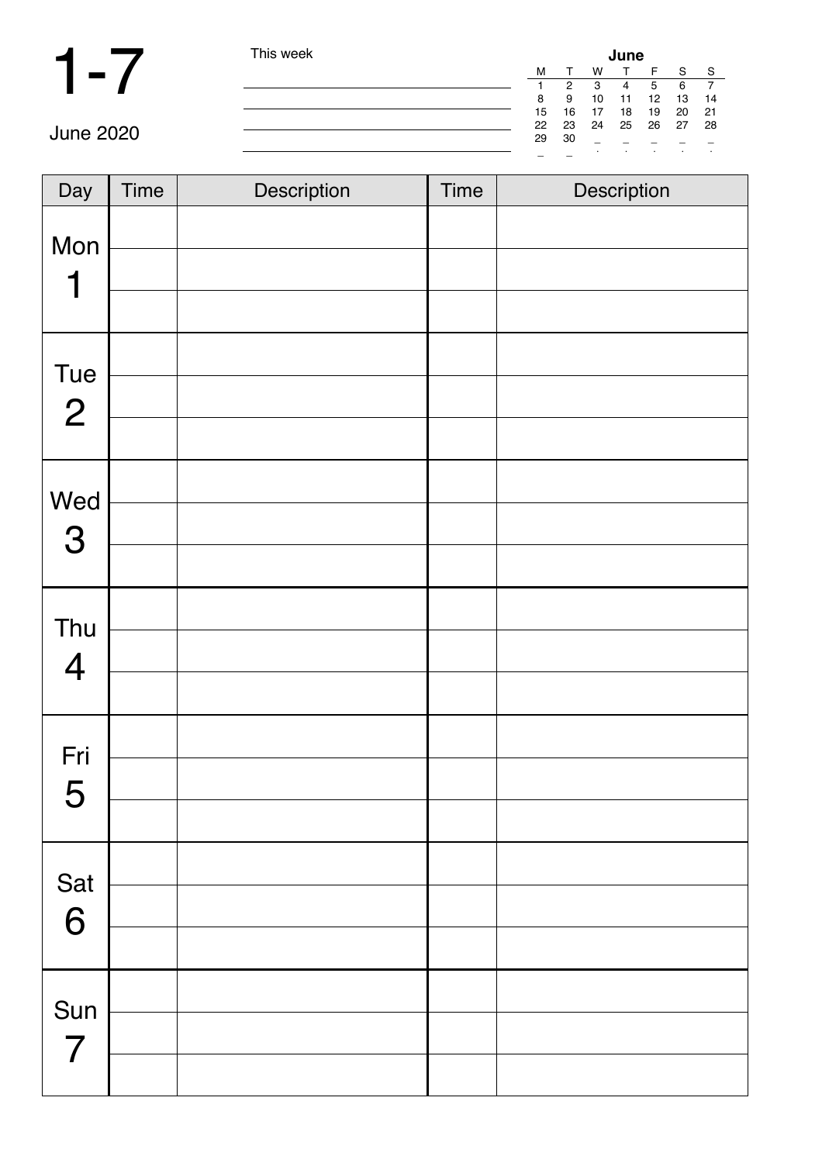| This week | June |    |         |    |    |         |     |  |
|-----------|------|----|---------|----|----|---------|-----|--|
|           | M    |    | w       |    | F  | S       | S   |  |
|           |      | 2  | 3       | 4  | 5  | 6       |     |  |
|           | 8    | 9  | 10      | 11 | 12 | 13      | 14  |  |
|           | 15   | 16 | 17      | 18 | 19 | 20      | -21 |  |
|           | 22   | 23 | 24      | 25 | 26 | 27      | 28  |  |
|           | 29   | 30 |         |    |    |         |     |  |
|           |      |    | $\cdot$ |    |    | $\cdot$ | ٠   |  |

| Day                   | Time | Description | <b>Time</b> | Description |
|-----------------------|------|-------------|-------------|-------------|
| Mon<br>1              |      |             |             |             |
| Tue<br>$\overline{2}$ |      |             |             |             |
| Wed<br>3              |      |             |             |             |
| Thu<br>$\overline{4}$ |      |             |             |             |
| Fri<br>5              |      |             |             |             |
| Sat<br>6              |      |             |             |             |
| Sun<br>$\overline{7}$ |      |             |             |             |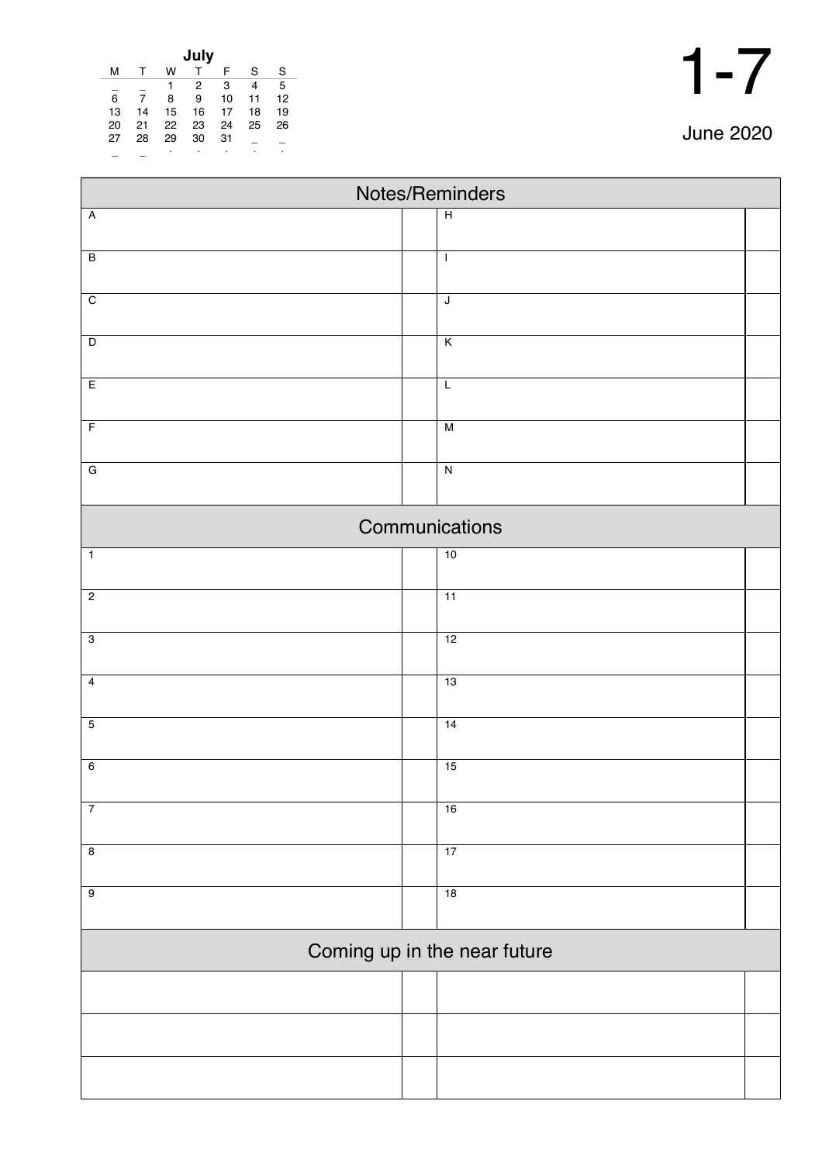| July |    |    |              |    |    |    |  |  |
|------|----|----|--------------|----|----|----|--|--|
| м    | т  | w  | $\mathsf{T}$ | F  | S  | S  |  |  |
|      |    | 1  | 2            | 3  | 4  | 5  |  |  |
| 6    | 7  | 8  | 9            | 10 | 11 | 12 |  |  |
| 13   | 14 | 15 | 16           | 17 | 18 | 19 |  |  |
| 20   | 21 | 22 | 23           | 24 | 25 | 26 |  |  |
| 27   | 28 | 29 | 30           | 31 |    |    |  |  |
|      |    | ٠  |              | ٠  |    | ٠  |  |  |

| 1<br>I |  |
|--------|--|
|--------|--|

| Notes/Reminders              |  |                         |  |  |  |  |  |
|------------------------------|--|-------------------------|--|--|--|--|--|
| $\overline{A}$               |  | $\overline{H}$          |  |  |  |  |  |
| $\overline{B}$               |  | $\mathbf{I}$            |  |  |  |  |  |
|                              |  |                         |  |  |  |  |  |
| $\overline{C}$               |  | $\overline{\mathsf{I}}$ |  |  |  |  |  |
| $\overline{D}$               |  | $\overline{\mathsf{K}}$ |  |  |  |  |  |
| $\overline{E}$               |  | $\overline{L}$          |  |  |  |  |  |
| $\overline{F}$               |  | M                       |  |  |  |  |  |
| $\overline{G}$               |  | $\overline{\mathbf{z}}$ |  |  |  |  |  |
|                              |  |                         |  |  |  |  |  |
|                              |  | Communications          |  |  |  |  |  |
| $\mathbf{1}$                 |  | 10                      |  |  |  |  |  |
| $\overline{2}$               |  | $\overline{11}$         |  |  |  |  |  |
| $\overline{3}$               |  | 12                      |  |  |  |  |  |
| $\overline{4}$               |  | 13                      |  |  |  |  |  |
| $\overline{5}$               |  | 14                      |  |  |  |  |  |
| $\overline{6}$               |  | 15                      |  |  |  |  |  |
| $\overline{7}$               |  | 16                      |  |  |  |  |  |
| $\overline{8}$               |  | 17                      |  |  |  |  |  |
| $\overline{9}$               |  | 18                      |  |  |  |  |  |
|                              |  |                         |  |  |  |  |  |
| Coming up in the near future |  |                         |  |  |  |  |  |
|                              |  |                         |  |  |  |  |  |
|                              |  |                         |  |  |  |  |  |
|                              |  |                         |  |  |  |  |  |
|                              |  |                         |  |  |  |  |  |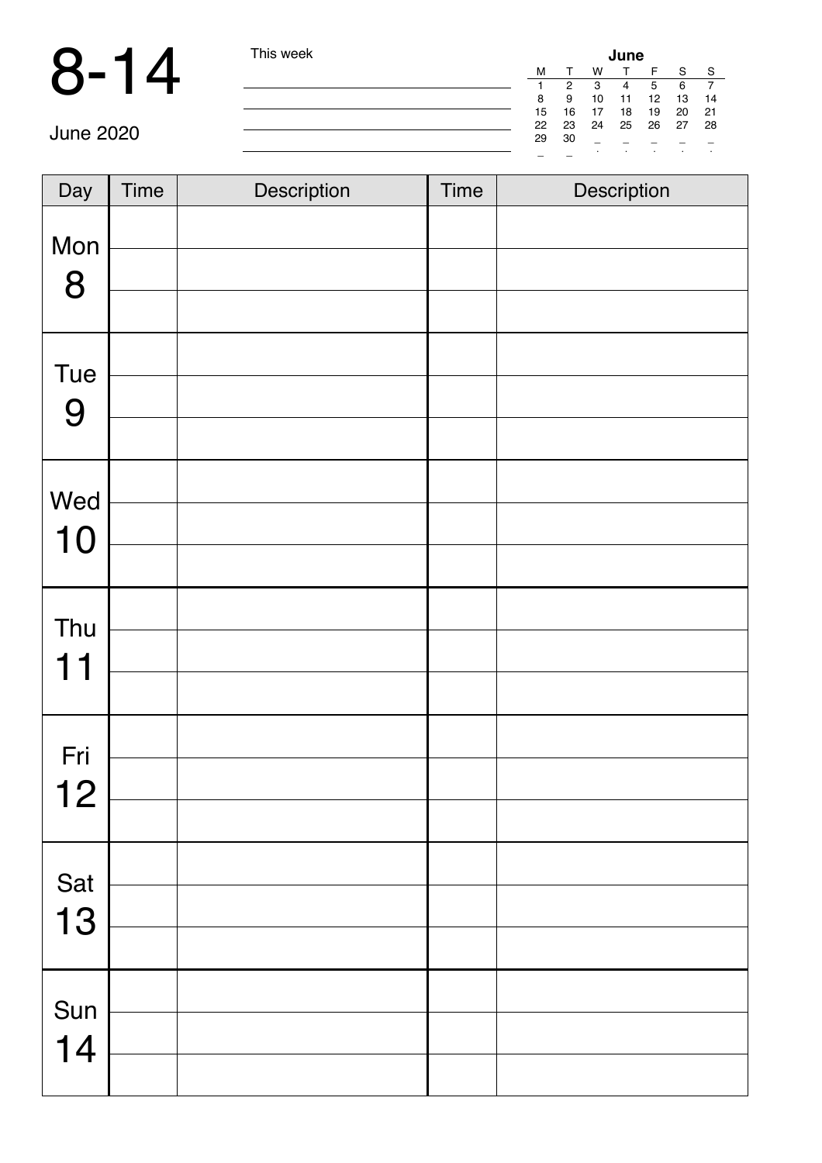$\mathbb{R}$ 

| is week |    |    |    | June    |    |         |    |  |
|---------|----|----|----|---------|----|---------|----|--|
|         | M  |    | w  |         | F  | S       | S  |  |
|         |    | 2  | 3  | 4       | 5  | 6       |    |  |
|         | 8  | 9  | 10 | 11      | 12 | 13      | 14 |  |
|         | 15 | 16 | 17 | 18      | 19 | 20      | 21 |  |
|         | 22 | 23 | 24 | 25      | 26 | 27      | 28 |  |
|         | 29 | 30 |    |         |    |         |    |  |
|         |    |    | ٠  | $\cdot$ | ٠  | $\cdot$ |    |  |

| Day       | <b>Time</b> | Description | Time | Description |
|-----------|-------------|-------------|------|-------------|
| Mon<br>8  |             |             |      |             |
|           |             |             |      |             |
| Tue       |             |             |      |             |
| 9         |             |             |      |             |
|           |             |             |      |             |
| Wed       |             |             |      |             |
| 10        |             |             |      |             |
|           |             |             |      |             |
| Thu       |             |             |      |             |
| 11        |             |             |      |             |
|           |             |             |      |             |
| Fri       |             |             |      |             |
| 12        |             |             |      |             |
|           |             |             |      |             |
|           |             |             |      |             |
| Sat<br>13 |             |             |      |             |
|           |             |             |      |             |
| Sun       |             |             |      |             |
| 14        |             |             |      |             |
|           |             |             |      |             |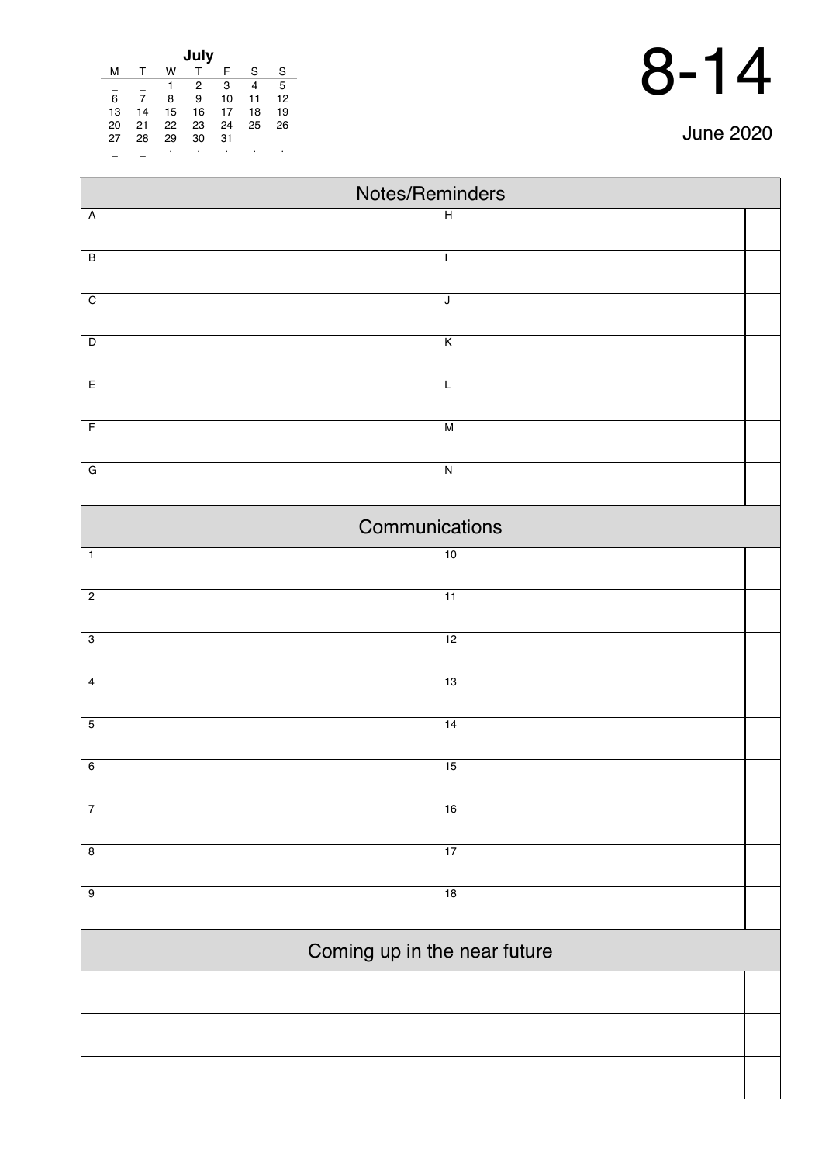| <b>June 2020</b> |  |
|------------------|--|
|------------------|--|

| July |    |    |    |    |    |    |  |  |
|------|----|----|----|----|----|----|--|--|
| м    |    | w  |    | F  | S  | S  |  |  |
|      |    | 1  | 2  | 3  | 4  | 5  |  |  |
| 6    |    | 8  | 9  | 10 | 11 | 12 |  |  |
| 13   | 14 | 15 | 16 | 17 | 18 | 19 |  |  |
| 20   | 21 | 22 | 23 | 24 | 25 | 26 |  |  |
| 27   | 28 | 29 | 30 | 31 |    |    |  |  |
|      |    | ٠  | ٠  | ٠  |    |    |  |  |

| Notes/Reminders              |  |                         |  |  |  |  |
|------------------------------|--|-------------------------|--|--|--|--|
| $\overline{\mathsf{A}}$      |  | $\overline{H}$          |  |  |  |  |
|                              |  |                         |  |  |  |  |
| $\overline{B}$               |  | $\mathbf{I}$            |  |  |  |  |
| $\overline{C}$               |  | $\overline{\mathsf{J}}$ |  |  |  |  |
|                              |  |                         |  |  |  |  |
| $\overline{D}$               |  | $\overline{\mathsf{K}}$ |  |  |  |  |
| $\overline{E}$               |  | $\overline{L}$          |  |  |  |  |
| $\overline{F}$               |  | M                       |  |  |  |  |
| $\overline{G}$               |  | $\overline{N}$          |  |  |  |  |
|                              |  |                         |  |  |  |  |
|                              |  | Communications          |  |  |  |  |
| $\overline{1}$               |  | 10                      |  |  |  |  |
| $\overline{c}$               |  | $\overline{11}$         |  |  |  |  |
| $\overline{3}$               |  | 12                      |  |  |  |  |
|                              |  |                         |  |  |  |  |
| $\overline{4}$               |  | 13                      |  |  |  |  |
| $\overline{5}$               |  | 14                      |  |  |  |  |
|                              |  |                         |  |  |  |  |
| $6\overline{6}$              |  | 15                      |  |  |  |  |
| $\overline{7}$               |  | 16                      |  |  |  |  |
| $\overline{\mathbf{8}}$      |  | 17                      |  |  |  |  |
| $\overline{9}$               |  | 18                      |  |  |  |  |
|                              |  |                         |  |  |  |  |
| Coming up in the near future |  |                         |  |  |  |  |
|                              |  |                         |  |  |  |  |
|                              |  |                         |  |  |  |  |
|                              |  |                         |  |  |  |  |
|                              |  |                         |  |  |  |  |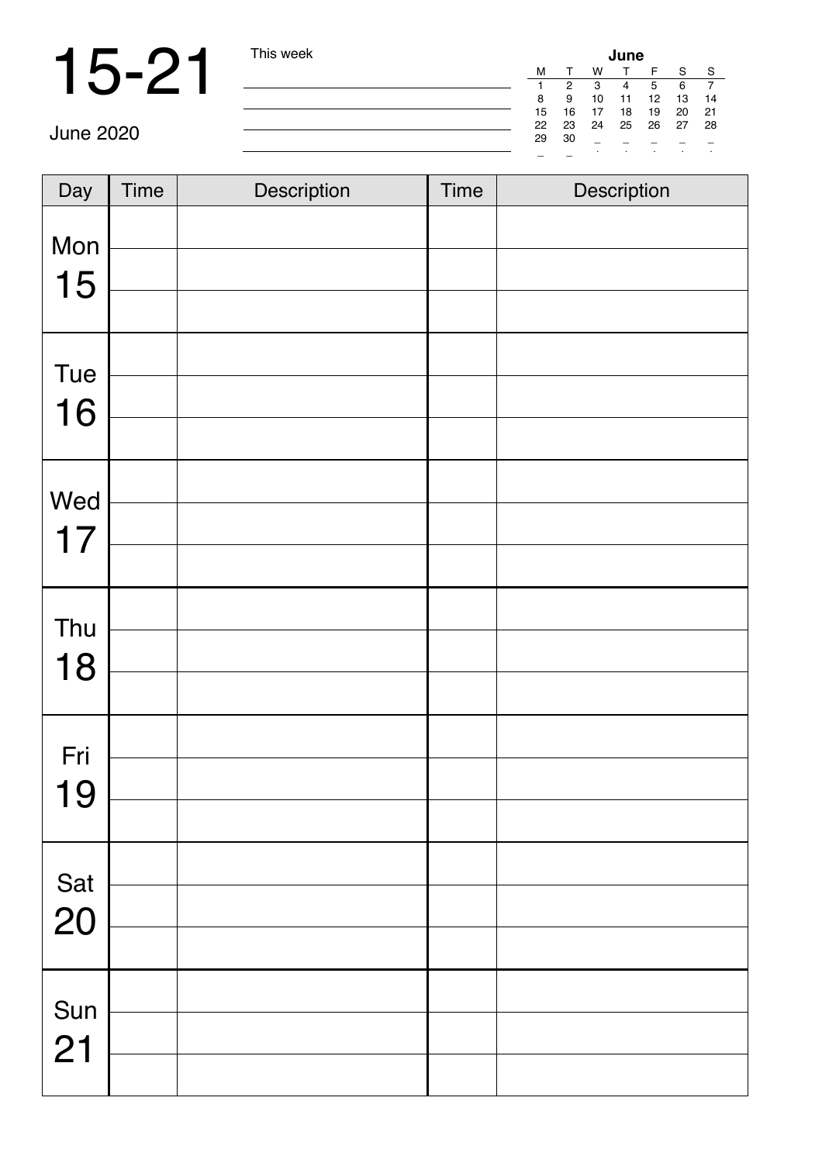|    |    |    | June |                 |    |    |
|----|----|----|------|-----------------|----|----|
| М  | т  | w  |      | F               | S  | S  |
|    | 2  | 3  | 4    | 5               | 6  |    |
| 8  | 9  | 10 | 11   | 12 <sup>2</sup> | 13 | 14 |
| 15 | 16 | 17 | 18   | 19              | 20 | 21 |
| 22 | 23 | 24 | 25   | 26              | 27 | 28 |
| 29 | 30 |    |      |                 |    |    |
|    |    | ٠  | ٠    | ٠               | ٠  | ٠  |

| Day       | <b>Time</b> | Description | <b>Time</b> | Description |
|-----------|-------------|-------------|-------------|-------------|
| Mon<br>15 |             |             |             |             |
|           |             |             |             |             |
| Tue       |             |             |             |             |
| 16        |             |             |             |             |
|           |             |             |             |             |
| Wed       |             |             |             |             |
| 17        |             |             |             |             |
|           |             |             |             |             |
| Thu       |             |             |             |             |
| 18        |             |             |             |             |
|           |             |             |             |             |
| Fri       |             |             |             |             |
| 19        |             |             |             |             |
|           |             |             |             |             |
|           |             |             |             |             |
| Sat<br>20 |             |             |             |             |
|           |             |             |             |             |
| Sun       |             |             |             |             |
| 21        |             |             |             |             |
|           |             |             |             |             |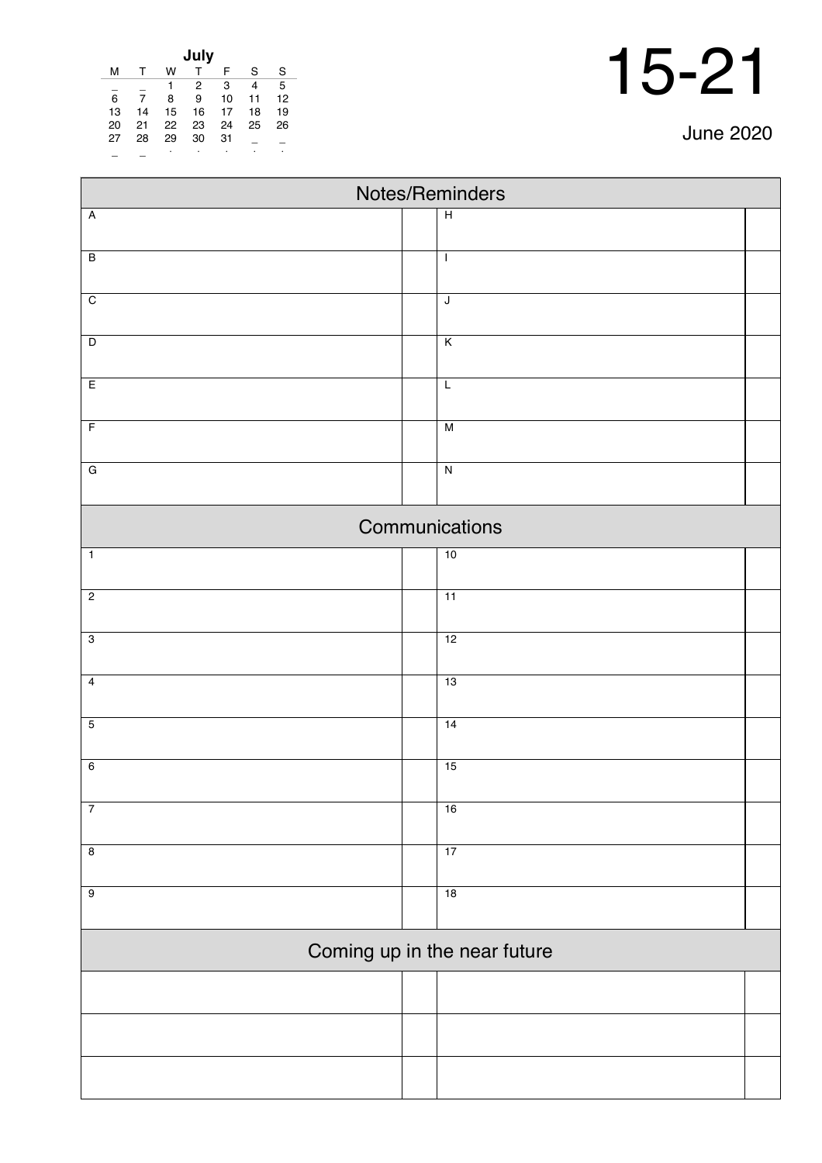| <b>June 2020</b> |  |
|------------------|--|
|------------------|--|

| July |    |    |    |    |    |    |  |
|------|----|----|----|----|----|----|--|
| м    | т  | w  |    | F  | S  | S  |  |
|      |    | 1  | 2  | 3  | 4  | 5  |  |
| 6    | 7  | 8  | 9  | 10 | 11 | 12 |  |
| 13   | 14 | 15 | 16 | 17 | 18 | 19 |  |
| 20   | 21 | 22 | 23 | 24 | 25 | 26 |  |
| 27   | 28 | 29 | 30 | 31 |    |    |  |
|      |    | ٠  | ٠  | ٠  |    | ٠  |  |

| Notes/Reminders         |                              |  |  |  |  |
|-------------------------|------------------------------|--|--|--|--|
| $\overline{A}$          | $\overline{H}$               |  |  |  |  |
|                         |                              |  |  |  |  |
| $\overline{B}$          | $\mathsf{I}$                 |  |  |  |  |
| $\overline{C}$          | $\overline{\mathsf{J}}$      |  |  |  |  |
|                         |                              |  |  |  |  |
| $\overline{D}$          | $\overline{\mathsf{K}}$      |  |  |  |  |
| E                       | L                            |  |  |  |  |
| $\overline{F}$          | M                            |  |  |  |  |
|                         |                              |  |  |  |  |
| $\overline{G}$          | $\overline{\mathsf{N}}$      |  |  |  |  |
|                         | Communications               |  |  |  |  |
| $\mathbf 1$             | 10                           |  |  |  |  |
| $\overline{2}$          | $\overline{11}$              |  |  |  |  |
|                         |                              |  |  |  |  |
| $\overline{3}$          | 12                           |  |  |  |  |
| $\overline{4}$          | 13                           |  |  |  |  |
| $\overline{5}$          | 14                           |  |  |  |  |
| $6\overline{6}$         | 15                           |  |  |  |  |
|                         |                              |  |  |  |  |
| $\overline{7}$          | 16                           |  |  |  |  |
| $\overline{\mathbf{8}}$ | 17                           |  |  |  |  |
| $\overline{9}$          | 18                           |  |  |  |  |
|                         |                              |  |  |  |  |
|                         | Coming up in the near future |  |  |  |  |
|                         |                              |  |  |  |  |
|                         |                              |  |  |  |  |
|                         |                              |  |  |  |  |
|                         |                              |  |  |  |  |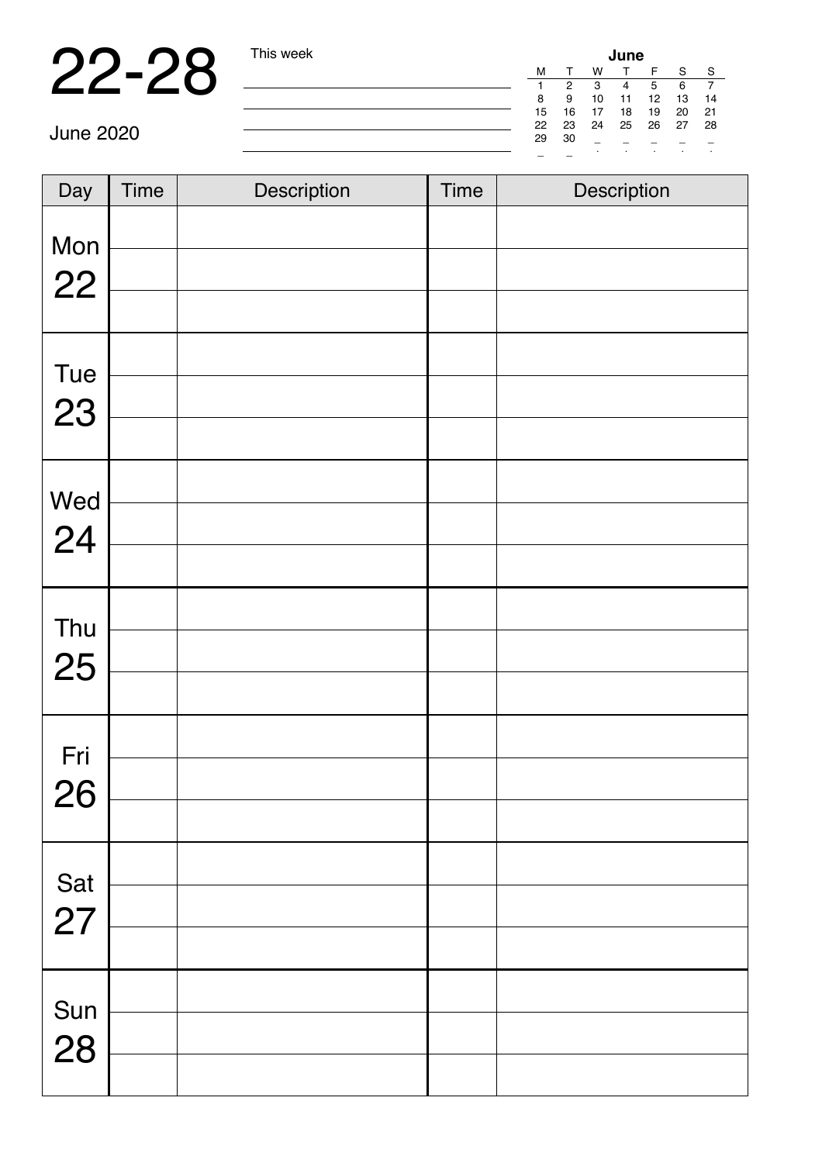### 22-28 This week

| June |    |    |    |    |    |    |  |
|------|----|----|----|----|----|----|--|
| м    |    | w  |    | F  | S  | S  |  |
|      | 2  | 3  | 4  | 5  | 6  |    |  |
| 8    | 9  | 10 | 11 | 12 | 13 | 14 |  |
| 15   | 16 | 17 | 18 | 19 | 20 | 21 |  |
| 22   | 23 | 24 | 25 | 26 | 27 | 28 |  |
| 29   | 30 |    |    |    |    |    |  |
|      |    | ٠  | ٠  | ٠  | ٠  | ٠  |  |

| Day       | <b>Time</b> | Description | <b>Time</b> | Description |
|-----------|-------------|-------------|-------------|-------------|
|           |             |             |             |             |
| Mon<br>22 |             |             |             |             |
|           |             |             |             |             |
| Tue       |             |             |             |             |
| 23        |             |             |             |             |
|           |             |             |             |             |
|           |             |             |             |             |
| Wed<br>24 |             |             |             |             |
|           |             |             |             |             |
|           |             |             |             |             |
| Thu<br>25 |             |             |             |             |
|           |             |             |             |             |
| Fri       |             |             |             |             |
| 26        |             |             |             |             |
|           |             |             |             |             |
|           |             |             |             |             |
| Sat<br>27 |             |             |             |             |
|           |             |             |             |             |
| Sun       |             |             |             |             |
| 28        |             |             |             |             |
|           |             |             |             |             |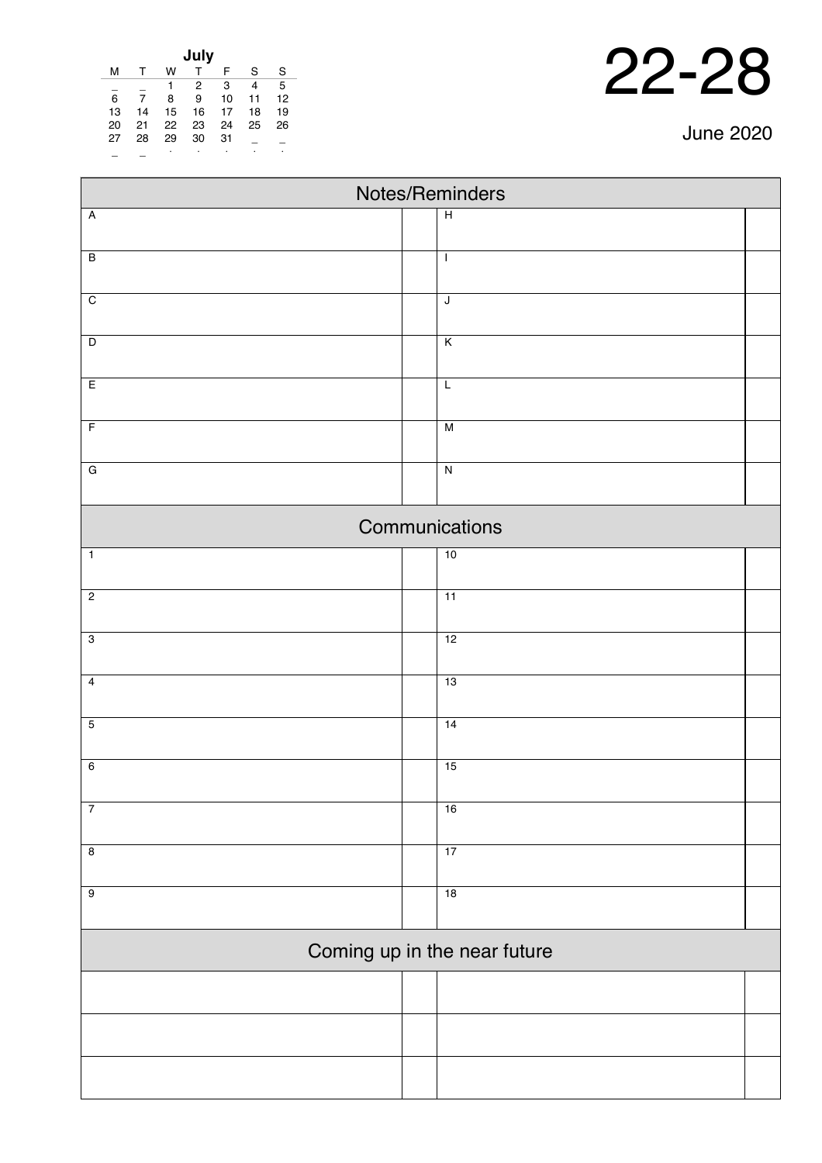| <b>June 2020</b> |  |
|------------------|--|
|------------------|--|

J.

| July |    |    |    |    |    |    |  |
|------|----|----|----|----|----|----|--|
| м    | т  | w  | т  | F  | S  | S  |  |
|      |    |    | 2  | 3  | 4  | 5  |  |
| 6    | 7  | 8  | 9  | 10 | 11 | 12 |  |
| 13   | 14 | 15 | 16 | 17 | 18 | 19 |  |
| 20   | 21 | 22 | 23 | 24 | 25 | 26 |  |
| 27   | 28 | 29 | 30 | 31 |    |    |  |
|      |    | ٠  |    |    |    | ٠  |  |

| Notes/Reminders |                         |                              |  |  |  |
|-----------------|-------------------------|------------------------------|--|--|--|
| $\overline{A}$  | $\overline{H}$          |                              |  |  |  |
|                 |                         |                              |  |  |  |
| $\overline{B}$  | $\mathbf{I}$            |                              |  |  |  |
| $\overline{C}$  | $\overline{\mathsf{J}}$ |                              |  |  |  |
|                 |                         |                              |  |  |  |
| $\overline{D}$  | $\overline{\mathsf{K}}$ |                              |  |  |  |
| E               | $\mathsf L$             |                              |  |  |  |
| $\overline{F}$  | M                       |                              |  |  |  |
|                 |                         |                              |  |  |  |
| $\overline{G}$  | $\overline{N}$          |                              |  |  |  |
|                 | Communications          |                              |  |  |  |
| $\overline{1}$  | 10                      |                              |  |  |  |
| $\overline{c}$  | $\overline{11}$         |                              |  |  |  |
|                 |                         |                              |  |  |  |
| $\overline{3}$  | 12                      |                              |  |  |  |
| $\overline{4}$  | $\overline{13}$         |                              |  |  |  |
| $\overline{5}$  | 14                      |                              |  |  |  |
|                 |                         |                              |  |  |  |
| $\overline{6}$  | 15                      |                              |  |  |  |
| $\overline{7}$  | 16                      |                              |  |  |  |
|                 |                         |                              |  |  |  |
| $\overline{8}$  | 17                      |                              |  |  |  |
| $\overline{9}$  | 18                      |                              |  |  |  |
|                 |                         |                              |  |  |  |
|                 |                         | Coming up in the near future |  |  |  |
|                 |                         |                              |  |  |  |
|                 |                         |                              |  |  |  |
|                 |                         |                              |  |  |  |
|                 |                         |                              |  |  |  |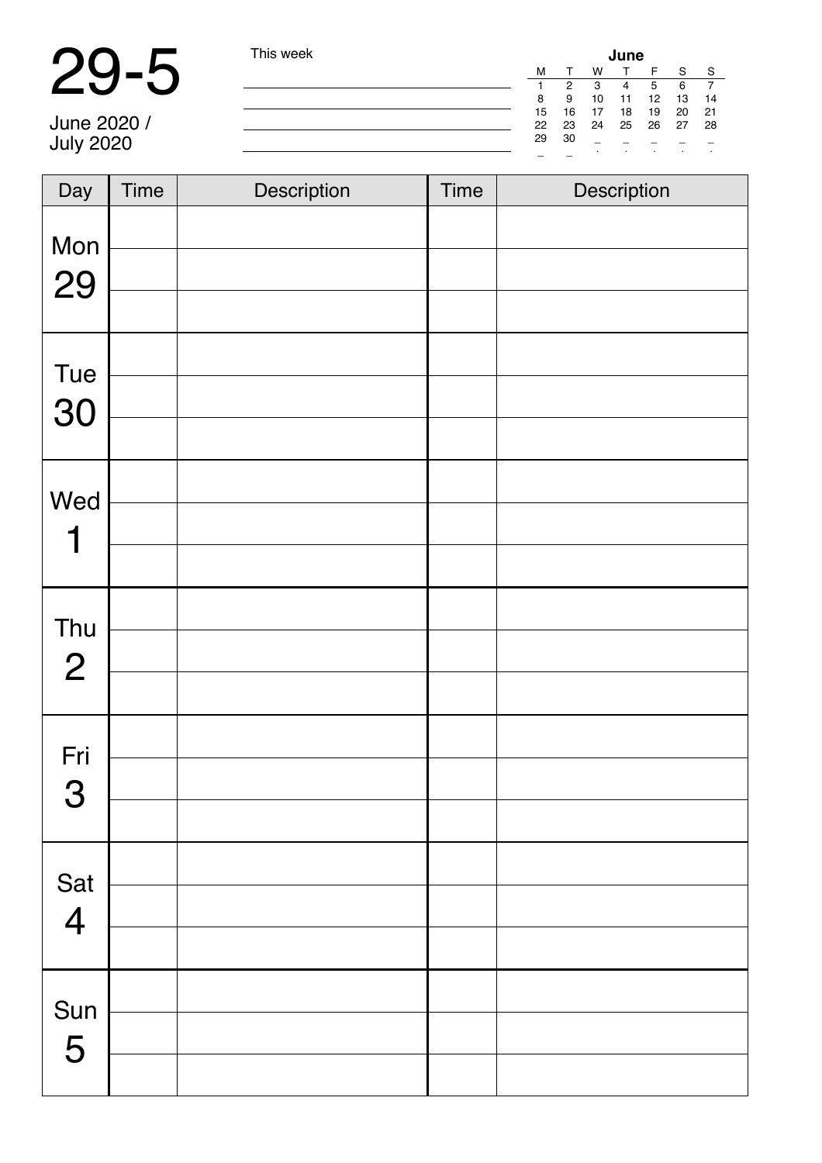# 29-5 This week

| his week |    |    |    | June |       |    |         |
|----------|----|----|----|------|-------|----|---------|
|          | М  |    | w  |      | F     | S  | -S      |
|          |    | 2  | 3  | 4    | 5     | 6  |         |
|          | 8  | 9  | 10 | 11   | 12    | 13 | 14      |
|          | 15 | 16 | 17 | 18   | 19    | 20 | - 21    |
|          | 22 | 23 | 24 |      | 25 26 | 27 | 28      |
|          | 29 | 30 |    |      |       |    |         |
|          |    |    |    | ٠    | ٠     | ٠  | $\cdot$ |

June 2020 / July 2020

| Day                   | Time | Description | <b>Time</b> | Description |
|-----------------------|------|-------------|-------------|-------------|
| Mon                   |      |             |             |             |
| 29                    |      |             |             |             |
|                       |      |             |             |             |
| Tue                   |      |             |             |             |
| 30                    |      |             |             |             |
|                       |      |             |             |             |
| Wed                   |      |             |             |             |
| 1                     |      |             |             |             |
|                       |      |             |             |             |
|                       |      |             |             |             |
| Thu<br>$\overline{2}$ |      |             |             |             |
|                       |      |             |             |             |
| Fri                   |      |             |             |             |
| 3                     |      |             |             |             |
|                       |      |             |             |             |
|                       |      |             |             |             |
| Sat<br>4              |      |             |             |             |
|                       |      |             |             |             |
|                       |      |             |             |             |
| Sun<br>5              |      |             |             |             |
|                       |      |             |             |             |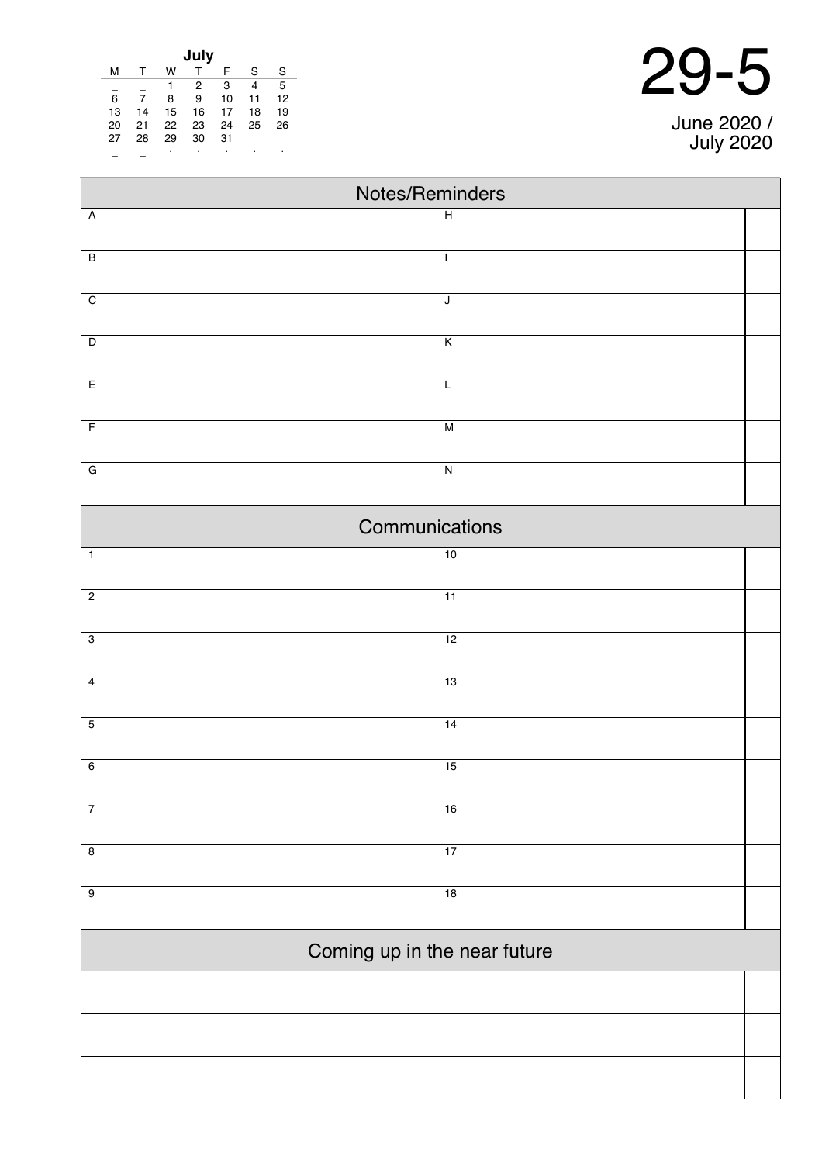| July |    |    |    |    |    |    |
|------|----|----|----|----|----|----|
| м    |    | w  |    | F  | S  | S  |
|      |    | 1  | 2  | 3  | 4  | 5  |
| 6    |    | 8  | 9  | 10 | 11 | 12 |
| 13   | 14 | 15 | 16 | 17 | 18 | 19 |
| 20   | 21 | 22 | 23 | 24 | 25 | 26 |
| 27   | 28 | 29 | 30 | 31 |    |    |
|      |    | ٠  | ٠  |    |    | ٠  |

| $29 - 5$ |  |
|----------|--|
|          |  |

June 2020 / July 2020

| Notes/Reminders              |                         |  |  |  |  |
|------------------------------|-------------------------|--|--|--|--|
| $\overline{A}$               | $\overline{H}$          |  |  |  |  |
|                              |                         |  |  |  |  |
| $\overline{B}$               | $\mathbf{I}$            |  |  |  |  |
| $\overline{C}$               | $\overline{\mathsf{I}}$ |  |  |  |  |
|                              |                         |  |  |  |  |
| $\overline{D}$               | $\overline{K}$          |  |  |  |  |
|                              |                         |  |  |  |  |
| $\overline{E}$               | $\overline{L}$          |  |  |  |  |
| $\overline{F}$               | $\overline{M}$          |  |  |  |  |
|                              |                         |  |  |  |  |
| $\overline{G}$               | $\overline{N}$          |  |  |  |  |
|                              | Communications          |  |  |  |  |
| $\mathbf{1}$                 | 10                      |  |  |  |  |
| $\overline{2}$               | $\overline{11}$         |  |  |  |  |
| $\overline{3}$               | 12                      |  |  |  |  |
|                              |                         |  |  |  |  |
| $\overline{4}$               | 13                      |  |  |  |  |
|                              |                         |  |  |  |  |
| $\overline{5}$               | 14                      |  |  |  |  |
| $\overline{6}$               | 15                      |  |  |  |  |
|                              |                         |  |  |  |  |
| $\overline{7}$               | 16                      |  |  |  |  |
| $\overline{\mathbf{8}}$      | 17                      |  |  |  |  |
|                              |                         |  |  |  |  |
| $\overline{9}$               | 18                      |  |  |  |  |
| Coming up in the near future |                         |  |  |  |  |
|                              |                         |  |  |  |  |
|                              |                         |  |  |  |  |
|                              |                         |  |  |  |  |
|                              |                         |  |  |  |  |
|                              |                         |  |  |  |  |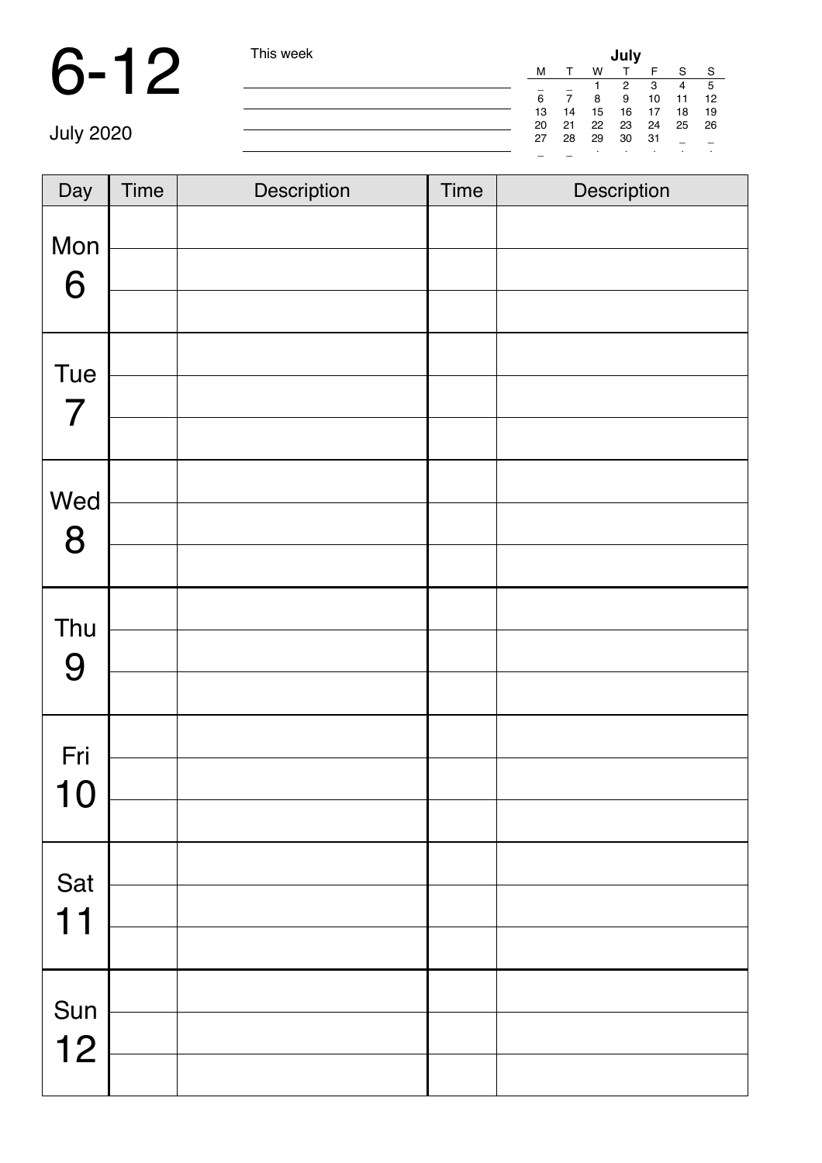|                  | This week | July |    |    |    |     |    |              |  |  |
|------------------|-----------|------|----|----|----|-----|----|--------------|--|--|
|                  |           | M    |    | W  |    |     |    | $\mathbf{C}$ |  |  |
|                  |           | -    |    |    | 2  | 3   | 4  | 5            |  |  |
|                  |           | 6    |    | 8  | 9  | 10  | 11 | 12           |  |  |
|                  |           | 13   | 14 | 15 | 16 | 17  | 18 | 19           |  |  |
|                  |           | 20   | 21 | 22 | 23 | 24  | 25 | - 26         |  |  |
| <b>July 2020</b> |           | 27   | 28 | 29 | 30 | -31 |    |              |  |  |
|                  |           | -    |    |    |    |     |    |              |  |  |

| Day                   | <b>Time</b> | Description | Time | Description |
|-----------------------|-------------|-------------|------|-------------|
| Mon<br>6              |             |             |      |             |
| Tue<br>$\overline{7}$ |             |             |      |             |
| Wed<br>8              |             |             |      |             |
| Thu<br>9              |             |             |      |             |
| Fri<br>10             |             |             |      |             |
| Sat<br>11             |             |             |      |             |
| Sun<br>12             |             |             |      |             |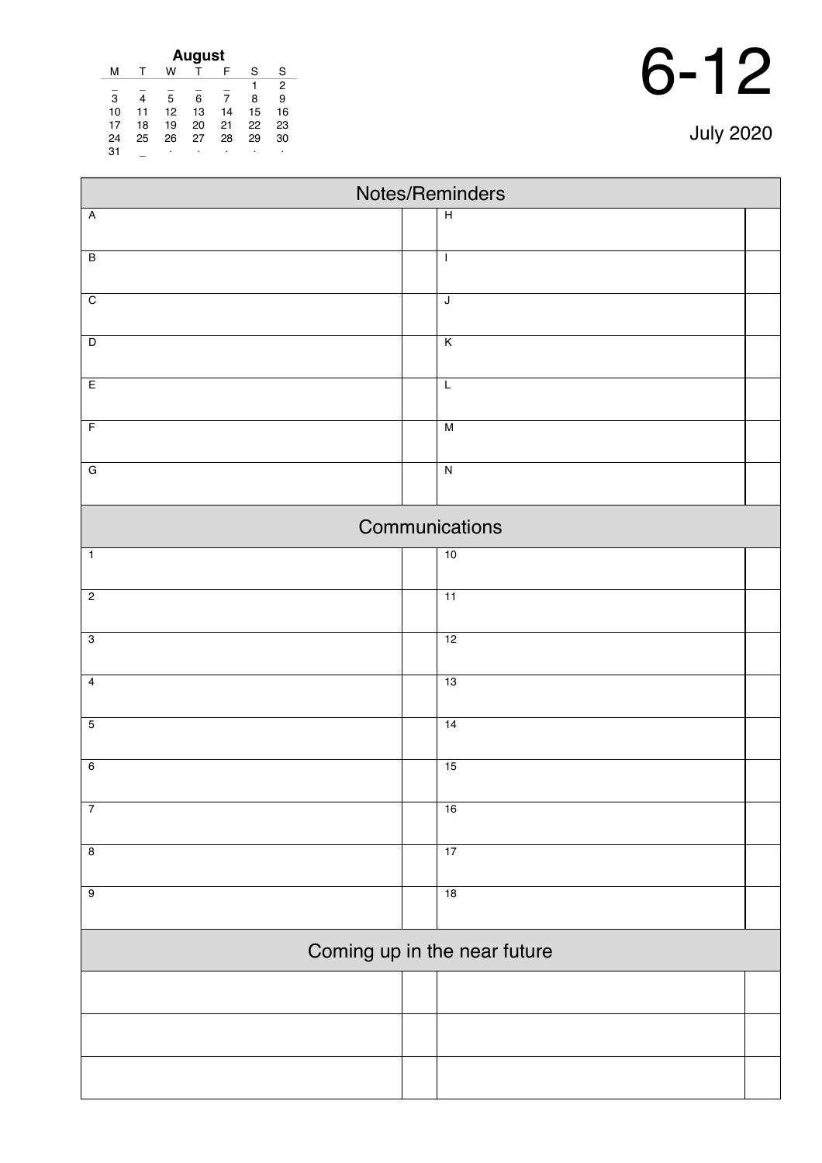| 6- |  | 12 |
|----|--|----|
|----|--|----|

|  |  |  | <b>July 2020</b> |  |
|--|--|--|------------------|--|
|--|--|--|------------------|--|

| <b>August</b> |    |    |    |    |    |    |  |
|---------------|----|----|----|----|----|----|--|
| м             |    | w  |    | F  | S  | S  |  |
|               |    |    |    |    |    | 2  |  |
| 3             |    | 5  | 6  |    | 8  | 9  |  |
| 10            | 11 | 12 | 13 | 14 | 15 | 16 |  |
| 17            | 18 | 19 | 20 | 21 | 22 | 23 |  |
| 24            | 25 | 26 | 27 | 28 | 29 | 30 |  |
| 31            |    | ٠  | ٠  | ٠  | ٠  | ٠  |  |

| Notes/Reminders              |  |                         |  |  |  |
|------------------------------|--|-------------------------|--|--|--|
| $\overline{A}$               |  | $\overline{H}$          |  |  |  |
|                              |  |                         |  |  |  |
| $\overline{B}$               |  | $\mathbf{I}$            |  |  |  |
| $\overline{C}$               |  | $\mathsf J$             |  |  |  |
|                              |  |                         |  |  |  |
| $\overline{D}$               |  | $\overline{\mathsf{K}}$ |  |  |  |
| E                            |  | $\overline{L}$          |  |  |  |
| $\overline{F}$               |  | M                       |  |  |  |
| $\overline{G}$               |  | $\overline{N}$          |  |  |  |
|                              |  |                         |  |  |  |
|                              |  | Communications          |  |  |  |
| $\overline{1}$               |  | 10                      |  |  |  |
| $\overline{2}$               |  | 11                      |  |  |  |
| $\overline{3}$               |  | 12                      |  |  |  |
| $\overline{4}$               |  | 13                      |  |  |  |
| $\overline{5}$               |  | 14                      |  |  |  |
| $6\overline{6}$              |  | 15                      |  |  |  |
|                              |  |                         |  |  |  |
| $\overline{7}$               |  | 16                      |  |  |  |
| $\overline{8}$               |  | 17                      |  |  |  |
| $\overline{9}$               |  | 18                      |  |  |  |
|                              |  |                         |  |  |  |
| Coming up in the near future |  |                         |  |  |  |
|                              |  |                         |  |  |  |
|                              |  |                         |  |  |  |
|                              |  |                         |  |  |  |
|                              |  |                         |  |  |  |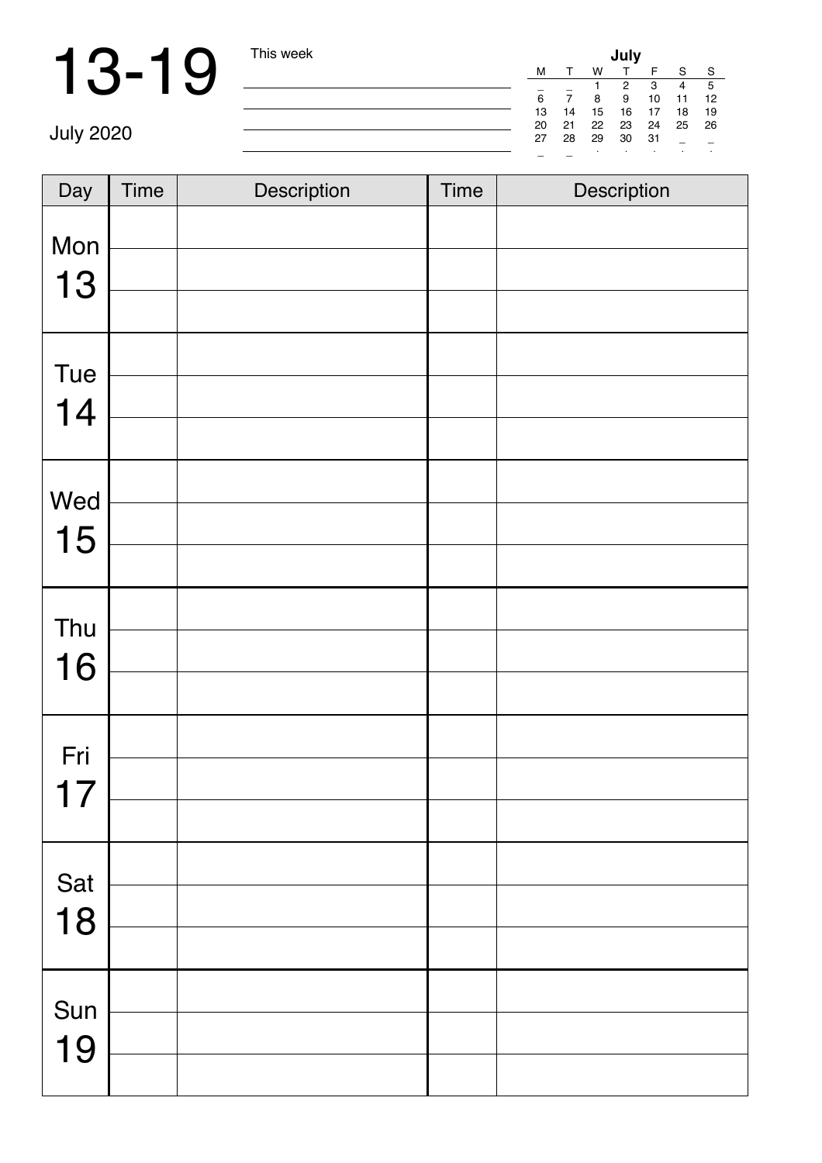|    |    |    | July |     |    |    |
|----|----|----|------|-----|----|----|
| М  | т  | w  | T    | F   | S  | -S |
|    |    | 1  | 2    | 3   | 4  | 5  |
| 6  | 7  | 8  | 9    | 10  | 11 | 12 |
| 13 | 14 | 15 | 16   | 17  | 18 | 19 |
| 20 | 21 | 22 | 23   | 24  | 25 | 26 |
| 27 | 28 | 29 | 30   | -31 |    |    |
|    |    | ٠  |      | ٠   | ٠  |    |

July 2020

| Day       | <b>Time</b> | Description | <b>Time</b> | Description |
|-----------|-------------|-------------|-------------|-------------|
| Mon<br>13 |             |             |             |             |
| Tue<br>14 |             |             |             |             |
| Wed<br>15 |             |             |             |             |
| Thu<br>16 |             |             |             |             |
| Fri<br>17 |             |             |             |             |
| Sat<br>18 |             |             |             |             |
| Sun<br>19 |             |             |             |             |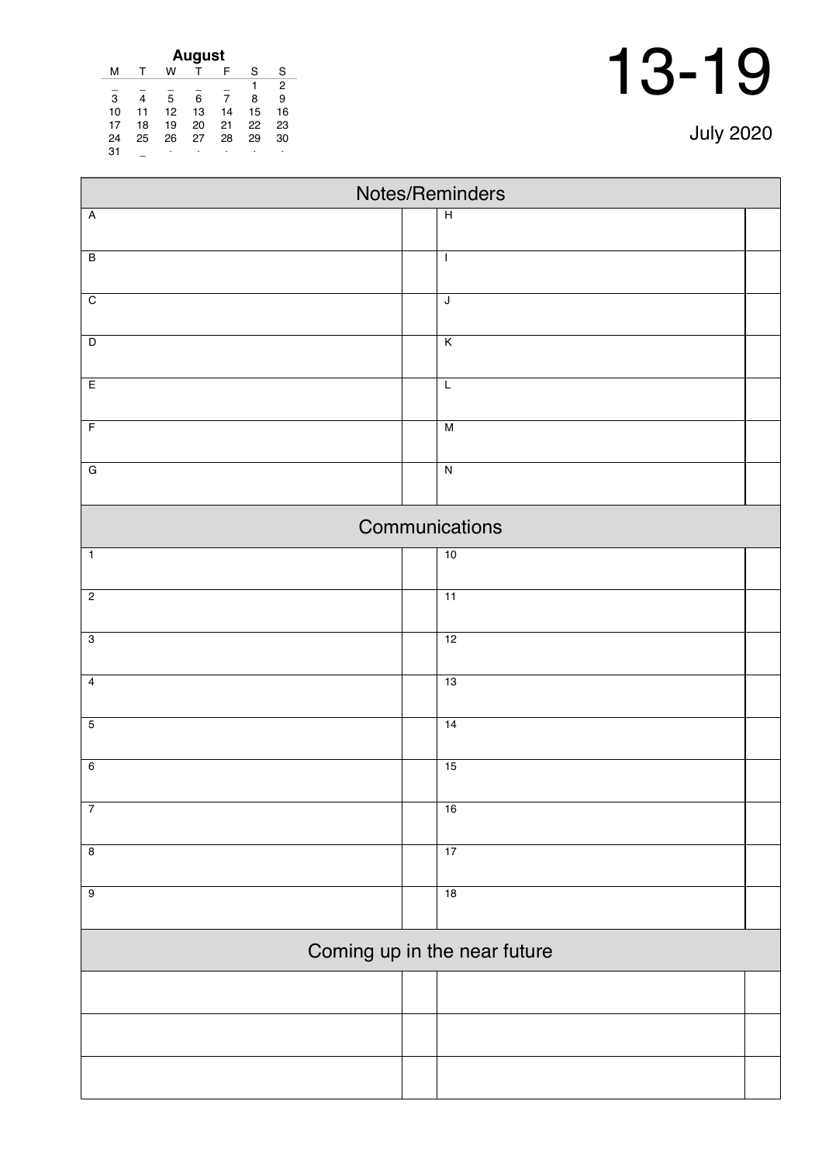| <b>July 2020</b> |  |  |
|------------------|--|--|
|                  |  |  |

| August |    |    |    |    |    |                |  |
|--------|----|----|----|----|----|----------------|--|
| м      |    | w  |    | F  | S  | S              |  |
|        |    |    |    |    | 1  | $\overline{2}$ |  |
| 3      | 4  | 5  | 6  | 7  | 8  | 9              |  |
| 10     | 11 | 12 | 13 | 14 | 15 | 16             |  |
| 17     | 18 | 19 | 20 | 21 | 22 | 23             |  |
| 24     | 25 | 26 | 27 | 28 | 29 | 30             |  |
| 31     |    | ٠  | ٠  |    |    | ٠              |  |

| Notes/Reminders              |  |                         |  |  |  |
|------------------------------|--|-------------------------|--|--|--|
| $\overline{A}$               |  | $\overline{H}$          |  |  |  |
|                              |  |                         |  |  |  |
| $\overline{B}$               |  | $\mathbf{I}$            |  |  |  |
|                              |  |                         |  |  |  |
| $\overline{C}$               |  | $\overline{\mathsf{J}}$ |  |  |  |
| $\overline{D}$               |  | $\overline{K}$          |  |  |  |
|                              |  |                         |  |  |  |
| E                            |  | $\overline{L}$          |  |  |  |
| $\overline{F}$               |  | $\overline{M}$          |  |  |  |
|                              |  |                         |  |  |  |
| $\overline{G}$               |  | $\overline{N}$          |  |  |  |
|                              |  |                         |  |  |  |
|                              |  | Communications          |  |  |  |
| $\mathbf{1}$                 |  | 10                      |  |  |  |
|                              |  |                         |  |  |  |
| $\overline{2}$               |  | $\overline{11}$         |  |  |  |
|                              |  |                         |  |  |  |
| $\overline{3}$               |  | 12                      |  |  |  |
| $\overline{4}$               |  | 13                      |  |  |  |
|                              |  |                         |  |  |  |
| $\overline{5}$               |  | 14                      |  |  |  |
|                              |  |                         |  |  |  |
| $6\overline{6}$              |  | 15                      |  |  |  |
|                              |  |                         |  |  |  |
| $\overline{7}$               |  | 16                      |  |  |  |
|                              |  |                         |  |  |  |
| $\overline{8}$               |  | 17                      |  |  |  |
| $\overline{9}$               |  | 18                      |  |  |  |
|                              |  |                         |  |  |  |
| Coming up in the near future |  |                         |  |  |  |
|                              |  |                         |  |  |  |
|                              |  |                         |  |  |  |
|                              |  |                         |  |  |  |
|                              |  |                         |  |  |  |
|                              |  |                         |  |  |  |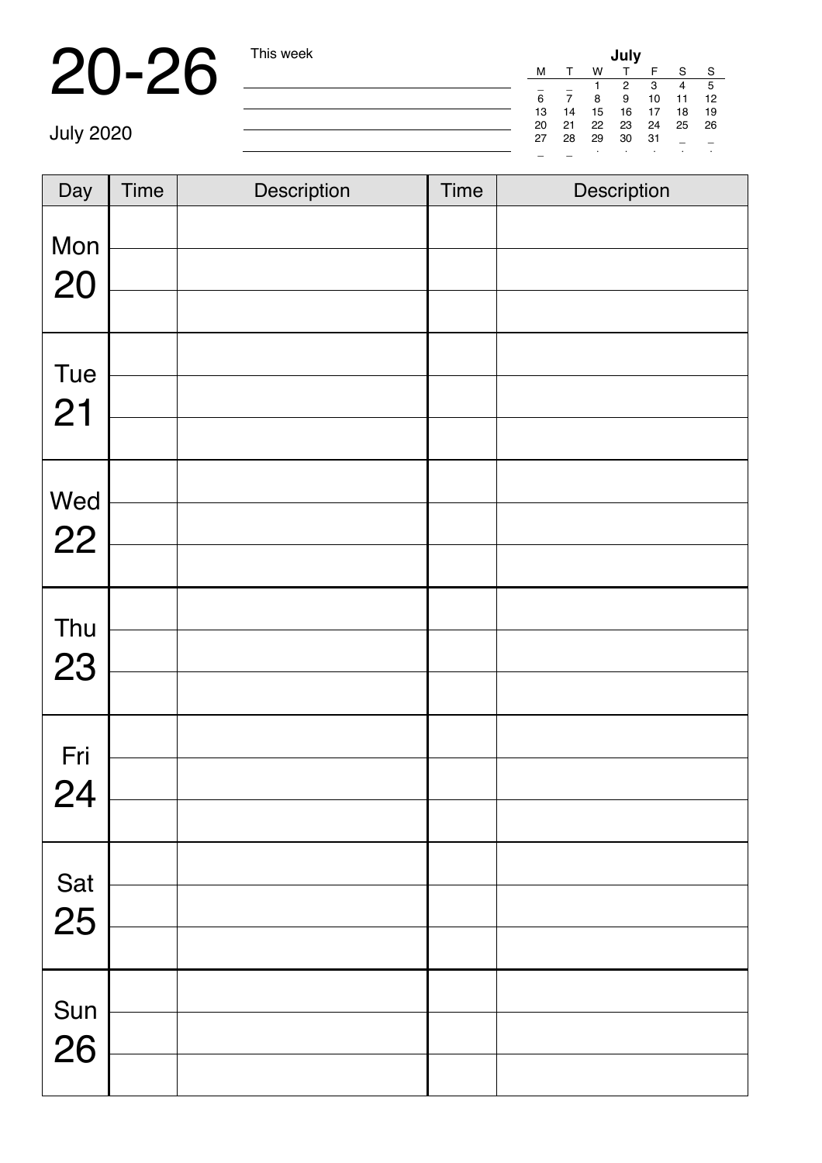|    |    |    | July |     |    |    |  |
|----|----|----|------|-----|----|----|--|
| м  | т  | w  | т    | F.  | `S | -S |  |
|    |    |    | 2    | -3  | 4  | 5  |  |
| 6  | 7  | 8  | 9    | 10  | 11 | 12 |  |
| 13 | 14 | 15 | 16   | 17  | 18 | 19 |  |
| 20 | 21 | 22 | 23   | 24  | 25 | 26 |  |
| 27 | 28 | 29 | 30   | -31 |    |    |  |
|    |    |    | ٠    | ٠   | ٠  | ٠  |  |

July 2020

| Day       | Time | Description | <b>Time</b> | Description |
|-----------|------|-------------|-------------|-------------|
| Mon<br>20 |      |             |             |             |
|           |      |             |             |             |
| Tue<br>21 |      |             |             |             |
|           |      |             |             |             |
|           |      |             |             |             |
| Wed<br>22 |      |             |             |             |
|           |      |             |             |             |
|           |      |             |             |             |
| Thu<br>23 |      |             |             |             |
|           |      |             |             |             |
| Fri       |      |             |             |             |
| 24        |      |             |             |             |
|           |      |             |             |             |
|           |      |             |             |             |
| Sat<br>25 |      |             |             |             |
|           |      |             |             |             |
| Sun       |      |             |             |             |
| 26        |      |             |             |             |
|           |      |             |             |             |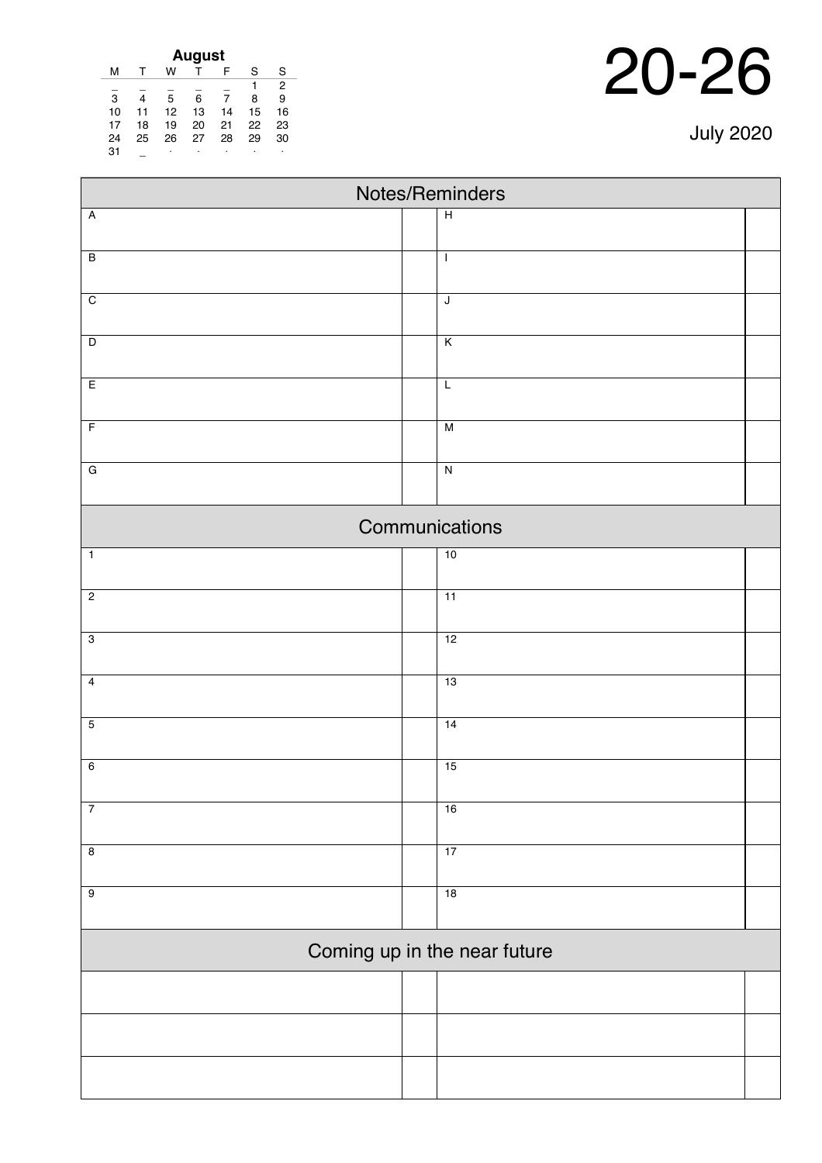| August |    |    |    |    |    |                |  |  |
|--------|----|----|----|----|----|----------------|--|--|
| м      |    | w  |    | F  | S  | S              |  |  |
|        |    |    |    |    |    | $\overline{2}$ |  |  |
| 3      |    | 5  | 6  | 7  | 8  | 9              |  |  |
| 10     | 11 | 12 | 13 | 14 | 15 | 16             |  |  |
| 17     | 18 | 19 | 20 | 21 | 22 | 23             |  |  |
| 24     | 25 | 26 | 27 | 28 | 29 | 30             |  |  |
| 31     |    | ۰  | ٠  | ٠  | ٠  |                |  |  |
|        |    |    |    |    |    |                |  |  |

| Notes/Reminders         |                              |  |  |  |  |  |  |
|-------------------------|------------------------------|--|--|--|--|--|--|
| Ā                       | $\overline{H}$               |  |  |  |  |  |  |
| B                       | $\mathbf{I}$                 |  |  |  |  |  |  |
| $\overline{\mathrm{c}}$ | $\sf J$                      |  |  |  |  |  |  |
| D                       | $\overline{\mathsf{K}}$      |  |  |  |  |  |  |
| E                       | $\overline{L}$               |  |  |  |  |  |  |
| $\overline{F}$          | M                            |  |  |  |  |  |  |
| G                       | $\overline{\mathsf{N}}$      |  |  |  |  |  |  |
|                         | Communications               |  |  |  |  |  |  |
| $\overline{1}$          | 10                           |  |  |  |  |  |  |
| $\overline{2}$          | $\overline{11}$              |  |  |  |  |  |  |
| $\overline{3}$          | 12                           |  |  |  |  |  |  |
| 4                       | 13                           |  |  |  |  |  |  |
| 5                       | 14                           |  |  |  |  |  |  |
| 6                       | 15                           |  |  |  |  |  |  |
| $\overline{7}$          | 16                           |  |  |  |  |  |  |
| 8                       | 17                           |  |  |  |  |  |  |
| 9                       | 18                           |  |  |  |  |  |  |
|                         | Coming up in the near future |  |  |  |  |  |  |
|                         |                              |  |  |  |  |  |  |
|                         |                              |  |  |  |  |  |  |

July 2020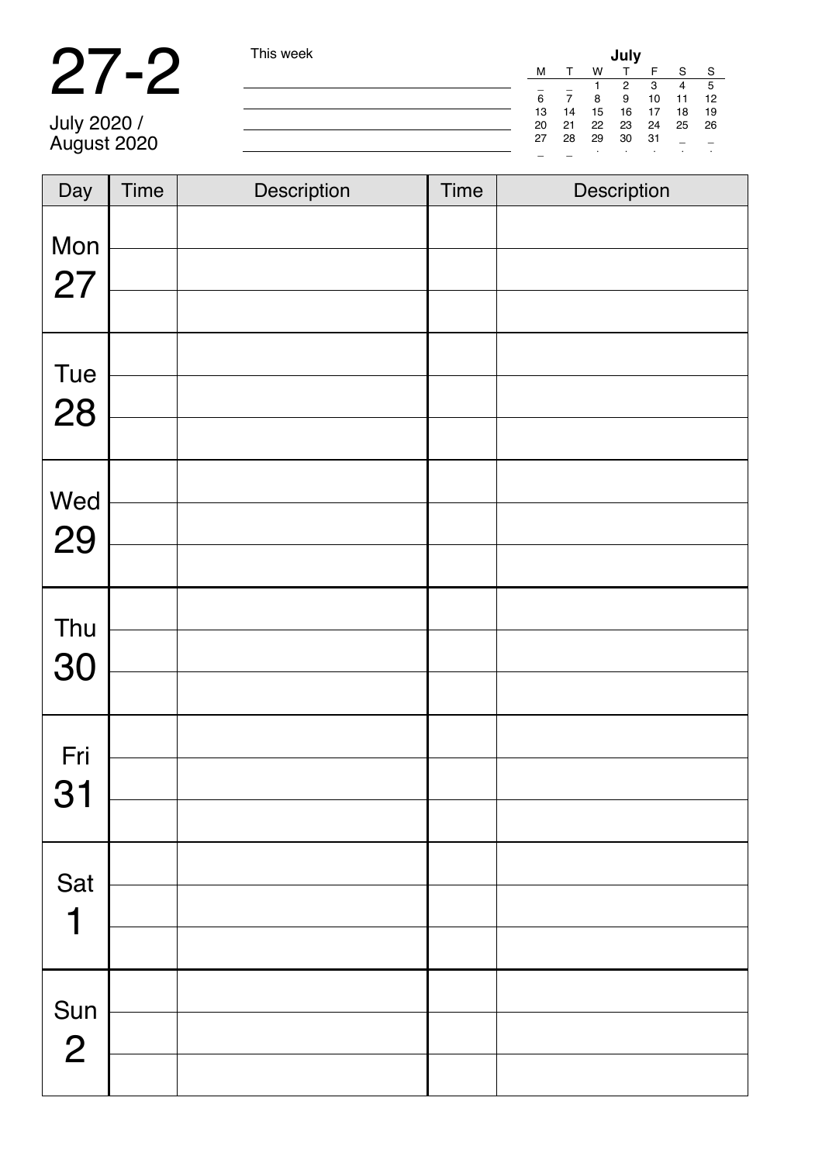|                            | This week | July |    |    |    |     |    |    |
|----------------------------|-----------|------|----|----|----|-----|----|----|
|                            |           | м    |    | W  |    |     |    | -S |
|                            |           |      |    |    | ົ  | з   | 4  | 5  |
|                            |           | 6    |    |    | 9  | 10  | 11 | 12 |
|                            |           | 13   | 14 | 15 | 16 |     | 18 | 19 |
|                            |           | 20   | 21 | 22 | 23 | 24  | 25 | 26 |
| July 2020 /<br>August 2020 |           | 27   | 28 | 29 | 30 | -31 |    |    |
|                            |           |      |    |    |    |     |    |    |

| Day                         | <b>Time</b> | Description | <b>Time</b> | Description |
|-----------------------------|-------------|-------------|-------------|-------------|
| Mon<br>27                   |             |             |             |             |
| Tue<br>28                   |             |             |             |             |
| Wed<br>29                   |             |             |             |             |
| Thu<br>30                   |             |             |             |             |
| Fri<br>31                   |             |             |             |             |
| Sat<br>$\blacktriangleleft$ |             |             |             |             |
| Sun<br>$\overline{2}$       |             |             |             |             |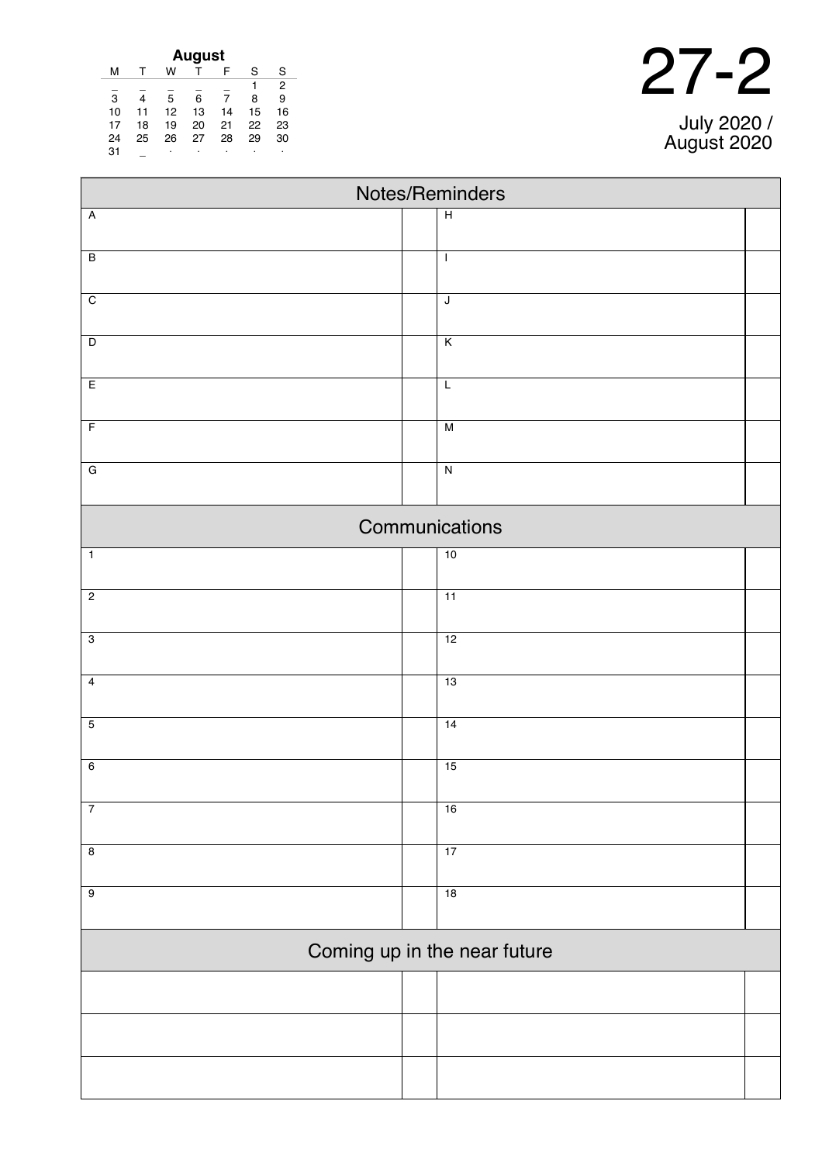| <b>August</b> |    |    |    |    |    |    |  |  |
|---------------|----|----|----|----|----|----|--|--|
| м             |    | w  |    | F  | S  | S  |  |  |
|               |    |    |    |    |    | 2  |  |  |
| 3             | 4  | 5  | 6  | 7  | 8  | 9  |  |  |
| 10            | 11 | 12 | 13 | 14 | 15 | 16 |  |  |
| 17            | 18 | 19 | 20 | 21 | 22 | 23 |  |  |
| 24            | 25 | 26 | 27 | 28 | 29 | 30 |  |  |
| 31            |    | ٠  | ٠  | ٠  | ٠  | ٠  |  |  |

| つフ」 | $\boldsymbol{\mathcal{D}}$ |
|-----|----------------------------|
|     |                            |

July 2020 / August 2020

| Notes/Reminders |  |                              |  |  |  |  |  |
|-----------------|--|------------------------------|--|--|--|--|--|
| $\overline{A}$  |  | $\overline{H}$               |  |  |  |  |  |
| $\overline{B}$  |  | $\mathbf{I}$                 |  |  |  |  |  |
|                 |  |                              |  |  |  |  |  |
| $\overline{C}$  |  | $\overline{\mathsf{J}}$      |  |  |  |  |  |
|                 |  |                              |  |  |  |  |  |
| $\overline{D}$  |  | $\overline{K}$               |  |  |  |  |  |
| E               |  | $\overline{L}$               |  |  |  |  |  |
| $\overline{F}$  |  | $\overline{M}$               |  |  |  |  |  |
|                 |  |                              |  |  |  |  |  |
| $\overline{G}$  |  | $\overline{\mathsf{N}}$      |  |  |  |  |  |
|                 |  | Communications               |  |  |  |  |  |
| $\overline{1}$  |  | 10                           |  |  |  |  |  |
|                 |  |                              |  |  |  |  |  |
| $\overline{2}$  |  | $\overline{11}$              |  |  |  |  |  |
| $\overline{3}$  |  | 12                           |  |  |  |  |  |
|                 |  |                              |  |  |  |  |  |
| $\overline{4}$  |  | 13                           |  |  |  |  |  |
| $\overline{5}$  |  | 14                           |  |  |  |  |  |
|                 |  |                              |  |  |  |  |  |
| $6\overline{6}$ |  | 15                           |  |  |  |  |  |
| $\overline{7}$  |  | 16                           |  |  |  |  |  |
|                 |  |                              |  |  |  |  |  |
| $\overline{8}$  |  | 17                           |  |  |  |  |  |
| $\overline{9}$  |  | 18                           |  |  |  |  |  |
|                 |  |                              |  |  |  |  |  |
|                 |  | Coming up in the near future |  |  |  |  |  |
|                 |  |                              |  |  |  |  |  |
|                 |  |                              |  |  |  |  |  |
|                 |  |                              |  |  |  |  |  |
|                 |  |                              |  |  |  |  |  |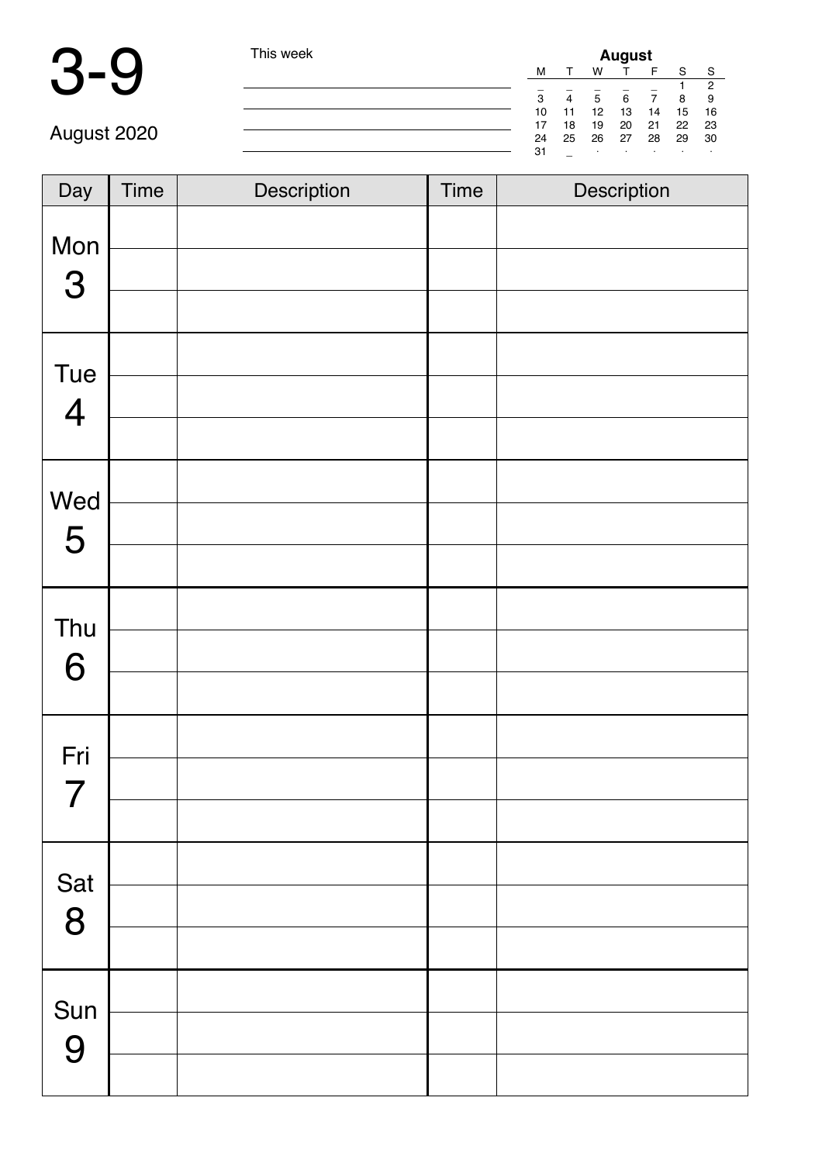| l his week | <b>August</b> |    |      |         |     |       |      |  |
|------------|---------------|----|------|---------|-----|-------|------|--|
|            | M             |    | W    |         | F   |       | S    |  |
|            | -             |    |      |         |     |       | ◠    |  |
|            | 3             | 4  | 5    | 6       |     | 8     | 9    |  |
|            | 10            | 11 | 12   | 13      | 14  | 15    | - 16 |  |
|            | 17            | 18 | 19   | 20      | 21  | 22 23 |      |  |
|            | 24            | 25 | - 26 | 27      | -28 | 29    | - 30 |  |
|            | 31            | -  |      | $\cdot$ |     |       |      |  |

| Day            | Time | Description | Time | Description |
|----------------|------|-------------|------|-------------|
| Mon<br>3       |      |             |      |             |
|                |      |             |      |             |
| Tue            |      |             |      |             |
| $\overline{4}$ |      |             |      |             |
|                |      |             |      |             |
| Wed            |      |             |      |             |
| 5              |      |             |      |             |
| Thu            |      |             |      |             |
| 6              |      |             |      |             |
|                |      |             |      |             |
| Fri            |      |             |      |             |
| 7              |      |             |      |             |
|                |      |             |      |             |
| Sat 8          |      |             |      |             |
|                |      |             |      |             |
|                |      |             |      |             |
| Sun<br>9       |      |             |      |             |
|                |      |             |      |             |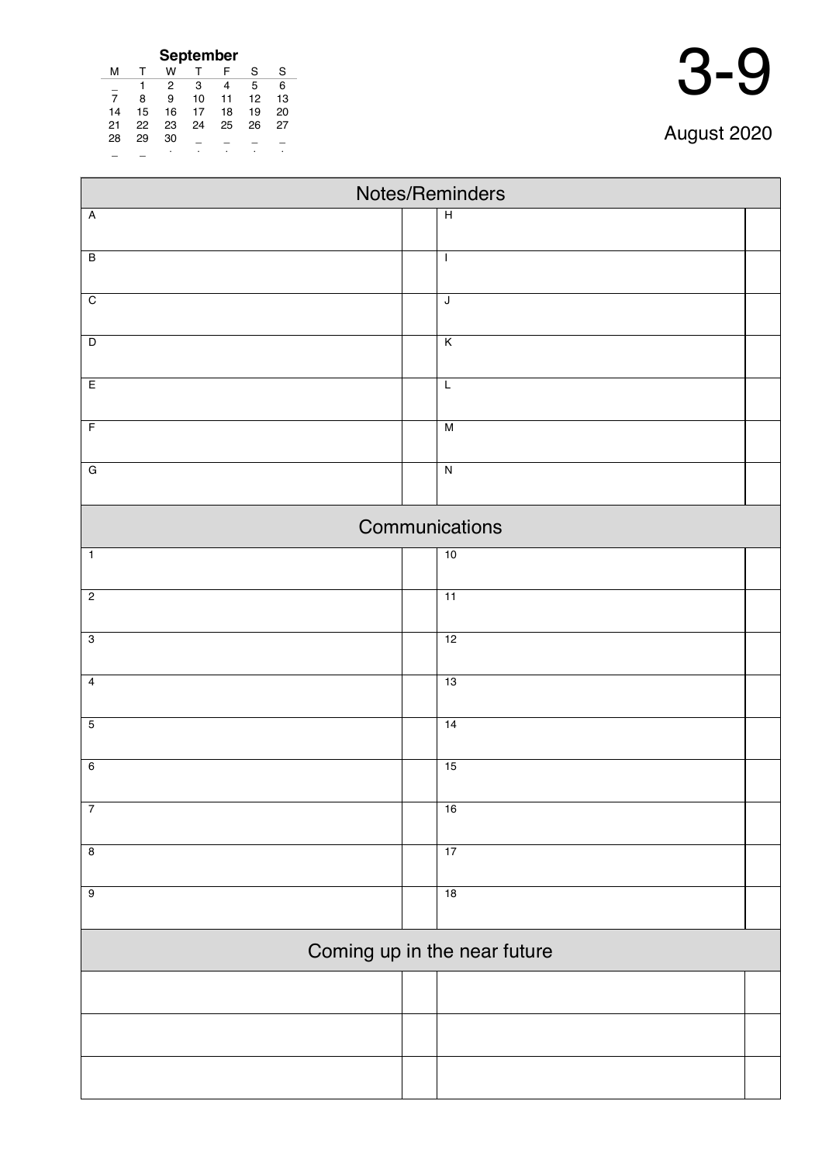|                | September    |    |    |    |    |    |  |  |
|----------------|--------------|----|----|----|----|----|--|--|
| м              | $\mathsf{T}$ | w  |    | F  | S  | S  |  |  |
|                |              | 2  | 3  | 4  | 5  | 6  |  |  |
| $\overline{7}$ | 8            | 9  | 10 | 11 | 12 | 13 |  |  |
| 14             | 15           | 16 | 17 | 18 | 19 | 20 |  |  |
| 21             | 22           | 23 | 24 | 25 | 26 | 27 |  |  |
| 28             | 29           | 30 |    |    |    |    |  |  |
|                |              |    |    |    |    |    |  |  |

| Notes/Reminders |  |                              |  |  |  |  |  |
|-----------------|--|------------------------------|--|--|--|--|--|
| $\overline{A}$  |  | $\overline{H}$               |  |  |  |  |  |
| $\overline{B}$  |  | $\mathbf{I}$                 |  |  |  |  |  |
|                 |  |                              |  |  |  |  |  |
| $\overline{C}$  |  | J                            |  |  |  |  |  |
| $\overline{D}$  |  | $\overline{\mathsf{K}}$      |  |  |  |  |  |
| E               |  | $\mathsf L$                  |  |  |  |  |  |
| $\overline{F}$  |  | $\overline{M}$               |  |  |  |  |  |
| $\overline{G}$  |  | $\overline{\mathsf{N}}$      |  |  |  |  |  |
|                 |  | Communications               |  |  |  |  |  |
| $\overline{1}$  |  | 10                           |  |  |  |  |  |
| $\overline{2}$  |  | 11                           |  |  |  |  |  |
| $\overline{3}$  |  | 12                           |  |  |  |  |  |
| $\overline{4}$  |  | 13                           |  |  |  |  |  |
| $\overline{5}$  |  | 14                           |  |  |  |  |  |
| $6\overline{6}$ |  | 15                           |  |  |  |  |  |
| $\overline{7}$  |  | 16                           |  |  |  |  |  |
| $\overline{8}$  |  | 17                           |  |  |  |  |  |
| $\overline{9}$  |  | 18                           |  |  |  |  |  |
|                 |  |                              |  |  |  |  |  |
|                 |  | Coming up in the near future |  |  |  |  |  |
|                 |  |                              |  |  |  |  |  |
|                 |  |                              |  |  |  |  |  |
|                 |  |                              |  |  |  |  |  |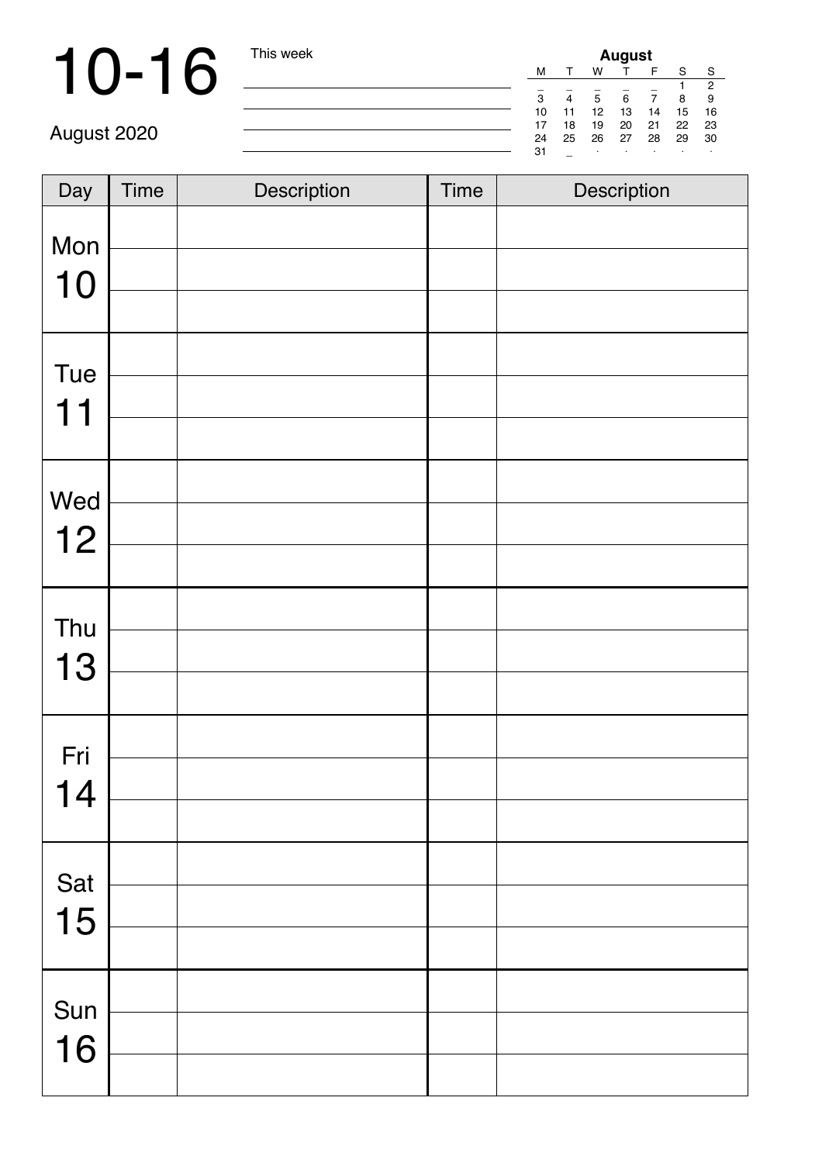# 10-16 This week

| August |    |    |    |    |    |    |  |
|--------|----|----|----|----|----|----|--|
| м      |    | w  |    | F  | S  | S  |  |
|        |    |    |    |    |    | 2  |  |
| 3      |    | 5  | 6  |    | 8  | 9  |  |
| 10     | 11 | 12 | 13 | 14 | 15 | 16 |  |
| 17     | 18 | 19 | 20 | 21 | 22 | 23 |  |
| 24     | 25 | 26 | 27 | 28 | 29 | 30 |  |
| 31     |    | ٠  | ٠  | ٠  |    |    |  |

| Day       | Time | Description | <b>Time</b> | Description |
|-----------|------|-------------|-------------|-------------|
| Mon       |      |             |             |             |
| 10        |      |             |             |             |
| Tue       |      |             |             |             |
| 11        |      |             |             |             |
|           |      |             |             |             |
| Wed       |      |             |             |             |
| 12        |      |             |             |             |
|           |      |             |             |             |
| Thu       |      |             |             |             |
| 13        |      |             |             |             |
|           |      |             |             |             |
| Fri       |      |             |             |             |
| 14        |      |             |             |             |
|           |      |             |             |             |
|           |      |             |             |             |
| Sat<br>15 |      |             |             |             |
|           |      |             |             |             |
| Sun       |      |             |             |             |
| 16        |      |             |             |             |
|           |      |             |             |             |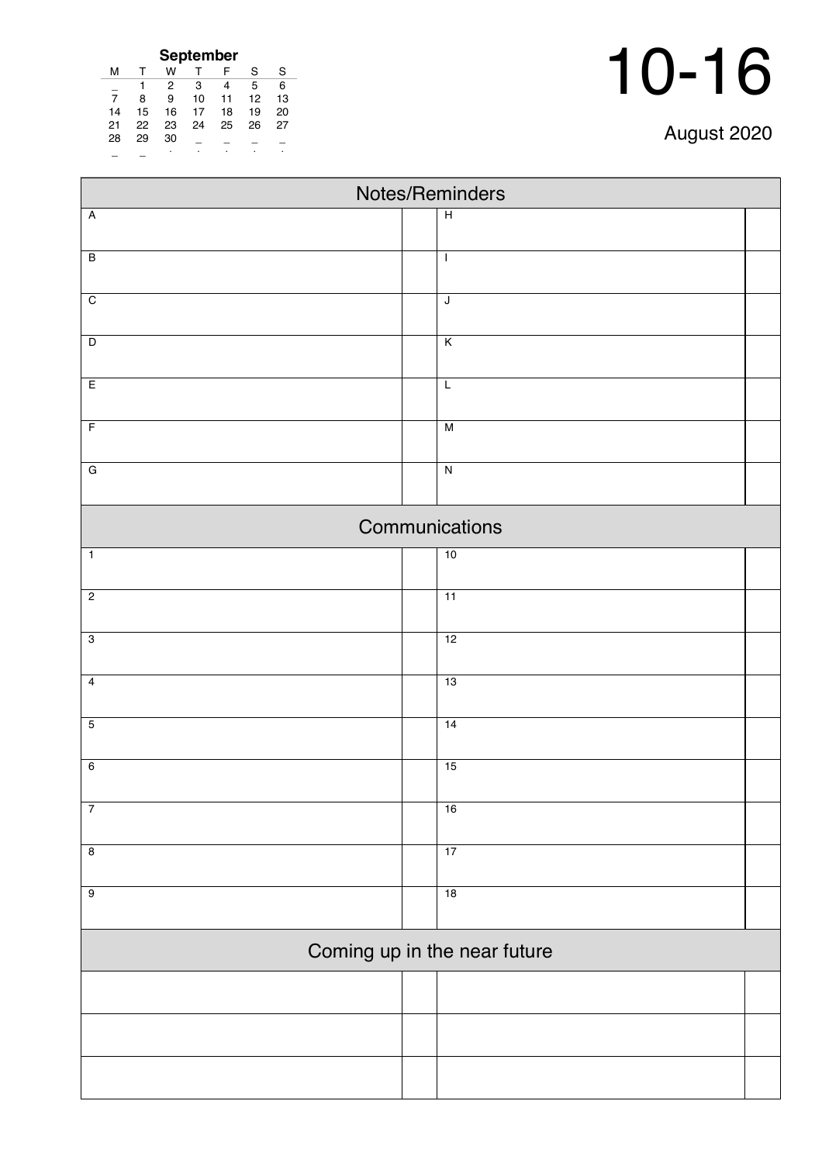| September |    |    |    |    |    |    |  |  |
|-----------|----|----|----|----|----|----|--|--|
| м         |    | w  |    | F  | S  | S  |  |  |
|           |    | 2  | 3  | 4  | 5  | 6  |  |  |
| 7         | 8  | 9  | 10 | 11 | 12 | 13 |  |  |
| 14        | 15 | 16 | 17 | 18 | 19 | 20 |  |  |
| 21        | 22 | 23 | 24 | 25 | 26 | 27 |  |  |
| 28        | 29 | 30 |    |    |    |    |  |  |
|           |    |    |    |    |    |    |  |  |

| Notes/Reminders              |                         |  |  |  |  |  |
|------------------------------|-------------------------|--|--|--|--|--|
| $\overline{A}$               | $\overline{H}$          |  |  |  |  |  |
| $\overline{B}$               | $\mathbf{I}$            |  |  |  |  |  |
|                              |                         |  |  |  |  |  |
| $\overline{C}$               | $\overline{\mathsf{J}}$ |  |  |  |  |  |
|                              |                         |  |  |  |  |  |
| $\overline{\mathsf{D}}$      | $\overline{K}$          |  |  |  |  |  |
| E                            | $\overline{L}$          |  |  |  |  |  |
|                              |                         |  |  |  |  |  |
| $\overline{F}$               | $\overline{M}$          |  |  |  |  |  |
|                              |                         |  |  |  |  |  |
| $\overline{G}$               | $\overline{N}$          |  |  |  |  |  |
|                              | Communications          |  |  |  |  |  |
| $\overline{1}$               | 10                      |  |  |  |  |  |
| $\overline{2}$               | $\overline{11}$         |  |  |  |  |  |
|                              |                         |  |  |  |  |  |
| $\overline{3}$               | 12                      |  |  |  |  |  |
| $\overline{4}$               | 13                      |  |  |  |  |  |
|                              |                         |  |  |  |  |  |
| $\overline{5}$               | 14                      |  |  |  |  |  |
| $6\overline{6}$              | 15                      |  |  |  |  |  |
|                              |                         |  |  |  |  |  |
| $\overline{7}$               | 16                      |  |  |  |  |  |
| $\overline{8}$               | 17                      |  |  |  |  |  |
|                              |                         |  |  |  |  |  |
| $\overline{9}$               | 18                      |  |  |  |  |  |
| Coming up in the near future |                         |  |  |  |  |  |
|                              |                         |  |  |  |  |  |
|                              |                         |  |  |  |  |  |
|                              |                         |  |  |  |  |  |
|                              |                         |  |  |  |  |  |
|                              |                         |  |  |  |  |  |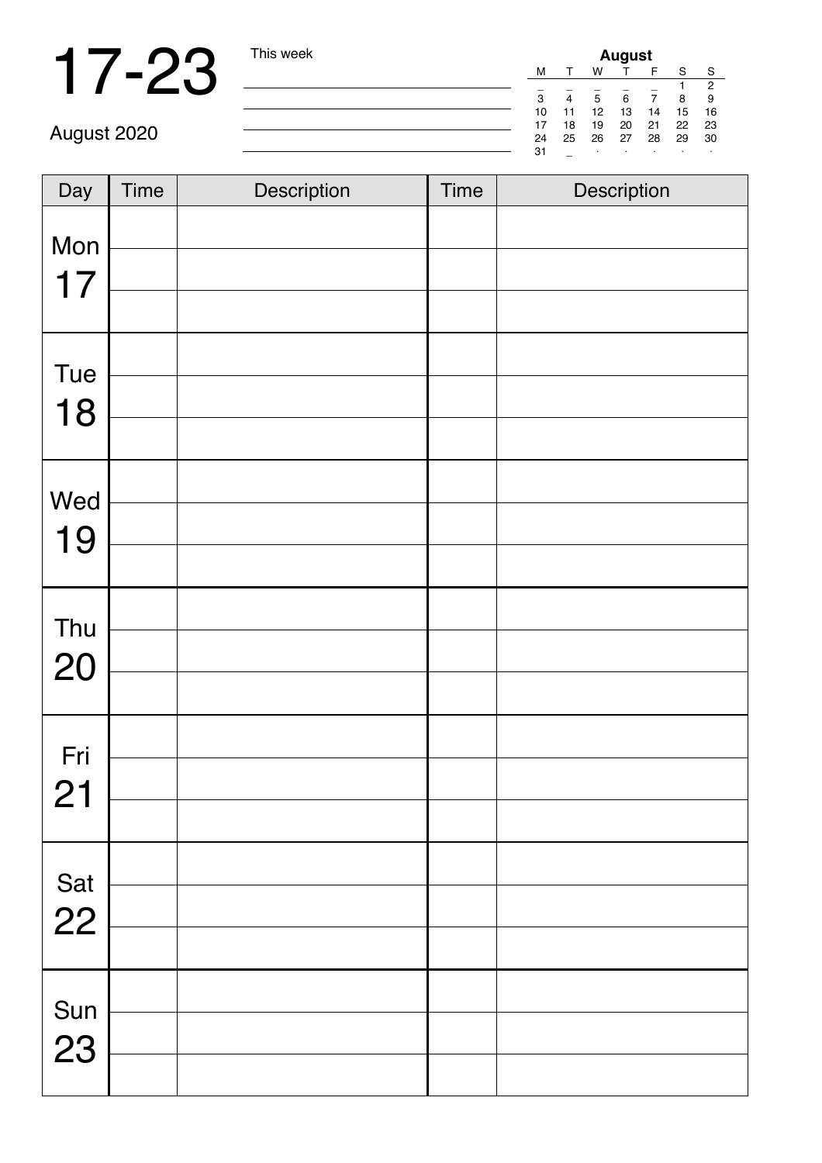| <b>August</b> |    |    |    |    |    |    |
|---------------|----|----|----|----|----|----|
| м             |    | w  |    |    | S  | S  |
|               |    |    |    |    |    | 2  |
| 3             | 4  | 5  | 6  |    | 8  | 9  |
| 10            | 11 | 12 | 13 | 14 | 15 | 16 |
| 17            | 18 | 19 | 20 | 21 | 22 | 23 |
| 24            | 25 | 26 | 27 | 28 | 29 | 30 |
| 31            |    |    |    | ٠  |    |    |

| Day       | <b>Time</b> | Description | <b>Time</b> | Description |
|-----------|-------------|-------------|-------------|-------------|
| Mon<br>17 |             |             |             |             |
| Tue<br>18 |             |             |             |             |
| Wed<br>19 |             |             |             |             |
| Thu<br>20 |             |             |             |             |
| Fri<br>21 |             |             |             |             |
| Sat<br>22 |             |             |             |             |
| Sun<br>23 |             |             |             |             |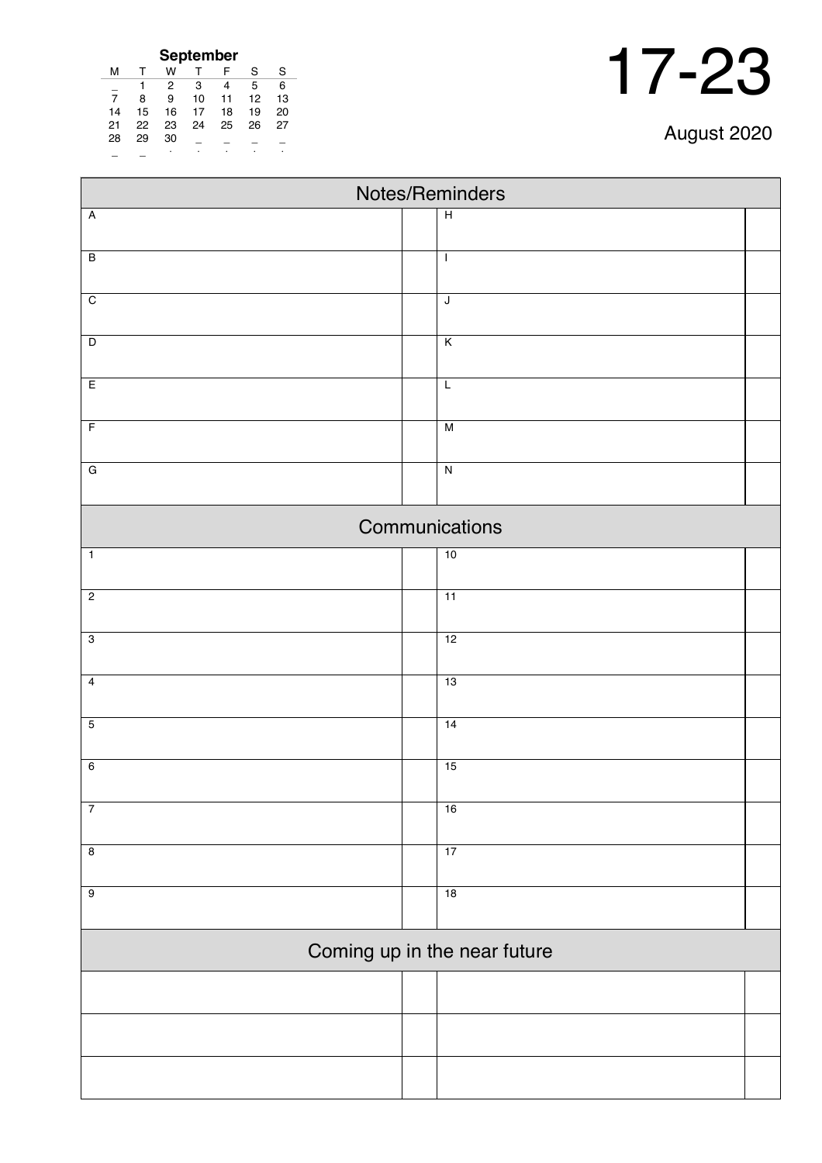| September      |    |    |    |    |    |    |  |  |
|----------------|----|----|----|----|----|----|--|--|
| м              |    | w  |    | F  | S  | S  |  |  |
|                |    | 2  | 3  | 4  | 5  | 6  |  |  |
| $\overline{7}$ | 8  | 9  | 10 | 11 | 12 | 13 |  |  |
| 14             | 15 | 16 | 17 | 18 | 19 | 20 |  |  |
| 21             | 22 | 23 | 24 | 25 | 26 | 27 |  |  |
| 28             | 29 | 30 |    |    |    |    |  |  |
|                |    |    |    |    |    |    |  |  |

| Notes/Reminders         |  |                              |  |  |  |  |
|-------------------------|--|------------------------------|--|--|--|--|
| $\overline{A}$          |  | $\overline{H}$               |  |  |  |  |
| $\overline{B}$          |  | $\mathbf{I}$                 |  |  |  |  |
|                         |  |                              |  |  |  |  |
| $\overline{C}$          |  | J                            |  |  |  |  |
| $\overline{D}$          |  | K                            |  |  |  |  |
|                         |  |                              |  |  |  |  |
| E                       |  | $\overline{L}$               |  |  |  |  |
| $\overline{F}$          |  | $\overline{M}$               |  |  |  |  |
| $\overline{G}$          |  | $\overline{\mathbf{z}}$      |  |  |  |  |
|                         |  |                              |  |  |  |  |
|                         |  | Communications               |  |  |  |  |
| $\overline{1}$          |  | 10                           |  |  |  |  |
| $\overline{2}$          |  | 11                           |  |  |  |  |
| $\overline{3}$          |  | 12                           |  |  |  |  |
|                         |  |                              |  |  |  |  |
| $\overline{4}$          |  | 13                           |  |  |  |  |
| $\overline{5}$          |  | 14                           |  |  |  |  |
| $\overline{6}$          |  | 15                           |  |  |  |  |
|                         |  |                              |  |  |  |  |
| $\overline{7}$          |  | 16                           |  |  |  |  |
| $\overline{\mathbf{8}}$ |  | 17                           |  |  |  |  |
| $\overline{9}$          |  | 18                           |  |  |  |  |
|                         |  |                              |  |  |  |  |
|                         |  | Coming up in the near future |  |  |  |  |
|                         |  |                              |  |  |  |  |
|                         |  |                              |  |  |  |  |
|                         |  |                              |  |  |  |  |
|                         |  |                              |  |  |  |  |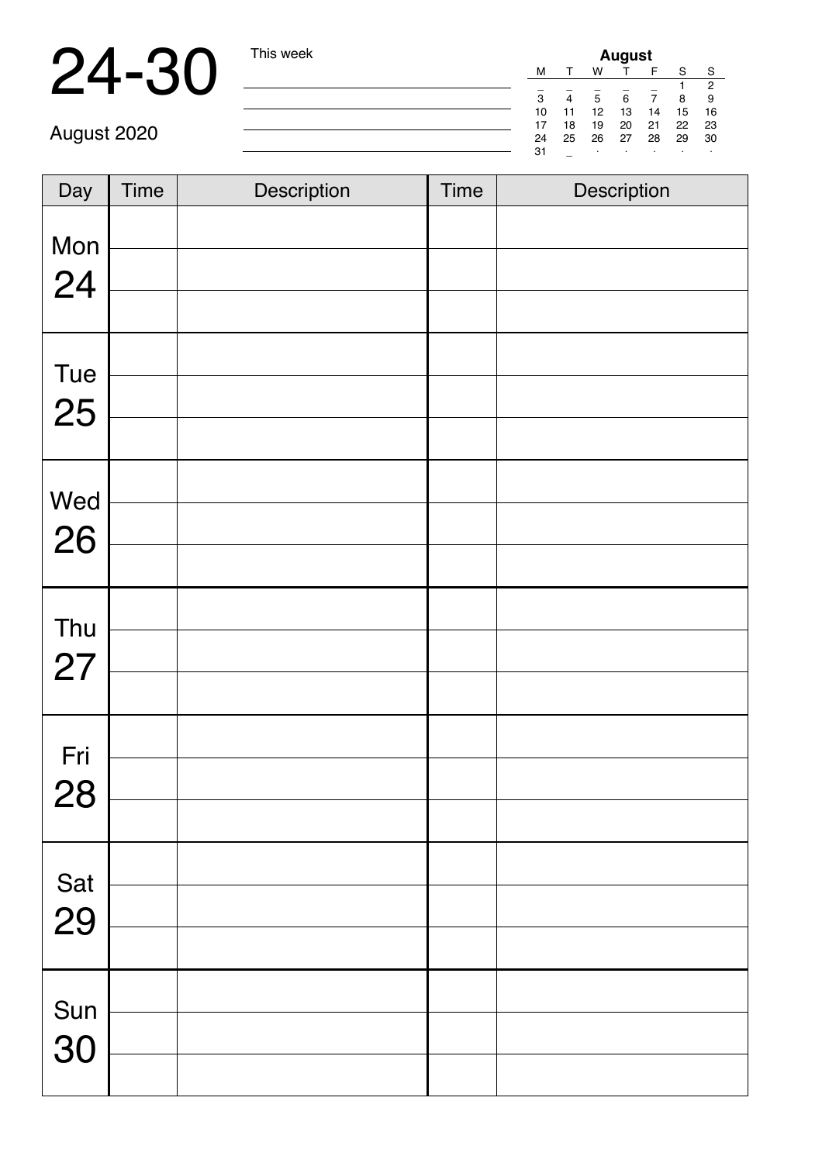## 24-30 This week

| <b>August</b> |    |    |    |    |    |    |  |
|---------------|----|----|----|----|----|----|--|
| м             |    | w  |    |    | S  | S  |  |
|               |    |    |    |    |    | 2  |  |
| 3             |    | 5  | 6  |    | 8  | 9  |  |
| 10            | 11 | 12 | 13 | 14 | 15 | 16 |  |
| 17            | 18 | 19 | 20 | 21 | 22 | 23 |  |
| 24            | 25 | 26 | 27 | 28 | 29 | 30 |  |
| 31            |    | ٠  |    | ٠  |    |    |  |

| Day       | <b>Time</b> | Description | <b>Time</b> | Description |
|-----------|-------------|-------------|-------------|-------------|
| Mon<br>24 |             |             |             |             |
|           |             |             |             |             |
| Tue       |             |             |             |             |
| 25        |             |             |             |             |
|           |             |             |             |             |
| Wed       |             |             |             |             |
| 26        |             |             |             |             |
|           |             |             |             |             |
| Thu       |             |             |             |             |
| 27        |             |             |             |             |
|           |             |             |             |             |
| Fri       |             |             |             |             |
| 28        |             |             |             |             |
|           |             |             |             |             |
| Sat       |             |             |             |             |
| 29        |             |             |             |             |
|           |             |             |             |             |
| Sun       |             |             |             |             |
| 30        |             |             |             |             |
|           |             |             |             |             |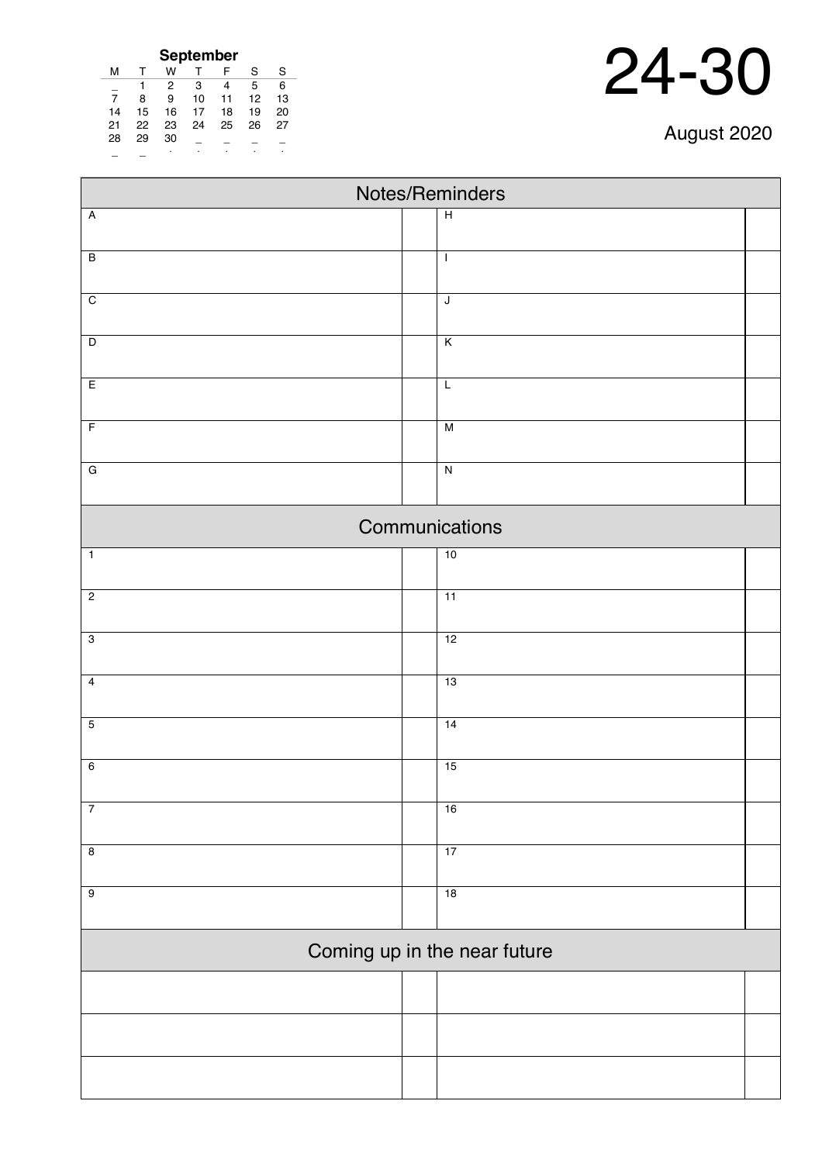| September |    |    |    |    |    |    |  |  |
|-----------|----|----|----|----|----|----|--|--|
| м         | т  | w  |    | F  | S  | S  |  |  |
|           |    | 2  | 3  | 4  | 5  | 6  |  |  |
| 7         | 8  | 9  | 10 | 11 | 12 | 13 |  |  |
| 14        | 15 | 16 | 17 | 18 | 19 | 20 |  |  |
| 21        | 22 | 23 | 24 | 25 | 26 | 27 |  |  |
| 28        | 29 | 30 |    |    |    |    |  |  |
|           |    |    |    |    |    |    |  |  |

| Notes/Reminders              |  |                         |  |  |  |  |
|------------------------------|--|-------------------------|--|--|--|--|
| $\overline{A}$               |  | $\overline{H}$          |  |  |  |  |
| $\overline{B}$               |  | $\mathbf{I}$            |  |  |  |  |
|                              |  |                         |  |  |  |  |
| $\overline{C}$               |  | $\overline{\mathsf{J}}$ |  |  |  |  |
|                              |  |                         |  |  |  |  |
| $\overline{\mathsf{D}}$      |  | $\overline{\mathsf{K}}$ |  |  |  |  |
| E                            |  | $\overline{L}$          |  |  |  |  |
| $\overline{F}$               |  | $\overline{M}$          |  |  |  |  |
|                              |  |                         |  |  |  |  |
| $\overline{G}$               |  | $\overline{\mathbf{z}}$ |  |  |  |  |
| Communications               |  |                         |  |  |  |  |
| $\overline{1}$               |  | 10                      |  |  |  |  |
|                              |  |                         |  |  |  |  |
| $\overline{2}$               |  | $\overline{11}$         |  |  |  |  |
| $\overline{3}$               |  | 12                      |  |  |  |  |
|                              |  |                         |  |  |  |  |
| $\overline{4}$               |  | 13                      |  |  |  |  |
| $\overline{5}$               |  | 14                      |  |  |  |  |
|                              |  |                         |  |  |  |  |
| $6\overline{6}$              |  | 15                      |  |  |  |  |
|                              |  |                         |  |  |  |  |
| $\overline{7}$               |  | 16                      |  |  |  |  |
| $\overline{8}$               |  | 17                      |  |  |  |  |
| $\overline{9}$               |  | 18                      |  |  |  |  |
|                              |  |                         |  |  |  |  |
| Coming up in the near future |  |                         |  |  |  |  |
|                              |  |                         |  |  |  |  |
|                              |  |                         |  |  |  |  |
|                              |  |                         |  |  |  |  |
|                              |  |                         |  |  |  |  |
|                              |  |                         |  |  |  |  |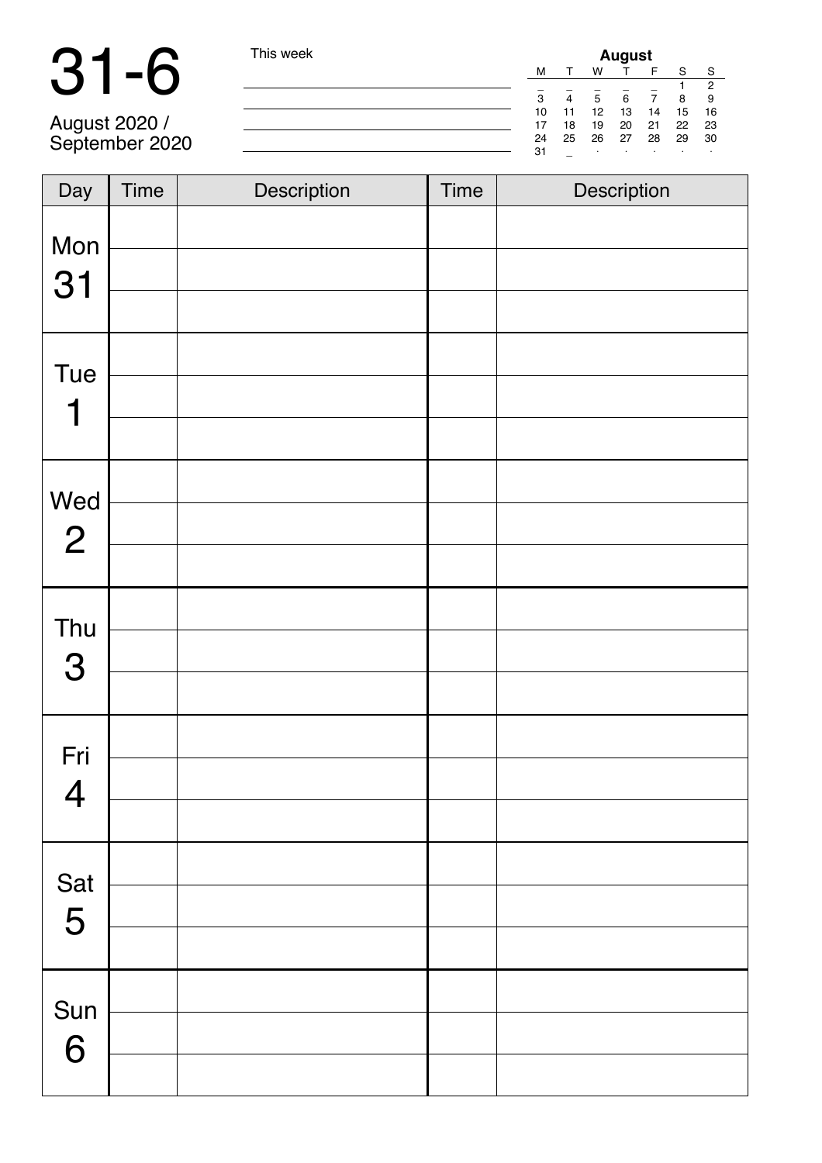|                                 | This week |    | <b>August</b> |    |    |    |    |    |  |  |
|---------------------------------|-----------|----|---------------|----|----|----|----|----|--|--|
|                                 |           | м  |               | W  |    |    |    | S  |  |  |
|                                 |           |    |               |    |    |    |    | 2  |  |  |
|                                 |           | з  | 4             | 5  | 6  |    | R  |    |  |  |
|                                 |           | 10 |               | 12 | 13 | 14 | 15 | 16 |  |  |
|                                 |           |    | 18            | 19 | 20 | 21 | 22 | 23 |  |  |
| August 2020 /<br>September 2020 |           | 24 | 25            | 26 | 27 | 28 | 29 | 30 |  |  |
|                                 |           | 31 |               |    |    |    |    |    |  |  |

| Day                   | Time | Description | Time | Description |
|-----------------------|------|-------------|------|-------------|
| Mon<br>31             |      |             |      |             |
| Tue<br>1              |      |             |      |             |
| Wed<br>$\overline{2}$ |      |             |      |             |
| Thu<br>3              |      |             |      |             |
| Fri<br>$\overline{4}$ |      |             |      |             |
| Sat<br>5              |      |             |      |             |
| Sun<br>6              |      |             |      |             |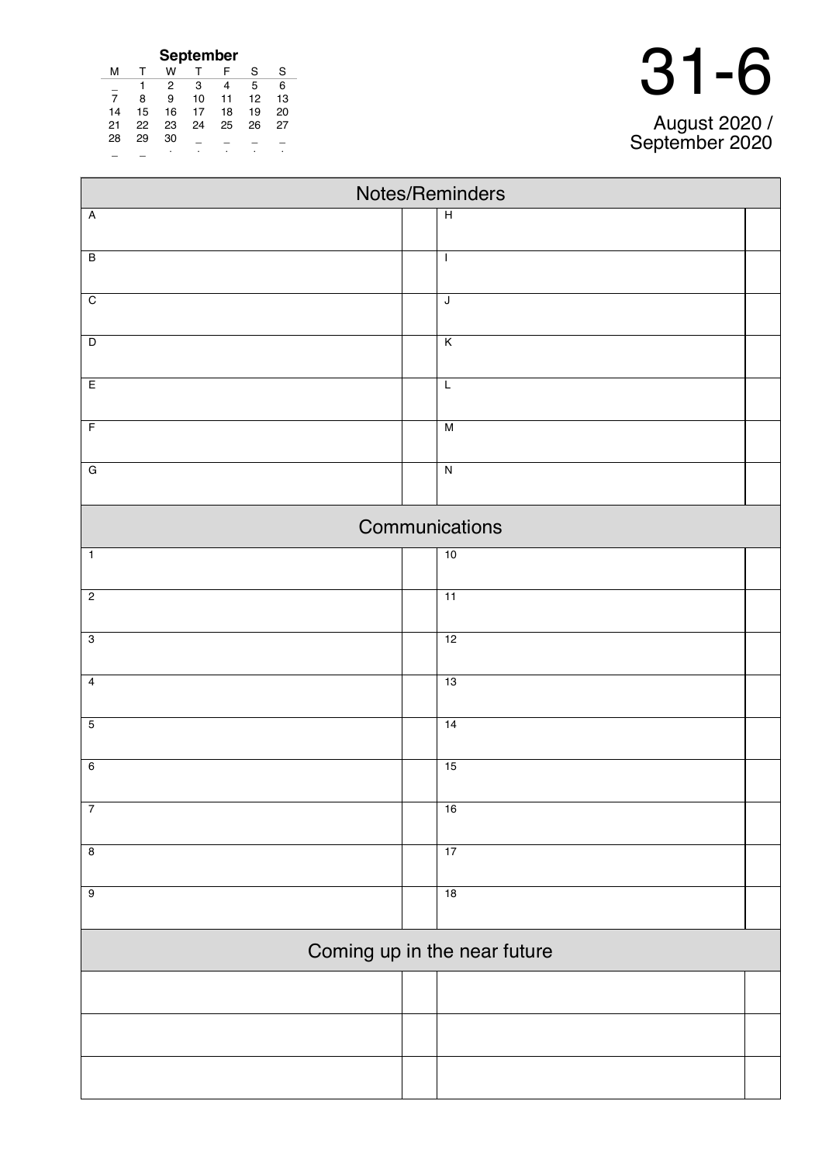| September      |              |    |    |    |    |    |  |  |
|----------------|--------------|----|----|----|----|----|--|--|
| м              | $\mathsf{T}$ | w  |    | F  | S  | S  |  |  |
|                |              | 2  | 3  | 4  | 5  | 6  |  |  |
| $\overline{7}$ | 8            | 9  | 10 | 11 | 12 | 13 |  |  |
| 14             | 15           | 16 | 17 | 18 | 19 | 20 |  |  |
| 21             | 22           | 23 | 24 | 25 | 26 | 27 |  |  |
| 28             | 29           | 30 |    |    |    |    |  |  |
|                |              |    |    |    |    |    |  |  |

| August 2020 / |
|---------------|

| Notes/Reminders              |                         |  |  |  |  |  |
|------------------------------|-------------------------|--|--|--|--|--|
| $\overline{A}$               | $\overline{H}$          |  |  |  |  |  |
| $\overline{B}$               | $\mathbf{I}$            |  |  |  |  |  |
|                              |                         |  |  |  |  |  |
| $\overline{C}$               | $\mathsf J$             |  |  |  |  |  |
|                              |                         |  |  |  |  |  |
| $\overline{D}$               | $\overline{\mathsf{K}}$ |  |  |  |  |  |
| E                            | $\overline{L}$          |  |  |  |  |  |
|                              |                         |  |  |  |  |  |
| $\overline{F}$               | $\overline{M}$          |  |  |  |  |  |
|                              |                         |  |  |  |  |  |
| $\overline{G}$               | $\overline{N}$          |  |  |  |  |  |
|                              | Communications          |  |  |  |  |  |
| $\overline{1}$               | 10                      |  |  |  |  |  |
| $\overline{c}$               | $\overline{11}$         |  |  |  |  |  |
|                              |                         |  |  |  |  |  |
| $\overline{3}$               | 12                      |  |  |  |  |  |
| $\overline{4}$               | 13                      |  |  |  |  |  |
|                              |                         |  |  |  |  |  |
| $\overline{5}$               | 14                      |  |  |  |  |  |
| $6\overline{6}$              | 15                      |  |  |  |  |  |
|                              |                         |  |  |  |  |  |
| $\overline{7}$               | 16                      |  |  |  |  |  |
| $\overline{\mathbf{8}}$      | 17                      |  |  |  |  |  |
|                              |                         |  |  |  |  |  |
| $\overline{9}$               | 18                      |  |  |  |  |  |
| Coming up in the near future |                         |  |  |  |  |  |
|                              |                         |  |  |  |  |  |
|                              |                         |  |  |  |  |  |
|                              |                         |  |  |  |  |  |
|                              |                         |  |  |  |  |  |
|                              |                         |  |  |  |  |  |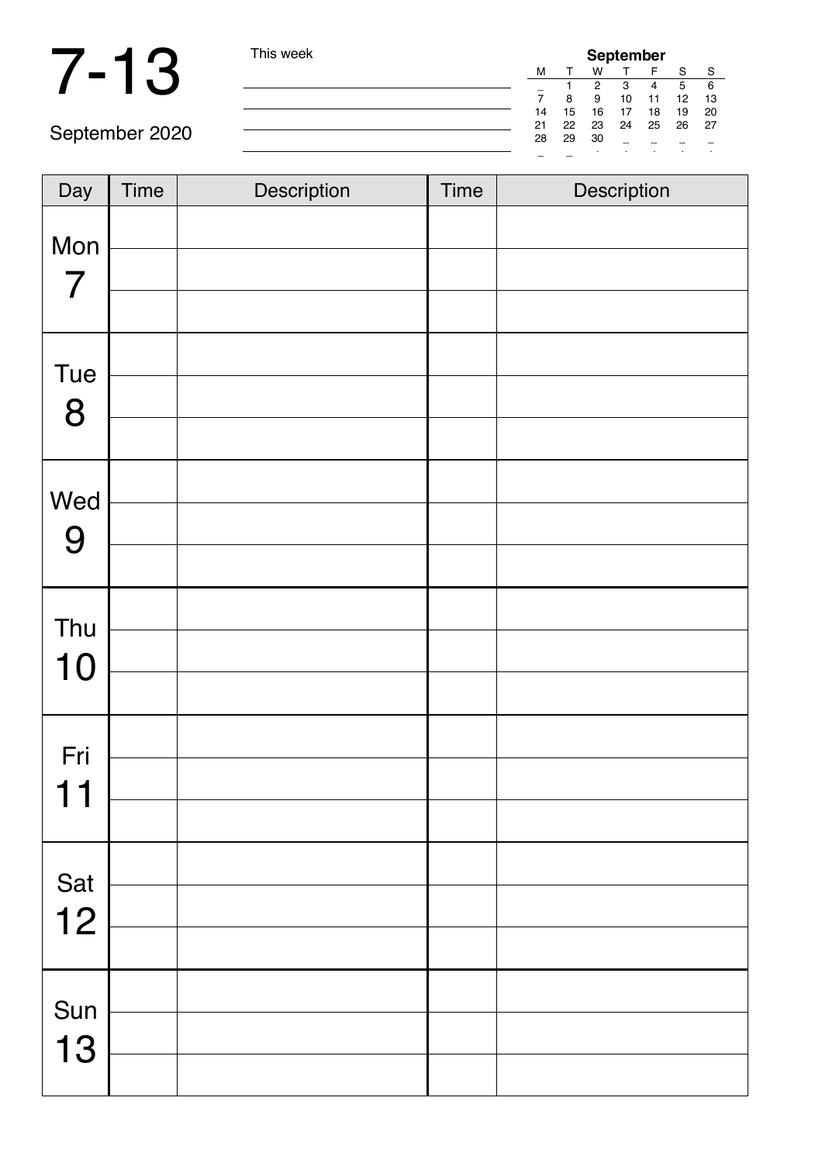### 7-13 This week

| <b>September</b> |    |    |       |    |     |     |  |
|------------------|----|----|-------|----|-----|-----|--|
| м                |    | W  |       |    | S   | S   |  |
|                  |    | 2  | 3     | 4  | 5   | 6   |  |
|                  | 8  | 9  | 10    | 11 | 12  | 13  |  |
| 14               | 15 | 16 | 17    | 18 | 19  | 20  |  |
| 21               | 22 |    | 23 24 | 25 | -26 | -27 |  |
| 28               | 29 | 30 |       |    |     |     |  |
|                  |    | ٠  | ٠     | ٠  | ٠   | ٠   |  |

| Day                   | Time | Description | <b>Time</b> | Description |
|-----------------------|------|-------------|-------------|-------------|
| Mon<br>$\overline{7}$ |      |             |             |             |
| Tue<br>8              |      |             |             |             |
| Wed<br>9              |      |             |             |             |
| Thu<br>10             |      |             |             |             |
| Fri<br>$-1$           |      |             |             |             |
| Sat<br>12             |      |             |             |             |
| Sun<br>13             |      |             |             |             |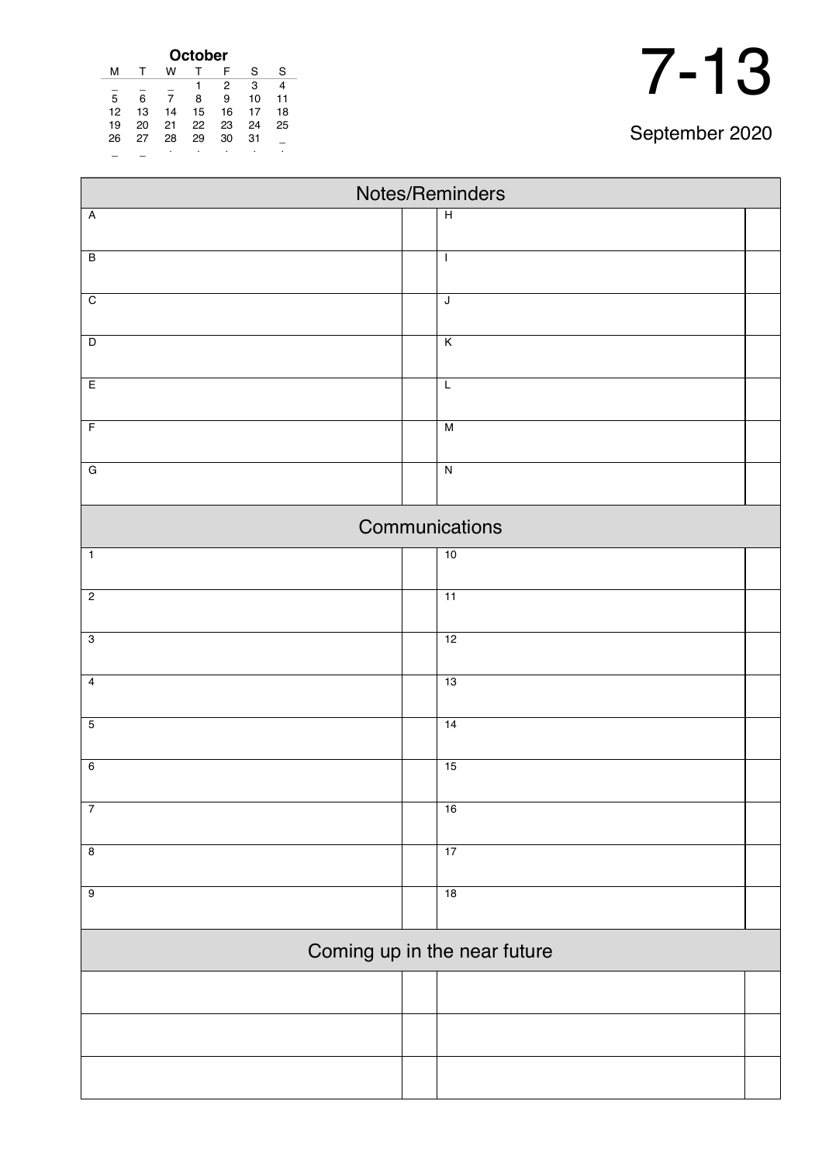| <b>October</b> |    |    |    |    |    |    |  |  |  |
|----------------|----|----|----|----|----|----|--|--|--|
| м              |    | w  |    | F  | S  | S  |  |  |  |
| 3<br>2         |    |    |    |    |    |    |  |  |  |
| 5              | 6  |    | 8  | 9  | 10 | 11 |  |  |  |
| 12             | 13 | 14 | 15 | 16 | 17 | 18 |  |  |  |
| 19             | 20 | 21 | 22 | 23 | 24 | 25 |  |  |  |
| 26             | 27 | 28 | 29 | 30 | 31 |    |  |  |  |
|                |    | ٠  | ٠  | ٠  | ٠  | ٠  |  |  |  |

| Notes/Reminders              |  |                         |  |  |  |  |  |
|------------------------------|--|-------------------------|--|--|--|--|--|
| $\overline{\mathsf{A}}$      |  | $\overline{H}$          |  |  |  |  |  |
|                              |  |                         |  |  |  |  |  |
| $\overline{B}$               |  | $\mathbf{I}$            |  |  |  |  |  |
| $\overline{C}$               |  | $\sf J$                 |  |  |  |  |  |
|                              |  |                         |  |  |  |  |  |
| $\overline{D}$               |  | $\overline{\mathsf{K}}$ |  |  |  |  |  |
| E                            |  | $\overline{L}$          |  |  |  |  |  |
| $\overline{F}$               |  | M                       |  |  |  |  |  |
|                              |  |                         |  |  |  |  |  |
| $\overline{G}$               |  | $\overline{N}$          |  |  |  |  |  |
|                              |  | Communications          |  |  |  |  |  |
| $\overline{1}$               |  | 10                      |  |  |  |  |  |
| $\overline{2}$               |  | 11                      |  |  |  |  |  |
|                              |  |                         |  |  |  |  |  |
| $\overline{3}$               |  | 12                      |  |  |  |  |  |
| $\overline{4}$               |  | 13                      |  |  |  |  |  |
| $\overline{5}$               |  | 14                      |  |  |  |  |  |
|                              |  |                         |  |  |  |  |  |
| $6\overline{6}$              |  | 15                      |  |  |  |  |  |
| $\overline{7}$               |  | 16                      |  |  |  |  |  |
| $\overline{\mathbf{8}}$      |  | 17                      |  |  |  |  |  |
| $\overline{9}$               |  | 18                      |  |  |  |  |  |
|                              |  |                         |  |  |  |  |  |
| Coming up in the near future |  |                         |  |  |  |  |  |
|                              |  |                         |  |  |  |  |  |
|                              |  |                         |  |  |  |  |  |
|                              |  |                         |  |  |  |  |  |
|                              |  |                         |  |  |  |  |  |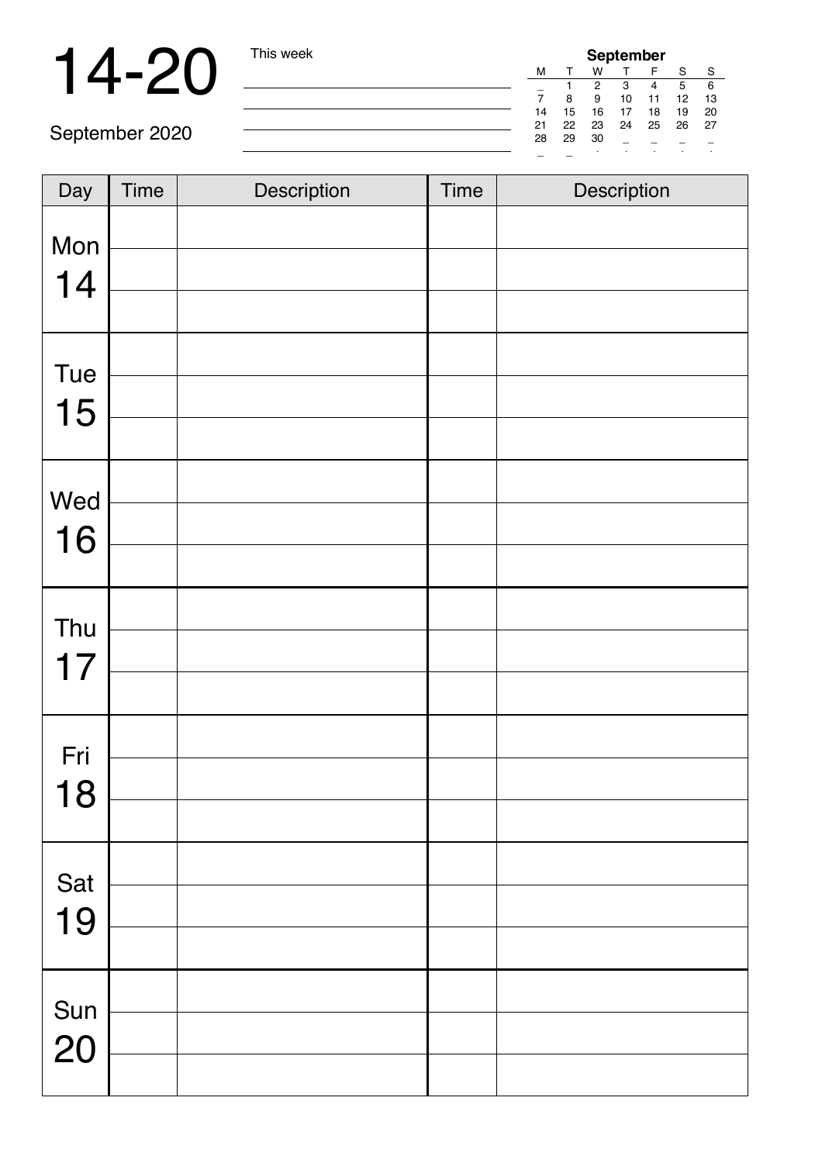## 14-20 This week

| <b>September</b> |    |    |    |    |    |    |  |
|------------------|----|----|----|----|----|----|--|
| м                |    | w  |    |    | S  | S  |  |
|                  |    | 2  | 3  |    | 5  | 6  |  |
|                  | 8  | 9  | 10 | 11 | 12 | 13 |  |
| 14               | 15 | 16 | 17 | 18 | 19 | 20 |  |
| 21               | 22 | 23 | 24 | 25 | 26 | 27 |  |
| 28               | 29 | 30 |    |    |    |    |  |
|                  |    |    |    | ٠  | ٠  | ٠  |  |

| Day       | Time | Description | <b>Time</b> | Description |
|-----------|------|-------------|-------------|-------------|
|           |      |             |             |             |
| Mon<br>14 |      |             |             |             |
|           |      |             |             |             |
| Tue       |      |             |             |             |
| 15        |      |             |             |             |
|           |      |             |             |             |
| Wed       |      |             |             |             |
| 16        |      |             |             |             |
|           |      |             |             |             |
| Thu       |      |             |             |             |
| 17        |      |             |             |             |
|           |      |             |             |             |
| Fri       |      |             |             |             |
| 18        |      |             |             |             |
|           |      |             |             |             |
| Sat       |      |             |             |             |
| 19        |      |             |             |             |
|           |      |             |             |             |
| Sun       |      |             |             |             |
| 20        |      |             |             |             |
|           |      |             |             |             |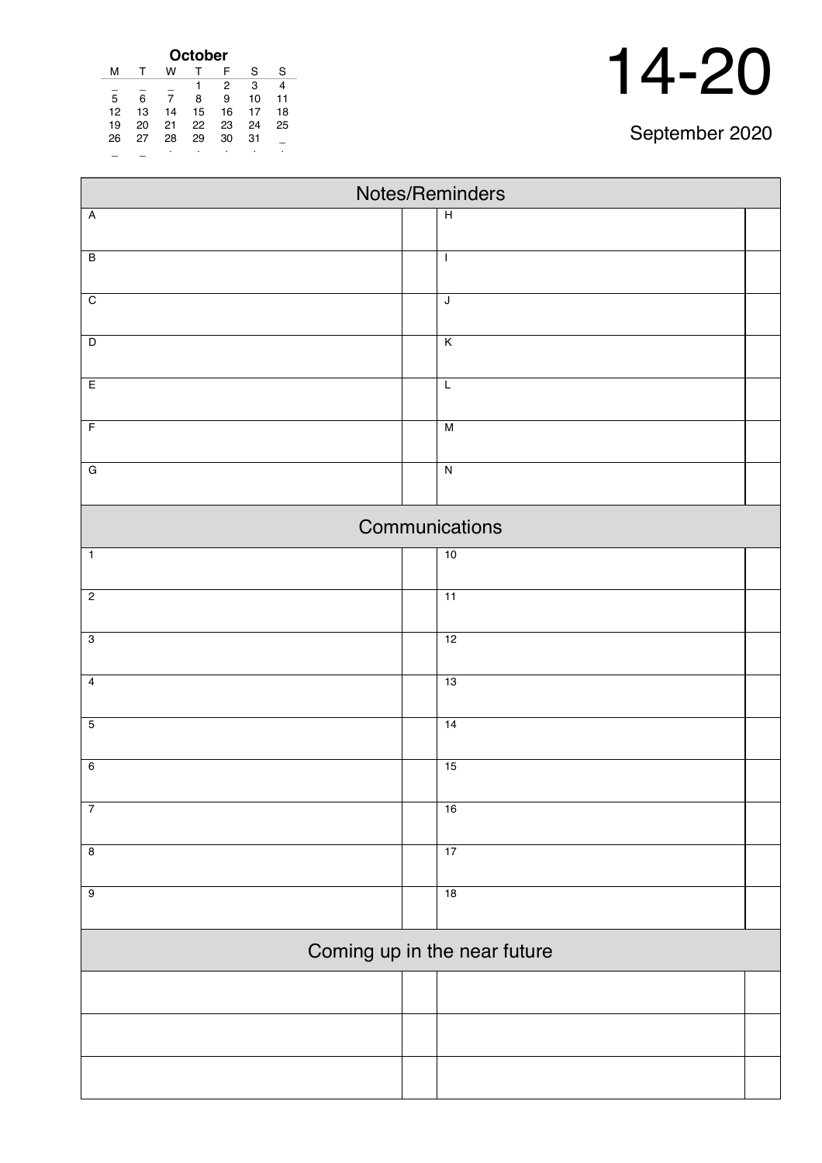| October |    |    |    |                |    |    |
|---------|----|----|----|----------------|----|----|
| м       |    | w  |    | F              | S  | S  |
|         |    |    |    | $\overline{2}$ | 3  |    |
| 5       | 6  | 7  | 8  | 9              | 10 | 11 |
| 12      | 13 | 14 | 15 | 16             | 17 | 18 |
| 19      | 20 | 21 | 22 | 23             | 24 | 25 |
| 26      | 27 | 28 | 29 | 30             | 31 |    |
|         |    | ٠  | ٠  |                | ٠  | ٠  |

| Notes/Reminders         |  |                              |  |  |  |
|-------------------------|--|------------------------------|--|--|--|
| $\overline{A}$          |  | $\overline{H}$               |  |  |  |
|                         |  |                              |  |  |  |
| $\overline{B}$          |  | $\mathbf{I}$                 |  |  |  |
| $\overline{C}$          |  | $\overline{\mathsf{J}}$      |  |  |  |
|                         |  |                              |  |  |  |
| $\overline{\mathsf{D}}$ |  | $\overline{\mathsf{K}}$      |  |  |  |
| E                       |  | $\overline{L}$               |  |  |  |
| $\overline{F}$          |  | M                            |  |  |  |
| $\overline{G}$          |  | $\overline{\mathsf{N}}$      |  |  |  |
|                         |  |                              |  |  |  |
|                         |  | Communications               |  |  |  |
| $\overline{1}$          |  | 10                           |  |  |  |
| $\overline{2}$          |  | $\overline{11}$              |  |  |  |
| $\overline{3}$          |  | 12                           |  |  |  |
| $\overline{4}$          |  | 13                           |  |  |  |
| $\overline{5}$          |  | 14                           |  |  |  |
| $6\overline{6}$         |  | 15                           |  |  |  |
|                         |  |                              |  |  |  |
| $\overline{7}$          |  | 16                           |  |  |  |
| $\overline{\mathbf{8}}$ |  | 17                           |  |  |  |
| $\overline{9}$          |  | 18                           |  |  |  |
|                         |  |                              |  |  |  |
|                         |  | Coming up in the near future |  |  |  |
|                         |  |                              |  |  |  |
|                         |  |                              |  |  |  |
|                         |  |                              |  |  |  |
|                         |  |                              |  |  |  |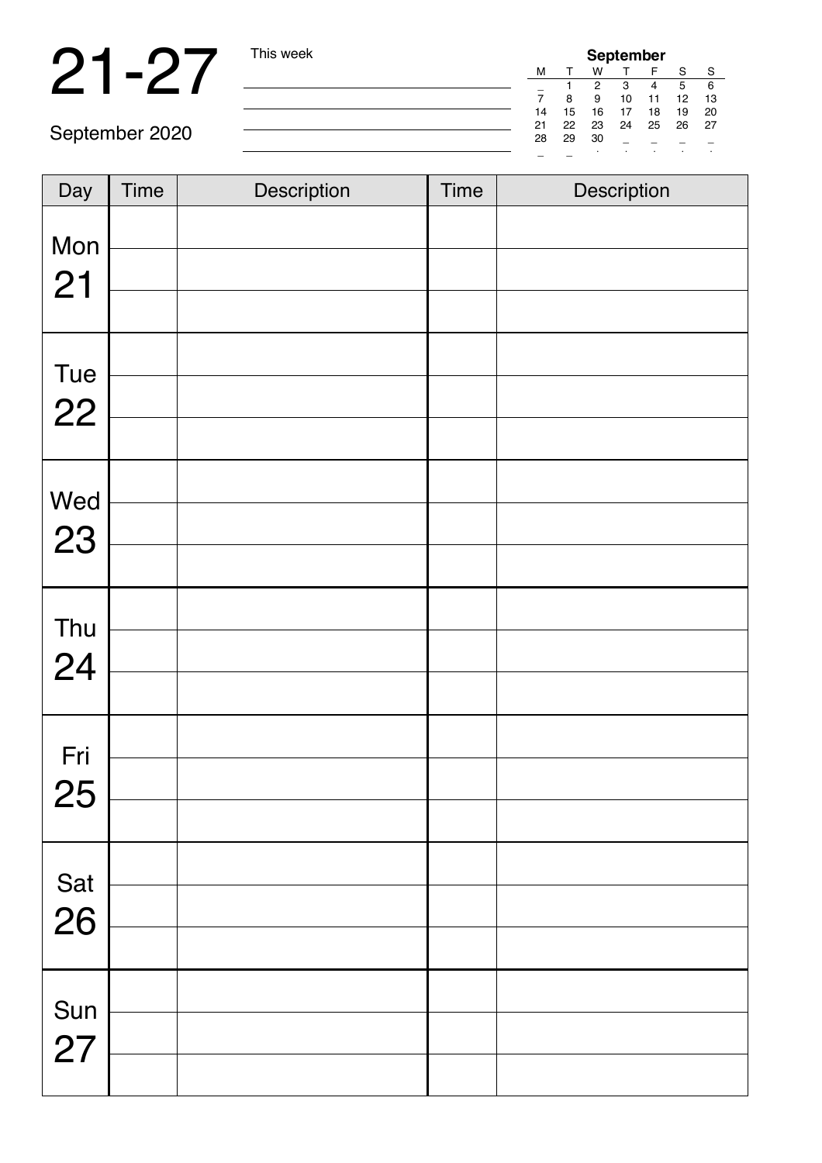## 21-27 This week

| <b>September</b> |    |    |    |    |    |    |
|------------------|----|----|----|----|----|----|
| м                |    | w  |    |    | S  | S  |
|                  |    | 2  | з  |    | 5  | 6  |
|                  | 8  | 9  | 10 | 11 | 12 | 13 |
| 14               | 15 | 16 | 17 | 18 | 19 | 20 |
| 21               | 22 | 23 | 24 | 25 | 26 | 27 |
| 28               | 29 | 30 |    |    |    |    |
|                  |    |    |    |    |    |    |

| Day       | <b>Time</b> | Description | <b>Time</b> | Description |
|-----------|-------------|-------------|-------------|-------------|
| Mon<br>21 |             |             |             |             |
| Tue<br>22 |             |             |             |             |
| Wed<br>23 |             |             |             |             |
| Thu<br>24 |             |             |             |             |
| Fri<br>25 |             |             |             |             |
| Sat<br>26 |             |             |             |             |
| Sun<br>27 |             |             |             |             |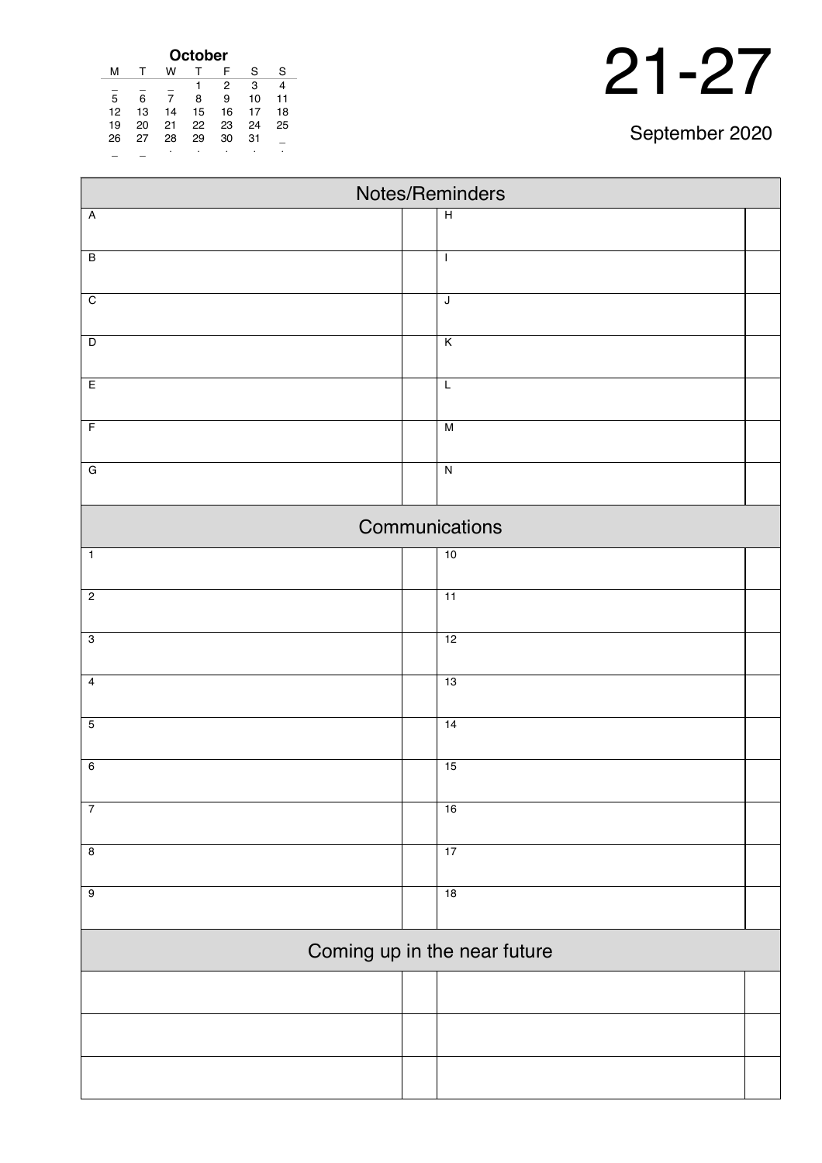| October |    |    |    |                |    |    |
|---------|----|----|----|----------------|----|----|
| м       |    | w  |    | F              | S  | S  |
|         |    |    | 1  | $\overline{2}$ | 3  | 4  |
| 5       | 6  | 7  | 8  | 9              | 10 | 11 |
| 12      | 13 | 14 | 15 | 16             | 17 | 18 |
| 19      | 20 | 21 | 22 | 23             | 24 | 25 |
| 26      | 27 | 28 | 29 | 30             | 31 |    |
|         |    | ٠  | ٠  |                |    | ٠  |

| Notes/Reminders              |                         |  |  |  |
|------------------------------|-------------------------|--|--|--|
| $\overline{A}$               | $\overline{H}$          |  |  |  |
|                              |                         |  |  |  |
| $\overline{B}$               | $\mathbf{I}$            |  |  |  |
| $\overline{C}$               | $\overline{\mathsf{J}}$ |  |  |  |
|                              |                         |  |  |  |
| $\overline{D}$               | $\overline{K}$          |  |  |  |
| E                            | $\overline{L}$          |  |  |  |
| $\overline{F}$               | $\overline{M}$          |  |  |  |
| $\overline{G}$               | $\overline{N}$          |  |  |  |
|                              |                         |  |  |  |
|                              | Communications          |  |  |  |
| $\overline{1}$               | 10                      |  |  |  |
| $\overline{2}$               | $\overline{11}$         |  |  |  |
| $\overline{3}$               | 12                      |  |  |  |
| $\overline{4}$               | 13                      |  |  |  |
| $\overline{5}$               | 14                      |  |  |  |
| $6\overline{6}$              | 15                      |  |  |  |
| $\overline{7}$               | 16                      |  |  |  |
| $\overline{8}$               | 17                      |  |  |  |
| $\overline{9}$               | 18                      |  |  |  |
| Coming up in the near future |                         |  |  |  |
|                              |                         |  |  |  |
|                              |                         |  |  |  |
|                              |                         |  |  |  |
|                              |                         |  |  |  |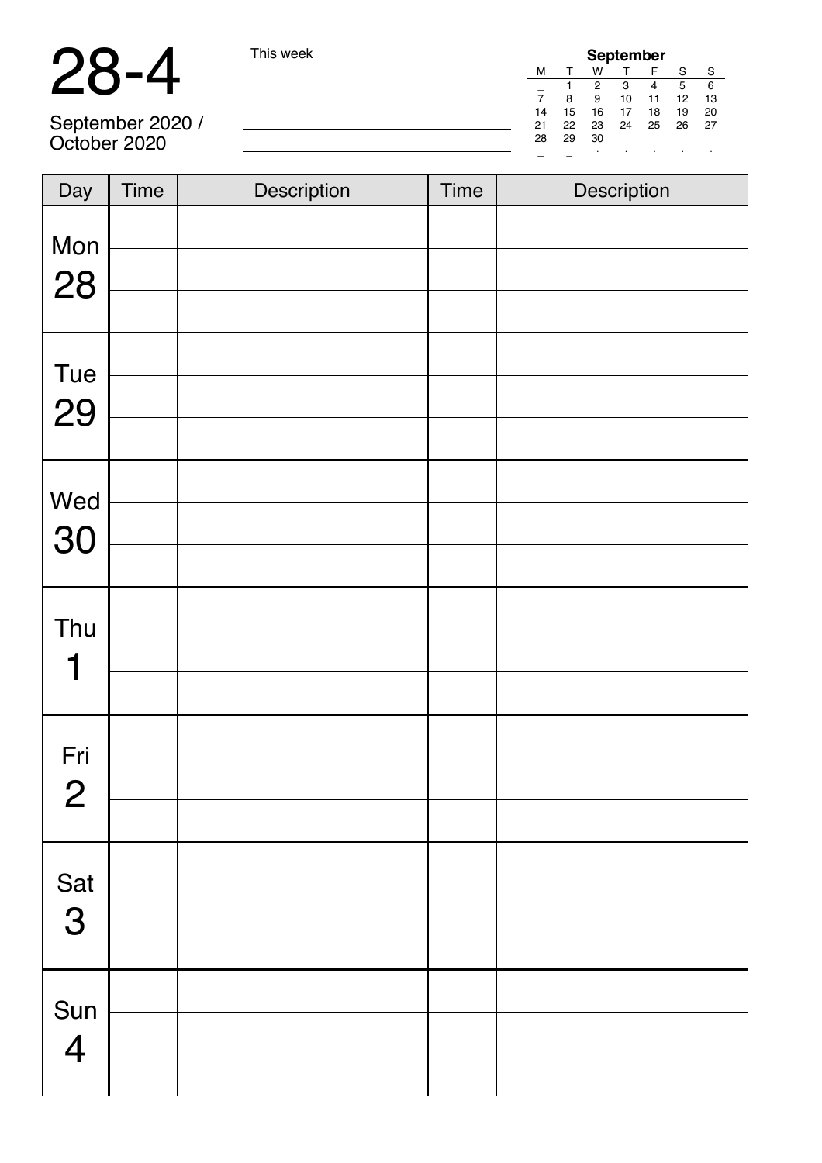### 28-4 This week

| his week <sup>-</sup> |    |    |         | <b>September</b> |    |    |    |  |
|-----------------------|----|----|---------|------------------|----|----|----|--|
|                       | м  |    | w       |                  | F  | S  | S  |  |
|                       | -  |    | 2       | 3                | 4  | 5  | 6  |  |
|                       |    | 8  | 9       | 10               | 11 | 12 | 13 |  |
|                       | 14 | 15 | 16      | 17               | 18 | 19 | 20 |  |
|                       | 21 | 22 | 23      | 24               | 25 | 26 | 27 |  |
|                       | 28 | 29 | 30      |                  |    |    |    |  |
|                       |    |    | $\cdot$ |                  | ٠  |    | ٠  |  |

September 2020 / October 2020

| Day            | <b>Time</b> | Description | <b>Time</b> | Description |
|----------------|-------------|-------------|-------------|-------------|
| Mon<br>28      |             |             |             |             |
|                |             |             |             |             |
| Tue            |             |             |             |             |
| 29             |             |             |             |             |
|                |             |             |             |             |
| Wed            |             |             |             |             |
| 30             |             |             |             |             |
|                |             |             |             |             |
| Thu            |             |             |             |             |
| 1              |             |             |             |             |
|                |             |             |             |             |
| Fri            |             |             |             |             |
| $\mathbf{2}$   |             |             |             |             |
|                |             |             |             |             |
|                |             |             |             |             |
| Sat<br>3       |             |             |             |             |
|                |             |             |             |             |
| Sun            |             |             |             |             |
| $\overline{4}$ |             |             |             |             |
|                |             |             |             |             |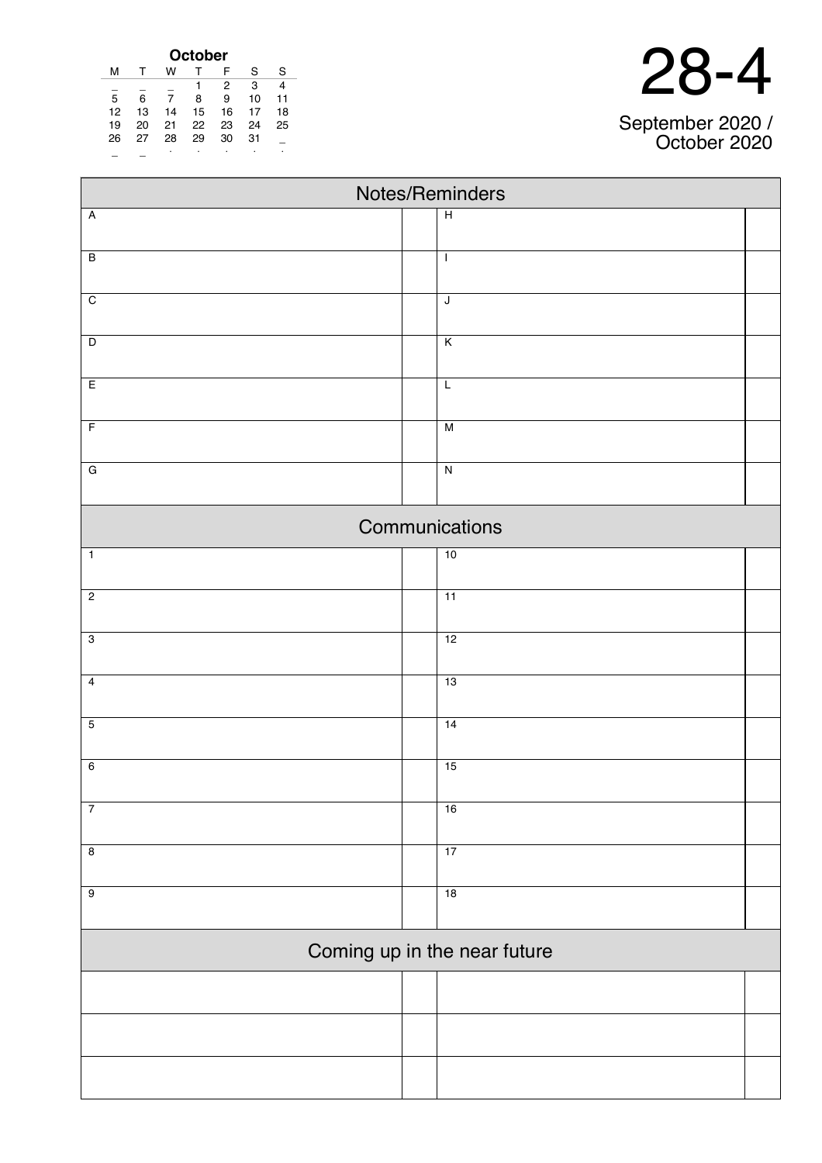| nc<br>$\blacksquare$ | $\overline{\phantom{a}}$ |
|----------------------|--------------------------|
|----------------------|--------------------------|

#### September 2020 / October 2020

| October |    |    |    |    |    |    |
|---------|----|----|----|----|----|----|
| м       |    | w  |    | F  | S  | S  |
|         |    |    |    | 2  | 3  |    |
| 5       | 6  |    | 8  | 9  | 10 | 11 |
| 12      | 13 | 14 | 15 | 16 | 17 | 18 |
| 19      | 20 | 21 | 22 | 23 | 24 | 25 |
| 26      | 27 | 28 | 29 | 30 | 31 |    |
|         |    | ٠  |    |    | ٠  | ٠  |

| Notes/Reminders |                              |  |  |  |
|-----------------|------------------------------|--|--|--|
| $\overline{A}$  | $\overline{H}$               |  |  |  |
|                 |                              |  |  |  |
| $\overline{B}$  | $\mathbf{I}$                 |  |  |  |
| $\overline{C}$  | $\overline{\mathsf{J}}$      |  |  |  |
|                 |                              |  |  |  |
| $\overline{D}$  | $\overline{K}$               |  |  |  |
| E               | $\overline{L}$               |  |  |  |
| $\overline{F}$  | $\overline{M}$               |  |  |  |
| $\overline{G}$  | $\overline{N}$               |  |  |  |
|                 |                              |  |  |  |
|                 | Communications               |  |  |  |
| $\overline{1}$  | 10                           |  |  |  |
| $\overline{2}$  | $\overline{11}$              |  |  |  |
| $\overline{3}$  | 12                           |  |  |  |
| $\overline{4}$  | 13                           |  |  |  |
|                 |                              |  |  |  |
| $\overline{5}$  | 14                           |  |  |  |
| $6\overline{6}$ | 15                           |  |  |  |
| $\overline{7}$  | 16                           |  |  |  |
| $\overline{8}$  | 17                           |  |  |  |
| $\overline{9}$  | 18                           |  |  |  |
|                 |                              |  |  |  |
|                 | Coming up in the near future |  |  |  |
|                 |                              |  |  |  |
|                 |                              |  |  |  |
|                 |                              |  |  |  |
|                 |                              |  |  |  |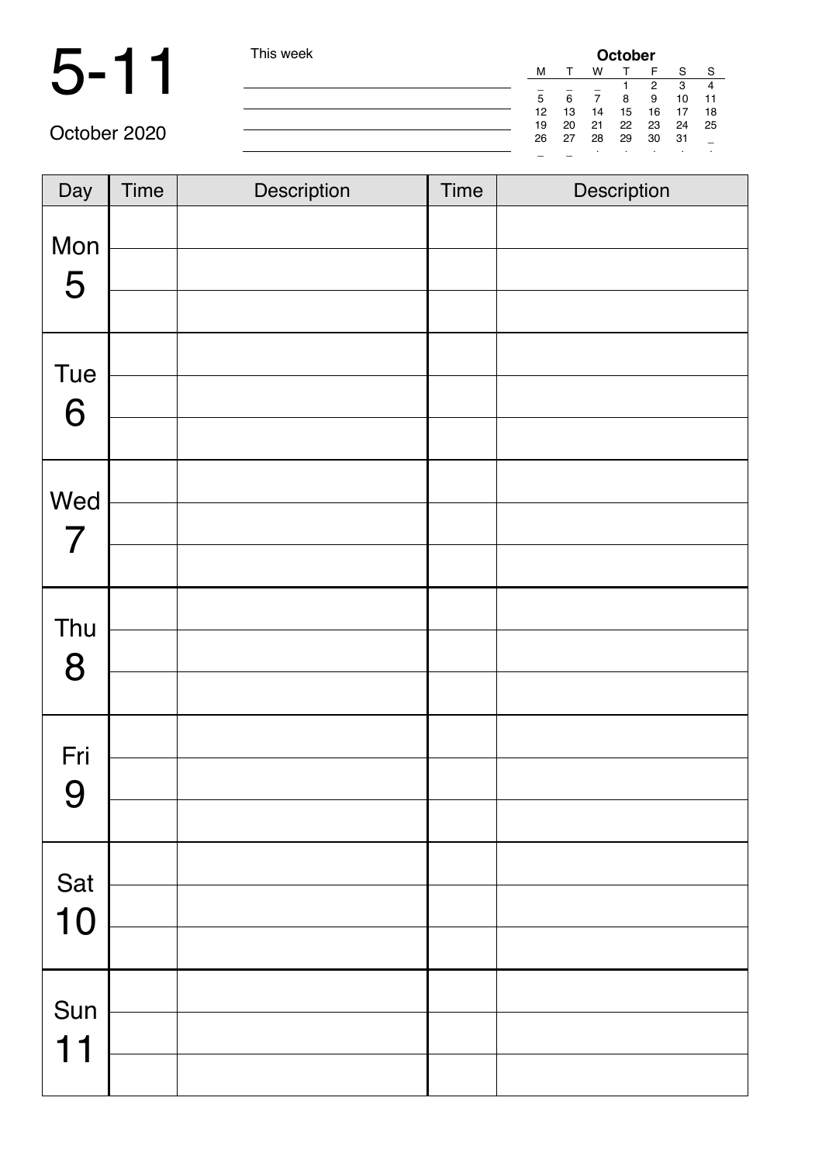|              | This week |    | October |    |    |    |    |    |  |
|--------------|-----------|----|---------|----|----|----|----|----|--|
|              |           | M  |         | w  |    |    |    | -S |  |
|              |           |    |         |    |    | 2  | 3  | 4  |  |
|              |           | 5  | 6       |    | 8  | 9  | 10 |    |  |
|              |           | 12 | 13      | 14 | 15 | 16 | 17 | 18 |  |
|              |           | 19 | 20      | 21 | 22 | 23 | 24 | 25 |  |
| October 2020 |           | 26 | 27      | 28 | 29 | 30 | 31 |    |  |
|              |           | -  |         |    |    |    |    |    |  |

| Day                   | Time | Description | <b>Time</b> | Description |
|-----------------------|------|-------------|-------------|-------------|
| Mon<br>5              |      |             |             |             |
| Tue<br>6              |      |             |             |             |
| Wed<br>$\overline{7}$ |      |             |             |             |
| Thu<br>8              |      |             |             |             |
| Fri<br>$\Omega$<br>J  |      |             |             |             |
| Sat<br>10             |      |             |             |             |
| Sun<br>11             |      |             |             |             |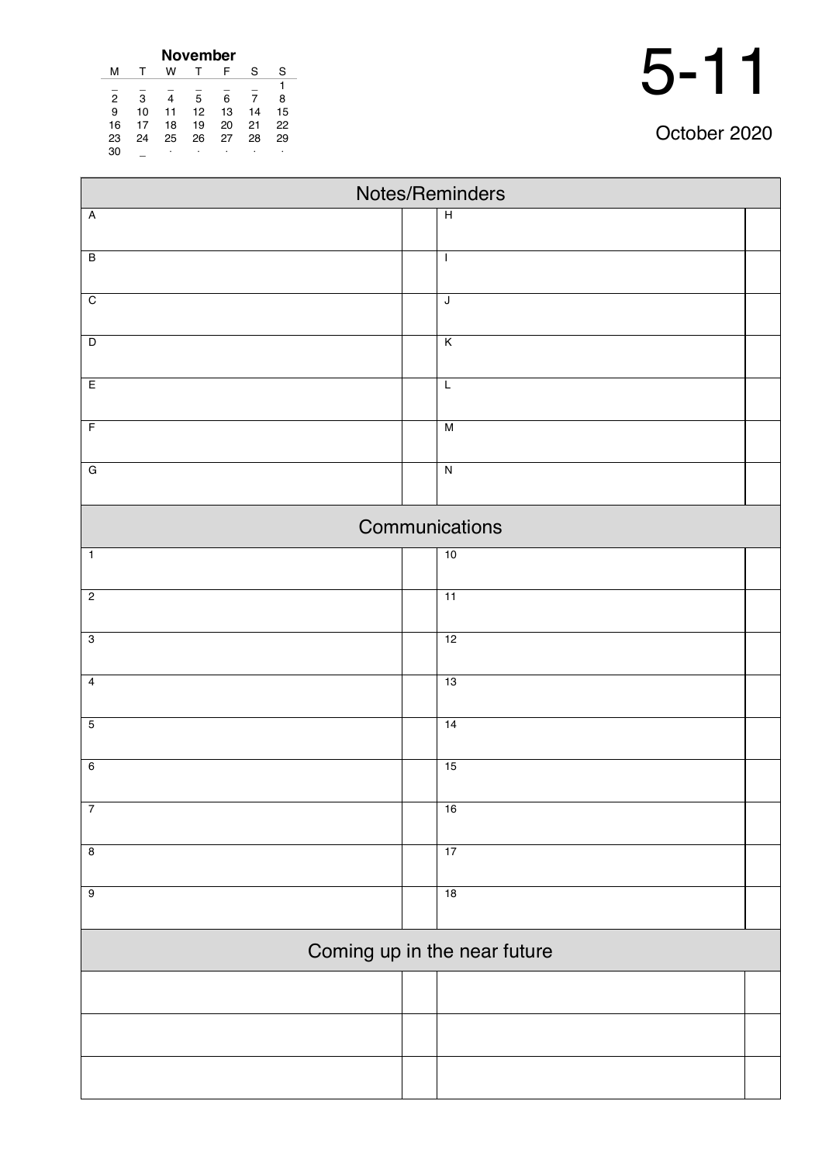| November       |    |    |    |    |    |    |  |  |  |
|----------------|----|----|----|----|----|----|--|--|--|
| м              |    | w  |    | F  | S  | S  |  |  |  |
|                |    |    |    |    |    |    |  |  |  |
| $\overline{2}$ | з  |    | 5  | 6  |    | 8  |  |  |  |
| 9              | 10 | 11 | 12 | 13 | 14 | 15 |  |  |  |
| 16             | 17 | 18 | 19 | 20 | 21 | 22 |  |  |  |
| 23             | 24 | 25 | 26 | 27 | 28 | 29 |  |  |  |
| 30             |    | ٠  |    | ٠  |    | ٠  |  |  |  |

| Notes/Reminders         |  |                              |  |  |  |  |  |
|-------------------------|--|------------------------------|--|--|--|--|--|
| $\overline{A}$          |  | $\overline{H}$               |  |  |  |  |  |
| $\overline{B}$          |  | $\mathbf{I}$                 |  |  |  |  |  |
|                         |  |                              |  |  |  |  |  |
| $\overline{C}$          |  | $\overline{\mathsf{J}}$      |  |  |  |  |  |
| $\overline{D}$          |  | Κ                            |  |  |  |  |  |
| E                       |  | L                            |  |  |  |  |  |
|                         |  |                              |  |  |  |  |  |
| $\overline{F}$          |  | $\overline{M}$               |  |  |  |  |  |
| ${\bf G}$               |  | $\overline{N}$               |  |  |  |  |  |
|                         |  | Communications               |  |  |  |  |  |
| $\overline{1}$          |  | 10                           |  |  |  |  |  |
| $\overline{2}$          |  | 11                           |  |  |  |  |  |
|                         |  |                              |  |  |  |  |  |
| $\overline{3}$          |  | 12                           |  |  |  |  |  |
| $\overline{4}$          |  | 13                           |  |  |  |  |  |
| $\overline{5}$          |  | 14                           |  |  |  |  |  |
| $\overline{6}$          |  | 15                           |  |  |  |  |  |
|                         |  |                              |  |  |  |  |  |
| $\overline{7}$          |  | 16                           |  |  |  |  |  |
| $\overline{\mathbf{8}}$ |  | 17                           |  |  |  |  |  |
| $\overline{9}$          |  | 18                           |  |  |  |  |  |
|                         |  |                              |  |  |  |  |  |
|                         |  | Coming up in the near future |  |  |  |  |  |
|                         |  |                              |  |  |  |  |  |
|                         |  |                              |  |  |  |  |  |
|                         |  |                              |  |  |  |  |  |
|                         |  |                              |  |  |  |  |  |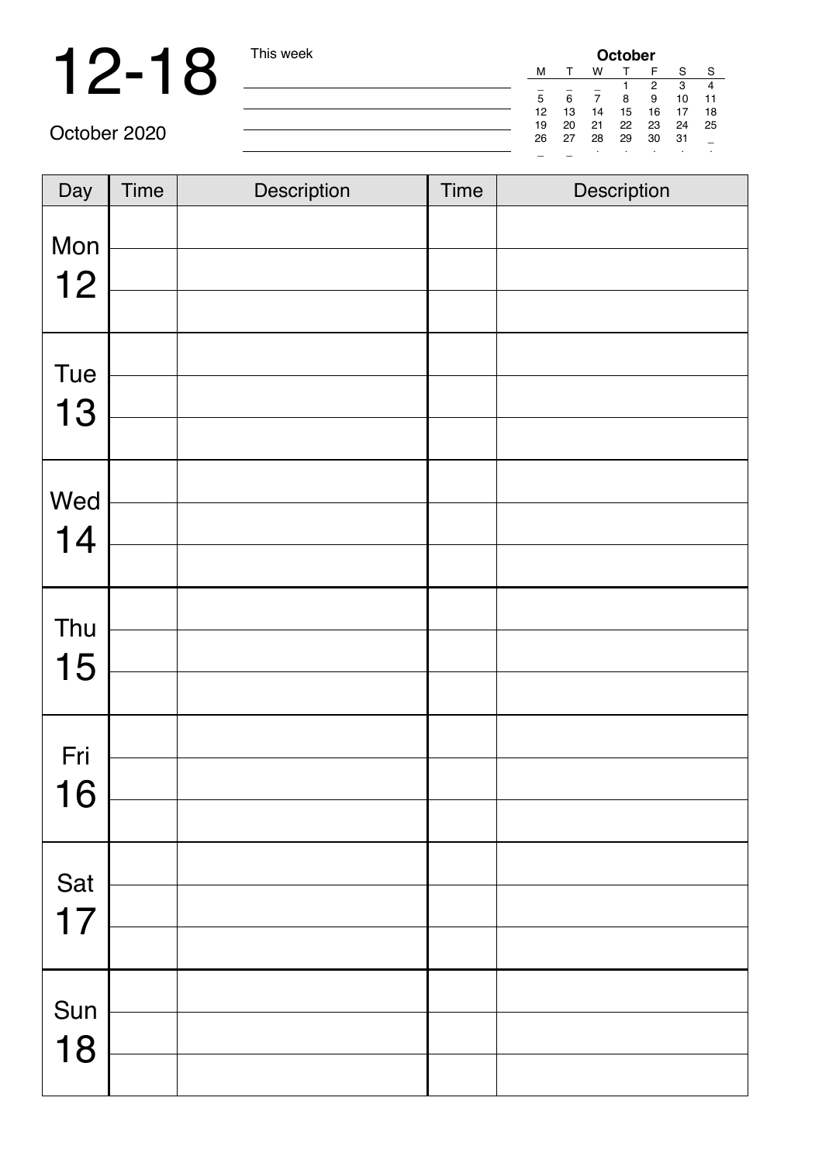# 12-18 This week

| <b>October</b> |    |    |    |    |    |    |  |
|----------------|----|----|----|----|----|----|--|
| м              |    | w  |    |    | S  | S  |  |
|                |    |    |    | 2  | 3  |    |  |
| 5              | 6  |    | 8  | 9  | 10 | 11 |  |
| 12             | 13 | 14 | 15 | 16 | 17 | 18 |  |
| 19             | 20 | 21 | 22 | 23 | 24 | 25 |  |
| 26             | 27 | 28 | 29 | 30 | 31 |    |  |
|                |    |    |    |    |    | ٠  |  |

| Day       | <b>Time</b> | Description | <b>Time</b> | Description |
|-----------|-------------|-------------|-------------|-------------|
| Mon<br>12 |             |             |             |             |
| Tue<br>13 |             |             |             |             |
| Wed<br>14 |             |             |             |             |
| Thu<br>15 |             |             |             |             |
| Fri<br>16 |             |             |             |             |
| Sat<br>17 |             |             |             |             |
| Sun<br>18 |             |             |             |             |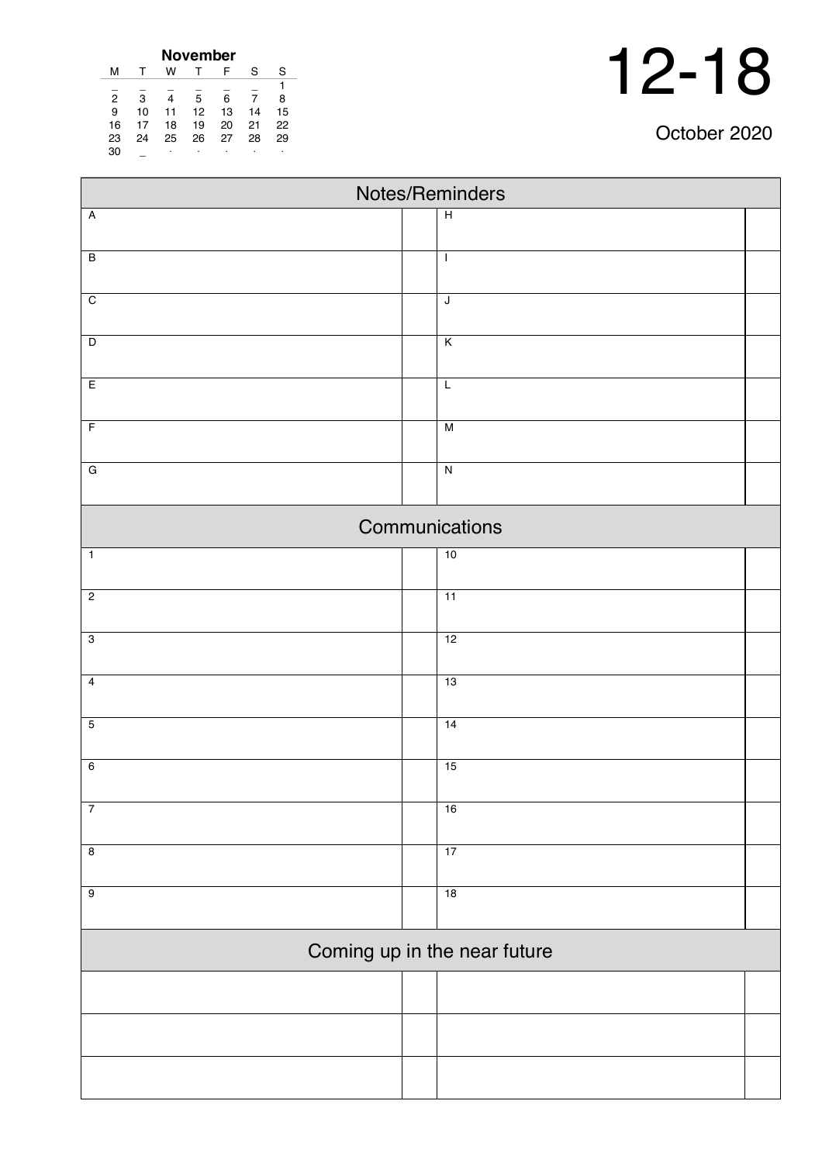| October 2020 |  |
|--------------|--|
|--------------|--|

| <b>November</b> |    |    |    |    |    |    |  |  |  |
|-----------------|----|----|----|----|----|----|--|--|--|
| м               |    | w  |    | F  | S  | S  |  |  |  |
|                 |    |    |    |    |    |    |  |  |  |
| $\overline{2}$  | 3  | 4  | 5  | 6  | 7  | 8  |  |  |  |
| 9               | 10 | 11 | 12 | 13 | 14 | 15 |  |  |  |
| 16              | 17 | 18 | 19 | 20 | 21 | 22 |  |  |  |
| 23              | 24 | 25 | 26 | 27 | 28 | 29 |  |  |  |
| 30              |    | ٠  | ٠  |    | ٠  | ٠  |  |  |  |

| Notes/Reminders         |  |                              |  |  |  |  |  |
|-------------------------|--|------------------------------|--|--|--|--|--|
| $\overline{A}$          |  | $\overline{H}$               |  |  |  |  |  |
|                         |  |                              |  |  |  |  |  |
| $\overline{B}$          |  | $\mathbf{I}$                 |  |  |  |  |  |
| $\overline{C}$          |  | $\overline{\mathsf{J}}$      |  |  |  |  |  |
|                         |  |                              |  |  |  |  |  |
| $\overline{D}$          |  | $\overline{\mathsf{K}}$      |  |  |  |  |  |
| E                       |  | $\overline{L}$               |  |  |  |  |  |
| $\overline{F}$          |  | M                            |  |  |  |  |  |
| $\overline{\mathsf{G}}$ |  | $\overline{N}$               |  |  |  |  |  |
|                         |  |                              |  |  |  |  |  |
|                         |  | Communications               |  |  |  |  |  |
| $\mathbf{1}$            |  | 10                           |  |  |  |  |  |
| $\overline{2}$          |  | 11                           |  |  |  |  |  |
| $\overline{3}$          |  | 12                           |  |  |  |  |  |
| $\overline{4}$          |  | 13                           |  |  |  |  |  |
| $\overline{5}$          |  | 14                           |  |  |  |  |  |
|                         |  |                              |  |  |  |  |  |
| $6\overline{6}$         |  | 15                           |  |  |  |  |  |
| $\overline{7}$          |  | 16                           |  |  |  |  |  |
| $\overline{8}$          |  | 17                           |  |  |  |  |  |
| $\overline{9}$          |  | 18                           |  |  |  |  |  |
|                         |  |                              |  |  |  |  |  |
|                         |  | Coming up in the near future |  |  |  |  |  |
|                         |  |                              |  |  |  |  |  |
|                         |  |                              |  |  |  |  |  |
|                         |  |                              |  |  |  |  |  |
|                         |  |                              |  |  |  |  |  |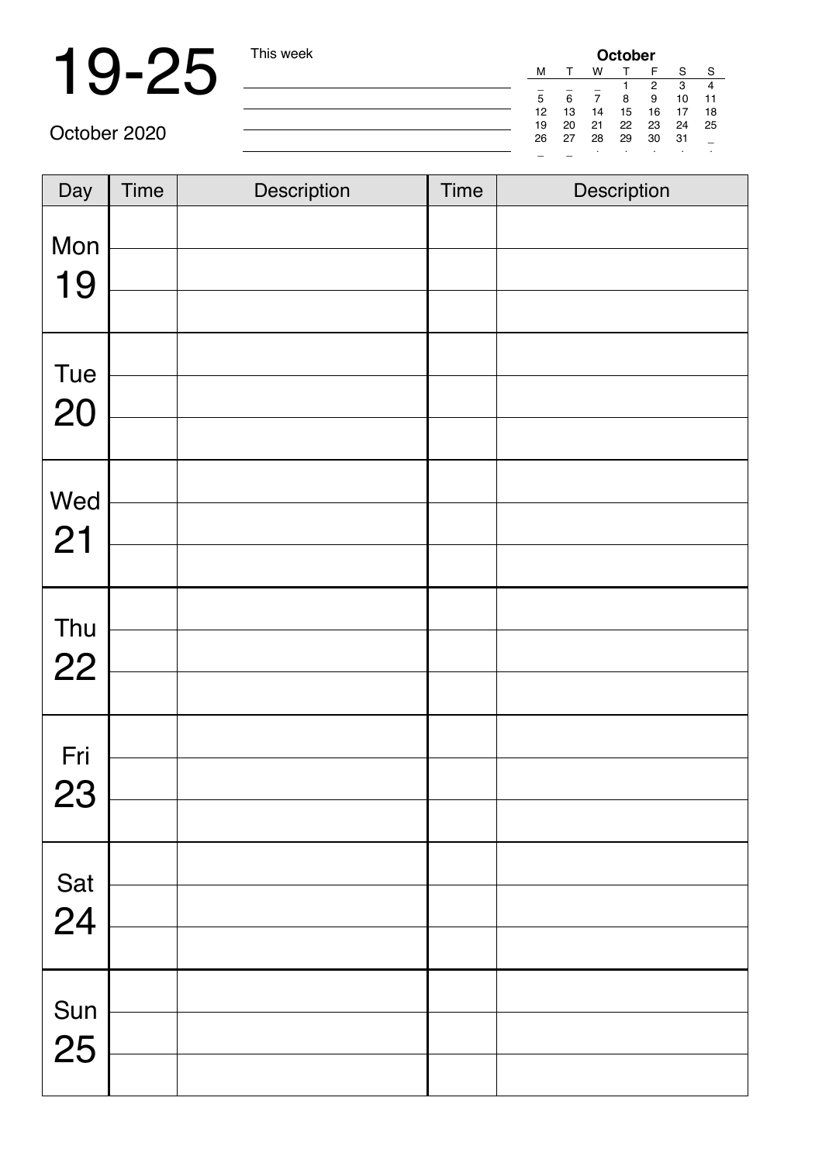## 19-25 This week

| <b>October</b> |    |    |    |    |    |    |  |
|----------------|----|----|----|----|----|----|--|
| м              |    | w  |    | F  | S  | S  |  |
|                |    |    |    | 2  | 3  |    |  |
| 5              | 6  |    | 8  | 9  | 10 | 11 |  |
| 12             | 13 | 14 | 15 | 16 | 17 | 18 |  |
| 19             | 20 | 21 | 22 | 23 | 24 | 25 |  |
| 26             | 27 | 28 | 29 | 30 | 31 |    |  |
|                |    |    |    |    |    | ٠  |  |

| Day | <b>Time</b> | Description | <b>Time</b> | Description |
|-----|-------------|-------------|-------------|-------------|
| Mon |             |             |             |             |
| 19  |             |             |             |             |
| Tue |             |             |             |             |
| 20  |             |             |             |             |
| Wed |             |             |             |             |
| 21  |             |             |             |             |
|     |             |             |             |             |
| Thu |             |             |             |             |
| 22  |             |             |             |             |
| Fri |             |             |             |             |
| 23  |             |             |             |             |
|     |             |             |             |             |
| Sat |             |             |             |             |
| 24  |             |             |             |             |
|     |             |             |             |             |
| Sun |             |             |             |             |
| 25  |             |             |             |             |
|     |             |             |             |             |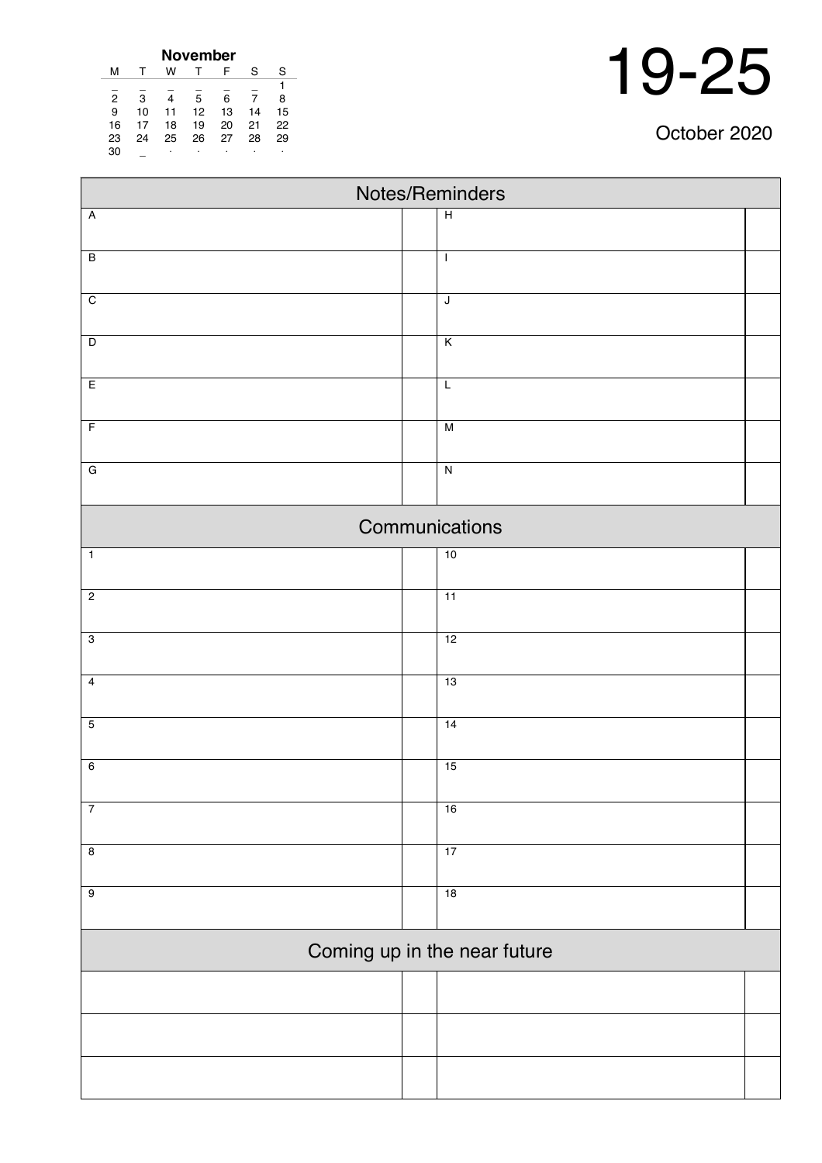| 19-25 |
|-------|
|       |

| October 2020 |  |  |
|--------------|--|--|
|              |  |  |

| November       |    |    |    |    |    |    |  |  |  |  |
|----------------|----|----|----|----|----|----|--|--|--|--|
| м              | т  | w  |    | F  | S  | S  |  |  |  |  |
|                |    |    |    |    |    | 1  |  |  |  |  |
| $\overline{2}$ | 3  | 4  | 5  | 6  |    | 8  |  |  |  |  |
| 9              | 10 | 11 | 12 | 13 | 14 | 15 |  |  |  |  |
| 16             | 17 | 18 | 19 | 20 | 21 | 22 |  |  |  |  |
| 23             | 24 | 25 | 26 | 27 | 28 | 29 |  |  |  |  |
| 30             |    | ٠  | ٠  | ٠  |    | ٠  |  |  |  |  |

 $\blacksquare$ 

| Notes/Reminders |  |                              |  |  |  |  |  |  |
|-----------------|--|------------------------------|--|--|--|--|--|--|
| $\overline{A}$  |  | $\overline{H}$               |  |  |  |  |  |  |
| $\overline{B}$  |  |                              |  |  |  |  |  |  |
|                 |  | $\mathbf{I}$                 |  |  |  |  |  |  |
| $\overline{C}$  |  | $\overline{\mathsf{J}}$      |  |  |  |  |  |  |
|                 |  |                              |  |  |  |  |  |  |
| $\overline{D}$  |  | $\overline{\mathsf{K}}$      |  |  |  |  |  |  |
| E               |  | $\mathsf L$                  |  |  |  |  |  |  |
| $\overline{F}$  |  | M                            |  |  |  |  |  |  |
|                 |  |                              |  |  |  |  |  |  |
| $\overline{G}$  |  | $\overline{\mathsf{N}}$      |  |  |  |  |  |  |
|                 |  | Communications               |  |  |  |  |  |  |
| $\overline{1}$  |  | 10                           |  |  |  |  |  |  |
|                 |  |                              |  |  |  |  |  |  |
| $\overline{2}$  |  | $\overline{11}$              |  |  |  |  |  |  |
| $\overline{3}$  |  | 12                           |  |  |  |  |  |  |
|                 |  |                              |  |  |  |  |  |  |
| $\overline{4}$  |  | 13                           |  |  |  |  |  |  |
| $\overline{5}$  |  | 14                           |  |  |  |  |  |  |
|                 |  |                              |  |  |  |  |  |  |
| $\overline{6}$  |  | 15                           |  |  |  |  |  |  |
|                 |  |                              |  |  |  |  |  |  |
| $\overline{7}$  |  | 16                           |  |  |  |  |  |  |
| $\overline{8}$  |  | 17                           |  |  |  |  |  |  |
| $\overline{9}$  |  | 18                           |  |  |  |  |  |  |
|                 |  |                              |  |  |  |  |  |  |
|                 |  | Coming up in the near future |  |  |  |  |  |  |
|                 |  |                              |  |  |  |  |  |  |
|                 |  |                              |  |  |  |  |  |  |
|                 |  |                              |  |  |  |  |  |  |
|                 |  |                              |  |  |  |  |  |  |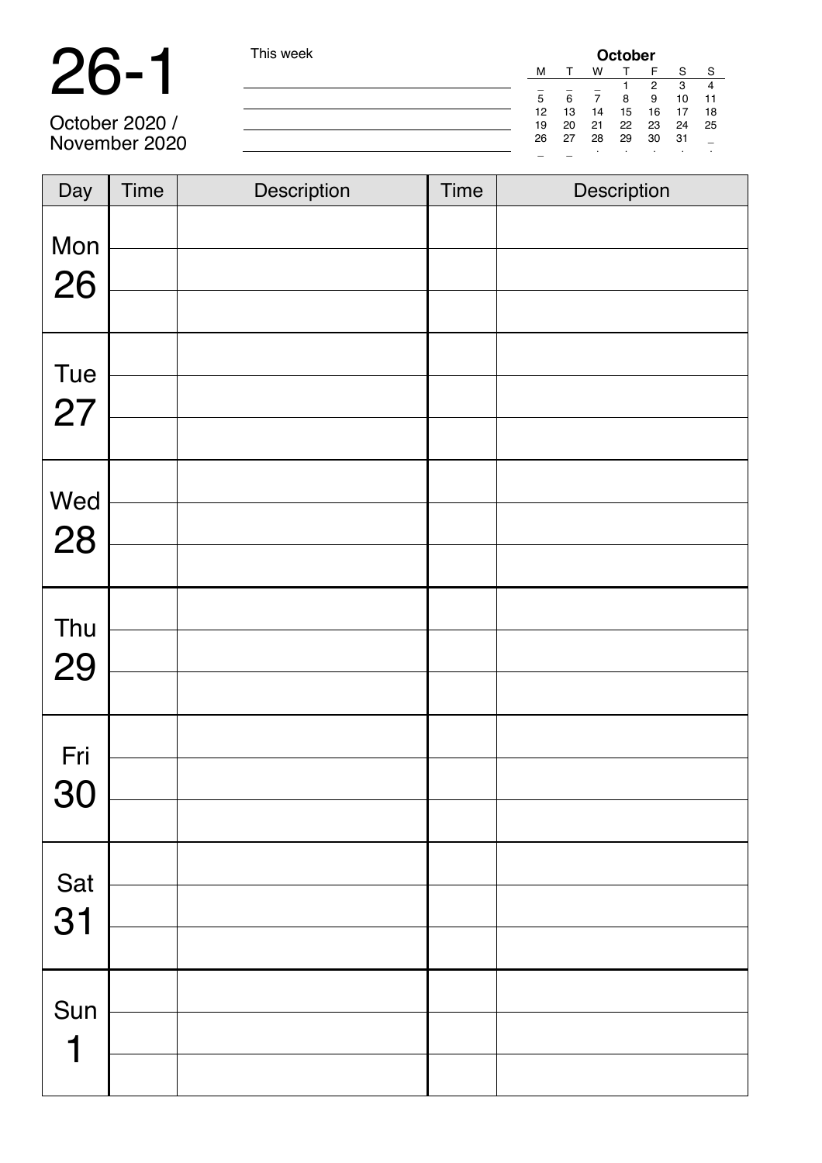## 26-1 This week

| I his week | October |    |    |    |    |         |    |  |
|------------|---------|----|----|----|----|---------|----|--|
|            | M       |    | w  |    | F  | S       | S  |  |
|            |         |    |    |    | 2  | 3       | 4  |  |
|            | 5       | 6  |    | 8  | 9  | 10      | 11 |  |
|            | 12      | 13 | 14 | 15 | 16 | 17      | 18 |  |
|            | 19      | 20 | 21 | 22 | 23 | 24      | 25 |  |
|            | 26      | 27 | 28 | 29 | 30 | -31     |    |  |
|            |         |    |    | ٠  | ٠  | $\cdot$ | ٠  |  |
|            |         |    |    |    |    |         |    |  |

October 2020 / November 2020

| Day       | <b>Time</b> | Description | <b>Time</b> | Description |
|-----------|-------------|-------------|-------------|-------------|
| Mon<br>26 |             |             |             |             |
| Tue<br>27 |             |             |             |             |
| Wed<br>28 |             |             |             |             |
| Thu<br>29 |             |             |             |             |
| Fri<br>30 |             |             |             |             |
| Sat<br>31 |             |             |             |             |
| Sun<br>1  |             |             |             |             |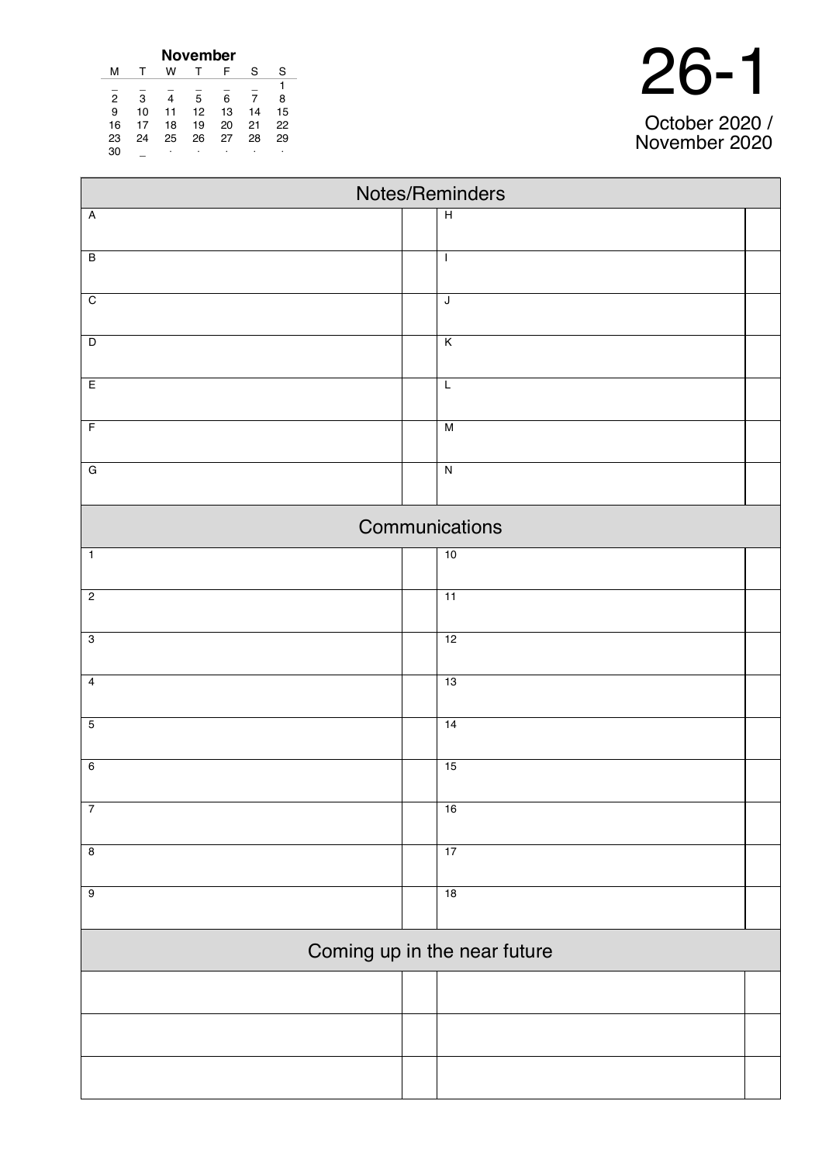| November       |    |    |    |    |    |    |  |  |  |  |
|----------------|----|----|----|----|----|----|--|--|--|--|
| м              | т  | w  |    | F  | S  | S  |  |  |  |  |
|                |    |    |    |    |    |    |  |  |  |  |
| $\overline{2}$ | 3  |    | 5  | 6  |    | 8  |  |  |  |  |
| 9              | 10 | 11 | 12 | 13 | 14 | 15 |  |  |  |  |
| 16             | 17 | 18 | 19 | 20 | 21 | 22 |  |  |  |  |
| 23             | 24 | 25 | 26 | 27 | 28 | 29 |  |  |  |  |
| 30             |    | ٠  |    | ٠  |    | ٠  |  |  |  |  |

| Notes/Reminders         |                              |  |  |  |  |  |  |
|-------------------------|------------------------------|--|--|--|--|--|--|
| Ā                       | $\overline{H}$               |  |  |  |  |  |  |
| $\overline{\mathsf{B}}$ | $\overline{1}$               |  |  |  |  |  |  |
| $\overline{\text{c}}$   | $\mathsf J$                  |  |  |  |  |  |  |
| D                       | $\overline{K}$               |  |  |  |  |  |  |
| E                       | $\overline{L}$               |  |  |  |  |  |  |
| $\overline{F}$          | $\overline{\mathsf{M}}$      |  |  |  |  |  |  |
| G                       | ${\sf N}$                    |  |  |  |  |  |  |
|                         | Communications               |  |  |  |  |  |  |
| $\overline{1}$          | 10                           |  |  |  |  |  |  |
| $\overline{2}$          | $\overline{11}$              |  |  |  |  |  |  |
| $\overline{3}$          | 12                           |  |  |  |  |  |  |
| 4                       | 13                           |  |  |  |  |  |  |
| 5                       | $\overline{14}$              |  |  |  |  |  |  |
| 6                       | 15                           |  |  |  |  |  |  |
| 7                       | 16                           |  |  |  |  |  |  |
| 8                       | 17                           |  |  |  |  |  |  |
| 9                       | 18                           |  |  |  |  |  |  |
|                         | Coming up in the near future |  |  |  |  |  |  |
|                         |                              |  |  |  |  |  |  |
|                         |                              |  |  |  |  |  |  |
|                         |                              |  |  |  |  |  |  |

October 2020 / November 2020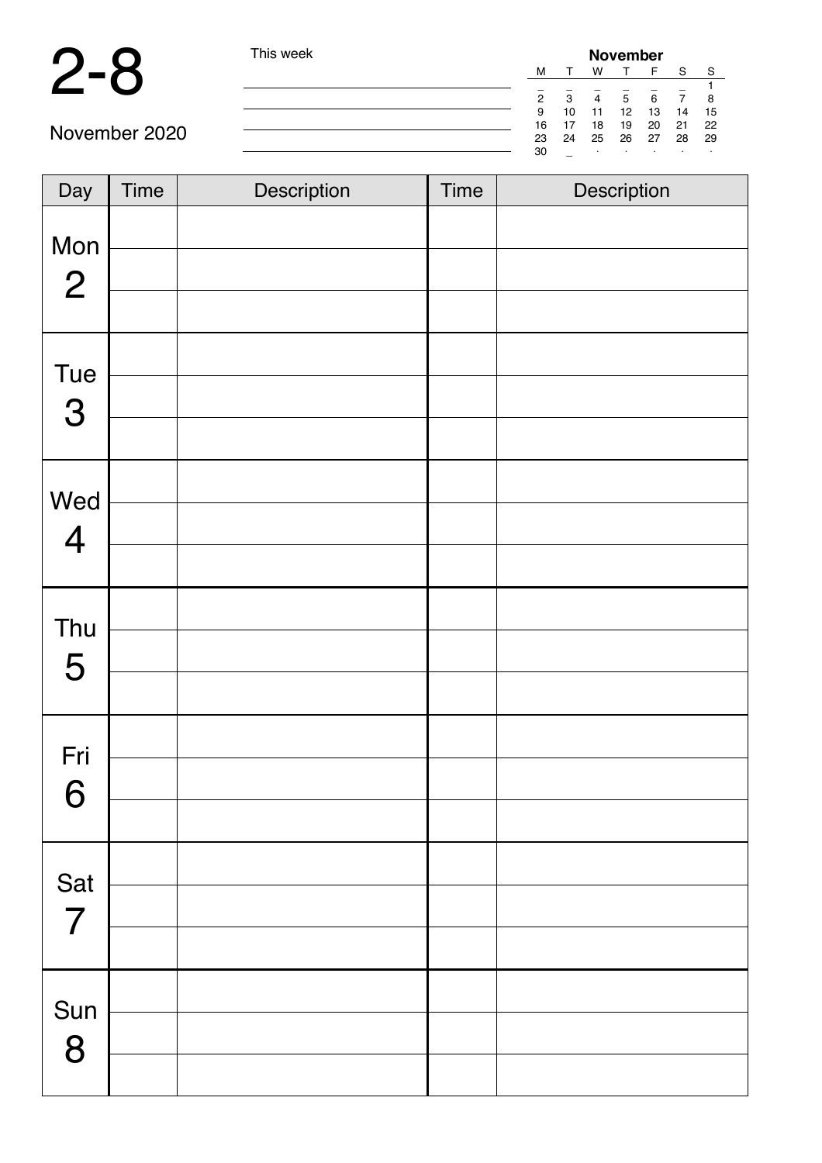#### 2-8 This

| s week |    |    |    | <b>November</b> |       |    |    |
|--------|----|----|----|-----------------|-------|----|----|
|        | M  |    | W  |                 | E     | S  | -S |
|        |    |    |    |                 |       |    |    |
|        | 2  | 3  | 4  | 5               | 6     |    | 8  |
|        | 9  | 10 | 11 | 12              | 13    | 14 | 15 |
|        | 16 | 17 | 18 | 19              | 20    | 21 | 22 |
|        | 23 | 24 | 25 |                 | 26 27 | 28 | 29 |
|        | 30 |    |    |                 | ٠     | ٠  |    |

| Day                      | Time | Description | <b>Time</b> | Description |
|--------------------------|------|-------------|-------------|-------------|
| Mon<br>$\overline{2}$    |      |             |             |             |
|                          |      |             |             |             |
| Tue                      |      |             |             |             |
| 3                        |      |             |             |             |
|                          |      |             |             |             |
| Wed<br>4                 |      |             |             |             |
|                          |      |             |             |             |
| Thu                      |      |             |             |             |
| 5                        |      |             |             |             |
|                          |      |             |             |             |
| Fri<br>$\mathbf{\Omega}$ |      |             |             |             |
| Ő                        |      |             |             |             |
| Sat                      |      |             |             |             |
| $\overline{7}$           |      |             |             |             |
|                          |      |             |             |             |
| Sun                      |      |             |             |             |
| 8                        |      |             |             |             |
|                          |      |             |             |             |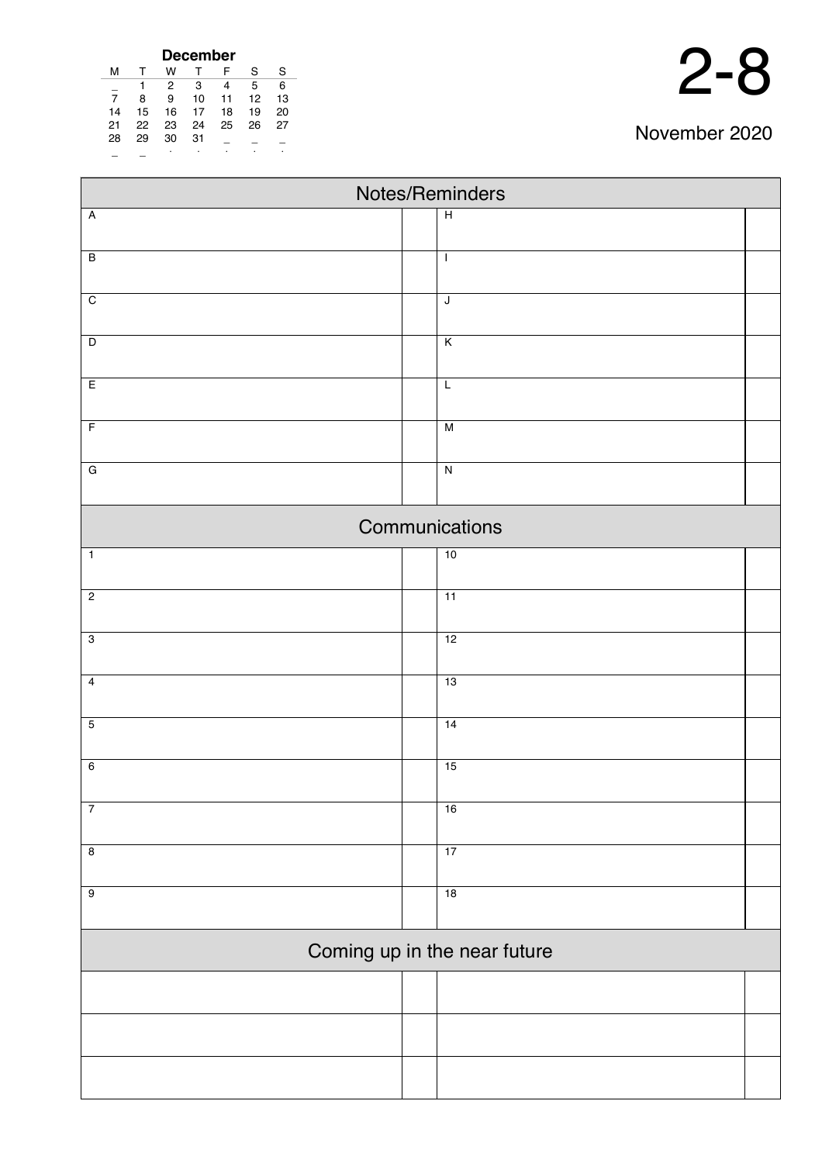| <b>December</b> |    |    |    |    |    |    |  |  |  |  |
|-----------------|----|----|----|----|----|----|--|--|--|--|
| м               |    | w  |    | F  | S  | S  |  |  |  |  |
|                 |    | 2  | 3  | 4  | 5  | 6  |  |  |  |  |
| 7               | 8  | 9  | 10 | 11 | 12 | 13 |  |  |  |  |
| 14              | 15 | 16 | 17 | 18 | 19 | 20 |  |  |  |  |
| 21              | 22 | 23 | 24 | 25 | 26 | 27 |  |  |  |  |
| 28              | 29 | 30 | 31 |    |    |    |  |  |  |  |
|                 |    | ٠  | ٠  |    |    |    |  |  |  |  |

| Notes/Reminders |  |                              |  |  |  |  |  |
|-----------------|--|------------------------------|--|--|--|--|--|
| $\overline{A}$  |  | $\overline{H}$               |  |  |  |  |  |
|                 |  |                              |  |  |  |  |  |
| $\overline{B}$  |  | $\mathbf{I}$                 |  |  |  |  |  |
| $\overline{C}$  |  | $\mathsf J$                  |  |  |  |  |  |
|                 |  |                              |  |  |  |  |  |
| $\overline{D}$  |  | K                            |  |  |  |  |  |
| E               |  | $\overline{L}$               |  |  |  |  |  |
|                 |  |                              |  |  |  |  |  |
| $\overline{F}$  |  | $\overline{M}$               |  |  |  |  |  |
| $\overline{G}$  |  | $\overline{N}$               |  |  |  |  |  |
|                 |  |                              |  |  |  |  |  |
|                 |  | Communications               |  |  |  |  |  |
|                 |  |                              |  |  |  |  |  |
| $\overline{1}$  |  | 10                           |  |  |  |  |  |
| $\overline{2}$  |  | 11                           |  |  |  |  |  |
|                 |  |                              |  |  |  |  |  |
| $\overline{3}$  |  | 12                           |  |  |  |  |  |
| $\overline{4}$  |  | 13                           |  |  |  |  |  |
|                 |  |                              |  |  |  |  |  |
| $\overline{5}$  |  | 14                           |  |  |  |  |  |
| $\overline{6}$  |  | 15                           |  |  |  |  |  |
|                 |  |                              |  |  |  |  |  |
| $\overline{7}$  |  | 16                           |  |  |  |  |  |
|                 |  |                              |  |  |  |  |  |
| $\overline{8}$  |  | 17                           |  |  |  |  |  |
| $\overline{9}$  |  | 18                           |  |  |  |  |  |
|                 |  |                              |  |  |  |  |  |
|                 |  | Coming up in the near future |  |  |  |  |  |
|                 |  |                              |  |  |  |  |  |
|                 |  |                              |  |  |  |  |  |
|                 |  |                              |  |  |  |  |  |
|                 |  |                              |  |  |  |  |  |
|                 |  |                              |  |  |  |  |  |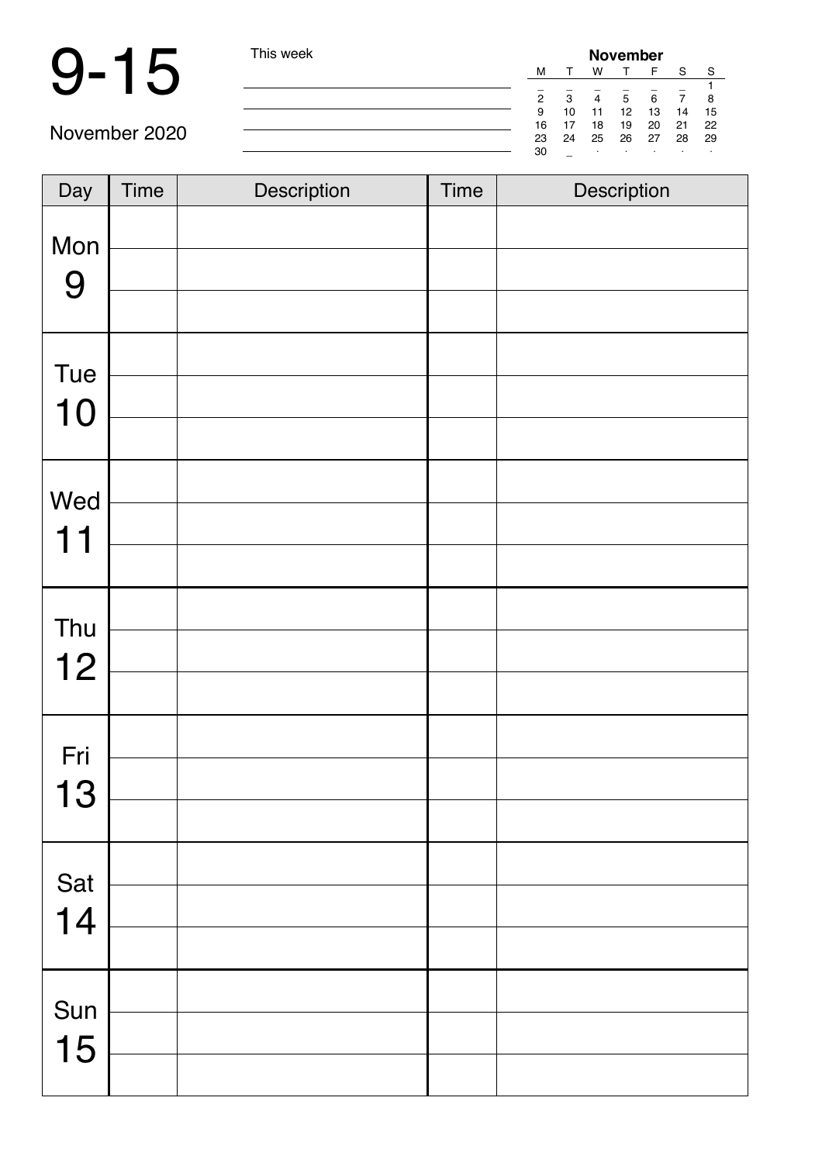## 9-15 This week

| week | <b>November</b> |    |         |    |    |    |    |  |  |
|------|-----------------|----|---------|----|----|----|----|--|--|
|      | М               |    | w       |    | F  | S  | S  |  |  |
|      |                 |    |         |    |    |    |    |  |  |
|      | 2               | 3  | 4       | 5  | 6  |    | 8  |  |  |
|      | 9               | 10 | 11      | 12 | 13 | 14 | 15 |  |  |
|      | 16              | 17 | 18      | 19 | 20 | 21 | 22 |  |  |
|      | 23              | 24 | 25      | 26 | 27 | 28 | 29 |  |  |
|      | 30              |    | $\cdot$ | ٠  | ٠  | ٠  |    |  |  |

| Day       | Time | Description | <b>Time</b> | Description |
|-----------|------|-------------|-------------|-------------|
| Mon<br>9  |      |             |             |             |
| Tue<br>10 |      |             |             |             |
| Wed<br>11 |      |             |             |             |
| Thu<br>12 |      |             |             |             |
| Fri<br>13 |      |             |             |             |
| Sat<br>14 |      |             |             |             |
| Sun<br>15 |      |             |             |             |
|           |      |             |             |             |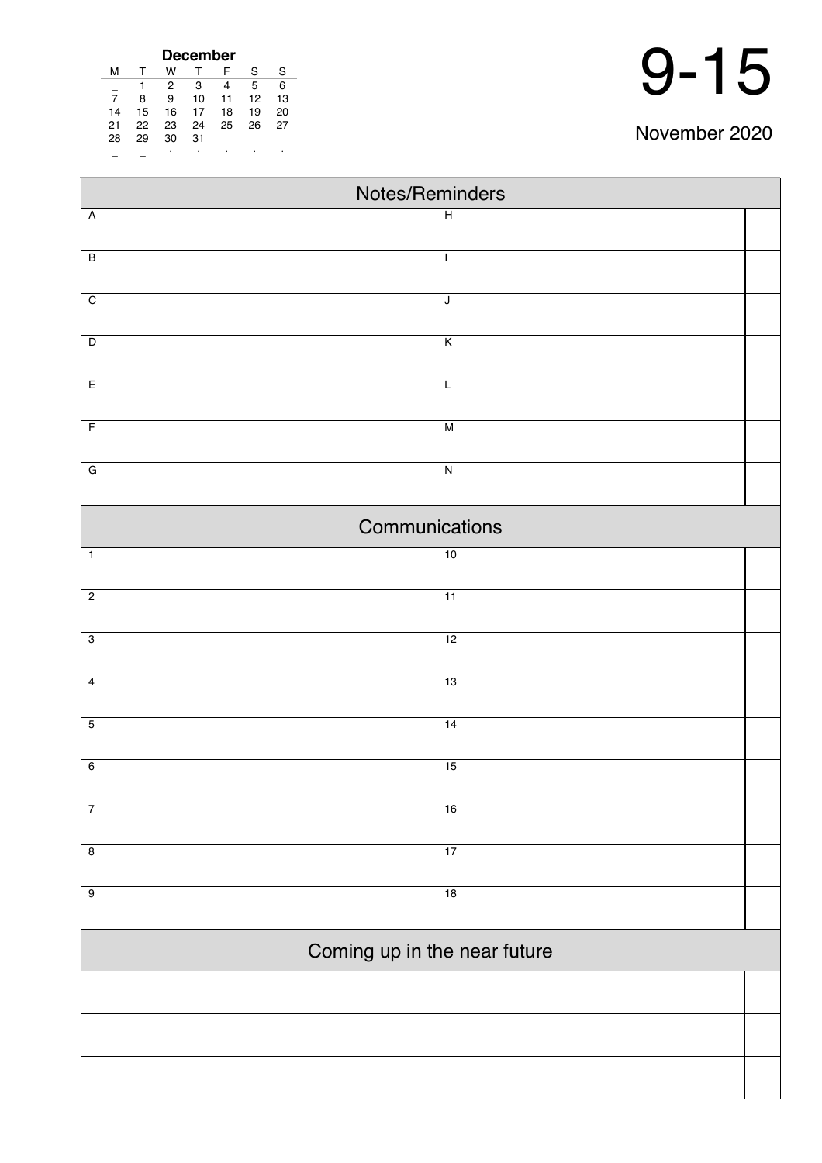| <b>December</b> |    |    |    |    |    |    |  |  |  |  |  |
|-----------------|----|----|----|----|----|----|--|--|--|--|--|
| м               |    | w  |    | F  | S  | S  |  |  |  |  |  |
|                 |    | 2  | 3  | 4  | 5  | 6  |  |  |  |  |  |
| 7               | 8  | 9  | 10 | 11 | 12 | 13 |  |  |  |  |  |
| 14              | 15 | 16 | 17 | 18 | 19 | 20 |  |  |  |  |  |
| 21              | 22 | 23 | 24 | 25 | 26 | 27 |  |  |  |  |  |
| 28              | 29 | 30 | 31 |    |    |    |  |  |  |  |  |
|                 |    | ٠  | ٠  |    |    | ٠  |  |  |  |  |  |

| Notes/Reminders         |  |                              |  |  |  |  |  |
|-------------------------|--|------------------------------|--|--|--|--|--|
| $\overline{A}$          |  | $\overline{H}$               |  |  |  |  |  |
| $\overline{B}$          |  | $\mathbf{I}$                 |  |  |  |  |  |
|                         |  |                              |  |  |  |  |  |
| $\overline{C}$          |  | J                            |  |  |  |  |  |
| $\overline{\mathsf{D}}$ |  | K                            |  |  |  |  |  |
| E                       |  | $\overline{L}$               |  |  |  |  |  |
| $\overline{F}$          |  | M                            |  |  |  |  |  |
| ${\bf G}$               |  | $\overline{N}$               |  |  |  |  |  |
|                         |  |                              |  |  |  |  |  |
|                         |  | Communications               |  |  |  |  |  |
| $\overline{1}$          |  | 10                           |  |  |  |  |  |
| $\overline{2}$          |  | 11                           |  |  |  |  |  |
| $\overline{3}$          |  | 12                           |  |  |  |  |  |
| $\overline{4}$          |  | 13                           |  |  |  |  |  |
| $\overline{5}$          |  | 14                           |  |  |  |  |  |
|                         |  |                              |  |  |  |  |  |
| $\overline{6}$          |  | 15                           |  |  |  |  |  |
| $\overline{7}$          |  | 16                           |  |  |  |  |  |
| $\overline{\mathbf{8}}$ |  | 17                           |  |  |  |  |  |
| $\overline{9}$          |  | 18                           |  |  |  |  |  |
|                         |  |                              |  |  |  |  |  |
|                         |  | Coming up in the near future |  |  |  |  |  |
|                         |  |                              |  |  |  |  |  |
|                         |  |                              |  |  |  |  |  |
|                         |  |                              |  |  |  |  |  |
|                         |  |                              |  |  |  |  |  |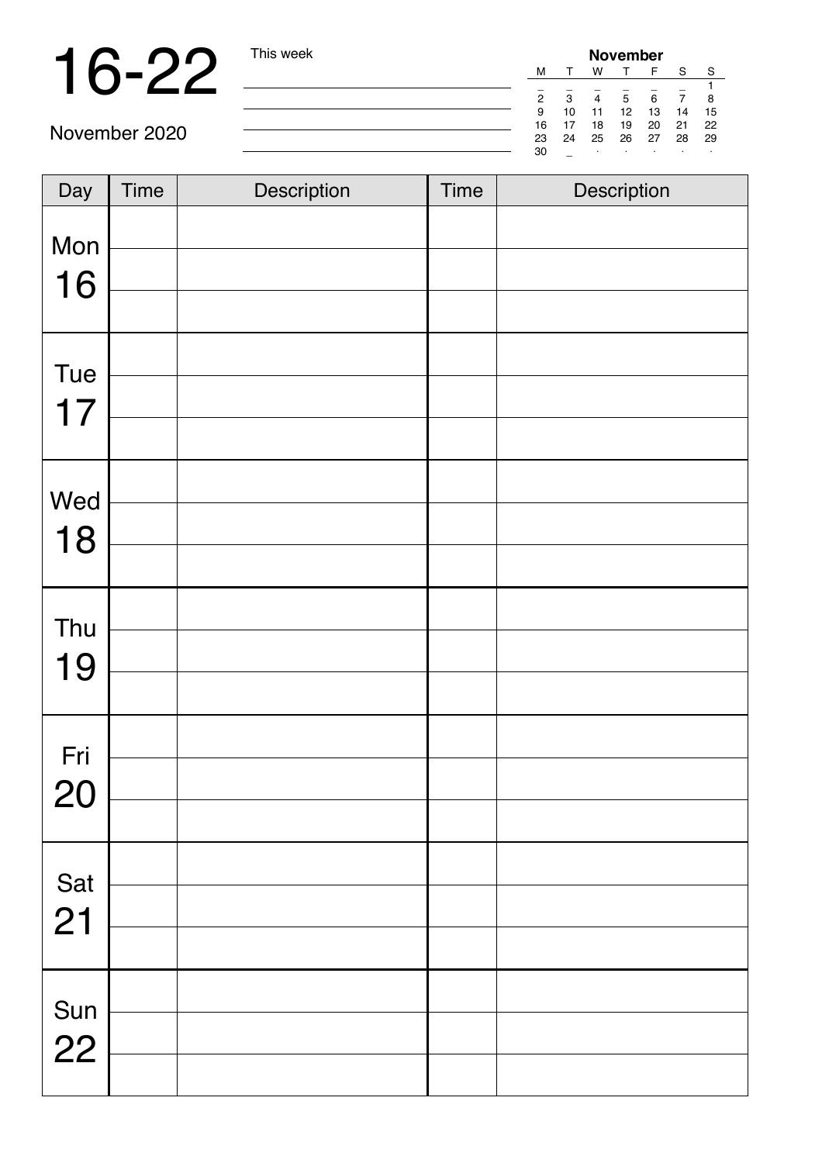## 16-22 This week

| <b>November</b> |    |    |    |    |    |    |  |  |  |
|-----------------|----|----|----|----|----|----|--|--|--|
| м               |    | w  |    | F  | S  | S  |  |  |  |
|                 |    |    |    |    |    |    |  |  |  |
| 2               | 3  |    | 5  | 6  |    | 8  |  |  |  |
| 9               | 10 | 11 | 12 | 13 | 14 | 15 |  |  |  |
| 16              | 17 | 18 | 19 | 20 | 21 | 22 |  |  |  |
| 23              | 24 | 25 | 26 | 27 | 28 | 29 |  |  |  |
| 30              |    | ٠  |    |    |    |    |  |  |  |

| Day         | <b>Time</b> | Description | <b>Time</b> | Description |
|-------------|-------------|-------------|-------------|-------------|
| Mon<br>16   |             |             |             |             |
| Tue<br>17   |             |             |             |             |
| Wed<br>18   |             |             |             |             |
| Thu<br>19   |             |             |             |             |
| Fri<br>20   |             |             |             |             |
| Sat<br>21   |             |             |             |             |
| Sun<br>$22$ |             |             |             |             |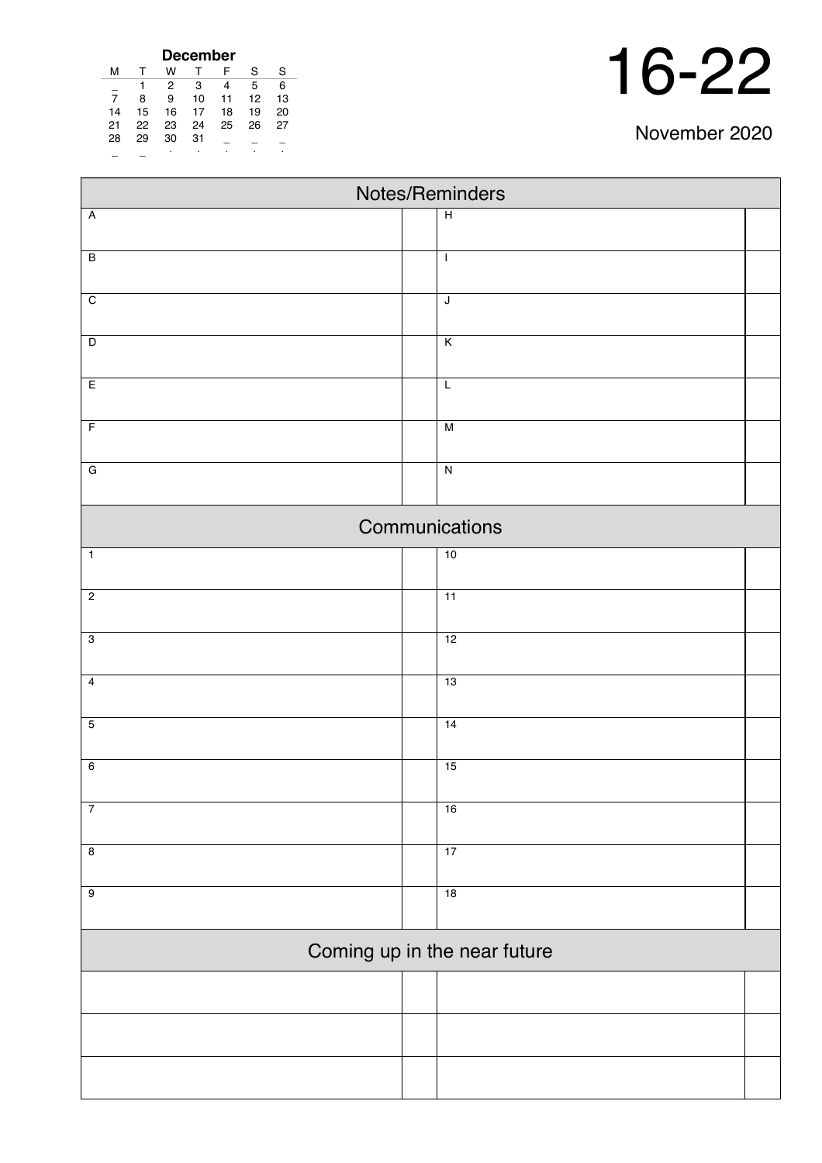| <b>December</b> |    |    |    |          |    |    |  |  |  |  |  |
|-----------------|----|----|----|----------|----|----|--|--|--|--|--|
| м               |    | w  |    | F        | S  | S  |  |  |  |  |  |
|                 | 1  | 2  | 3  | 4        | 5  | 6  |  |  |  |  |  |
| 7               | 8  | 9  | 10 | 11       | 12 | 13 |  |  |  |  |  |
| 14              | 15 | 16 | 17 | 18       | 19 | 20 |  |  |  |  |  |
| 21              | 22 | 23 | 24 | 25<br>26 |    | 27 |  |  |  |  |  |
| 28              | 29 | 30 | 31 |          |    |    |  |  |  |  |  |
|                 |    | ٠  |    |          |    |    |  |  |  |  |  |

| Notes/Reminders           |  |                              |  |  |  |  |  |
|---------------------------|--|------------------------------|--|--|--|--|--|
| $\boldsymbol{\mathsf{A}}$ |  | $\overline{H}$               |  |  |  |  |  |
| $\overline{B}$            |  | $\mathbf{I}$                 |  |  |  |  |  |
|                           |  |                              |  |  |  |  |  |
| $\overline{C}$            |  | $\overline{\mathsf{J}}$      |  |  |  |  |  |
| $\overline{D}$            |  | $\overline{\mathsf{K}}$      |  |  |  |  |  |
|                           |  |                              |  |  |  |  |  |
| E                         |  | L                            |  |  |  |  |  |
| $\overline{F}$            |  | $\overline{M}$               |  |  |  |  |  |
| $\overline{G}$            |  | $\overline{N}$               |  |  |  |  |  |
|                           |  |                              |  |  |  |  |  |
|                           |  | Communications               |  |  |  |  |  |
| $\overline{1}$            |  | 10                           |  |  |  |  |  |
| $\overline{c}$            |  | 11                           |  |  |  |  |  |
|                           |  |                              |  |  |  |  |  |
| $\overline{3}$            |  | 12                           |  |  |  |  |  |
| $\overline{4}$            |  | 13                           |  |  |  |  |  |
| $\overline{5}$            |  | 14                           |  |  |  |  |  |
|                           |  |                              |  |  |  |  |  |
| $\overline{6}$            |  | 15                           |  |  |  |  |  |
| $\overline{7}$            |  | 16                           |  |  |  |  |  |
|                           |  |                              |  |  |  |  |  |
| $\overline{\mathbf{8}}$   |  | 17                           |  |  |  |  |  |
| $\overline{9}$            |  | 18                           |  |  |  |  |  |
|                           |  | Coming up in the near future |  |  |  |  |  |
|                           |  |                              |  |  |  |  |  |
|                           |  |                              |  |  |  |  |  |
|                           |  |                              |  |  |  |  |  |
|                           |  |                              |  |  |  |  |  |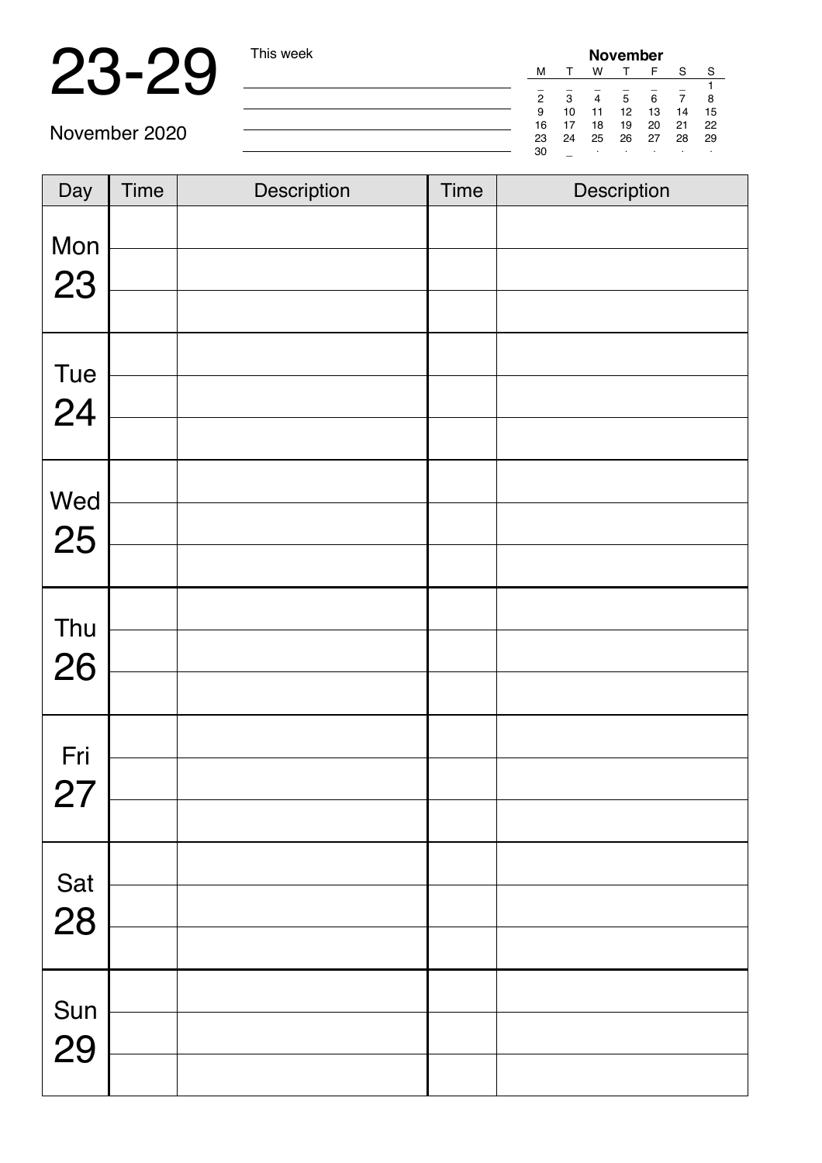## 23-29 This week

| November |    |    |    |    |    |    |  |  |  |  |  |
|----------|----|----|----|----|----|----|--|--|--|--|--|
| м        |    | w  |    |    | S  | S  |  |  |  |  |  |
|          |    |    |    |    |    |    |  |  |  |  |  |
| 2        | 3  | 4  | 5  | 6  |    | 8  |  |  |  |  |  |
| 9        | 10 | 11 | 12 | 13 | 14 | 15 |  |  |  |  |  |
| 16       | 17 | 18 | 19 | 20 | 21 | 22 |  |  |  |  |  |
| 23       | 24 | 25 | 26 | 27 | 28 | 29 |  |  |  |  |  |
| 30       |    | ٠  | ٠  | ٠  | ٠  | ٠  |  |  |  |  |  |

| Day       | <b>Time</b> | Description | <b>Time</b> | Description |
|-----------|-------------|-------------|-------------|-------------|
| Mon       |             |             |             |             |
| 23        |             |             |             |             |
|           |             |             |             |             |
| Tue       |             |             |             |             |
| 24        |             |             |             |             |
|           |             |             |             |             |
|           |             |             |             |             |
| Wed<br>25 |             |             |             |             |
|           |             |             |             |             |
|           |             |             |             |             |
| Thu<br>26 |             |             |             |             |
|           |             |             |             |             |
| Fri       |             |             |             |             |
| 27        |             |             |             |             |
|           |             |             |             |             |
|           |             |             |             |             |
| Sat<br>28 |             |             |             |             |
|           |             |             |             |             |
|           |             |             |             |             |
| Sun<br>29 |             |             |             |             |
|           |             |             |             |             |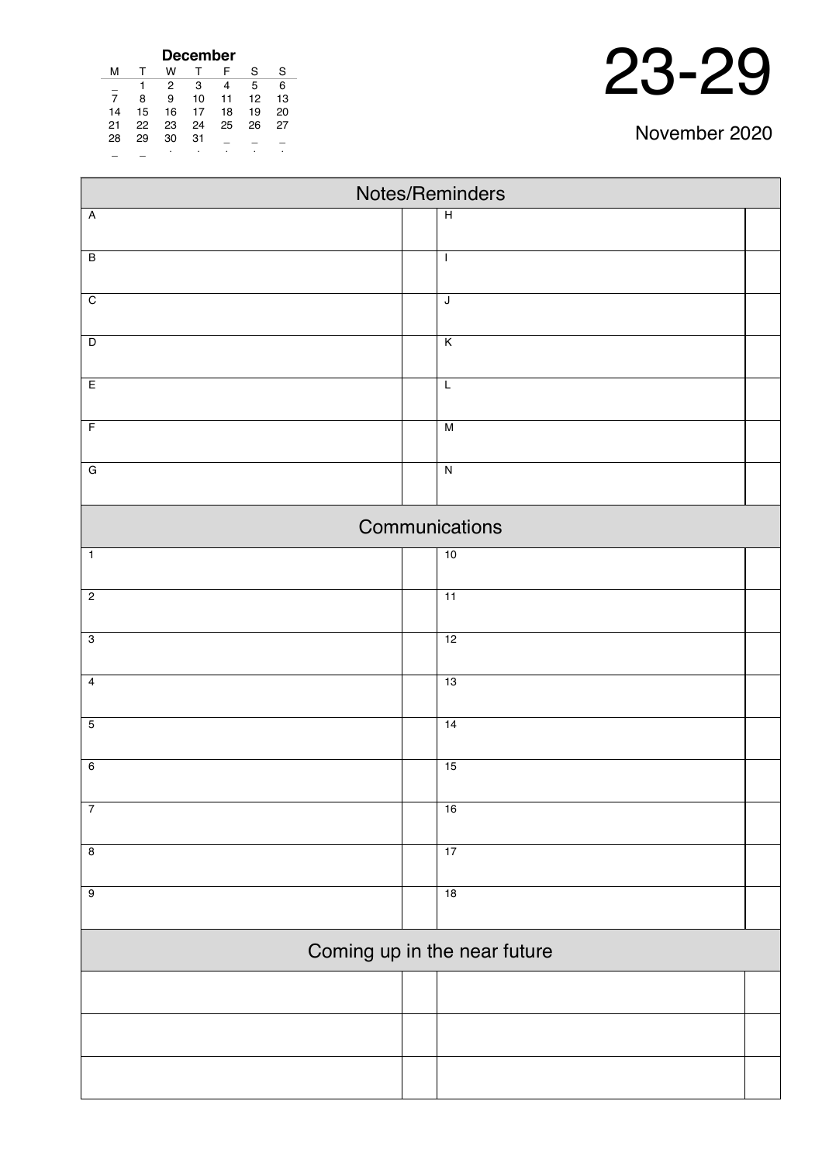| <b>December</b> |    |    |    |    |    |    |  |  |  |  |  |
|-----------------|----|----|----|----|----|----|--|--|--|--|--|
| м               |    | w  |    | F  | S  | S  |  |  |  |  |  |
|                 |    | 2  | 3  | 4  | 5  | 6  |  |  |  |  |  |
| $\overline{7}$  | 8  | 9  | 10 | 11 | 12 | 13 |  |  |  |  |  |
| 14              | 15 | 16 | 17 | 18 | 19 | 20 |  |  |  |  |  |
| 21              | 22 | 23 | 24 | 25 | 26 | 27 |  |  |  |  |  |
| 28              | 29 | 30 | 31 |    |    |    |  |  |  |  |  |
|                 |    | ٠  |    |    |    | ٠  |  |  |  |  |  |

| Notes/Reminders |  |                              |  |  |  |  |  |
|-----------------|--|------------------------------|--|--|--|--|--|
| $\overline{A}$  |  | $\overline{H}$               |  |  |  |  |  |
| $\overline{B}$  |  | $\mathbf{I}$                 |  |  |  |  |  |
|                 |  |                              |  |  |  |  |  |
| $\overline{C}$  |  | $\overline{\mathsf{J}}$      |  |  |  |  |  |
|                 |  |                              |  |  |  |  |  |
| $\overline{D}$  |  | $\overline{\mathsf{K}}$      |  |  |  |  |  |
| E               |  | $\overline{L}$               |  |  |  |  |  |
| $\overline{F}$  |  | $\overline{M}$               |  |  |  |  |  |
|                 |  |                              |  |  |  |  |  |
| $\overline{G}$  |  | $\overline{\mathsf{N}}$      |  |  |  |  |  |
|                 |  | Communications               |  |  |  |  |  |
| $\overline{1}$  |  | 10                           |  |  |  |  |  |
| $\overline{2}$  |  | $\overline{11}$              |  |  |  |  |  |
|                 |  |                              |  |  |  |  |  |
| $\overline{3}$  |  | 12                           |  |  |  |  |  |
| $\overline{4}$  |  | 13                           |  |  |  |  |  |
|                 |  |                              |  |  |  |  |  |
| $\overline{5}$  |  | 14                           |  |  |  |  |  |
| $6\overline{6}$ |  | 15                           |  |  |  |  |  |
| $\overline{7}$  |  |                              |  |  |  |  |  |
|                 |  | 16                           |  |  |  |  |  |
| $\overline{8}$  |  | 17                           |  |  |  |  |  |
| $\overline{9}$  |  | 18                           |  |  |  |  |  |
|                 |  |                              |  |  |  |  |  |
|                 |  | Coming up in the near future |  |  |  |  |  |
|                 |  |                              |  |  |  |  |  |
|                 |  |                              |  |  |  |  |  |
|                 |  |                              |  |  |  |  |  |
|                 |  |                              |  |  |  |  |  |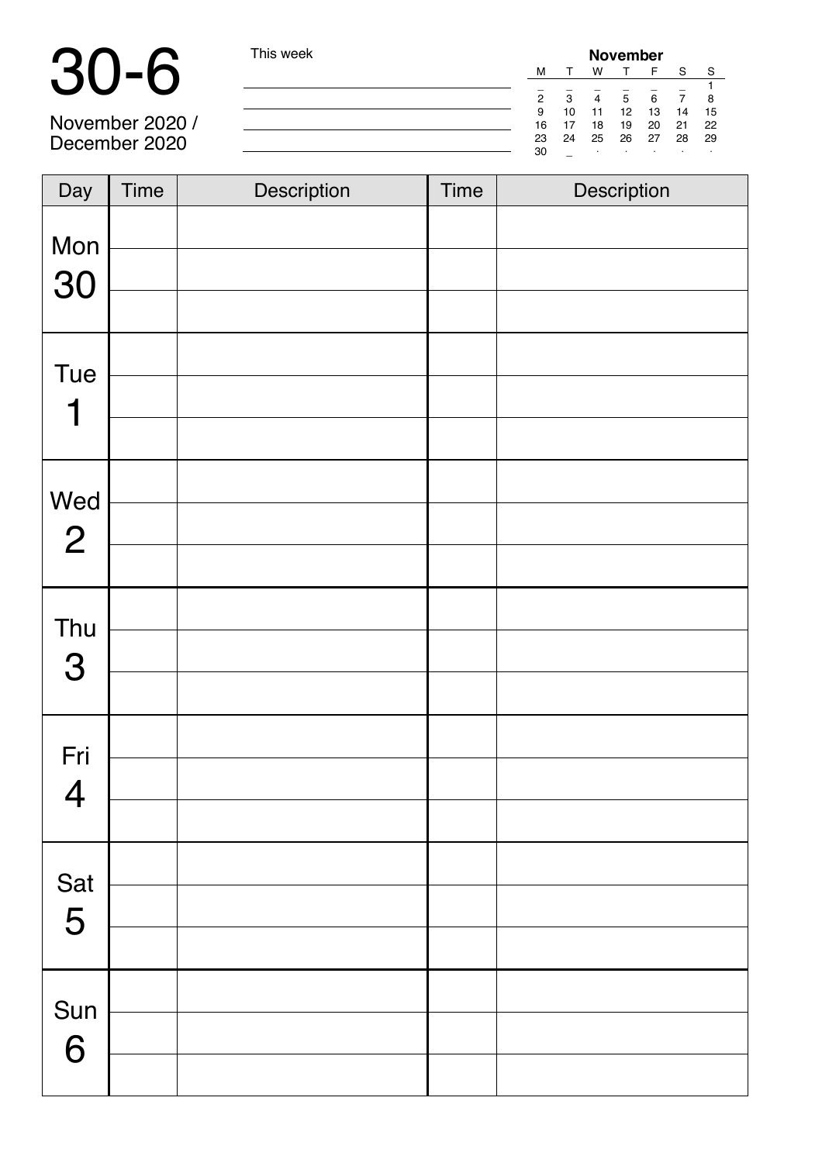| $\blacksquare$  | This week | <b>November</b> |    |    |    |    |    |     |  |  |
|-----------------|-----------|-----------------|----|----|----|----|----|-----|--|--|
|                 |           | м               |    | w  |    |    |    |     |  |  |
|                 |           |                 |    |    |    |    |    |     |  |  |
|                 |           |                 | 2  |    |    | R. |    |     |  |  |
|                 |           | 9               | 10 | 11 | 12 | 13 | 14 | 15  |  |  |
| November 2020 / |           | 16              |    | 18 | 19 | 20 | 21 | 22  |  |  |
| December 2020   |           | 23              | 24 | 25 | 26 | 27 | 28 | -29 |  |  |
|                 |           | 30              |    |    |    |    |    |     |  |  |

| Day                   | <b>Time</b> | Description | <b>Time</b> | Description |
|-----------------------|-------------|-------------|-------------|-------------|
| Mon<br>30             |             |             |             |             |
| Tue<br>1              |             |             |             |             |
| Wed<br>$\overline{2}$ |             |             |             |             |
| Thu<br>3              |             |             |             |             |
| Fri<br>$\overline{4}$ |             |             |             |             |
| Sat<br>5              |             |             |             |             |
| Sun<br>6              |             |             |             |             |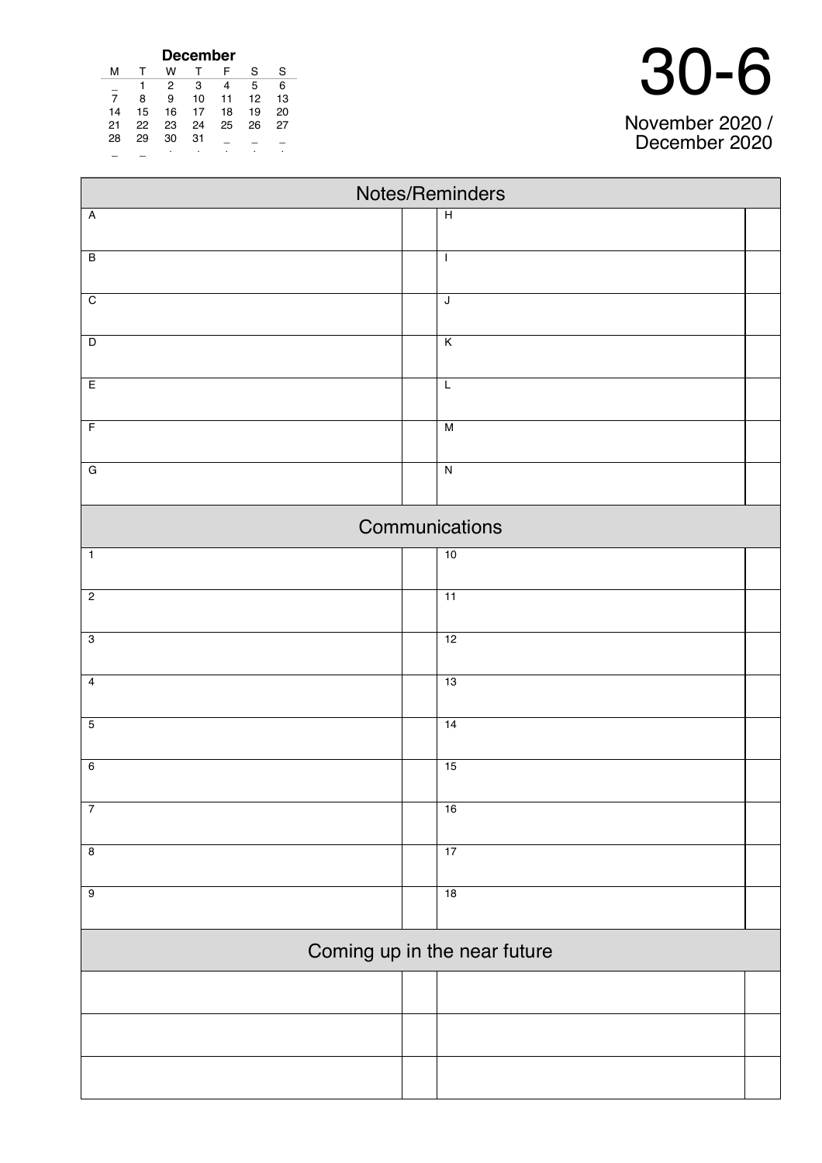| <b>December</b> |    |    |    |    |    |    |  |  |
|-----------------|----|----|----|----|----|----|--|--|
| м               |    | w  |    | F  | S  | S  |  |  |
|                 |    | 2  | 3  | 4  | 5  | 6  |  |  |
| 7               | 8  | 9  | 10 | 11 | 12 | 13 |  |  |
| 14              | 15 | 16 | 17 | 18 | 19 | 20 |  |  |
| 21              | 22 | 23 | 24 | 25 | 26 | 27 |  |  |
| 28              | 29 | 30 | 31 |    |    |    |  |  |
|                 |    | ٠  | ٠  |    |    | ٠  |  |  |

| November 2020 /<br>December 2020 |
|----------------------------------|

| Notes/Reminders |                         |                              |  |  |  |
|-----------------|-------------------------|------------------------------|--|--|--|
| $\overline{A}$  | $\overline{H}$          |                              |  |  |  |
| $\overline{B}$  | $\mathsf I$             |                              |  |  |  |
| $\overline{C}$  | $\overline{\mathsf{J}}$ |                              |  |  |  |
|                 |                         |                              |  |  |  |
| $\overline{D}$  | $\overline{K}$          |                              |  |  |  |
| $\overline{E}$  | $\mathsf L$             |                              |  |  |  |
| $\overline{F}$  | $\overline{M}$          |                              |  |  |  |
| ${\bf G}$       | $\overline{\mathsf{N}}$ |                              |  |  |  |
|                 |                         | Communications               |  |  |  |
| $\overline{1}$  |                         | 10                           |  |  |  |
| $\overline{2}$  |                         | 11                           |  |  |  |
| $\overline{3}$  |                         | 12                           |  |  |  |
| $\overline{4}$  |                         | 13                           |  |  |  |
| $\overline{5}$  |                         | 14                           |  |  |  |
| $\overline{6}$  |                         | 15                           |  |  |  |
| $\overline{7}$  |                         | 16                           |  |  |  |
| $\infty$        |                         | 17                           |  |  |  |
| $\overline{9}$  |                         | 18                           |  |  |  |
|                 |                         | Coming up in the near future |  |  |  |
|                 |                         |                              |  |  |  |
|                 |                         |                              |  |  |  |
|                 |                         |                              |  |  |  |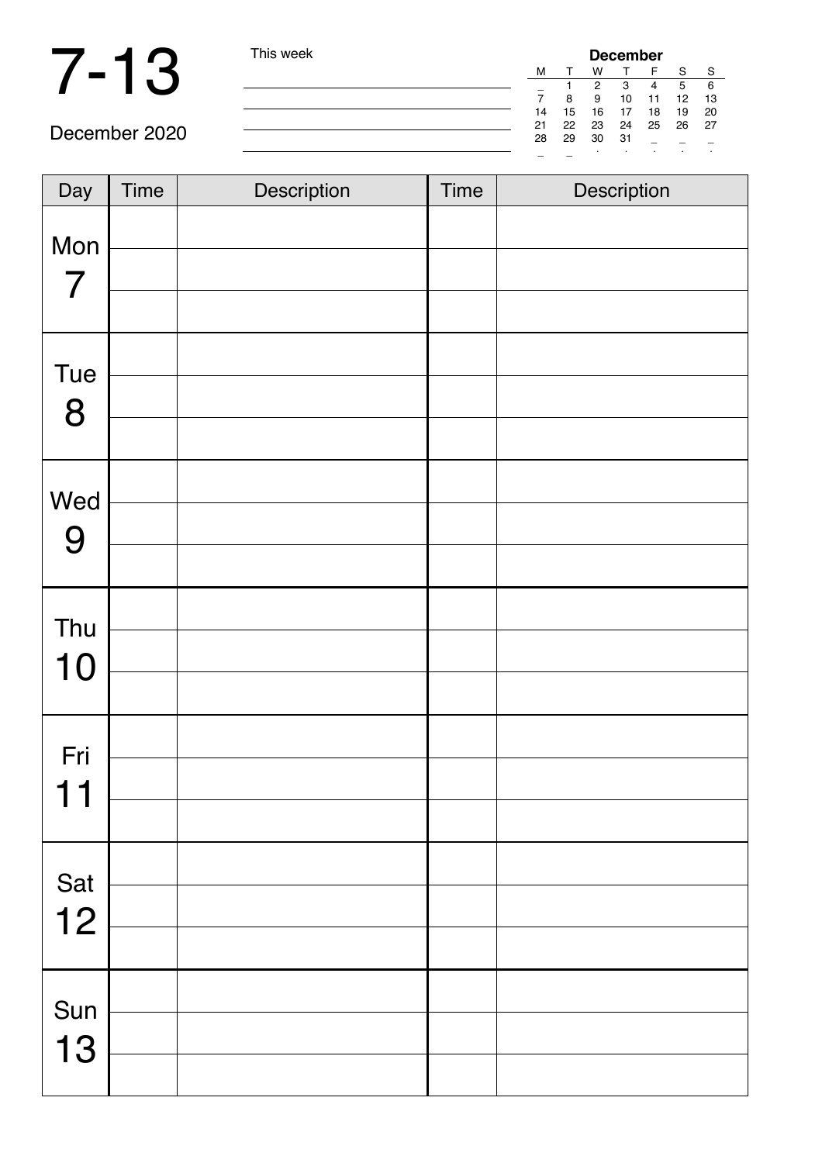## 7-13 This week

| ek | <b>December</b> |    |    |    |    |    |         |  |  |
|----|-----------------|----|----|----|----|----|---------|--|--|
|    | м               |    | W  |    | F  | S  | -S      |  |  |
|    |                 |    | 2  | з  | 4  | 5  | 6       |  |  |
|    |                 | 8  | 9  | 10 | 11 | 12 | 13      |  |  |
|    | 14              | 15 | 16 | 17 | 18 | 19 | 20      |  |  |
|    | 21              | 22 | 23 | 24 | 25 | 26 | 27      |  |  |
|    | 28              | 29 | 30 | 31 |    |    |         |  |  |
|    |                 |    | ٠  |    |    | ٠  | $\cdot$ |  |  |

December 2020

| Day                   | <b>Time</b> | Description | Time | Description |
|-----------------------|-------------|-------------|------|-------------|
| Mon<br>$\overline{7}$ |             |             |      |             |
| Tue<br>8              |             |             |      |             |
| Wed<br>9              |             |             |      |             |
| Thu<br>10             |             |             |      |             |
| Fri<br>11             |             |             |      |             |
| Sat<br>12             |             |             |      |             |
| Sun<br>13             |             |             |      |             |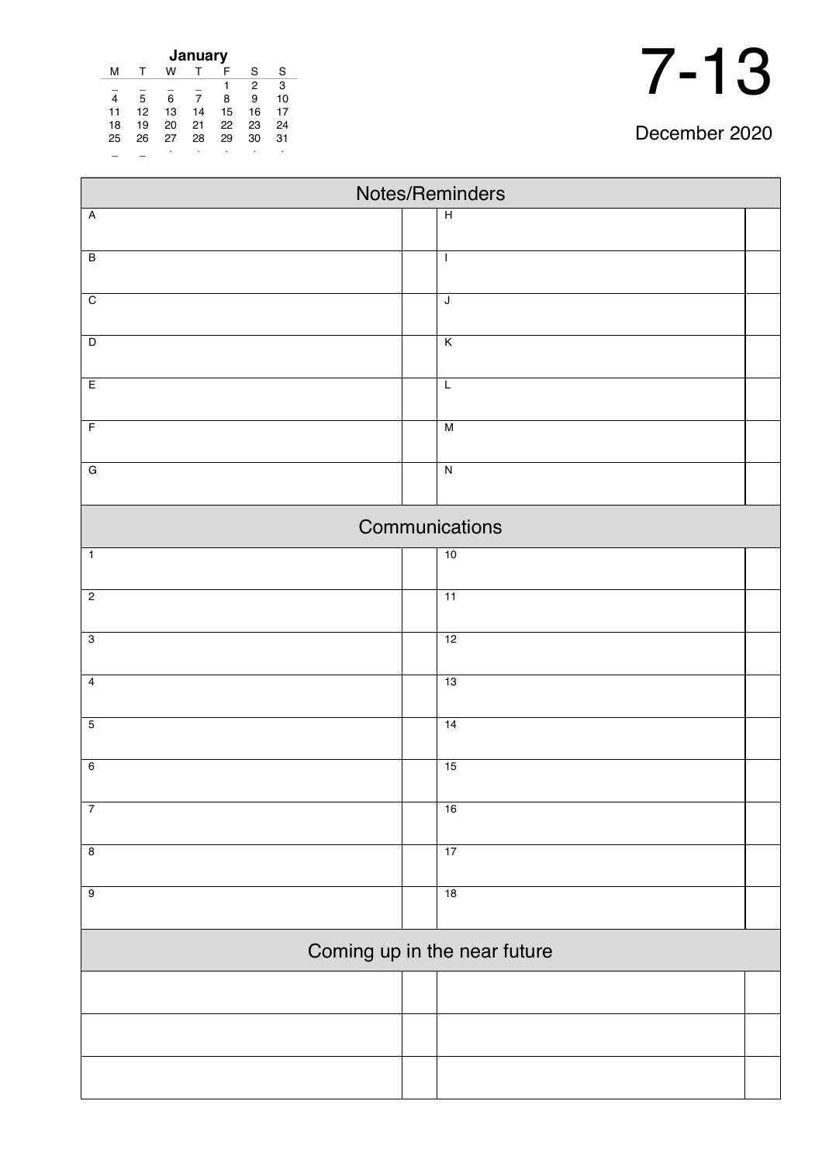| January |    |    |    |    |    |    |  |
|---------|----|----|----|----|----|----|--|
| м       |    | w  |    | F  | S  | S  |  |
|         |    |    |    |    | 2  | 3  |  |
|         | 5  | 6  | 7  | 8  | 9  | 10 |  |
| 11      | 12 | 13 | 14 | 15 | 16 | 17 |  |
| 18      | 19 | 20 | 21 | 22 | 23 | 24 |  |
| 25      | 26 | 27 | 28 | 29 | 30 | 31 |  |
|         |    |    |    | ٠  |    |    |  |

| 1<br>$\mathbf{L}$<br>7<br>$\blacklozenge$ |
|-------------------------------------------|
|-------------------------------------------|

December 2020

٦

| Notes/Reminders              |  |                 |  |  |  |
|------------------------------|--|-----------------|--|--|--|
| $\overline{A}$               |  | $\overline{H}$  |  |  |  |
|                              |  |                 |  |  |  |
| $\overline{B}$               |  | $\mathbf{I}$    |  |  |  |
| $\overline{C}$               |  | $\mathsf J$     |  |  |  |
|                              |  |                 |  |  |  |
| $\overline{D}$               |  | $\overline{K}$  |  |  |  |
| E                            |  | $\overline{L}$  |  |  |  |
|                              |  |                 |  |  |  |
| $\overline{F}$               |  | $\overline{M}$  |  |  |  |
| $\overline{G}$               |  | $\overline{N}$  |  |  |  |
|                              |  |                 |  |  |  |
|                              |  | Communications  |  |  |  |
| $\overline{1}$               |  | 10              |  |  |  |
| $\overline{2}$               |  | $\overline{11}$ |  |  |  |
|                              |  |                 |  |  |  |
| $\overline{3}$               |  | 12              |  |  |  |
| $\overline{4}$               |  | 13              |  |  |  |
|                              |  |                 |  |  |  |
| $\overline{5}$               |  | 14              |  |  |  |
|                              |  |                 |  |  |  |
| $6\overline{6}$              |  | 15              |  |  |  |
| $\overline{7}$               |  | 16              |  |  |  |
|                              |  |                 |  |  |  |
| $\overline{8}$               |  | 17              |  |  |  |
| $\overline{9}$               |  | 18              |  |  |  |
|                              |  |                 |  |  |  |
| Coming up in the near future |  |                 |  |  |  |
|                              |  |                 |  |  |  |
|                              |  |                 |  |  |  |
|                              |  |                 |  |  |  |
|                              |  |                 |  |  |  |
|                              |  |                 |  |  |  |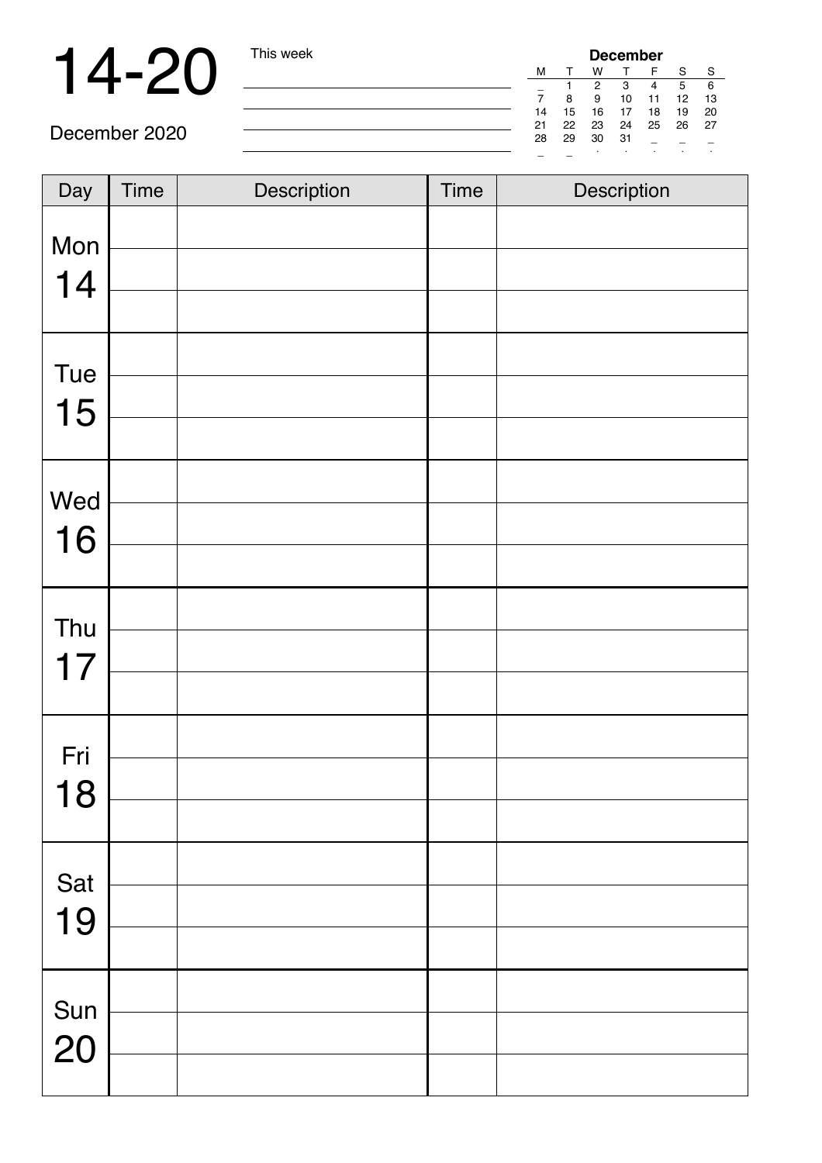## 14-20 This week

| <b>December</b> |    |    |    |    |    |    |  |  |
|-----------------|----|----|----|----|----|----|--|--|
| м               |    | w  |    | F  | S  | S  |  |  |
|                 |    | 2  | 3  | 4  | 5  | 6  |  |  |
|                 | 8  | 9  | 10 | 11 | 12 | 13 |  |  |
| 14              | 15 | 16 | 17 | 18 | 19 | 20 |  |  |
| 21              | 22 | 23 | 24 | 25 | 26 | 27 |  |  |
| 28              | 29 | 30 | 31 |    |    |    |  |  |
|                 |    |    |    |    |    |    |  |  |

December 2020

| Day       | <b>Time</b> | Description | <b>Time</b> | Description |
|-----------|-------------|-------------|-------------|-------------|
| Mon<br>14 |             |             |             |             |
| Tue<br>15 |             |             |             |             |
| Wed<br>16 |             |             |             |             |
| Thu<br>17 |             |             |             |             |
| Fri<br>18 |             |             |             |             |
| Sat<br>19 |             |             |             |             |
| Sun<br>20 |             |             |             |             |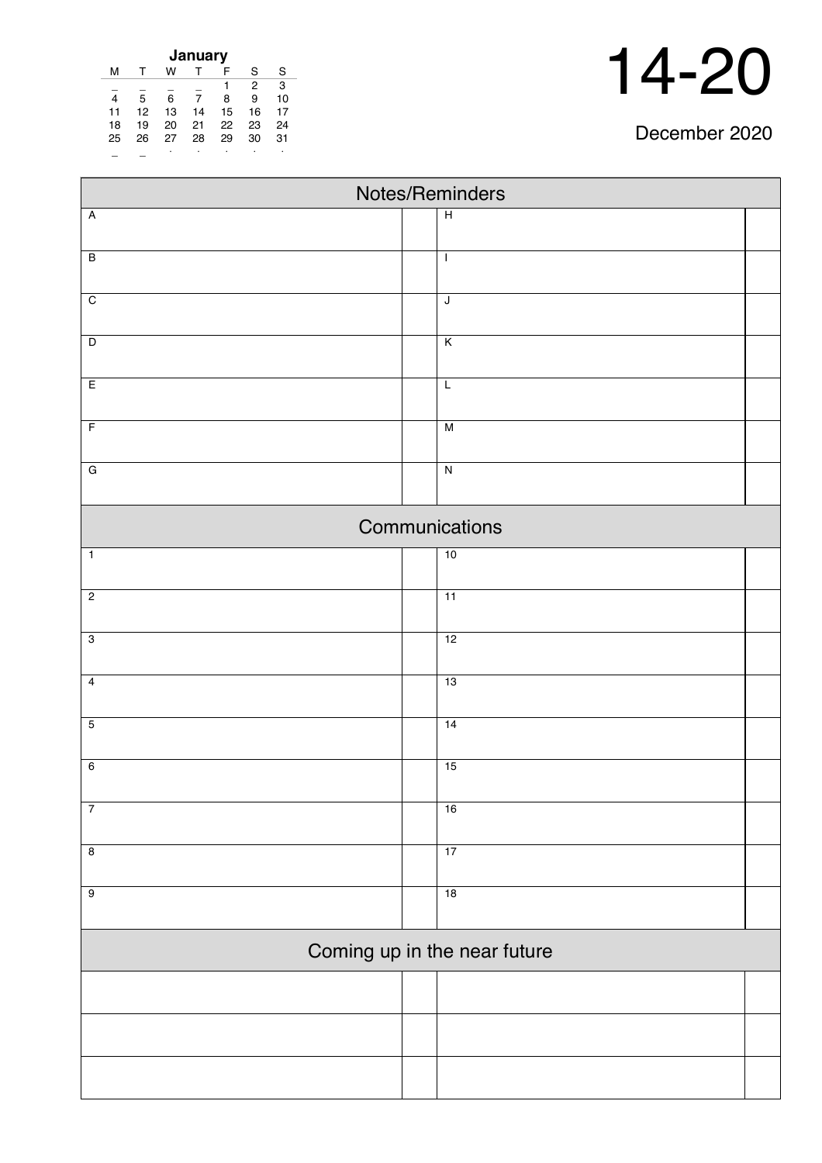| December 2020 |  |
|---------------|--|
|---------------|--|

| January |    |    |    |    |    |    |  |  |  |
|---------|----|----|----|----|----|----|--|--|--|
| м       |    | w  |    | F  | S  | S  |  |  |  |
|         |    |    |    |    | 2  | 3  |  |  |  |
| 4       | 5  | 6  | 7  | 8  | 9  | 10 |  |  |  |
| 11      | 12 | 13 | 14 | 15 | 16 | 17 |  |  |  |
| 18      | 19 | 20 | 21 | 22 | 23 | 24 |  |  |  |
| 25      | 26 | 27 | 28 | 29 | 30 | 31 |  |  |  |
|         |    |    | ٠  |    |    |    |  |  |  |

| Notes/Reminders |  |                              |  |  |  |  |  |
|-----------------|--|------------------------------|--|--|--|--|--|
| $\overline{A}$  |  | $\overline{H}$               |  |  |  |  |  |
|                 |  |                              |  |  |  |  |  |
| $\overline{B}$  |  | $\mathbf{I}$                 |  |  |  |  |  |
| $\overline{C}$  |  | $\sf J$                      |  |  |  |  |  |
|                 |  |                              |  |  |  |  |  |
| $\overline{D}$  |  | $\overline{\mathsf{K}}$      |  |  |  |  |  |
| E               |  | $\overline{L}$               |  |  |  |  |  |
| $\overline{F}$  |  | M                            |  |  |  |  |  |
| $\overline{G}$  |  | $\overline{N}$               |  |  |  |  |  |
|                 |  | Communications               |  |  |  |  |  |
|                 |  |                              |  |  |  |  |  |
| $\overline{1}$  |  | 10                           |  |  |  |  |  |
| $\overline{2}$  |  | 11                           |  |  |  |  |  |
| $\overline{3}$  |  | 12                           |  |  |  |  |  |
| $\overline{4}$  |  | 13                           |  |  |  |  |  |
| $\overline{5}$  |  | 14                           |  |  |  |  |  |
|                 |  |                              |  |  |  |  |  |
| $6\overline{6}$ |  | 15                           |  |  |  |  |  |
| $\overline{7}$  |  | 16                           |  |  |  |  |  |
| $\overline{8}$  |  | 17                           |  |  |  |  |  |
| $\overline{9}$  |  | 18                           |  |  |  |  |  |
|                 |  |                              |  |  |  |  |  |
|                 |  | Coming up in the near future |  |  |  |  |  |
|                 |  |                              |  |  |  |  |  |
|                 |  |                              |  |  |  |  |  |
|                 |  |                              |  |  |  |  |  |
|                 |  |                              |  |  |  |  |  |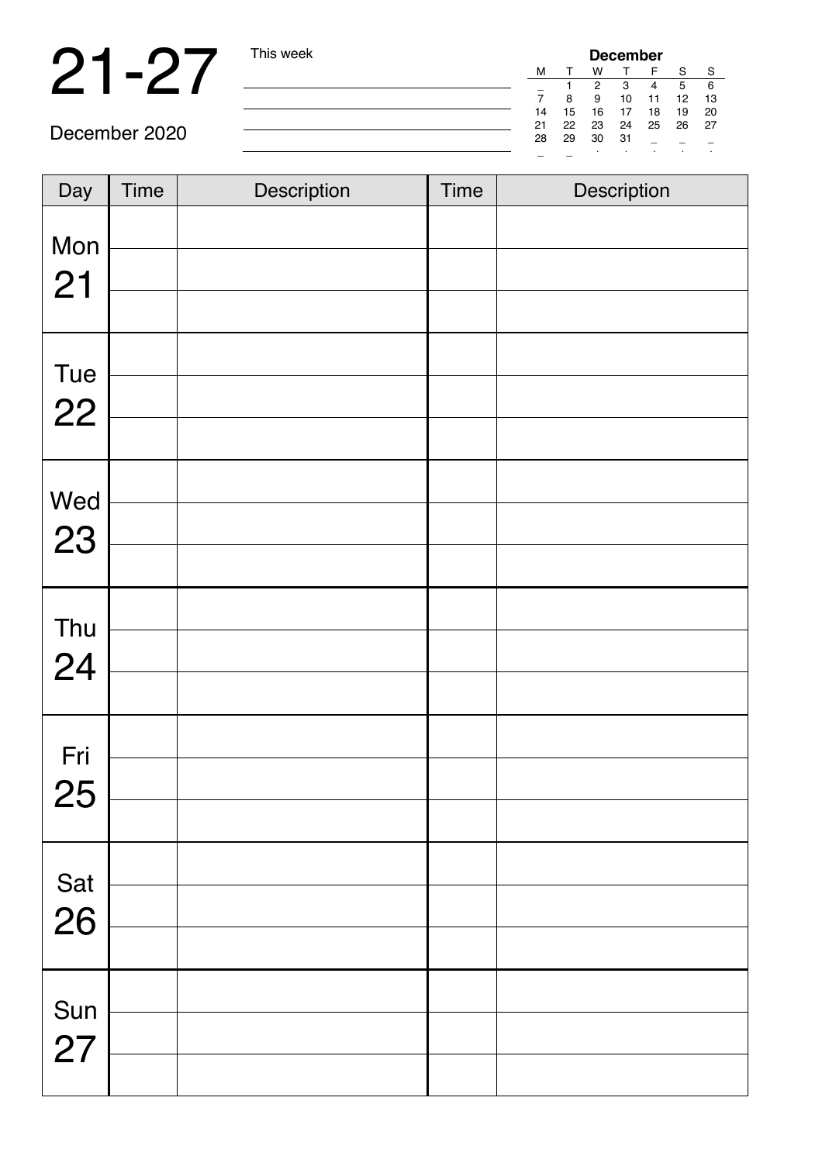## 21-27 This week

| <b>December</b> |    |    |    |    |    |    |  |  |  |
|-----------------|----|----|----|----|----|----|--|--|--|
| м               |    | w  |    | F  | S  | S  |  |  |  |
|                 |    | 2  | 3  |    | 5  | 6  |  |  |  |
|                 | 8  | 9  | 10 | 11 | 12 | 13 |  |  |  |
| 14              | 15 | 16 | 17 | 18 | 19 | 20 |  |  |  |
| 21              | 22 | 23 | 24 | 25 | 26 | 27 |  |  |  |
| 28              | 29 | 30 | 31 |    |    |    |  |  |  |
|                 |    |    |    |    |    | ٠  |  |  |  |

December 2020

| Day       | <b>Time</b> | Description | <b>Time</b> | Description |
|-----------|-------------|-------------|-------------|-------------|
|           |             |             |             |             |
| Mon       |             |             |             |             |
| 21        |             |             |             |             |
| Tue       |             |             |             |             |
| 22        |             |             |             |             |
|           |             |             |             |             |
|           |             |             |             |             |
| Wed<br>23 |             |             |             |             |
|           |             |             |             |             |
|           |             |             |             |             |
| Thu<br>24 |             |             |             |             |
|           |             |             |             |             |
| Fri       |             |             |             |             |
| 25        |             |             |             |             |
|           |             |             |             |             |
|           |             |             |             |             |
| Sat<br>26 |             |             |             |             |
|           |             |             |             |             |
| Sun       |             |             |             |             |
| 27        |             |             |             |             |
|           |             |             |             |             |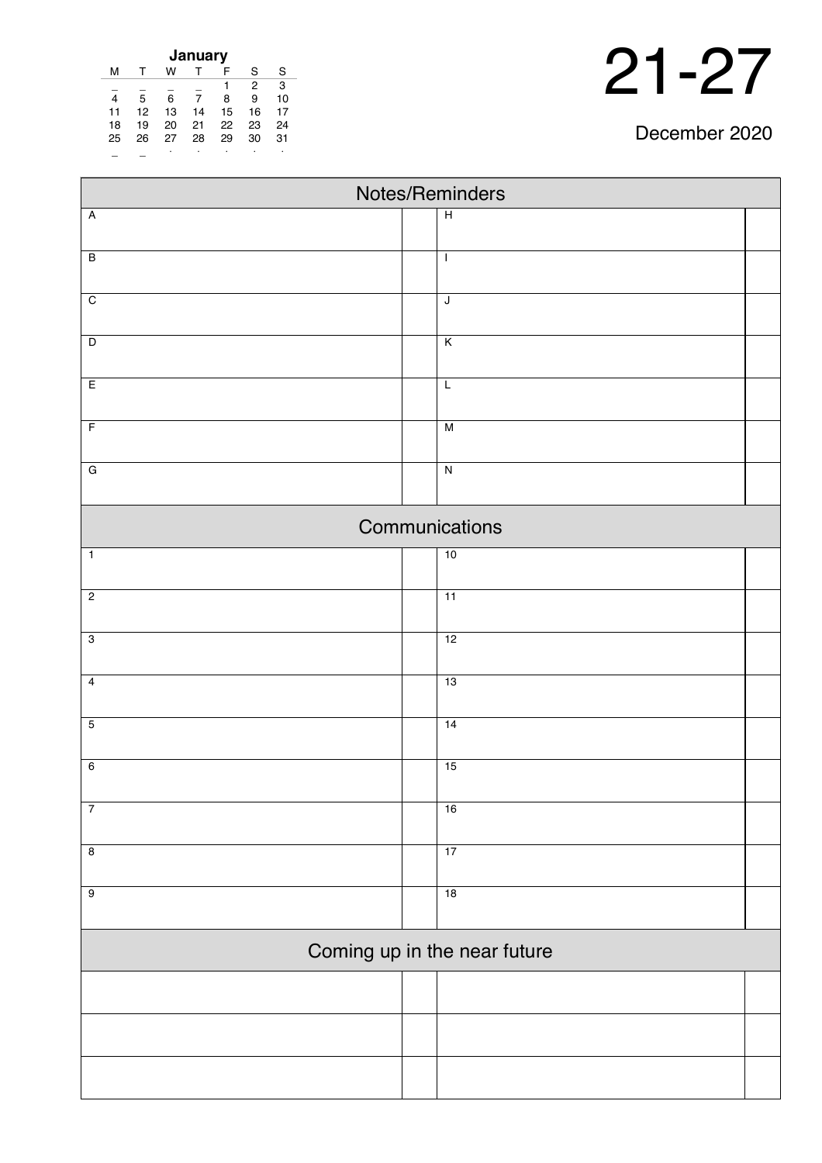| December 2020 |  |
|---------------|--|
|---------------|--|

| January |    |    |    |    |    |    |  |  |  |
|---------|----|----|----|----|----|----|--|--|--|
| м       |    | w  |    | F  | S  | S  |  |  |  |
|         |    |    |    |    | 2  | 3  |  |  |  |
| 4       | 5  | 6  | 7  | 8  | 9  | 10 |  |  |  |
| 11      | 12 | 13 | 14 | 15 | 16 | 17 |  |  |  |
| 18      | 19 | 20 | 21 | 22 | 23 | 24 |  |  |  |
| 25      | 26 | 27 | 28 | 29 | 30 | 31 |  |  |  |
|         |    | ٠  | ٠  |    |    |    |  |  |  |

| Notes/Reminders |                              |  |  |  |  |  |  |
|-----------------|------------------------------|--|--|--|--|--|--|
| $\overline{A}$  | $\overline{H}$               |  |  |  |  |  |  |
|                 |                              |  |  |  |  |  |  |
| $\overline{B}$  | $\mathbf{I}$                 |  |  |  |  |  |  |
| $\overline{C}$  | $\mathsf J$                  |  |  |  |  |  |  |
|                 |                              |  |  |  |  |  |  |
| $\overline{D}$  | $\overline{\mathsf{K}}$      |  |  |  |  |  |  |
| E               | L                            |  |  |  |  |  |  |
| $\overline{F}$  | $\overline{M}$               |  |  |  |  |  |  |
| $\overline{G}$  | $\overline{N}$               |  |  |  |  |  |  |
|                 | Communications               |  |  |  |  |  |  |
| $\overline{1}$  | 10                           |  |  |  |  |  |  |
| $\overline{2}$  | $\overline{11}$              |  |  |  |  |  |  |
| $\overline{3}$  | 12                           |  |  |  |  |  |  |
| $\overline{4}$  | 13                           |  |  |  |  |  |  |
| $\overline{5}$  | 14                           |  |  |  |  |  |  |
| $6\overline{6}$ | 15                           |  |  |  |  |  |  |
| $\overline{7}$  | 16                           |  |  |  |  |  |  |
| $\overline{8}$  | 17                           |  |  |  |  |  |  |
| $\overline{9}$  | 18                           |  |  |  |  |  |  |
|                 | Coming up in the near future |  |  |  |  |  |  |
|                 |                              |  |  |  |  |  |  |
|                 |                              |  |  |  |  |  |  |
|                 |                              |  |  |  |  |  |  |
|                 |                              |  |  |  |  |  |  |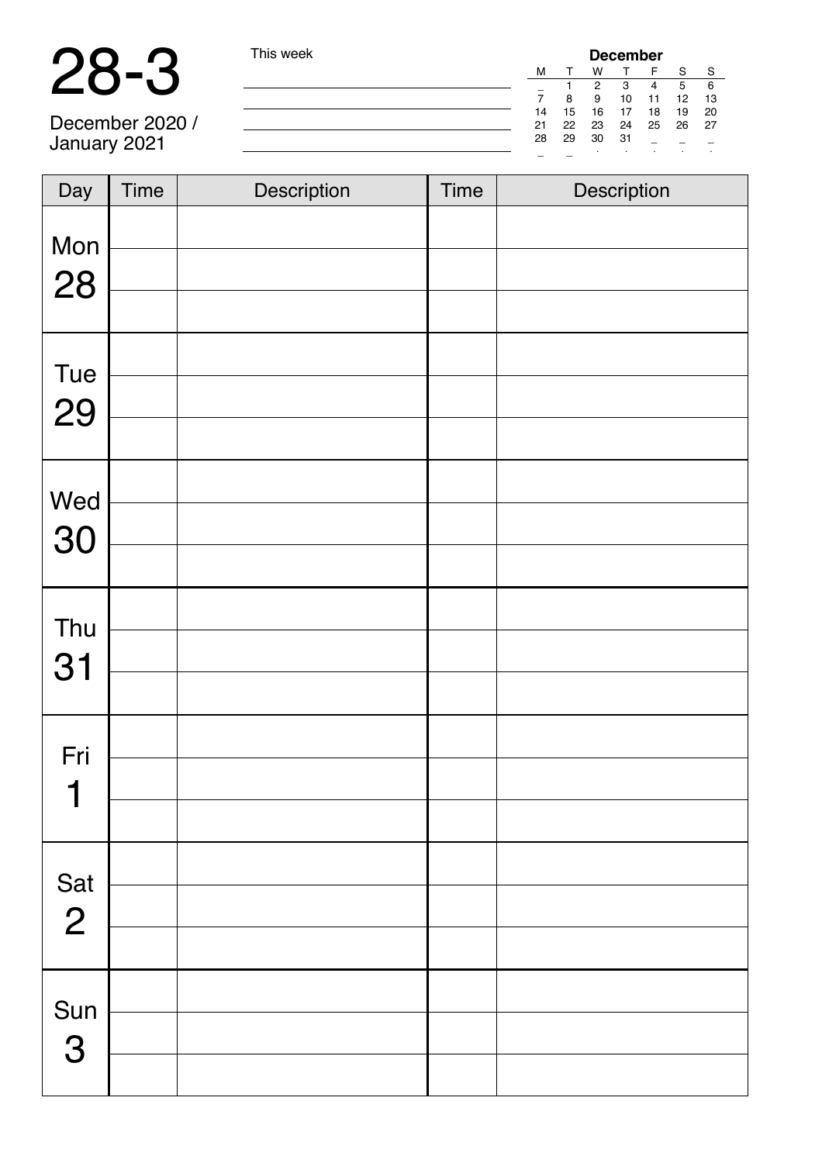### 28-3 This week

| This week | <b>December</b> |    |     |    |    |    |     |  |  |
|-----------|-----------------|----|-----|----|----|----|-----|--|--|
|           | м               |    | W   |    | F  | S  | S   |  |  |
|           |                 |    | 2   | 3  | 4  | 5  | - 6 |  |  |
|           |                 | 8  | 9   | 10 | 11 | 12 | -13 |  |  |
|           | 14              | 15 | 16  | 17 | 18 | 19 | 20  |  |  |
|           | 21              | 22 | -23 | 24 | 25 | 26 | -27 |  |  |
|           | 28              | 29 | 30  | 31 |    |    |     |  |  |
|           |                 |    | ٠   |    |    |    |     |  |  |

December 2020 / January 2021

| Day                         | Time | Description | <b>Time</b> | Description |
|-----------------------------|------|-------------|-------------|-------------|
| Mon<br>28                   |      |             |             |             |
| Tue<br>29                   |      |             |             |             |
| Wed<br>30                   |      |             |             |             |
| Thu<br>31                   |      |             |             |             |
| Fri<br>$\blacktriangleleft$ |      |             |             |             |
| Sat<br>2                    |      |             |             |             |
| Sun<br>3                    |      |             |             |             |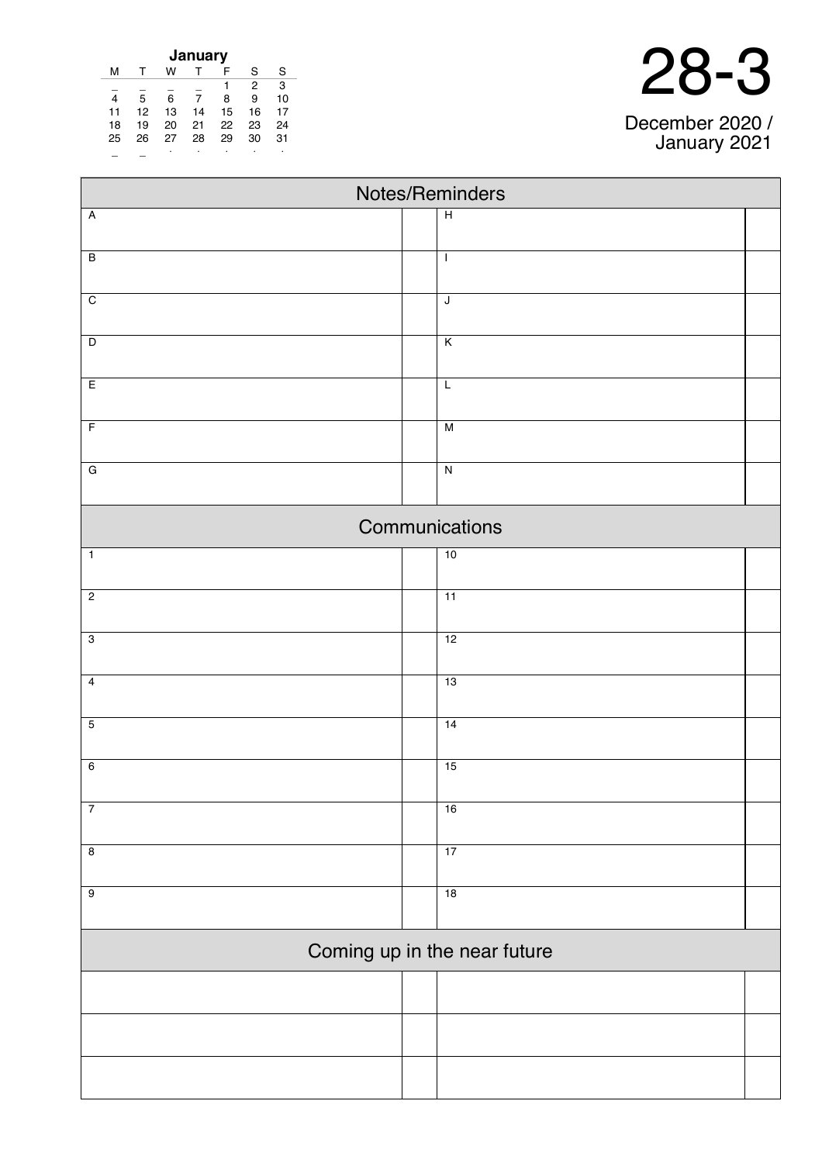| January |    |    |    |    |    |    |  |  |  |  |
|---------|----|----|----|----|----|----|--|--|--|--|
| м       |    | w  |    | F  | S  | S  |  |  |  |  |
|         |    |    |    | 1  | 2  | 3  |  |  |  |  |
| 4       | 5  | 6  | 7  | 8  | 9  | 10 |  |  |  |  |
| 11      | 12 | 13 | 14 | 15 | 16 | 17 |  |  |  |  |
| 18      | 19 | 20 | 21 | 22 | 23 | 24 |  |  |  |  |
| 25      | 26 | 27 | 28 | 29 | 30 | 31 |  |  |  |  |
|         |    |    |    |    |    | ٠  |  |  |  |  |

 $\blacksquare$ 

| Notes/Reminders         |  |                              |  |  |  |  |  |  |
|-------------------------|--|------------------------------|--|--|--|--|--|--|
| $\overline{A}$          |  | $\overline{H}$               |  |  |  |  |  |  |
| $\overline{B}$          |  | $\mathbf{I}$                 |  |  |  |  |  |  |
| $\overline{C}$          |  | J                            |  |  |  |  |  |  |
| $\overline{D}$          |  | $\overline{\mathsf{K}}$      |  |  |  |  |  |  |
| E                       |  | L                            |  |  |  |  |  |  |
| $\overline{F}$          |  | $\overline{M}$               |  |  |  |  |  |  |
| $\overline{G}$          |  | $\overline{\mathsf{N}}$      |  |  |  |  |  |  |
|                         |  | Communications               |  |  |  |  |  |  |
| $\overline{1}$          |  | 10                           |  |  |  |  |  |  |
| $\overline{2}$          |  | $\overline{11}$              |  |  |  |  |  |  |
| $\overline{3}$          |  | 12                           |  |  |  |  |  |  |
| $\overline{4}$          |  | 13                           |  |  |  |  |  |  |
| $\overline{5}$          |  | 14                           |  |  |  |  |  |  |
| $\overline{6}$          |  | 15                           |  |  |  |  |  |  |
| 7                       |  | 16                           |  |  |  |  |  |  |
| $\overline{\mathbf{8}}$ |  | 17                           |  |  |  |  |  |  |
| $\overline{9}$          |  | 18                           |  |  |  |  |  |  |
|                         |  | Coming up in the near future |  |  |  |  |  |  |
|                         |  |                              |  |  |  |  |  |  |
|                         |  |                              |  |  |  |  |  |  |
|                         |  |                              |  |  |  |  |  |  |

#### 28-3

December 2020 / January 2021

 $\overline{\phantom{0}}$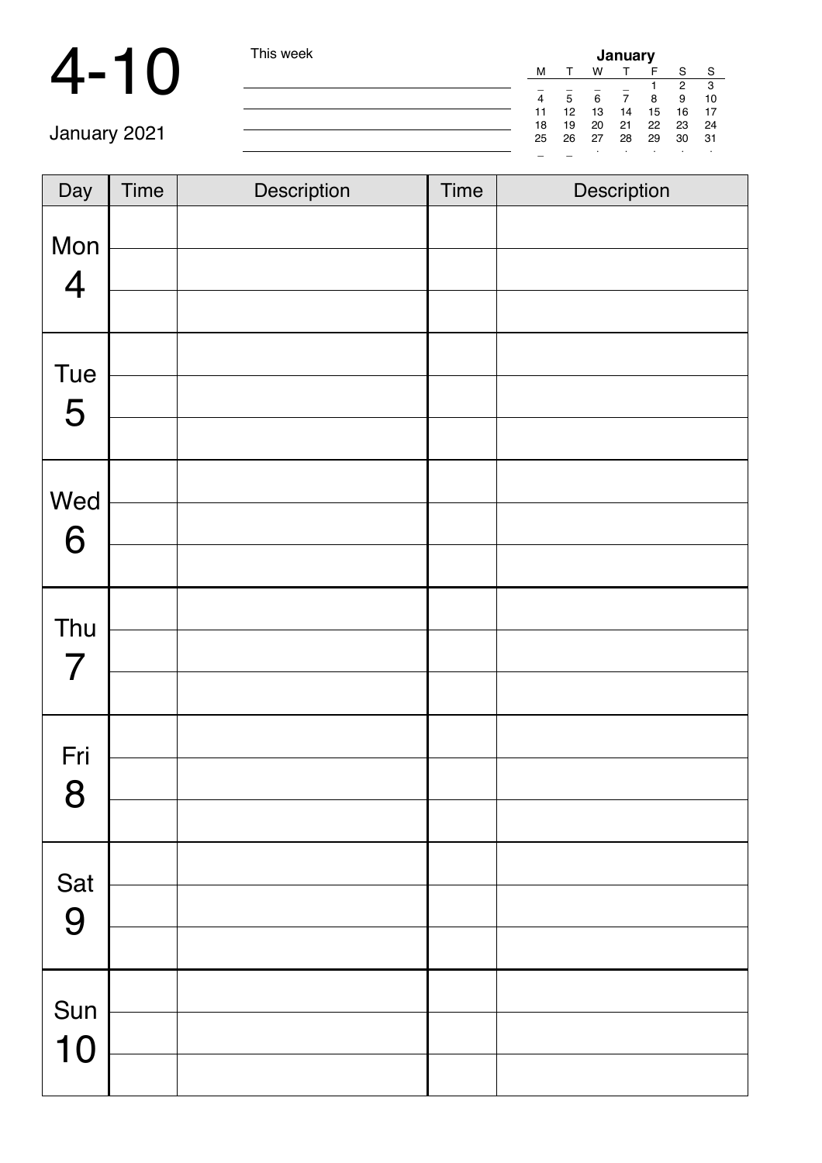### 4-10 This

| I his week | January |    |      |    |    |       |     |  |  |
|------------|---------|----|------|----|----|-------|-----|--|--|
|            | м       |    | W    |    |    | S     | S   |  |  |
|            |         |    |      |    |    | 2     | 3   |  |  |
|            | 4       | 5  | 6    |    | 8  | 9     | 10  |  |  |
|            | 11      | 12 | 13   | 14 | 15 | 16    | 17  |  |  |
|            | 18      | 19 | 20   | 21 | 22 | 23 24 |     |  |  |
|            | 25      | 26 | - 27 | 28 | 29 | 30    | -31 |  |  |
|            | -       |    |      |    |    | ٠     |     |  |  |

January 202

| Day                   | <b>Time</b> | Description | <b>Time</b> | Description |
|-----------------------|-------------|-------------|-------------|-------------|
| Mon<br>$\overline{4}$ |             |             |             |             |
|                       |             |             |             |             |
| Tue                   |             |             |             |             |
| 5                     |             |             |             |             |
|                       |             |             |             |             |
| Wed                   |             |             |             |             |
| 6                     |             |             |             |             |
|                       |             |             |             |             |
| Thu<br>$\overline{7}$ |             |             |             |             |
|                       |             |             |             |             |
| Fri                   |             |             |             |             |
| 8                     |             |             |             |             |
|                       |             |             |             |             |
| Sat                   |             |             |             |             |
| 9                     |             |             |             |             |
|                       |             |             |             |             |
| Sun                   |             |             |             |             |
| 10                    |             |             |             |             |
|                       |             |             |             |             |